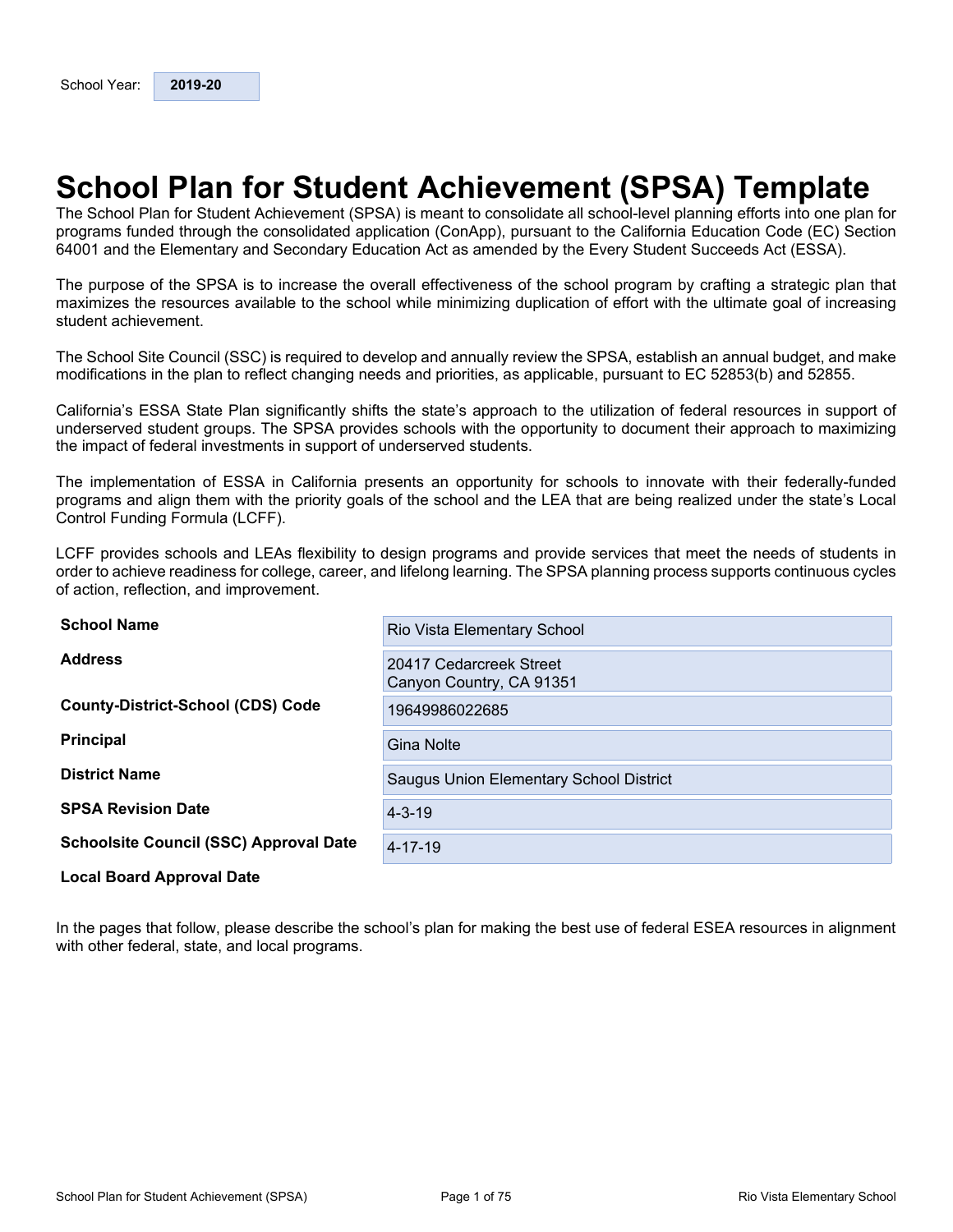# <span id="page-0-0"></span>**School Plan for Student Achievement (SPSA) Template**

The School Plan for Student Achievement (SPSA) is meant to consolidate all school-level planning efforts into one plan for programs funded through the consolidated application (ConApp), pursuant to the California Education Code (EC) Section 64001 and the Elementary and Secondary Education Act as amended by the Every Student Succeeds Act (ESSA).

The purpose of the SPSA is to increase the overall effectiveness of the school program by crafting a strategic plan that maximizes the resources available to the school while minimizing duplication of effort with the ultimate goal of increasing student achievement.

The School Site Council (SSC) is required to develop and annually review the SPSA, establish an annual budget, and make modifications in the plan to reflect changing needs and priorities, as applicable, pursuant to EC 52853(b) and 52855.

California's ESSA State Plan significantly shifts the state's approach to the utilization of federal resources in support of underserved student groups. The SPSA provides schools with the opportunity to document their approach to maximizing the impact of federal investments in support of underserved students.

The implementation of ESSA in California presents an opportunity for schools to innovate with their federally-funded programs and align them with the priority goals of the school and the LEA that are being realized under the state's Local Control Funding Formula (LCFF).

LCFF provides schools and LEAs flexibility to design programs and provide services that meet the needs of students in order to achieve readiness for college, career, and lifelong learning. The SPSA planning process supports continuous cycles of action, reflection, and improvement.

| <b>School Name</b>                            | Rio Vista Elementary School                         |
|-----------------------------------------------|-----------------------------------------------------|
| <b>Address</b>                                | 20417 Cedarcreek Street<br>Canyon Country, CA 91351 |
| <b>County-District-School (CDS) Code</b>      | 19649986022685                                      |
| <b>Principal</b>                              | <b>Gina Nolte</b>                                   |
| <b>District Name</b>                          | Saugus Union Elementary School District             |
| <b>SPSA Revision Date</b>                     | $4 - 3 - 19$                                        |
| <b>Schoolsite Council (SSC) Approval Date</b> | $4 - 17 - 19$                                       |
| <b>Local Board Approval Date</b>              |                                                     |

In the pages that follow, please describe the school's plan for making the best use of federal ESEA resources in alignment with other federal, state, and local programs.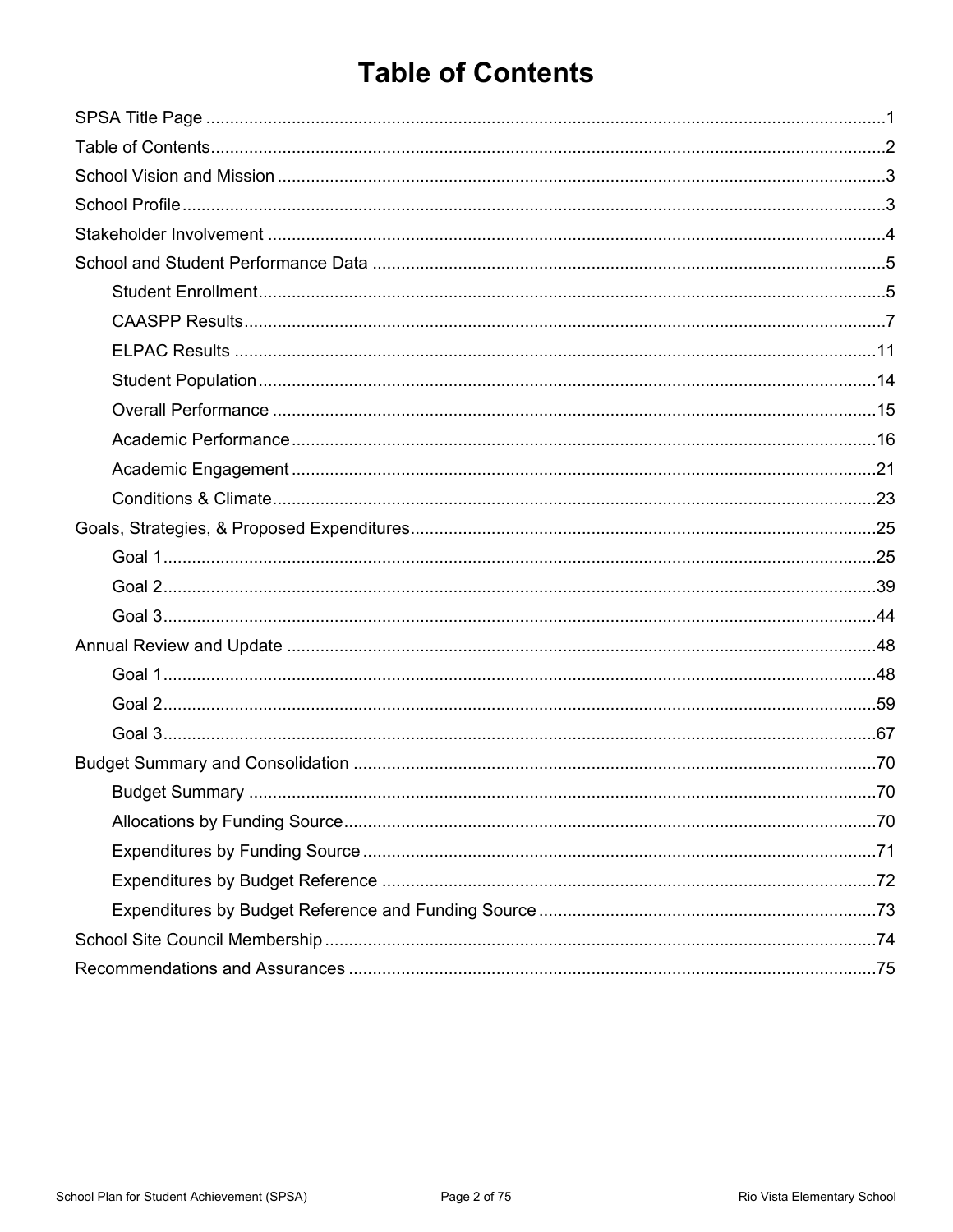# <span id="page-1-0"></span>**Table of Contents**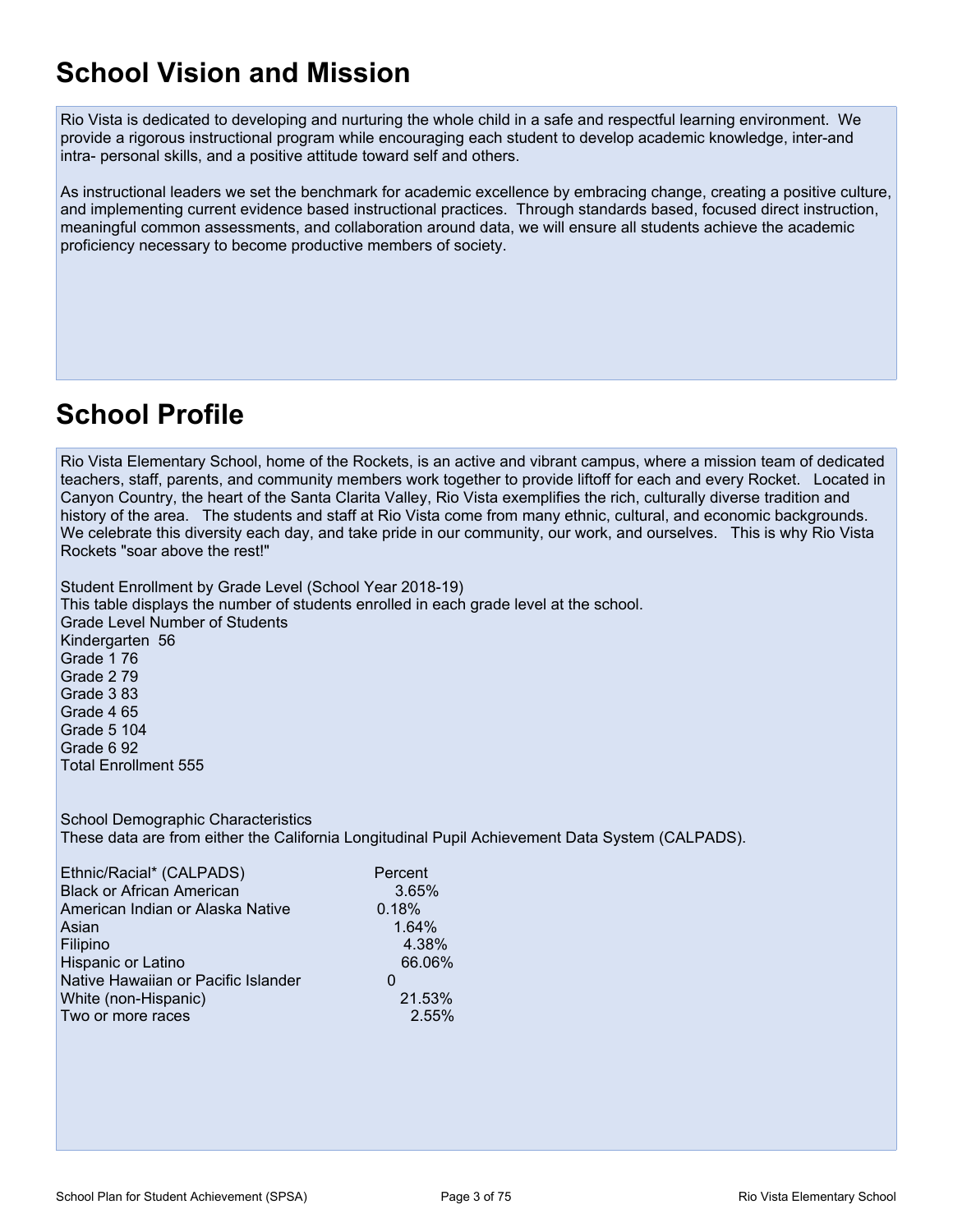# <span id="page-2-0"></span>**School Vision and Mission**

Rio Vista is dedicated to developing and nurturing the whole child in a safe and respectful learning environment. We provide a rigorous instructional program while encouraging each student to develop academic knowledge, inter-and intra- personal skills, and a positive attitude toward self and others.

As instructional leaders we set the benchmark for academic excellence by embracing change, creating a positive culture, and implementing current evidence based instructional practices. Through standards based, focused direct instruction, meaningful common assessments, and collaboration around data, we will ensure all students achieve the academic proficiency necessary to become productive members of society.

# <span id="page-2-1"></span>**School Profile**

Rio Vista Elementary School, home of the Rockets, is an active and vibrant campus, where a mission team of dedicated teachers, staff, parents, and community members work together to provide liftoff for each and every Rocket. Located in Canyon Country, the heart of the Santa Clarita Valley, Rio Vista exemplifies the rich, culturally diverse tradition and history of the area. The students and staff at Rio Vista come from many ethnic, cultural, and economic backgrounds. We celebrate this diversity each day, and take pride in our community, our work, and ourselves. This is why Rio Vista Rockets "soar above the rest!"

Student Enrollment by Grade Level (School Year 2018-19) This table displays the number of students enrolled in each grade level at the school. Grade Level Number of Students Kindergarten 56 Grade 1 76 Grade 2 79 Grade 3 83 Grade 4 65 Grade 5 104 Grade 6 92 Total Enrollment 555

School Demographic Characteristics These data are from either the California Longitudinal Pupil Achievement Data System (CALPADS).

| Ethnic/Racial* (CALPADS)            | Percent |
|-------------------------------------|---------|
| <b>Black or African American</b>    | 3.65%   |
| American Indian or Alaska Native    | 0.18%   |
| Asian                               | 1.64%   |
| Filipino                            | 4.38%   |
| Hispanic or Latino                  | 66.06%  |
| Native Hawaiian or Pacific Islander | O       |
| White (non-Hispanic)                | 21.53%  |
| Two or more races                   | 2.55%   |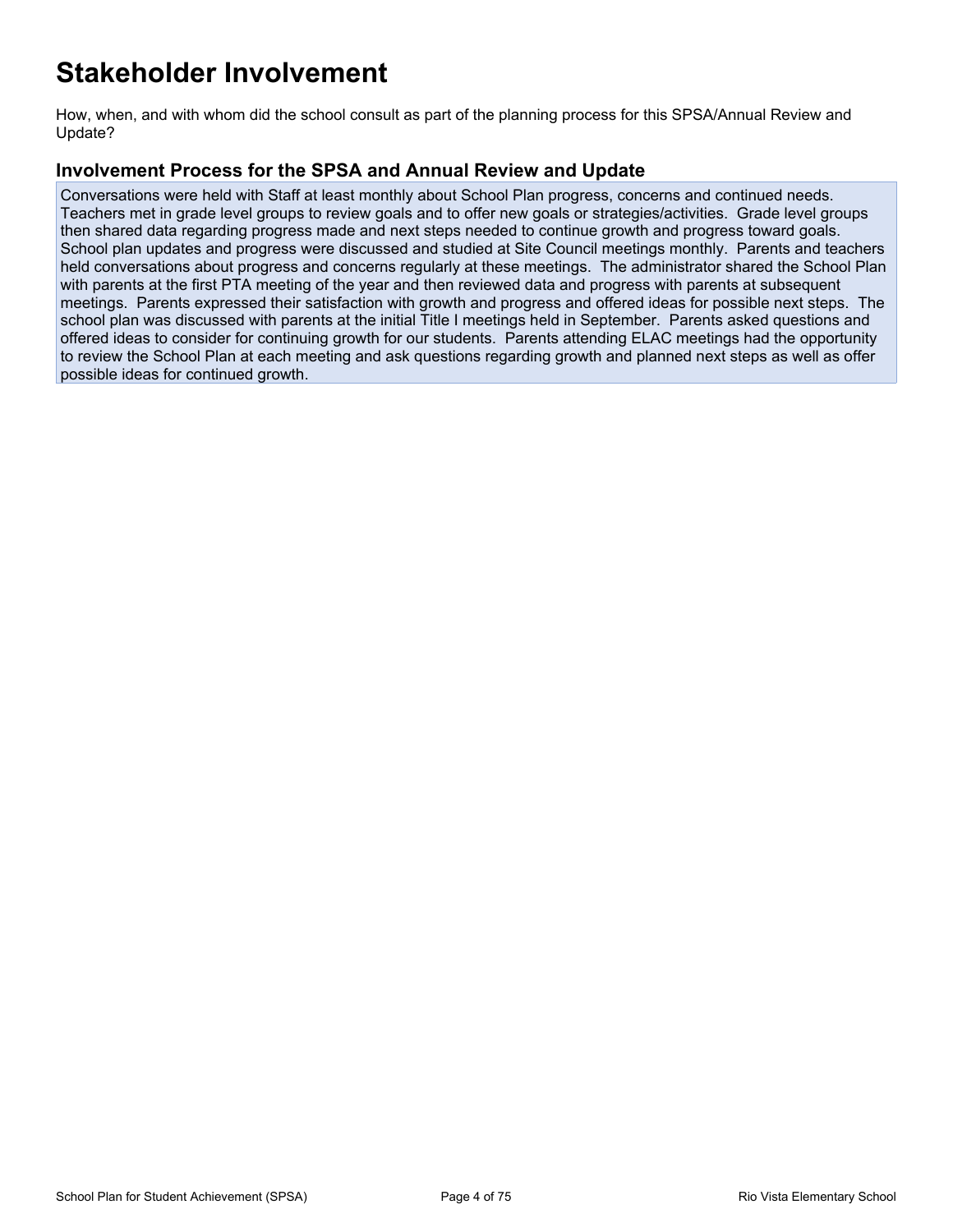# <span id="page-3-0"></span>**Stakeholder Involvement**

How, when, and with whom did the school consult as part of the planning process for this SPSA/Annual Review and Update?

### **Involvement Process for the SPSA and Annual Review and Update**

Conversations were held with Staff at least monthly about School Plan progress, concerns and continued needs. Teachers met in grade level groups to review goals and to offer new goals or strategies/activities. Grade level groups then shared data regarding progress made and next steps needed to continue growth and progress toward goals. School plan updates and progress were discussed and studied at Site Council meetings monthly. Parents and teachers held conversations about progress and concerns regularly at these meetings. The administrator shared the School Plan with parents at the first PTA meeting of the year and then reviewed data and progress with parents at subsequent meetings. Parents expressed their satisfaction with growth and progress and offered ideas for possible next steps. The school plan was discussed with parents at the initial Title I meetings held in September. Parents asked questions and offered ideas to consider for continuing growth for our students. Parents attending ELAC meetings had the opportunity to review the School Plan at each meeting and ask questions regarding growth and planned next steps as well as offer possible ideas for continued growth.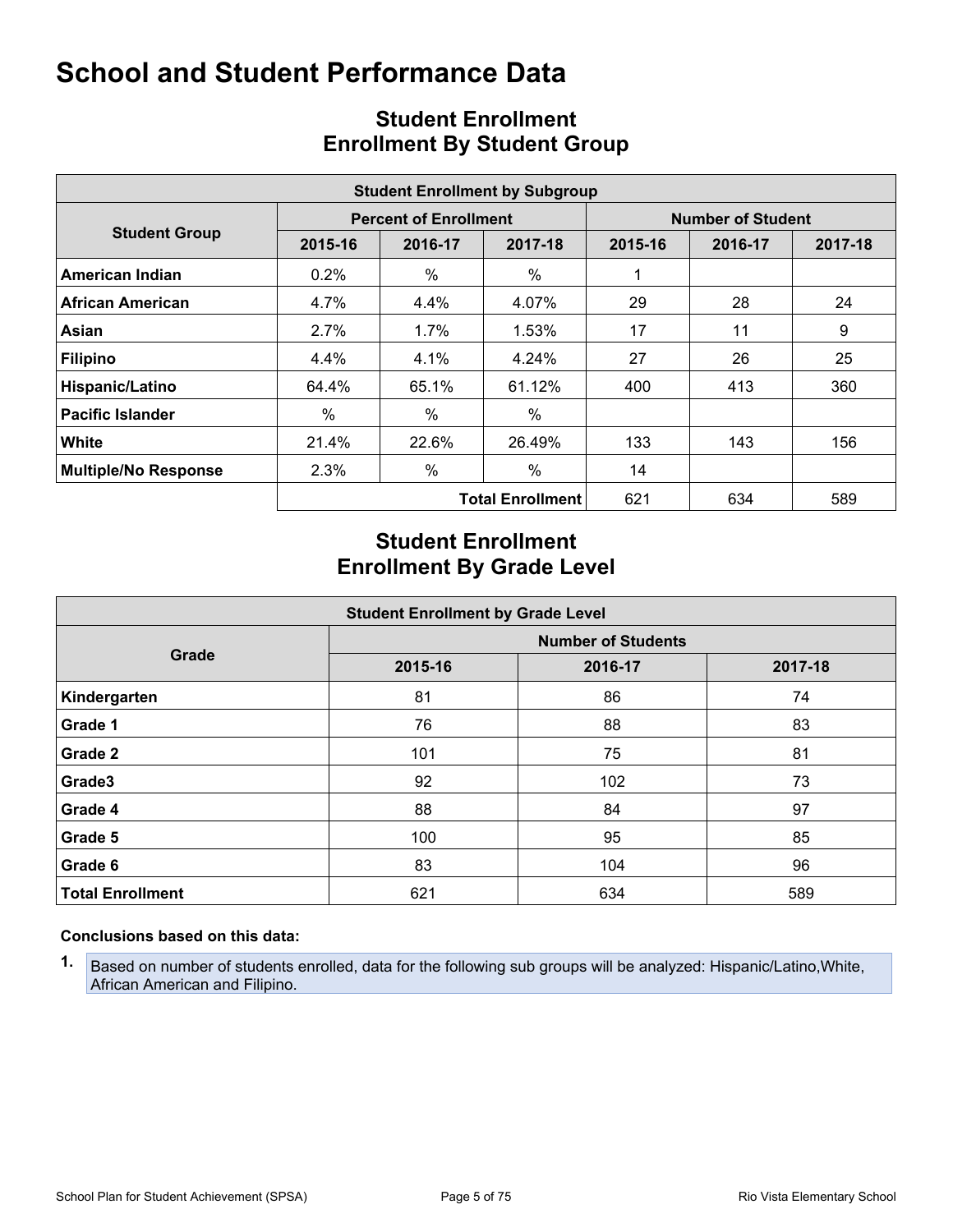<span id="page-4-0"></span>

|                             | <b>Student Enrollment by Subgroup</b> |                              |                         |                          |         |         |  |  |  |  |  |  |  |
|-----------------------------|---------------------------------------|------------------------------|-------------------------|--------------------------|---------|---------|--|--|--|--|--|--|--|
|                             |                                       | <b>Percent of Enrollment</b> |                         | <b>Number of Student</b> |         |         |  |  |  |  |  |  |  |
| <b>Student Group</b>        | 2015-16                               | 2016-17                      | 2017-18                 | 2015-16                  | 2016-17 | 2017-18 |  |  |  |  |  |  |  |
| American Indian             | 0.2%                                  | $\%$                         | $\%$                    |                          |         |         |  |  |  |  |  |  |  |
| <b>African American</b>     | 4.7%                                  | 4.4%                         | 4.07%                   | 29                       | 28      | 24      |  |  |  |  |  |  |  |
| Asian                       | 2.7%                                  | $1.7\%$                      | 1.53%                   | 17                       | 11      | 9       |  |  |  |  |  |  |  |
| <b>Filipino</b>             | 4.4%                                  | 4.1%                         | 4.24%                   | 27                       | 26      | 25      |  |  |  |  |  |  |  |
| Hispanic/Latino             | 64.4%                                 | 65.1%                        | 61.12%                  | 400                      | 413     | 360     |  |  |  |  |  |  |  |
| <b>Pacific Islander</b>     | $\%$                                  | $\%$                         | $\%$                    |                          |         |         |  |  |  |  |  |  |  |
| <b>White</b>                | 21.4%                                 | 22.6%                        | 26.49%                  | 133                      | 143     | 156     |  |  |  |  |  |  |  |
| <b>Multiple/No Response</b> | 2.3%                                  | $\%$                         | $\%$                    | 14                       |         |         |  |  |  |  |  |  |  |
|                             |                                       |                              | <b>Total Enrollment</b> | 621                      | 634     | 589     |  |  |  |  |  |  |  |

# <span id="page-4-1"></span>**Student Enrollment Enrollment By Student Group**

## **Student Enrollment Enrollment By Grade Level**

|                         | <b>Student Enrollment by Grade Level</b> |         |         |  |  |  |  |  |  |  |  |
|-------------------------|------------------------------------------|---------|---------|--|--|--|--|--|--|--|--|
|                         | <b>Number of Students</b>                |         |         |  |  |  |  |  |  |  |  |
| Grade                   | 2015-16                                  | 2016-17 | 2017-18 |  |  |  |  |  |  |  |  |
| Kindergarten            | 81                                       | 86      | 74      |  |  |  |  |  |  |  |  |
| Grade 1                 | 76                                       | 88      | 83      |  |  |  |  |  |  |  |  |
| Grade 2                 | 101                                      | 75      | 81      |  |  |  |  |  |  |  |  |
| Grade3                  | 92                                       | 102     | 73      |  |  |  |  |  |  |  |  |
| Grade 4                 | 88                                       | 84      | 97      |  |  |  |  |  |  |  |  |
| Grade 5                 | 100                                      | 95      | 85      |  |  |  |  |  |  |  |  |
| Grade 6                 | 83                                       | 104     | 96      |  |  |  |  |  |  |  |  |
| <b>Total Enrollment</b> | 621                                      | 634     | 589     |  |  |  |  |  |  |  |  |

### **Conclusions based on this data:**

**1.** Based on number of students enrolled, data for the following sub groups will be analyzed: Hispanic/Latino,White, African American and Filipino.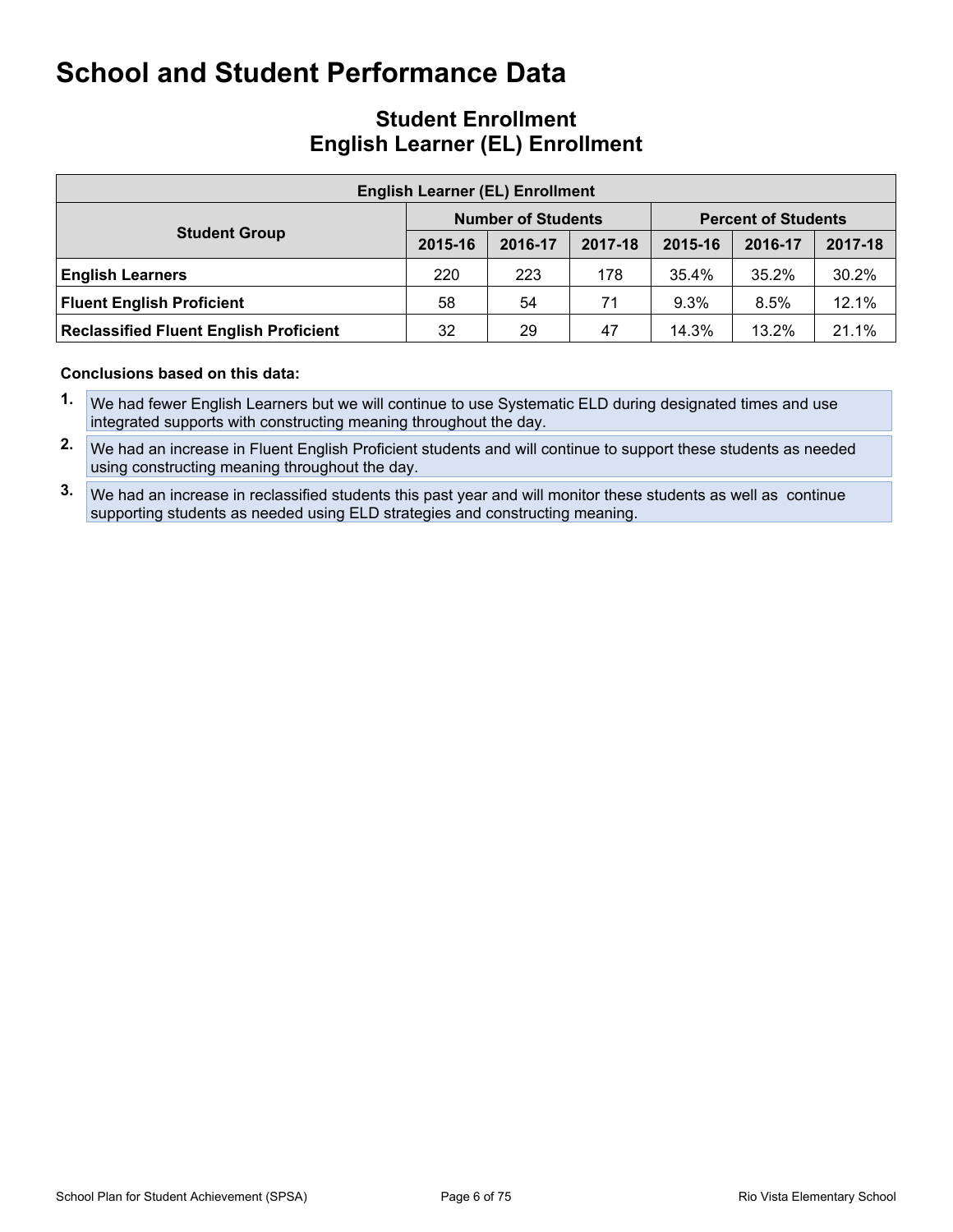## **Student Enrollment English Learner (EL) Enrollment**

| <b>English Learner (EL) Enrollment</b>        |         |                           |         |                            |         |         |  |  |  |  |
|-----------------------------------------------|---------|---------------------------|---------|----------------------------|---------|---------|--|--|--|--|
|                                               |         | <b>Number of Students</b> |         | <b>Percent of Students</b> |         |         |  |  |  |  |
| <b>Student Group</b>                          | 2015-16 | 2016-17                   | 2017-18 | 2015-16                    | 2016-17 | 2017-18 |  |  |  |  |
| <b>English Learners</b>                       | 220     | 223                       | 178     | 35.4%                      | 35.2%   | 30.2%   |  |  |  |  |
| <b>Fluent English Proficient</b>              | 58      | 54                        | 71      | 9.3%                       | 8.5%    | 12.1%   |  |  |  |  |
| <b>Reclassified Fluent English Proficient</b> | 32      | 29                        | 47      | 14.3%                      | 13.2%   | 21.1%   |  |  |  |  |

- **1.** We had fewer English Learners but we will continue to use Systematic ELD during designated times and use integrated supports with constructing meaning throughout the day.
- **2.** We had an increase in Fluent English Proficient students and will continue to support these students as needed using constructing meaning throughout the day.
- **3.** We had an increase in reclassified students this past year and will monitor these students as well as continue supporting students as needed using ELD strategies and constructing meaning.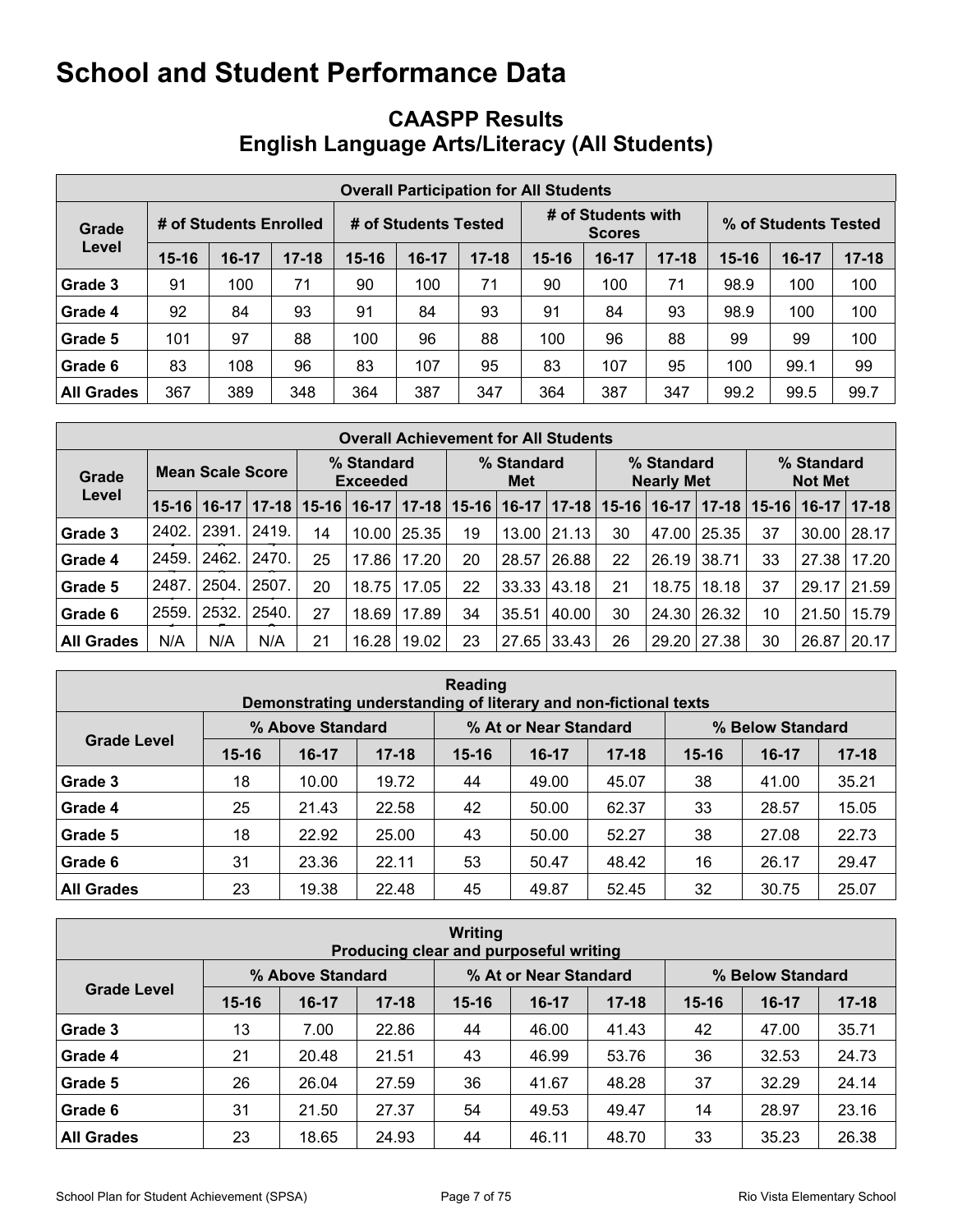# <span id="page-6-0"></span>**CAASPP Results English Language Arts/Literacy (All Students)**

|                   | <b>Overall Participation for All Students</b> |                        |           |                      |         |           |                                     |         |           |                      |       |           |  |
|-------------------|-----------------------------------------------|------------------------|-----------|----------------------|---------|-----------|-------------------------------------|---------|-----------|----------------------|-------|-----------|--|
| Grade             |                                               | # of Students Enrolled |           | # of Students Tested |         |           | # of Students with<br><b>Scores</b> |         |           | % of Students Tested |       |           |  |
| Level             | $15 - 16$                                     | $16-17$                | $17 - 18$ | $15 - 16$            | $16-17$ | $17 - 18$ | 15-16                               | $16-17$ | $17 - 18$ | $15 - 16$            | 16-17 | $17 - 18$ |  |
| Grade 3           | 91                                            | 100                    | 71        | 90                   | 100     | 71        | 90                                  | 100     | 71        | 98.9                 | 100   | 100       |  |
| Grade 4           | 92                                            | 84                     | 93        | 91                   | 84      | 93        | 91                                  | 84      | 93        | 98.9                 | 100   | 100       |  |
| Grade 5           | 101                                           | 97                     | 88        | 100                  | 96      | 88        | 100                                 | 96      | 88        | 99                   | 99    | 100       |  |
| Grade 6           | 83                                            | 108                    | 96        | 83                   | 107     | 95        | 83                                  | 107     | 95        | 100                  | 99.1  | 99        |  |
| <b>All Grades</b> | 367                                           | 389                    | 348       | 364                  | 387     | 347       | 364                                 | 387     | 347       | 99.2                 | 99.5  | 99.7      |  |

|                   | <b>Overall Achievement for All Students</b> |         |           |                               |         |                   |           |         |                                 |           |         |                              |           |         |           |
|-------------------|---------------------------------------------|---------|-----------|-------------------------------|---------|-------------------|-----------|---------|---------------------------------|-----------|---------|------------------------------|-----------|---------|-----------|
| Grade             | <b>Mean Scale Score</b>                     |         |           | % Standard<br><b>Exceeded</b> |         | % Standard<br>Met |           |         | % Standard<br><b>Nearly Met</b> |           |         | % Standard<br><b>Not Met</b> |           |         |           |
| Level             | $15 - 16$                                   | $16-17$ | $17 - 18$ | $15 - 16$                     | $16-17$ | $17 - 18$         | $15 - 16$ | $16-17$ | $17 - 18$                       | $15 - 16$ | $16-17$ | $17 - 18$                    | $15 - 16$ | $16-17$ | $ 17-18 $ |
| Grade 3           | 2402.                                       | 2391.   | 2419.     | 14                            | 10.00   | 25.35             | 19        | 13.00   | 21.13                           | 30        | 47.00   | 25.35                        | 37        | 30.00   | 28.17     |
| Grade 4           | 2459.                                       | 2462.   | 2470.     | 25                            | 17.86   | 17.20             | 20        | 28.57   | 26.88                           | 22        | 26.19   | 38.71                        | 33        | 27.38   | 17.20     |
| Grade 5           | 2487                                        | 2504.   | 2507      | 20                            | 18.75   | 17.05             | 22        | 33.33   | 43.18                           | 21        | 18.75   | 18.18                        | 37        | 29.17   | 21.59     |
| Grade 6           | 2559.                                       | 2532.   | 2540.     | 27                            | 18.69   | 17.89             | 34        | 35.51   | 40.00                           | 30        | 24.30   | 26.32                        | 10        | 21.50   | 15.79     |
| <b>All Grades</b> | N/A                                         | N/A     | N/A       | 21                            | 16.28   | 19.02             | 23        | 27.65   | 33.43                           | 26        | 29.20   | 27.38                        | 30        | 26.87   | 20.17     |

| Reading<br>Demonstrating understanding of literary and non-fictional texts |           |                  |           |           |                       |           |                  |         |           |  |  |
|----------------------------------------------------------------------------|-----------|------------------|-----------|-----------|-----------------------|-----------|------------------|---------|-----------|--|--|
|                                                                            |           | % Above Standard |           |           | % At or Near Standard |           | % Below Standard |         |           |  |  |
| <b>Grade Level</b>                                                         | $15 - 16$ | $16-17$          | $17 - 18$ | $15 - 16$ | $16-17$               | $17 - 18$ | $15 - 16$        | $16-17$ | $17 - 18$ |  |  |
| Grade 3                                                                    | 18        | 10.00            | 19.72     | 44        | 49.00                 | 45.07     | 38               | 41.00   | 35.21     |  |  |
| Grade 4                                                                    | 25        | 21.43            | 22.58     | 42        | 50.00                 | 62.37     | 33               | 28.57   | 15.05     |  |  |
| Grade 5                                                                    | 18        | 22.92            | 25.00     | 43        | 50.00                 | 52.27     | 38               | 27.08   | 22.73     |  |  |
| Grade 6                                                                    | 31        | 23.36            | 22.11     | 53        | 50.47                 | 48.42     | 16               | 26.17   | 29.47     |  |  |
| <b>All Grades</b>                                                          | 23        | 19.38            | 22.48     | 45        | 49.87                 | 52.45     | 32               | 30.75   | 25.07     |  |  |

| <b>Writing</b><br>Producing clear and purposeful writing |           |                  |           |           |                       |           |                  |         |           |  |  |
|----------------------------------------------------------|-----------|------------------|-----------|-----------|-----------------------|-----------|------------------|---------|-----------|--|--|
|                                                          |           | % Above Standard |           |           | % At or Near Standard |           | % Below Standard |         |           |  |  |
| <b>Grade Level</b>                                       | $15 - 16$ | $16-17$          | $17 - 18$ | $15 - 16$ | $16-17$               | $17 - 18$ | $15 - 16$        | $16-17$ | $17 - 18$ |  |  |
| Grade 3                                                  | 13        | 7.00             | 22.86     | 44        | 46.00                 | 41.43     | 42               | 47.00   | 35.71     |  |  |
| Grade 4                                                  | 21        | 20.48            | 21.51     | 43        | 46.99                 | 53.76     | 36               | 32.53   | 24.73     |  |  |
| Grade 5                                                  | 26        | 26.04            | 27.59     | 36        | 41.67                 | 48.28     | 37               | 32.29   | 24.14     |  |  |
| Grade 6                                                  | 31        | 21.50            | 27.37     | 54        | 49.53                 | 49.47     | 14               | 28.97   | 23.16     |  |  |
| <b>All Grades</b>                                        | 23        | 18.65            | 24.93     | 44        | 46.11                 | 48.70     | 33               | 35.23   | 26.38     |  |  |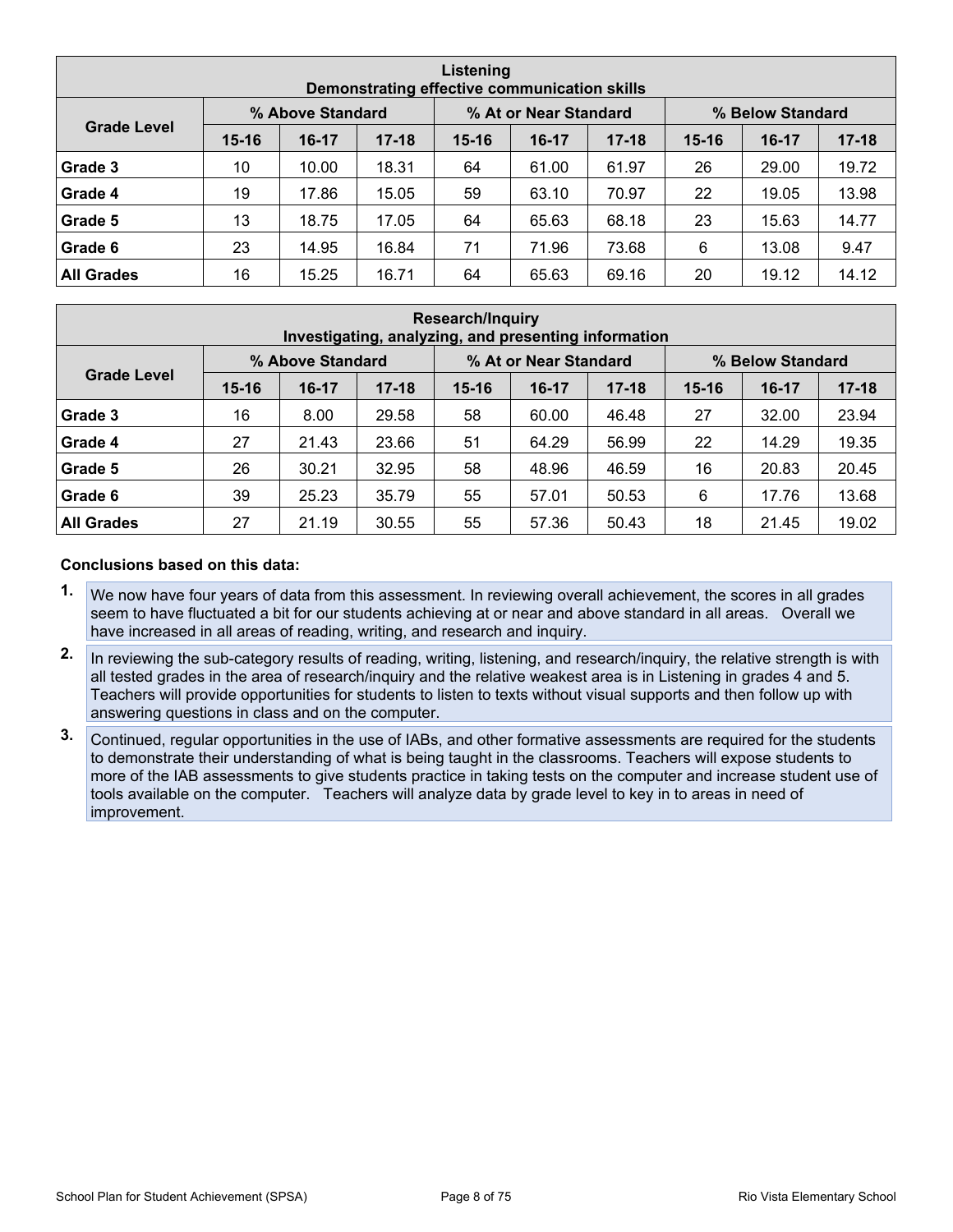|                    | Listening<br>Demonstrating effective communication skills |                  |           |           |                       |           |           |                  |           |  |  |  |
|--------------------|-----------------------------------------------------------|------------------|-----------|-----------|-----------------------|-----------|-----------|------------------|-----------|--|--|--|
|                    |                                                           | % Above Standard |           |           | % At or Near Standard |           |           | % Below Standard |           |  |  |  |
| <b>Grade Level</b> | $15 - 16$                                                 | $16-17$          | $17 - 18$ | $15 - 16$ | $16-17$               | $17 - 18$ | $15 - 16$ | $16-17$          | $17 - 18$ |  |  |  |
| Grade 3            | 10                                                        | 10.00            | 18.31     | 64        | 61.00                 | 61.97     | 26        | 29.00            | 19.72     |  |  |  |
| Grade 4            | 19                                                        | 17.86            | 15.05     | 59        | 63.10                 | 70.97     | 22        | 19.05            | 13.98     |  |  |  |
| Grade 5            | 13                                                        | 18.75            | 17.05     | 64        | 65.63                 | 68.18     | 23        | 15.63            | 14.77     |  |  |  |
| Grade 6            | 23                                                        | 14.95            | 16.84     | 71        | 71.96                 | 73.68     | 6         | 13.08            | 9.47      |  |  |  |
| <b>All Grades</b>  | 16                                                        | 15.25            | 16.71     | 64        | 65.63                 | 69.16     | 20        | 19.12            | 14.12     |  |  |  |

| Research/Inquiry<br>Investigating, analyzing, and presenting information |           |                  |           |           |                       |           |           |                  |           |  |  |
|--------------------------------------------------------------------------|-----------|------------------|-----------|-----------|-----------------------|-----------|-----------|------------------|-----------|--|--|
|                                                                          |           | % Above Standard |           |           | % At or Near Standard |           |           | % Below Standard |           |  |  |
| <b>Grade Level</b>                                                       | $15 - 16$ | $16-17$          | $17 - 18$ | $15 - 16$ | $16-17$               | $17 - 18$ | $15 - 16$ | $16 - 17$        | $17 - 18$ |  |  |
| Grade 3                                                                  | 16        | 8.00             | 29.58     | 58        | 60.00                 | 46.48     | 27        | 32.00            | 23.94     |  |  |
| Grade 4                                                                  | 27        | 21.43            | 23.66     | 51        | 64.29                 | 56.99     | 22        | 14.29            | 19.35     |  |  |
| Grade 5                                                                  | 26        | 30.21            | 32.95     | 58        | 48.96                 | 46.59     | 16        | 20.83            | 20.45     |  |  |
| Grade 6                                                                  | 39        | 25.23            | 35.79     | 55        | 57.01                 | 50.53     | 6         | 17.76            | 13.68     |  |  |
| <b>All Grades</b>                                                        | 27        | 21.19            | 30.55     | 55        | 57.36                 | 50.43     | 18        | 21.45            | 19.02     |  |  |

- **1.** We now have four years of data from this assessment. In reviewing overall achievement, the scores in all grades seem to have fluctuated a bit for our students achieving at or near and above standard in all areas. Overall we have increased in all areas of reading, writing, and research and inquiry.
- **2.** In reviewing the sub-category results of reading, writing, listening, and research/inquiry, the relative strength is with all tested grades in the area of research/inquiry and the relative weakest area is in Listening in grades 4 and 5. Teachers will provide opportunities for students to listen to texts without visual supports and then follow up with answering questions in class and on the computer.
- **3.** Continued, regular opportunities in the use of IABs, and other formative assessments are required for the students to demonstrate their understanding of what is being taught in the classrooms. Teachers will expose students to more of the IAB assessments to give students practice in taking tests on the computer and increase student use of tools available on the computer. Teachers will analyze data by grade level to key in to areas in need of improvement.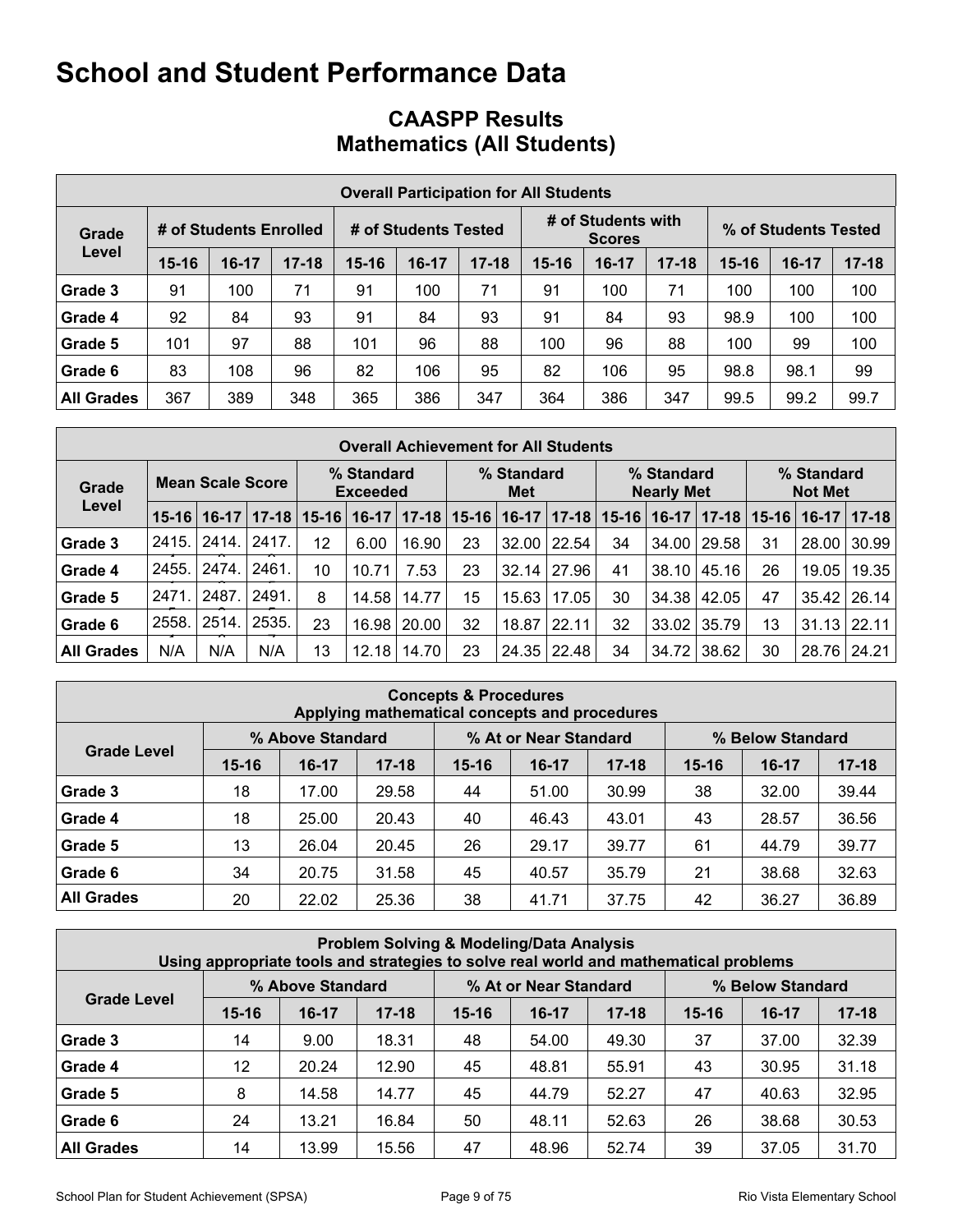# **CAASPP Results Mathematics (All Students)**

|                   | <b>Overall Participation for All Students</b> |                        |           |                      |         |           |           |                                     |           |                      |       |           |  |  |  |
|-------------------|-----------------------------------------------|------------------------|-----------|----------------------|---------|-----------|-----------|-------------------------------------|-----------|----------------------|-------|-----------|--|--|--|
| Grade             |                                               | # of Students Enrolled |           | # of Students Tested |         |           |           | # of Students with<br><b>Scores</b> |           | % of Students Tested |       |           |  |  |  |
| Level             | $15 - 16$                                     | $16-17$                | $17 - 18$ | $15 - 16$            | $16-17$ | $17 - 18$ | $15 - 16$ | $16-17$                             | $17 - 18$ | $15 - 16$            | 16-17 | $17 - 18$ |  |  |  |
| Grade 3           | 91                                            | 100                    | 71        | 91                   | 100     | 71        | 91        | 100                                 | 71        | 100                  | 100   | 100       |  |  |  |
| Grade 4           | 92                                            | 84                     | 93        | 91                   | 84      | 93        | 91        | 84                                  | 93        | 98.9                 | 100   | 100       |  |  |  |
| Grade 5           | 101                                           | 97                     | 88        | 101                  | 96      | 88        | 100       | 96                                  | 88        | 100                  | 99    | 100       |  |  |  |
| Grade 6           | 83                                            | 108                    | 96        | 82                   | 106     | 95        | 82        | 106                                 | 95        | 98.8                 | 98.1  | 99        |  |  |  |
| <b>All Grades</b> | 367                                           | 389                    | 348       | 365                  | 386     | 347       | 364       | 386                                 | 347       | 99.5                 | 99.2  | 99.7      |  |  |  |

|                   | <b>Overall Achievement for All Students</b> |         |           |                               |         |                   |           |                                 |         |           |                              |           |           |         |             |
|-------------------|---------------------------------------------|---------|-----------|-------------------------------|---------|-------------------|-----------|---------------------------------|---------|-----------|------------------------------|-----------|-----------|---------|-------------|
| Grade             | <b>Mean Scale Score</b>                     |         |           | % Standard<br><b>Exceeded</b> |         | % Standard<br>Met |           | % Standard<br><b>Nearly Met</b> |         |           | % Standard<br><b>Not Met</b> |           |           |         |             |
| Level             | $15 - 16$                                   | $16-17$ | $17 - 18$ | $15 - 16$                     | $16-17$ | $17 - 18$         | $15 - 16$ | $16-17$                         | $17-18$ | $15 - 16$ | $16-17$                      | $17 - 18$ | $15 - 16$ | $16-17$ | $ 17 - 18 $ |
| Grade 3           | 2415.                                       | 2414.   | 2417.     | 12                            | 6.00    | 16.90             | 23        | 32.00                           | 22.54   | 34        | 34.00                        | 29.58     | 31        | 28.00   | 30.99       |
| Grade 4           | 2455.                                       | 2474.   | 2461      | 10                            | 10.71   | 7.53              | 23        | 32.14                           | 27.96   | 41        | 38.10                        | 45.16     | 26        | 19.05   | 19.35       |
| Grade 5           | 2471                                        | 2487    | 2491.     | 8                             | 14.58   | 14.77             | 15        | 15.63                           | 17.05   | 30        | 34.38                        | 42.05     | 47        | 35.42   | 26.14       |
| Grade 6           | 2558.                                       | 2514.   | 2535.     | 23                            | 16.98   | 20.00             | 32        | 18.87                           | 22.11   | 32        | 33.02                        | 35.79     | 13        | 31.13   | 22.11       |
| <b>All Grades</b> | N/A                                         | N/A     | N/A       | 13                            | 12.18   | 14.70             | 23        | 24.35                           | 22.48   | 34        | 34.72                        | 38.62     | 30        | 28.76   | 24.21       |

|                                                               | <b>Concepts &amp; Procedures</b><br>Applying mathematical concepts and procedures |         |           |           |         |           |           |         |           |  |  |  |  |  |  |
|---------------------------------------------------------------|-----------------------------------------------------------------------------------|---------|-----------|-----------|---------|-----------|-----------|---------|-----------|--|--|--|--|--|--|
| % At or Near Standard<br>% Above Standard<br>% Below Standard |                                                                                   |         |           |           |         |           |           |         |           |  |  |  |  |  |  |
| <b>Grade Level</b>                                            | $15 - 16$                                                                         | $16-17$ | $17 - 18$ | $15 - 16$ | $16-17$ | $17 - 18$ | $15 - 16$ | $16-17$ | $17 - 18$ |  |  |  |  |  |  |
| Grade 3                                                       | 18                                                                                | 17.00   | 29.58     | 44        | 51.00   | 30.99     | 38        | 32.00   | 39.44     |  |  |  |  |  |  |
| Grade 4                                                       | 18                                                                                | 25.00   | 20.43     | 40        | 46.43   | 43.01     | 43        | 28.57   | 36.56     |  |  |  |  |  |  |
| Grade 5                                                       | 13                                                                                | 26.04   | 20.45     | 26        | 29.17   | 39.77     | 61        | 44.79   | 39.77     |  |  |  |  |  |  |
| Grade 6                                                       | 34                                                                                | 20.75   | 31.58     | 45        | 40.57   | 35.79     | 21        | 38.68   | 32.63     |  |  |  |  |  |  |
| <b>All Grades</b>                                             | 20                                                                                | 22.02   | 25.36     | 37.75     | 42      | 36.27     | 36.89     |         |           |  |  |  |  |  |  |

|                                                               | <b>Problem Solving &amp; Modeling/Data Analysis</b><br>Using appropriate tools and strategies to solve real world and mathematical problems |         |           |           |         |           |           |         |           |  |  |  |  |  |
|---------------------------------------------------------------|---------------------------------------------------------------------------------------------------------------------------------------------|---------|-----------|-----------|---------|-----------|-----------|---------|-----------|--|--|--|--|--|
| % At or Near Standard<br>% Above Standard<br>% Below Standard |                                                                                                                                             |         |           |           |         |           |           |         |           |  |  |  |  |  |
| <b>Grade Level</b>                                            | $15 - 16$                                                                                                                                   | $16-17$ | $17 - 18$ | $15 - 16$ | $16-17$ | $17 - 18$ | $15 - 16$ | $16-17$ | $17 - 18$ |  |  |  |  |  |
| Grade 3                                                       | 14                                                                                                                                          | 9.00    | 18.31     | 48        | 54.00   | 49.30     | 37        | 37.00   | 32.39     |  |  |  |  |  |
| Grade 4                                                       | 12                                                                                                                                          | 20.24   | 12.90     | 45        | 48.81   | 55.91     | 43        | 30.95   | 31.18     |  |  |  |  |  |
| Grade 5                                                       | 8                                                                                                                                           | 14.58   | 14.77     | 45        | 44.79   | 52.27     | 47        | 40.63   | 32.95     |  |  |  |  |  |
| Grade 6                                                       | 24                                                                                                                                          | 13.21   | 16.84     | 50        | 48.11   | 52.63     | 26        | 38.68   | 30.53     |  |  |  |  |  |
| <b>All Grades</b>                                             | 14                                                                                                                                          | 13.99   | 15.56     | 47        | 48.96   | 52.74     | 39        | 37.05   | 31.70     |  |  |  |  |  |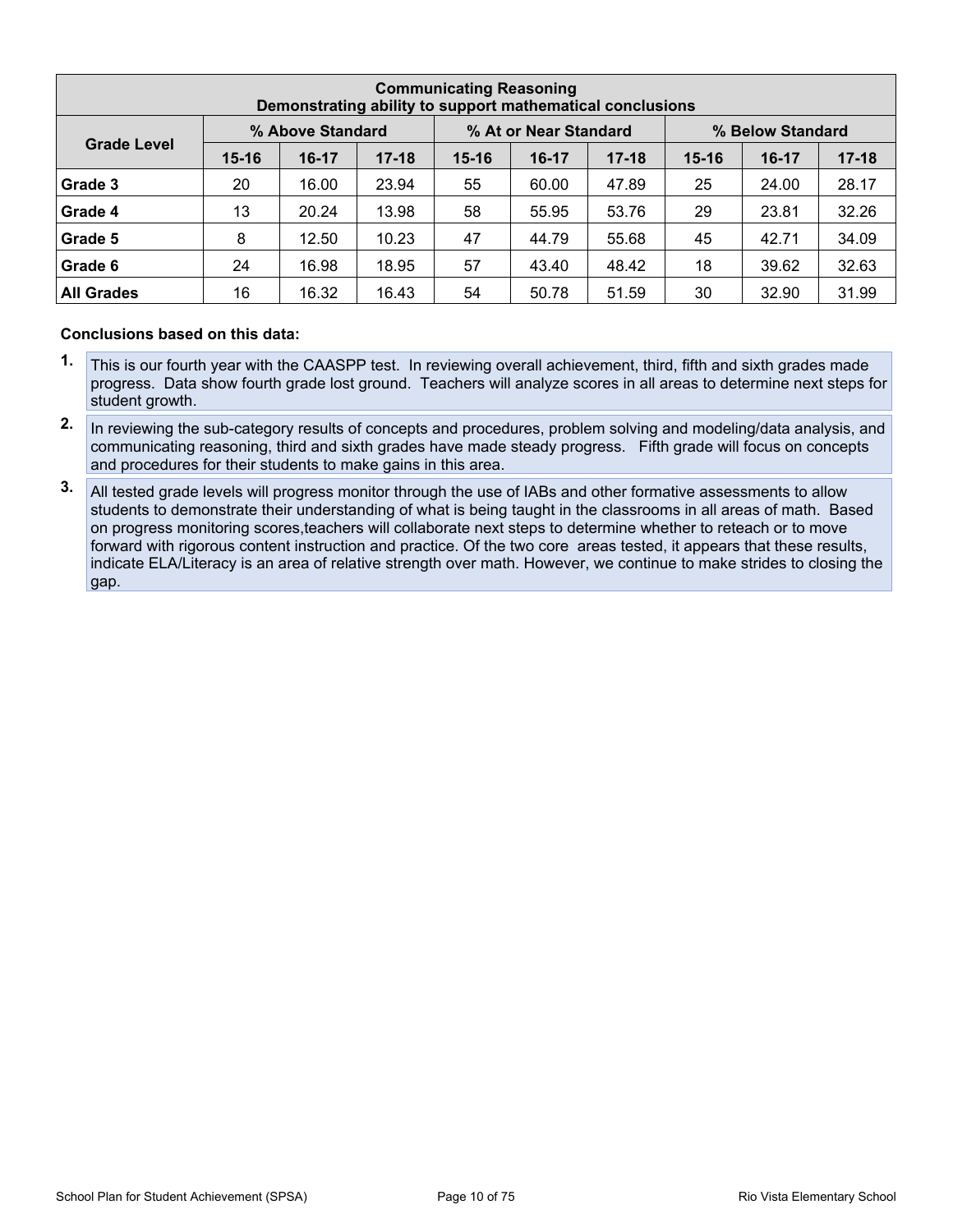|                                                               | <b>Communicating Reasoning</b><br>Demonstrating ability to support mathematical conclusions |         |           |           |         |           |           |         |           |  |  |  |  |  |
|---------------------------------------------------------------|---------------------------------------------------------------------------------------------|---------|-----------|-----------|---------|-----------|-----------|---------|-----------|--|--|--|--|--|
| % Above Standard<br>% At or Near Standard<br>% Below Standard |                                                                                             |         |           |           |         |           |           |         |           |  |  |  |  |  |
| <b>Grade Level</b>                                            | $15 - 16$                                                                                   | $16-17$ | $17 - 18$ | $15 - 16$ | $16-17$ | $17 - 18$ | $15 - 16$ | $16-17$ | $17 - 18$ |  |  |  |  |  |
| Grade 3                                                       | 20                                                                                          | 16.00   | 23.94     | 55        | 60.00   | 47.89     | 25        | 24.00   | 28.17     |  |  |  |  |  |
| Grade 4                                                       | 13                                                                                          | 20.24   | 13.98     | 58        | 55.95   | 53.76     | 29        | 23.81   | 32.26     |  |  |  |  |  |
| Grade 5                                                       | 8                                                                                           | 12.50   | 10.23     | 47        | 44.79   | 55.68     | 45        | 42.71   | 34.09     |  |  |  |  |  |
| Grade 6                                                       | 24                                                                                          | 16.98   | 18.95     | 57        | 43.40   | 48.42     | 18        | 39.62   | 32.63     |  |  |  |  |  |
| <b>All Grades</b>                                             | 16                                                                                          | 16.32   | 16.43     | 54        | 50.78   | 51.59     | 30        | 32.90   | 31.99     |  |  |  |  |  |

- **1.** This is our fourth year with the CAASPP test. In reviewing overall achievement, third, fifth and sixth grades made progress. Data show fourth grade lost ground. Teachers will analyze scores in all areas to determine next steps for student growth.
- **2.** In reviewing the sub-category results of concepts and procedures, problem solving and modeling/data analysis, and communicating reasoning, third and sixth grades have made steady progress. Fifth grade will focus on concepts and procedures for their students to make gains in this area.
- **3.** All tested grade levels will progress monitor through the use of IABs and other formative assessments to allow students to demonstrate their understanding of what is being taught in the classrooms in all areas of math. Based on progress monitoring scores,teachers will collaborate next steps to determine whether to reteach or to move forward with rigorous content instruction and practice. Of the two core areas tested, it appears that these results, indicate ELA/Literacy is an area of relative strength over math. However, we continue to make strides to closing the gap.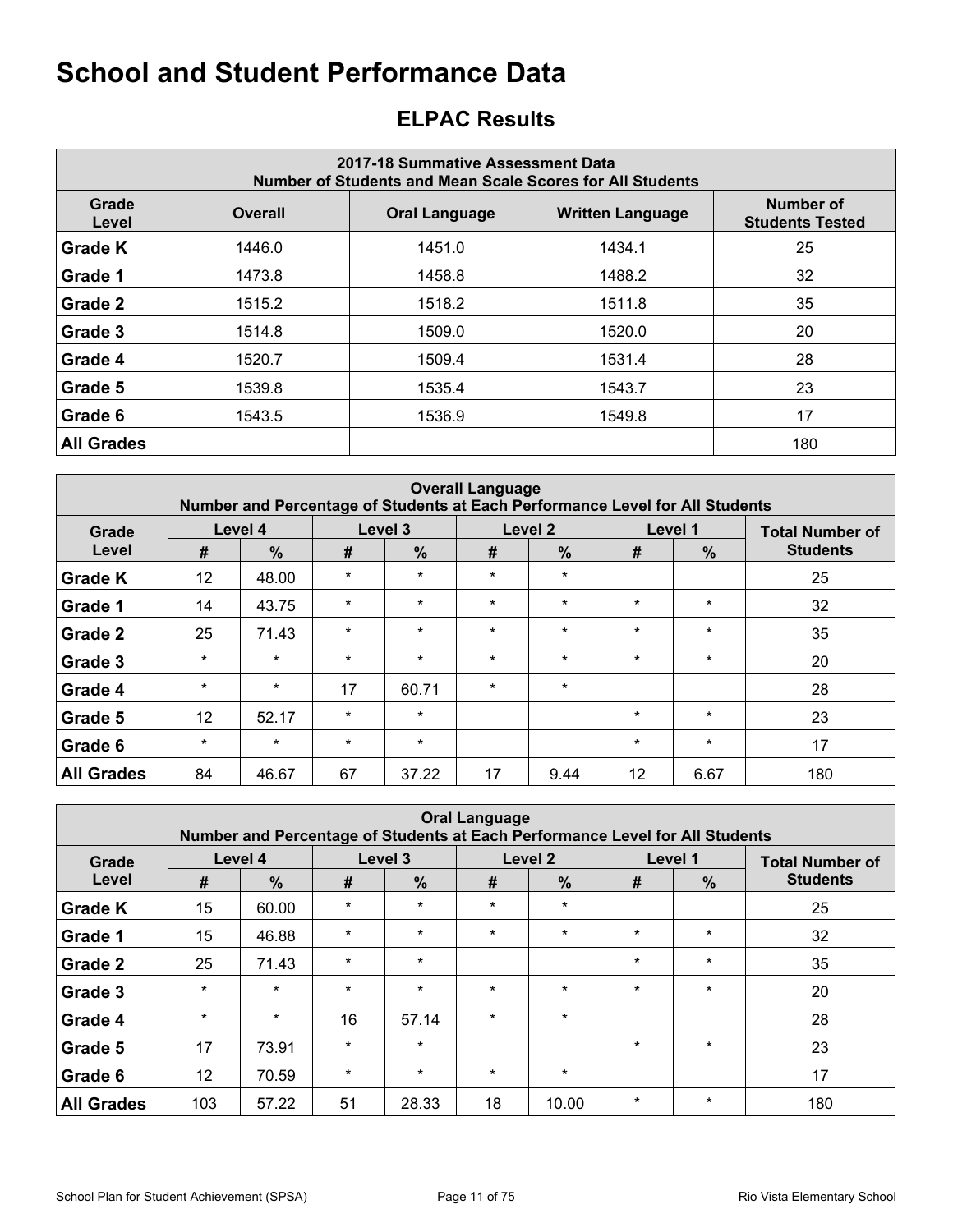# <span id="page-10-0"></span>**ELPAC Results**

| 2017-18 Summative Assessment Data<br>Number of Students and Mean Scale Scores for All Students |                |                      |                         |                                     |  |  |  |  |  |  |  |
|------------------------------------------------------------------------------------------------|----------------|----------------------|-------------------------|-------------------------------------|--|--|--|--|--|--|--|
| Grade<br>Level                                                                                 | <b>Overall</b> | <b>Oral Language</b> | <b>Written Language</b> | Number of<br><b>Students Tested</b> |  |  |  |  |  |  |  |
| <b>Grade K</b>                                                                                 | 1446.0         | 1451.0               | 1434.1                  | 25                                  |  |  |  |  |  |  |  |
| Grade 1                                                                                        | 1473.8         | 1458.8               | 1488.2                  | 32                                  |  |  |  |  |  |  |  |
| Grade 2                                                                                        | 1515.2         | 1518.2               | 1511.8                  | 35                                  |  |  |  |  |  |  |  |
| Grade 3                                                                                        | 1514.8         | 1509.0               | 1520.0                  | 20                                  |  |  |  |  |  |  |  |
| Grade 4                                                                                        | 1520.7         | 1509.4               | 1531.4                  | 28                                  |  |  |  |  |  |  |  |
| Grade 5                                                                                        | 1539.8         | 1535.4               | 1543.7                  | 23                                  |  |  |  |  |  |  |  |
| Grade 6                                                                                        | 1543.5         | 1536.9               | 1549.8                  | 17                                  |  |  |  |  |  |  |  |
| <b>All Grades</b>                                                                              |                |                      |                         | 180                                 |  |  |  |  |  |  |  |

|                   | <b>Overall Language</b><br>Number and Percentage of Students at Each Performance Level for All Students |               |         |         |         |                    |         |               |                        |  |  |  |  |  |  |
|-------------------|---------------------------------------------------------------------------------------------------------|---------------|---------|---------|---------|--------------------|---------|---------------|------------------------|--|--|--|--|--|--|
| Grade             |                                                                                                         | Level 4       |         | Level 3 |         | Level <sub>2</sub> |         | Level 1       | <b>Total Number of</b> |  |  |  |  |  |  |
| Level             | #                                                                                                       | $\frac{9}{6}$ | #       | $\%$    | #       | $\frac{9}{6}$      | #       | $\frac{9}{6}$ | <b>Students</b>        |  |  |  |  |  |  |
| <b>Grade K</b>    | 12                                                                                                      | 48.00         | $\star$ | $\star$ | $\star$ | $\star$            |         |               | 25                     |  |  |  |  |  |  |
| Grade 1           | 14                                                                                                      | 43.75         | $\star$ | $\star$ | $\star$ | $\star$            | $\star$ | $\star$       | 32                     |  |  |  |  |  |  |
| Grade 2           | 25                                                                                                      | 71.43         | $\star$ | $\star$ | $\star$ | $\star$            | $\star$ | $\star$       | 35                     |  |  |  |  |  |  |
| Grade 3           | $\star$                                                                                                 | $\star$       | $\star$ | $\star$ | $\star$ | $\star$            | $\star$ | $\star$       | 20                     |  |  |  |  |  |  |
| Grade 4           | $\star$                                                                                                 | $\star$       | 17      | 60.71   | $\star$ | $\star$            |         |               | 28                     |  |  |  |  |  |  |
| Grade 5           | 12                                                                                                      | 52.17         | $\star$ | $\star$ |         |                    | $\star$ | $\star$       | 23                     |  |  |  |  |  |  |
| Grade 6           | $\star$                                                                                                 | $\star$       | $\star$ | $\star$ |         |                    | $\star$ | $\star$       | 17                     |  |  |  |  |  |  |
| <b>All Grades</b> | 84                                                                                                      | 46.67         | 67      | 37.22   | 17      | 9.44               | 12      | 6.67          | 180                    |  |  |  |  |  |  |

| <b>Oral Language</b><br>Number and Percentage of Students at Each Performance Level for All Students |                 |               |         |               |         |               |         |         |                        |  |  |  |  |
|------------------------------------------------------------------------------------------------------|-----------------|---------------|---------|---------------|---------|---------------|---------|---------|------------------------|--|--|--|--|
| Grade                                                                                                | Level 4         |               | Level 3 |               |         | Level 2       |         | Level 1 | <b>Total Number of</b> |  |  |  |  |
| Level                                                                                                | #               | $\frac{0}{0}$ | #       | $\frac{0}{0}$ | #       | $\frac{9}{6}$ | #       | %       | <b>Students</b>        |  |  |  |  |
| <b>Grade K</b>                                                                                       | 15              | 60.00         | $\star$ | $\star$       | $\star$ | $\star$       |         |         | 25                     |  |  |  |  |
| Grade 1                                                                                              | 15              | 46.88         | $\star$ | $\star$       | $\star$ | $\star$       | $\star$ | $\star$ | 32                     |  |  |  |  |
| Grade 2                                                                                              | 25              | 71.43         | $\star$ | $\star$       |         |               | $\star$ | $\star$ | 35                     |  |  |  |  |
| Grade 3                                                                                              | $\star$         | $\star$       | $\star$ | $\star$       | $\star$ | $\star$       | $\star$ | $\star$ | 20                     |  |  |  |  |
| Grade 4                                                                                              | $\star$         | $\star$       | 16      | 57.14         | $\star$ | $\star$       |         |         | 28                     |  |  |  |  |
| Grade 5                                                                                              | 17              | 73.91         | $\star$ | $\star$       |         |               | $\star$ | $\star$ | 23                     |  |  |  |  |
| Grade 6                                                                                              | 12 <sup>2</sup> | 70.59         | $\star$ | $\star$       | $\star$ | $\star$       |         |         | 17                     |  |  |  |  |
| <b>All Grades</b>                                                                                    | 103             | 57.22         | 51      | 28.33         | 18      | 10.00         | $\star$ | $\star$ | 180                    |  |  |  |  |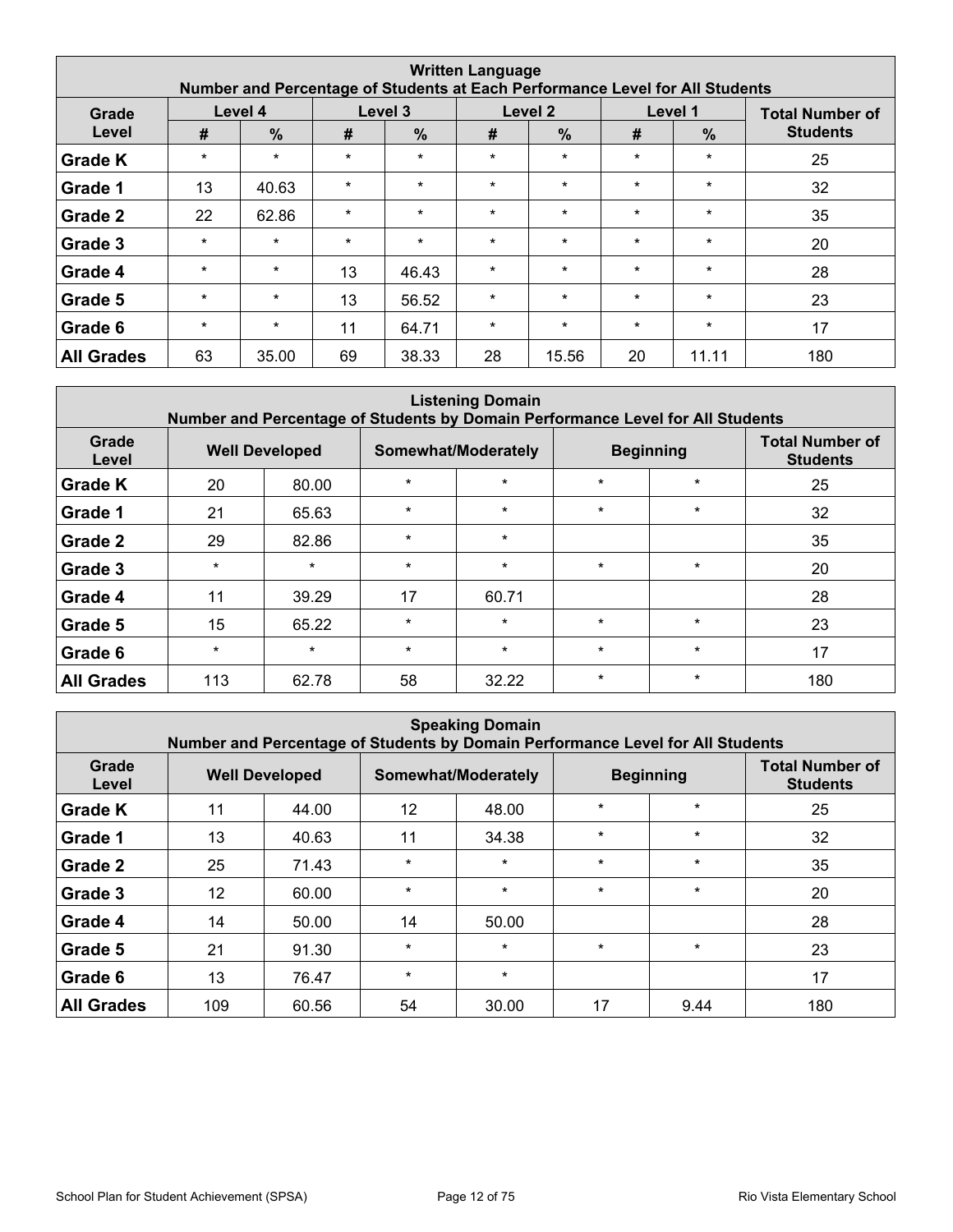| <b>Written Language</b><br>Number and Percentage of Students at Each Performance Level for All Students |         |               |         |               |         |               |         |               |                        |  |  |  |  |  |
|---------------------------------------------------------------------------------------------------------|---------|---------------|---------|---------------|---------|---------------|---------|---------------|------------------------|--|--|--|--|--|
| Grade                                                                                                   | Level 4 |               | Level 3 |               |         | Level 2       |         | Level 1       | <b>Total Number of</b> |  |  |  |  |  |
| Level                                                                                                   | #       | $\frac{0}{0}$ | #       | $\frac{9}{6}$ | #       | $\frac{0}{0}$ | #       | $\frac{9}{6}$ | <b>Students</b>        |  |  |  |  |  |
| <b>Grade K</b>                                                                                          | $\star$ | $\star$       | $\star$ | $\star$       | $\star$ | $\star$       | $\star$ | $\star$       | 25                     |  |  |  |  |  |
| Grade 1                                                                                                 | 13      | 40.63         | $\star$ | $\star$       | $\star$ | $\star$       | $\star$ | $\star$       | 32                     |  |  |  |  |  |
| Grade 2                                                                                                 | 22      | 62.86         | $\star$ | $\star$       | $\star$ | $\star$       | $\star$ | $\star$       | 35                     |  |  |  |  |  |
| Grade 3                                                                                                 | $\star$ | $\star$       | $\star$ | $\star$       | $\star$ | $\star$       | $\star$ | $\ast$        | 20                     |  |  |  |  |  |
| Grade 4                                                                                                 | $\star$ | $\star$       | 13      | 46.43         | $\star$ | $\star$       | $\star$ | $\star$       | 28                     |  |  |  |  |  |
| Grade 5                                                                                                 | $\star$ | $\star$       | 13      | 56.52         | $\star$ | $\star$       | $\star$ | $\star$       | 23                     |  |  |  |  |  |
| Grade 6                                                                                                 | $\star$ | $\star$       | 11      | 64.71         | $\star$ | $\star$       | $\star$ | $\star$       | 17                     |  |  |  |  |  |
| <b>All Grades</b>                                                                                       | 63      | 35.00         | 69      | 38.33         | 28      | 15.56         | 20      | 11.11         | 180                    |  |  |  |  |  |

| <b>Listening Domain</b><br>Number and Percentage of Students by Domain Performance Level for All Students |         |                       |         |                     |         |                  |                                           |  |  |  |  |  |  |
|-----------------------------------------------------------------------------------------------------------|---------|-----------------------|---------|---------------------|---------|------------------|-------------------------------------------|--|--|--|--|--|--|
| Grade<br>Level                                                                                            |         | <b>Well Developed</b> |         | Somewhat/Moderately |         | <b>Beginning</b> | <b>Total Number of</b><br><b>Students</b> |  |  |  |  |  |  |
| <b>Grade K</b>                                                                                            | 20      | 80.00                 | $\star$ | $\star$             | $\star$ | $\star$          | 25                                        |  |  |  |  |  |  |
| Grade 1                                                                                                   | 21      | 65.63                 | $\star$ | $\star$             | $\star$ | $\star$          | 32                                        |  |  |  |  |  |  |
| Grade 2                                                                                                   | 29      | 82.86                 | $\star$ | $\star$             |         |                  | 35                                        |  |  |  |  |  |  |
| Grade 3                                                                                                   | $\star$ | $\star$               | $\star$ | $\star$             | $\star$ | $\star$          | 20                                        |  |  |  |  |  |  |
| Grade 4                                                                                                   | 11      | 39.29                 | 17      | 60.71               |         |                  | 28                                        |  |  |  |  |  |  |
| Grade 5                                                                                                   | 15      | 65.22                 | $\star$ | $\star$             | $\star$ | $\star$          | 23                                        |  |  |  |  |  |  |
| Grade 6                                                                                                   | $\star$ | $\star$               | $\star$ | $\star$             | $\star$ | $\star$          | 17                                        |  |  |  |  |  |  |
| <b>All Grades</b>                                                                                         | 113     | 62.78                 | 58      | 32.22               | $\star$ | $\star$          | 180                                       |  |  |  |  |  |  |

| <b>Speaking Domain</b><br>Number and Percentage of Students by Domain Performance Level for All Students |     |                       |         |                     |         |                  |                                           |  |  |  |  |  |  |
|----------------------------------------------------------------------------------------------------------|-----|-----------------------|---------|---------------------|---------|------------------|-------------------------------------------|--|--|--|--|--|--|
| Grade<br>Level                                                                                           |     | <b>Well Developed</b> |         | Somewhat/Moderately |         | <b>Beginning</b> | <b>Total Number of</b><br><b>Students</b> |  |  |  |  |  |  |
| <b>Grade K</b>                                                                                           | 11  | 44.00                 | 12      | 48.00               | $\star$ | $\star$          | 25                                        |  |  |  |  |  |  |
| Grade 1                                                                                                  | 13  | 40.63                 | 11      | 34.38               | $\star$ | $\star$          | 32                                        |  |  |  |  |  |  |
| Grade 2                                                                                                  | 25  | 71.43                 | $\star$ | $\star$             | $\star$ | $\star$          | 35                                        |  |  |  |  |  |  |
| Grade 3                                                                                                  | 12  | 60.00                 | $\star$ | $\star$             | $\star$ | $\star$          | 20                                        |  |  |  |  |  |  |
| Grade 4                                                                                                  | 14  | 50.00                 | 14      | 50.00               |         |                  | 28                                        |  |  |  |  |  |  |
| Grade 5                                                                                                  | 21  | 91.30                 | $\star$ | $\star$             | $\star$ | $\star$          | 23                                        |  |  |  |  |  |  |
| Grade 6                                                                                                  | 13  | 76.47                 | $\star$ | $\star$             |         |                  | 17                                        |  |  |  |  |  |  |
| <b>All Grades</b>                                                                                        | 109 | 60.56                 | 54      | 30.00               | 17      | 9.44             | 180                                       |  |  |  |  |  |  |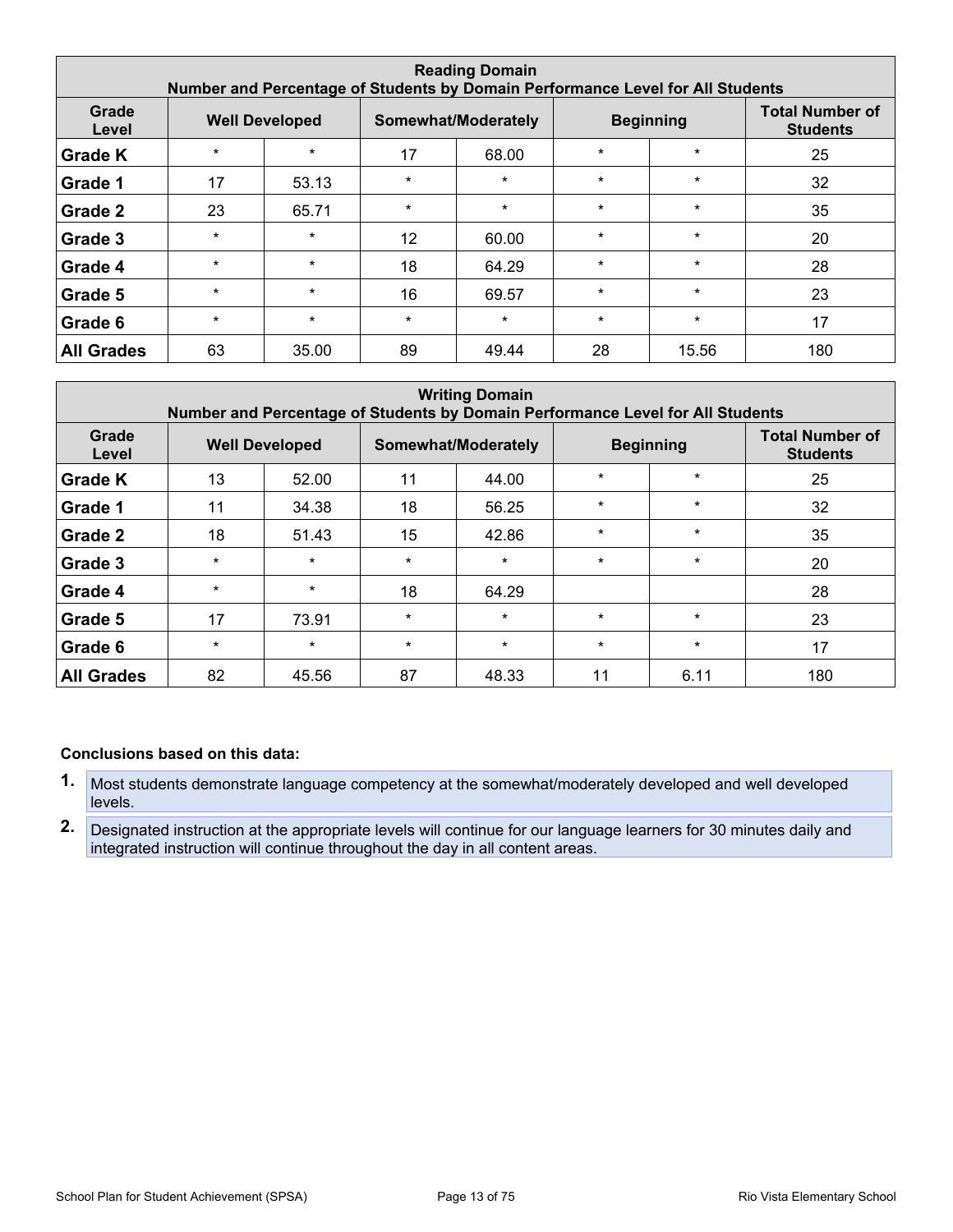| <b>Reading Domain</b><br>Number and Percentage of Students by Domain Performance Level for All Students |         |                       |                 |                     |         |                  |                                           |  |  |  |  |  |  |
|---------------------------------------------------------------------------------------------------------|---------|-----------------------|-----------------|---------------------|---------|------------------|-------------------------------------------|--|--|--|--|--|--|
| Grade<br>Level                                                                                          |         | <b>Well Developed</b> |                 | Somewhat/Moderately |         | <b>Beginning</b> | <b>Total Number of</b><br><b>Students</b> |  |  |  |  |  |  |
| <b>Grade K</b>                                                                                          | $\star$ | $\star$               | 17              | 68.00               | $\star$ | $\star$          | 25                                        |  |  |  |  |  |  |
| Grade 1                                                                                                 | 17      | 53.13                 | $\star$         | $\star$             | $\star$ | $\star$          | 32                                        |  |  |  |  |  |  |
| Grade 2                                                                                                 | 23      | 65.71                 | $\star$         | $\star$             | $\star$ | $\star$          | 35                                        |  |  |  |  |  |  |
| Grade 3                                                                                                 | $\star$ | $\star$               | 12 <sup>°</sup> | 60.00               | $\star$ | $\star$          | 20                                        |  |  |  |  |  |  |
| Grade 4                                                                                                 | $\star$ | $\star$               | 18              | 64.29               | $\star$ | $\star$          | 28                                        |  |  |  |  |  |  |
| Grade 5                                                                                                 | $\star$ | $\star$               | 16              | 69.57               | $\star$ | $\star$          | 23                                        |  |  |  |  |  |  |
| Grade 6                                                                                                 | $\star$ | $\star$               | $\star$         | $\star$             | $\star$ | $\star$          | 17                                        |  |  |  |  |  |  |
| <b>All Grades</b>                                                                                       | 63      | 35.00                 | 89              | 49.44               | 28      | 15.56            | 180                                       |  |  |  |  |  |  |

| <b>Writing Domain</b><br>Number and Percentage of Students by Domain Performance Level for All Students |         |                       |         |                     |         |                  |                                           |
|---------------------------------------------------------------------------------------------------------|---------|-----------------------|---------|---------------------|---------|------------------|-------------------------------------------|
| Grade<br>Level                                                                                          |         | <b>Well Developed</b> |         | Somewhat/Moderately |         | <b>Beginning</b> | <b>Total Number of</b><br><b>Students</b> |
| <b>Grade K</b>                                                                                          | 13      | 52.00                 | 11      | 44.00               | $\star$ | $\star$          | 25                                        |
| Grade 1                                                                                                 | 11      | 34.38                 | 18      | 56.25               | $\star$ | $\star$          | 32                                        |
| Grade 2                                                                                                 | 18      | 51.43                 | 15      | 42.86               | $\star$ | $\star$          | 35                                        |
| Grade 3                                                                                                 | $\star$ | $\star$               | $\star$ | $\star$             | $\star$ | $\star$          | 20                                        |
| Grade 4                                                                                                 | $\star$ | $\star$               | 18      | 64.29               |         |                  | 28                                        |
| Grade 5                                                                                                 | 17      | 73.91                 | $\star$ | $\star$             | $\star$ | $\star$          | 23                                        |
| Grade 6                                                                                                 | $\star$ | $\star$               | $\star$ | $\star$             | $\star$ | $\star$          | 17                                        |
| <b>All Grades</b>                                                                                       | 82      | 45.56                 | 87      | 48.33               | 11      | 6.11             | 180                                       |

- **1.** Most students demonstrate language competency at the somewhat/moderately developed and well developed levels.
- **2.** Designated instruction at the appropriate levels will continue for our language learners for 30 minutes daily and integrated instruction will continue throughout the day in all content areas.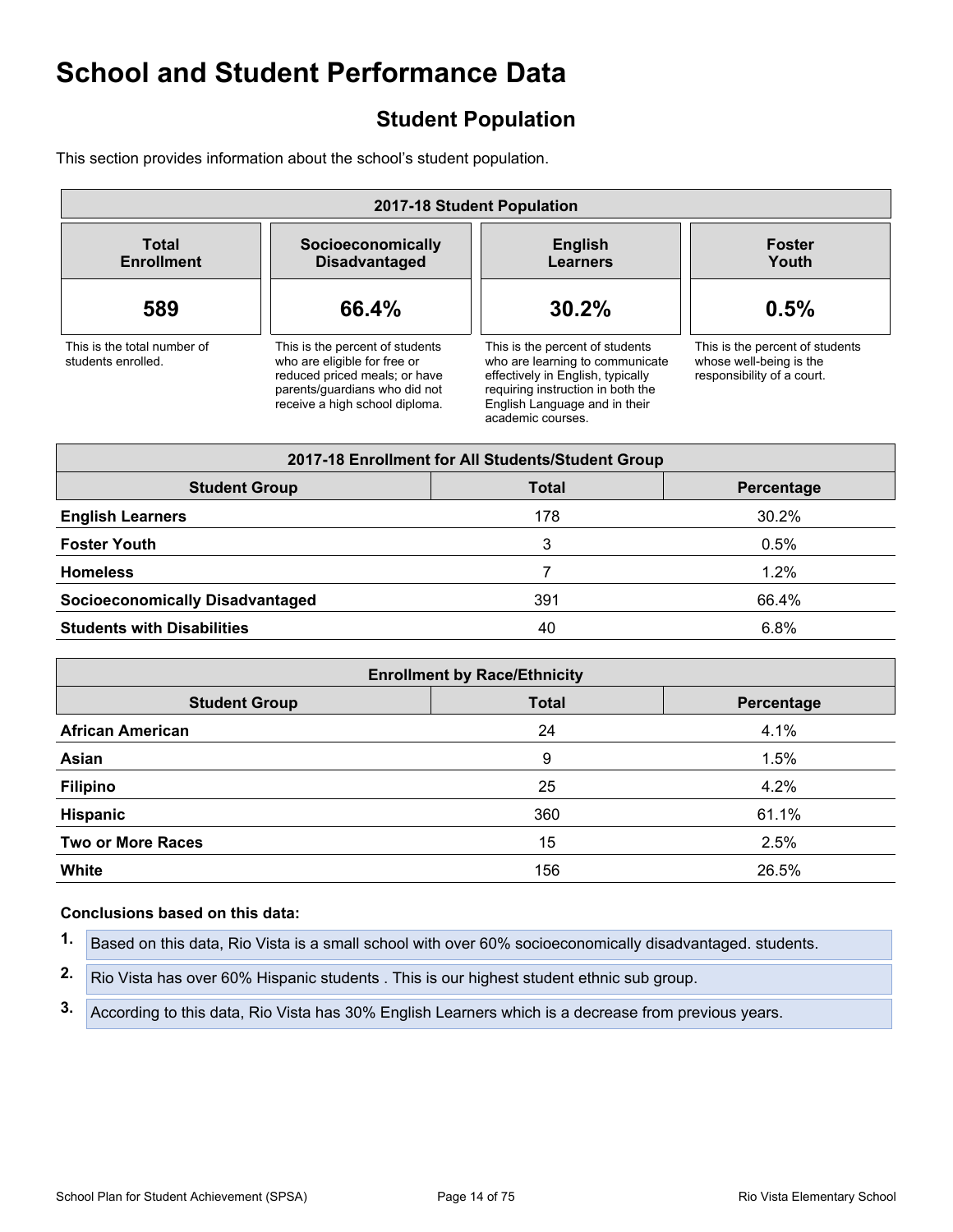# <span id="page-13-0"></span>**Student Population**

This section provides information about the school's student population.

| 2017-18 Student Population                        |                                                                                                                                                                     |                                                                                                                                                                                                    |                                                                                          |  |  |  |
|---------------------------------------------------|---------------------------------------------------------------------------------------------------------------------------------------------------------------------|----------------------------------------------------------------------------------------------------------------------------------------------------------------------------------------------------|------------------------------------------------------------------------------------------|--|--|--|
| <b>Total</b><br><b>Enrollment</b>                 | Socioeconomically<br><b>Disadvantaged</b>                                                                                                                           | <b>English</b><br><b>Learners</b>                                                                                                                                                                  | <b>Foster</b><br>Youth                                                                   |  |  |  |
| 589                                               | 66.4%                                                                                                                                                               | 30.2%                                                                                                                                                                                              | 0.5%                                                                                     |  |  |  |
| This is the total number of<br>students enrolled. | This is the percent of students<br>who are eligible for free or<br>reduced priced meals; or have<br>parents/quardians who did not<br>receive a high school diploma. | This is the percent of students<br>who are learning to communicate<br>effectively in English, typically<br>requiring instruction in both the<br>English Language and in their<br>academic courses. | This is the percent of students<br>whose well-being is the<br>responsibility of a court. |  |  |  |

| 2017-18 Enrollment for All Students/Student Group |              |            |  |  |  |
|---------------------------------------------------|--------------|------------|--|--|--|
| <b>Student Group</b>                              | <b>Total</b> | Percentage |  |  |  |
| <b>English Learners</b>                           | 178          | 30.2%      |  |  |  |
| <b>Foster Youth</b>                               | 3            | 0.5%       |  |  |  |
| <b>Homeless</b>                                   |              | $1.2\%$    |  |  |  |
| <b>Socioeconomically Disadvantaged</b>            | 391          | 66.4%      |  |  |  |
| <b>Students with Disabilities</b>                 | 40           | 6.8%       |  |  |  |

| <b>Enrollment by Race/Ethnicity</b>                |     |       |  |  |  |  |  |
|----------------------------------------------------|-----|-------|--|--|--|--|--|
| <b>Student Group</b><br><b>Total</b><br>Percentage |     |       |  |  |  |  |  |
| <b>African American</b>                            | 24  | 4.1%  |  |  |  |  |  |
| Asian                                              | 9   | 1.5%  |  |  |  |  |  |
| <b>Filipino</b>                                    | 25  | 4.2%  |  |  |  |  |  |
| Hispanic                                           | 360 | 61.1% |  |  |  |  |  |
| <b>Two or More Races</b>                           | 15  | 2.5%  |  |  |  |  |  |
| <b>White</b>                                       | 156 | 26.5% |  |  |  |  |  |

### **Conclusions based on this data:**

**1.** Based on this data, Rio Vista is a small school with over 60% socioeconomically disadvantaged. students.

**2.** Rio Vista has over 60% Hispanic students . This is our highest student ethnic sub group.

**3.** According to this data, Rio Vista has 30% English Learners which is a decrease from previous years.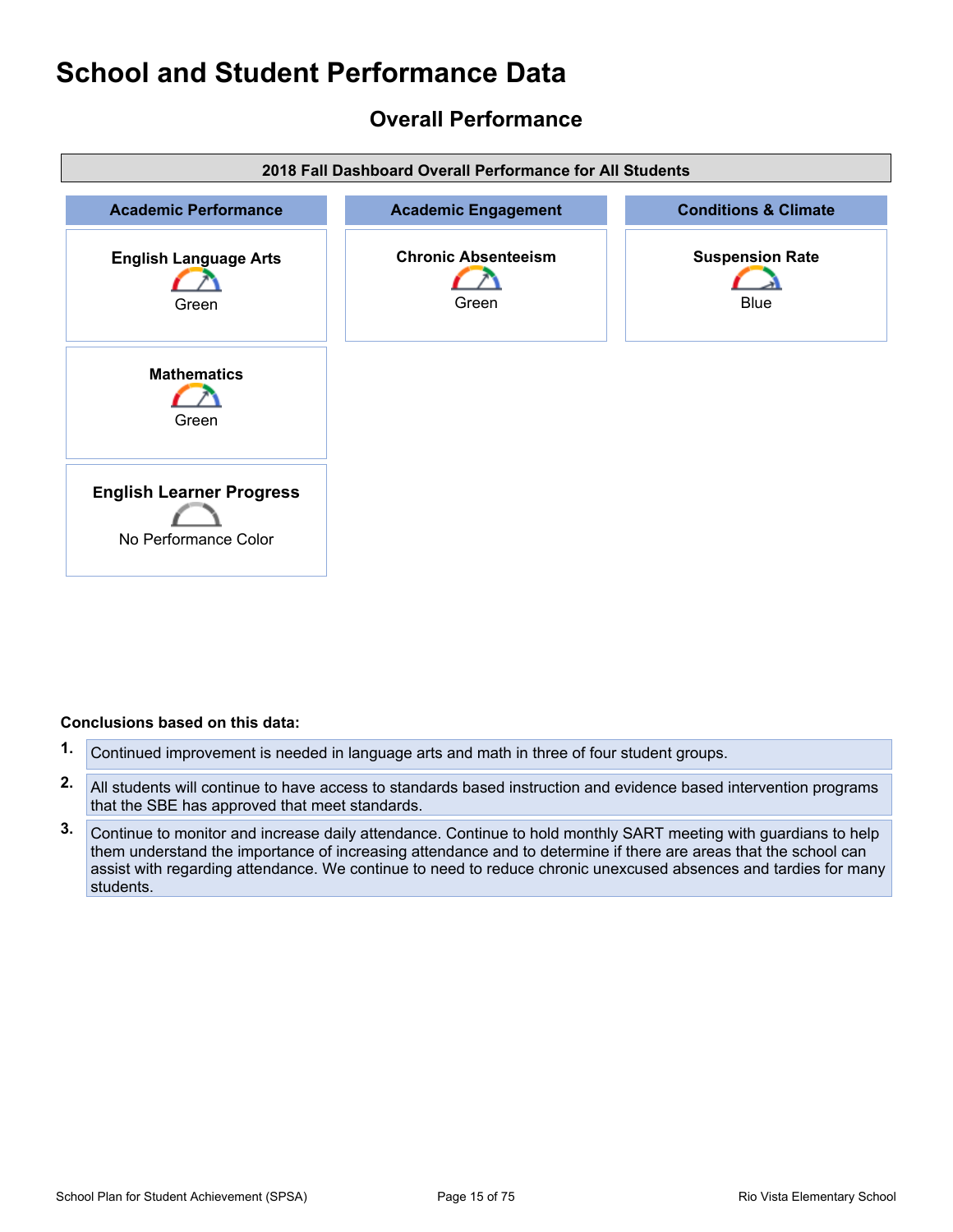## <span id="page-14-0"></span>**Overall Performance**



- **1.** Continued improvement is needed in language arts and math in three of four student groups.
- **2.** All students will continue to have access to standards based instruction and evidence based intervention programs that the SBE has approved that meet standards.
- **3.** Continue to monitor and increase daily attendance. Continue to hold monthly SART meeting with guardians to help them understand the importance of increasing attendance and to determine if there are areas that the school can assist with regarding attendance. We continue to need to reduce chronic unexcused absences and tardies for many students.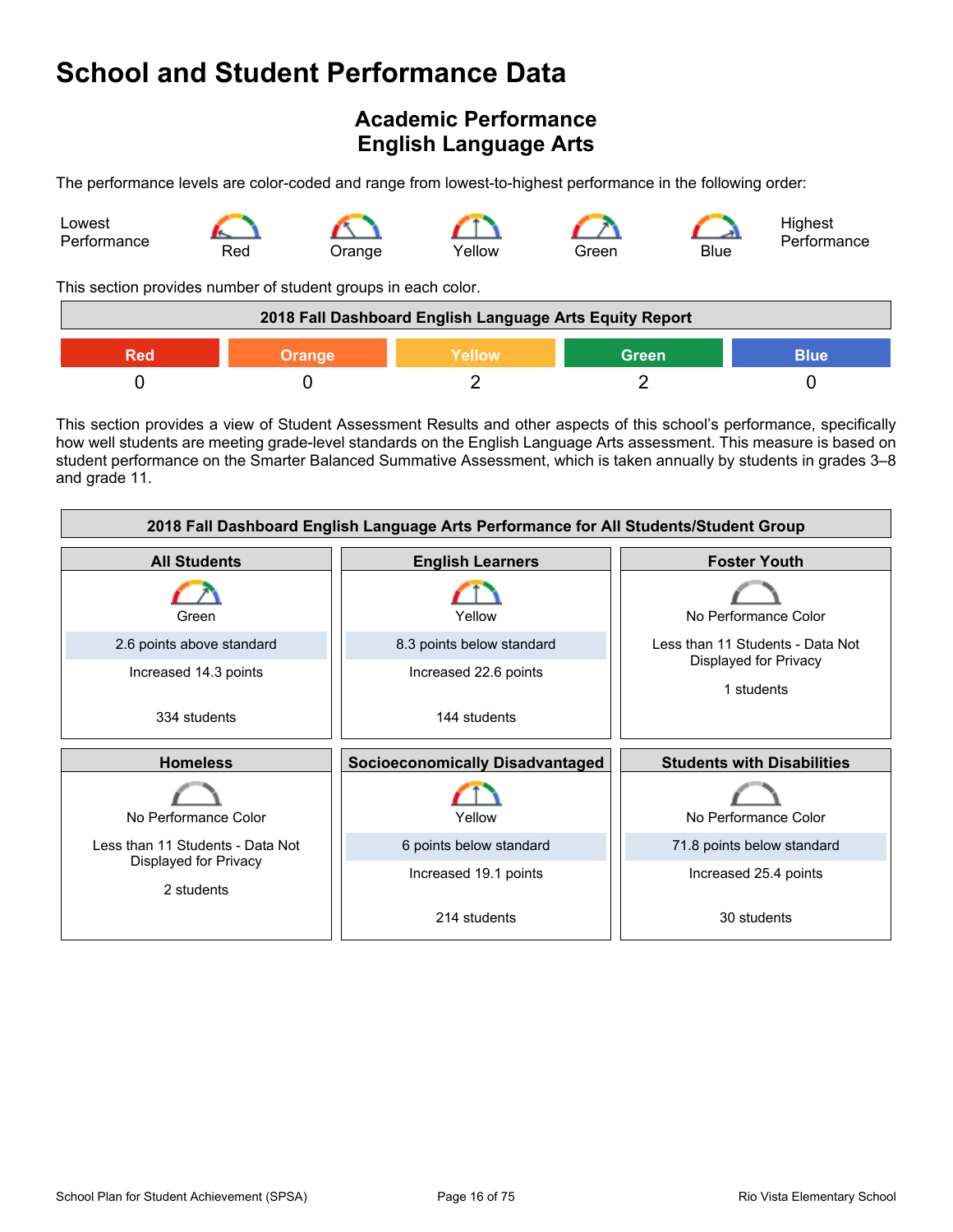# <span id="page-15-0"></span>**Academic Performance English Language Arts**

The performance levels are color-coded and range from lowest-to-highest performance in the following order:



This section provides number of student groups in each color.

| 2018 Fall Dashboard English Language Arts Equity Report       |  |  |  |  |  |
|---------------------------------------------------------------|--|--|--|--|--|
| <b>Green</b><br>Yellow<br><b>Blue</b><br><b>Orange</b><br>Red |  |  |  |  |  |
|                                                               |  |  |  |  |  |

This section provides a view of Student Assessment Results and other aspects of this school's performance, specifically how well students are meeting grade-level standards on the English Language Arts assessment. This measure is based on student performance on the Smarter Balanced Summative Assessment, which is taken annually by students in grades 3–8 and grade 11.

| 2018 Fall Dashboard English Language Arts Performance for All Students/Student Group |                                        |                                     |  |  |  |
|--------------------------------------------------------------------------------------|----------------------------------------|-------------------------------------|--|--|--|
| <b>All Students</b>                                                                  | <b>English Learners</b>                | <b>Foster Youth</b>                 |  |  |  |
| Green                                                                                | Yellow                                 | No Performance Color                |  |  |  |
| 2.6 points above standard                                                            | 8.3 points below standard              | Less than 11 Students - Data Not    |  |  |  |
| Increased 14.3 points                                                                | Increased 22.6 points                  | Displayed for Privacy<br>1 students |  |  |  |
| 334 students                                                                         | 144 students                           |                                     |  |  |  |
|                                                                                      |                                        |                                     |  |  |  |
| <b>Homeless</b>                                                                      | <b>Socioeconomically Disadvantaged</b> | <b>Students with Disabilities</b>   |  |  |  |
| No Performance Color                                                                 | Yellow                                 | No Performance Color                |  |  |  |
| Less than 11 Students - Data Not                                                     | 6 points below standard                | 71.8 points below standard          |  |  |  |
| Displayed for Privacy<br>2 students                                                  | Increased 19.1 points                  | Increased 25.4 points               |  |  |  |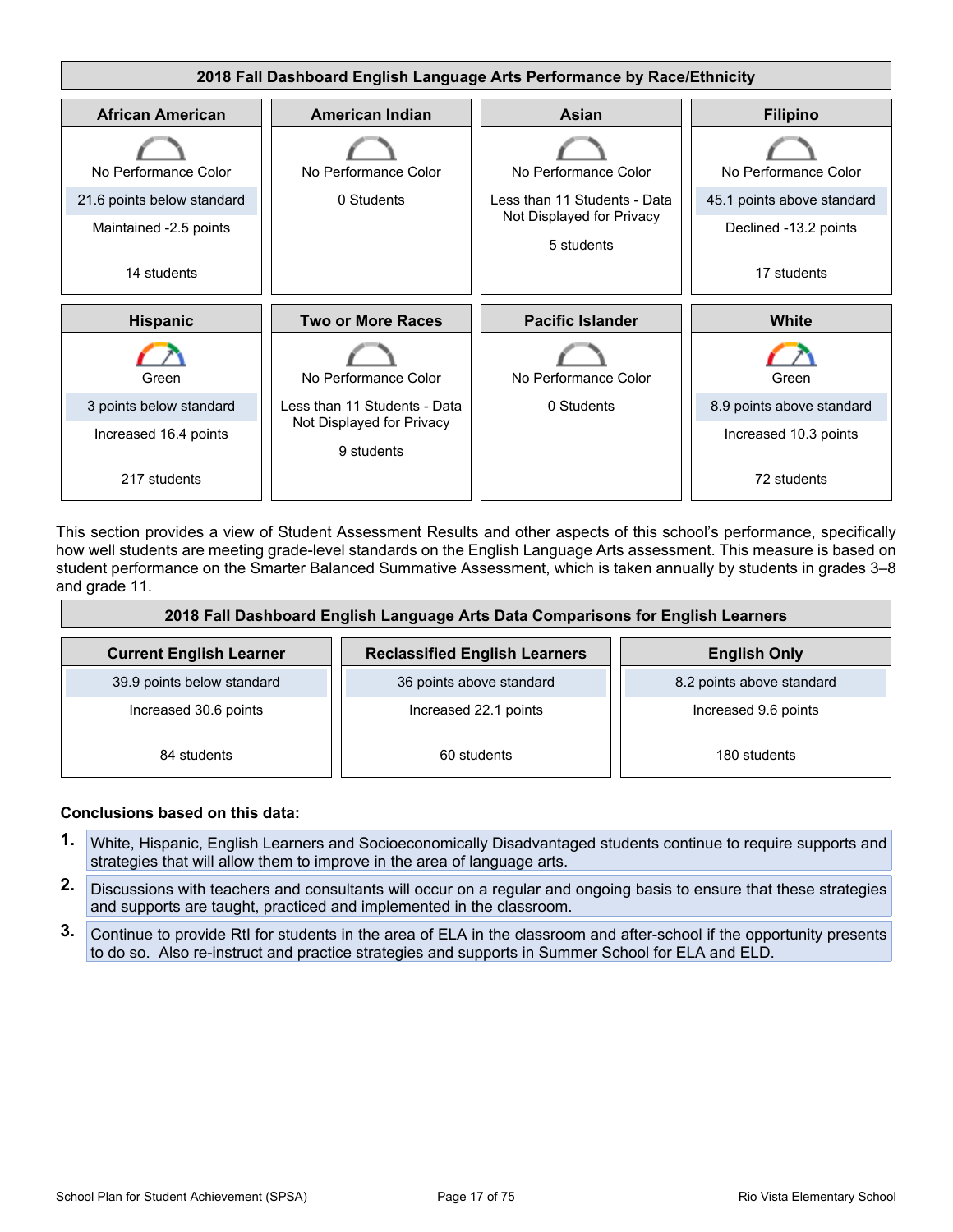

This section provides a view of Student Assessment Results and other aspects of this school's performance, specifically how well students are meeting grade-level standards on the English Language Arts assessment. This measure is based on student performance on the Smarter Balanced Summative Assessment, which is taken annually by students in grades 3–8 and grade 11.

| 2018 Fall Dashboard English Language Arts Data Comparisons for English Learners |                                      |                           |  |  |  |  |
|---------------------------------------------------------------------------------|--------------------------------------|---------------------------|--|--|--|--|
| <b>Current English Learner</b>                                                  | <b>Reclassified English Learners</b> | <b>English Only</b>       |  |  |  |  |
| 39.9 points below standard                                                      | 36 points above standard             | 8.2 points above standard |  |  |  |  |
| Increased 30.6 points                                                           | Increased 22.1 points                | Increased 9.6 points      |  |  |  |  |
| 84 students                                                                     | 60 students                          | 180 students              |  |  |  |  |

- **1.** White, Hispanic, English Learners and Socioeconomically Disadvantaged students continue to require supports and strategies that will allow them to improve in the area of language arts.
- **2.** Discussions with teachers and consultants will occur on a regular and ongoing basis to ensure that these strategies and supports are taught, practiced and implemented in the classroom.
- **3.** Continue to provide RtI for students in the area of ELA in the classroom and after-school if the opportunity presents to do so. Also re-instruct and practice strategies and supports in Summer School for ELA and ELD.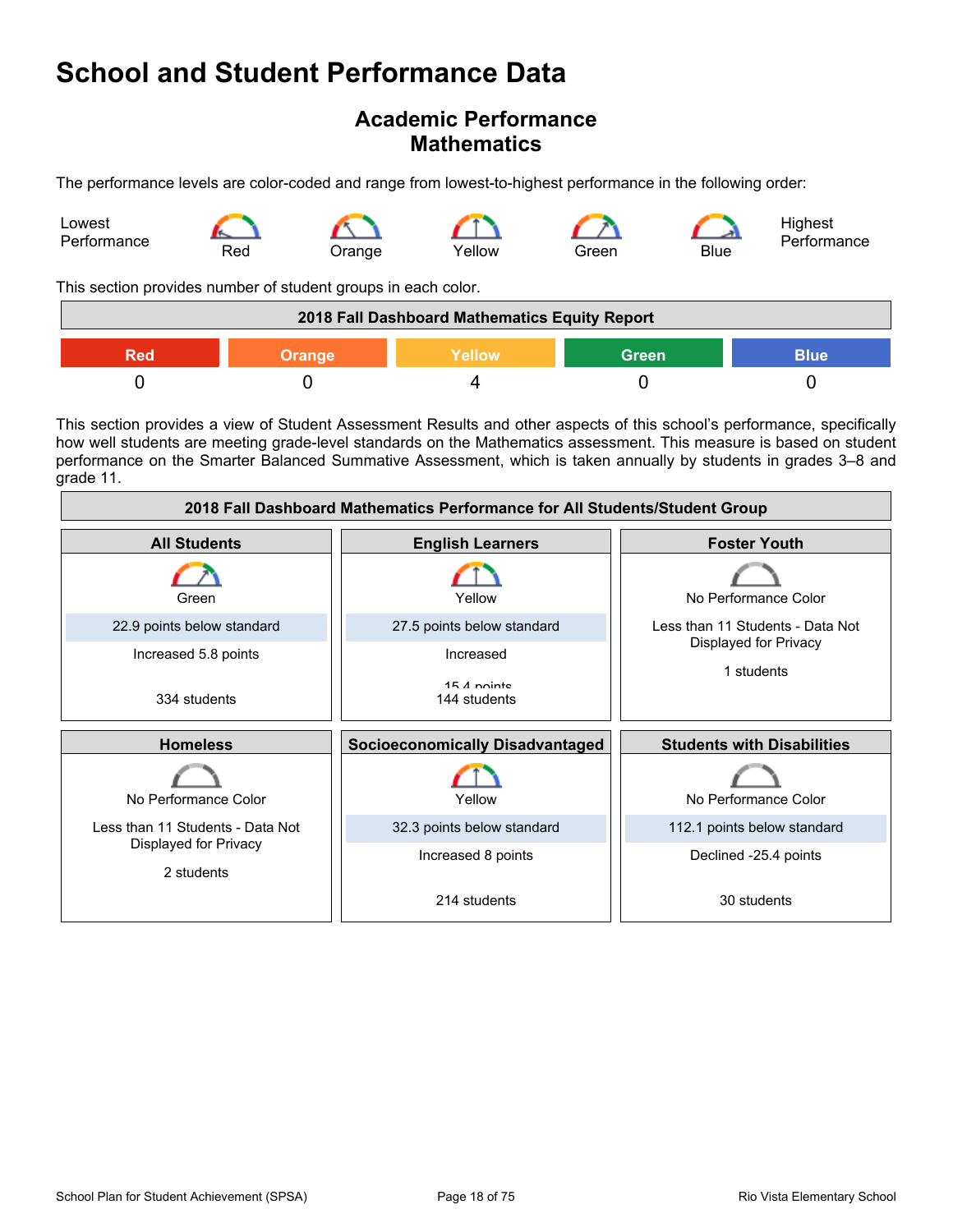## **Academic Performance Mathematics**

The performance levels are color-coded and range from lowest-to-highest performance in the following order:



This section provides number of student groups in each color.

| 2018 Fall Dashboard Mathematics Equity Report          |  |  |  |  |  |
|--------------------------------------------------------|--|--|--|--|--|
| <b>Green</b><br><b>Blue</b><br>Yellow<br>Orange<br>Red |  |  |  |  |  |
|                                                        |  |  |  |  |  |

This section provides a view of Student Assessment Results and other aspects of this school's performance, specifically how well students are meeting grade-level standards on the Mathematics assessment. This measure is based on student performance on the Smarter Balanced Summative Assessment, which is taken annually by students in grades 3–8 and grade 11.

| 2018 Fall Dashboard Mathematics Performance for All Students/Student Group |                                        |                                   |  |  |  |
|----------------------------------------------------------------------------|----------------------------------------|-----------------------------------|--|--|--|
| <b>All Students</b>                                                        | <b>English Learners</b>                | <b>Foster Youth</b>               |  |  |  |
| Green                                                                      | Yellow                                 | No Performance Color              |  |  |  |
| 22.9 points below standard                                                 | 27.5 points below standard             | Less than 11 Students - Data Not  |  |  |  |
| Increased 5.8 points                                                       | Increased                              | Displayed for Privacy             |  |  |  |
| 334 students                                                               | $15A$ nointe<br>144 students           | 1 students                        |  |  |  |
| <b>Homeless</b>                                                            | <b>Socioeconomically Disadvantaged</b> | <b>Students with Disabilities</b> |  |  |  |
| No Performance Color                                                       | Yellow                                 | No Performance Color              |  |  |  |
| Less than 11 Students - Data Not                                           | 32.3 points below standard             | 112.1 points below standard       |  |  |  |
| Displayed for Privacy<br>2 students                                        | Increased 8 points                     | Declined -25.4 points             |  |  |  |
|                                                                            | 214 students                           | 30 students                       |  |  |  |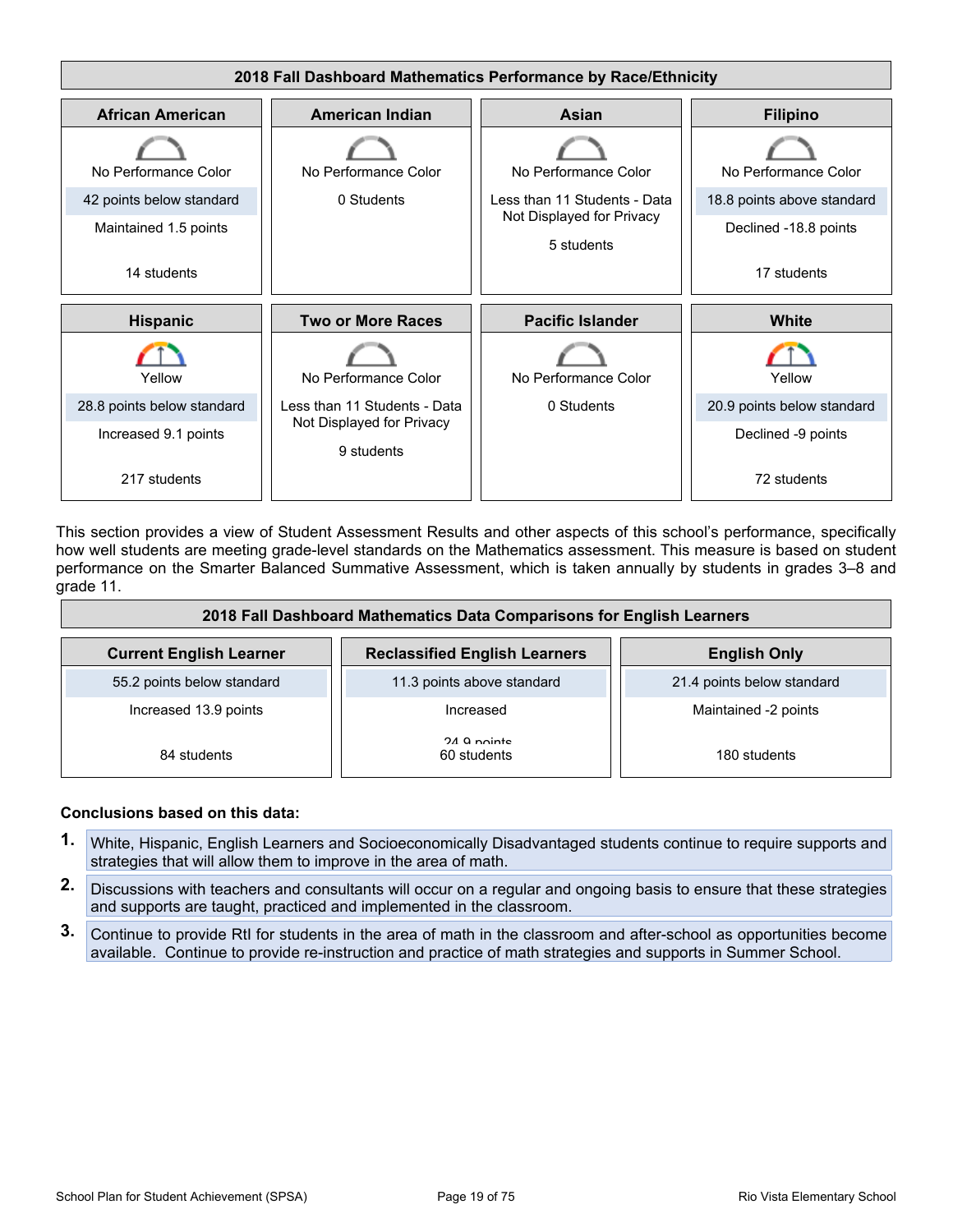

This section provides a view of Student Assessment Results and other aspects of this school's performance, specifically how well students are meeting grade-level standards on the Mathematics assessment. This measure is based on student performance on the Smarter Balanced Summative Assessment, which is taken annually by students in grades 3–8 and grade 11.

| 2018 Fall Dashboard Mathematics Data Comparisons for English Learners |                                      |                            |  |  |  |  |
|-----------------------------------------------------------------------|--------------------------------------|----------------------------|--|--|--|--|
| <b>Current English Learner</b>                                        | <b>Reclassified English Learners</b> | <b>English Only</b>        |  |  |  |  |
| 55.2 points below standard                                            | 11.3 points above standard           | 21.4 points below standard |  |  |  |  |
| Increased 13.9 points                                                 | Increased                            | Maintained -2 points       |  |  |  |  |
| 84 students                                                           | 24 Q nointe<br>60 students           | 180 students               |  |  |  |  |

- **1.** White, Hispanic, English Learners and Socioeconomically Disadvantaged students continue to require supports and strategies that will allow them to improve in the area of math.
- **2.** Discussions with teachers and consultants will occur on a regular and ongoing basis to ensure that these strategies and supports are taught, practiced and implemented in the classroom.
- **3.** Continue to provide RtI for students in the area of math in the classroom and after-school as opportunities become available. Continue to provide re-instruction and practice of math strategies and supports in Summer School.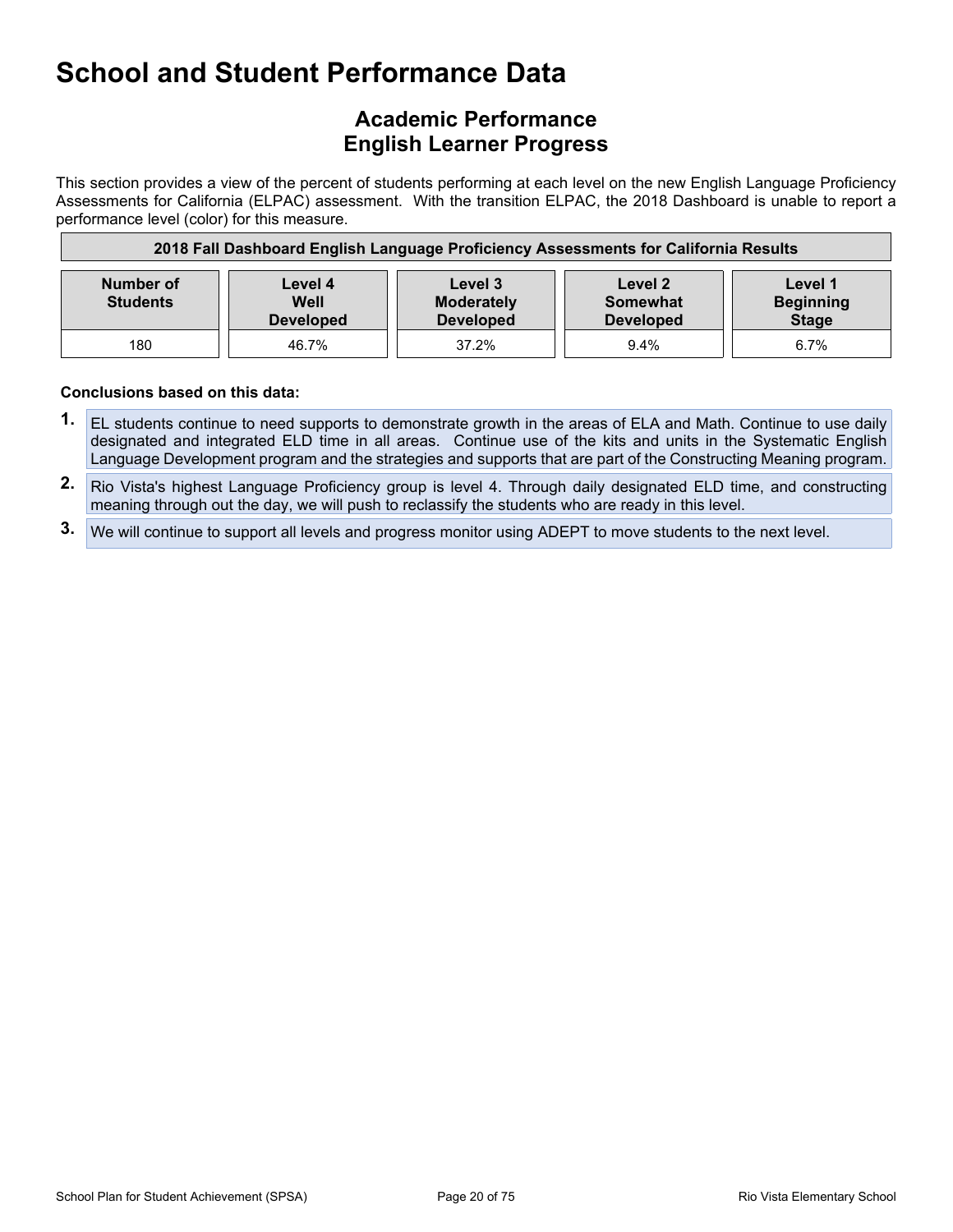## **Academic Performance English Learner Progress**

This section provides a view of the percent of students performing at each level on the new English Language Proficiency Assessments for California (ELPAC) assessment. With the transition ELPAC, the 2018 Dashboard is unable to report a performance level (color) for this measure.

| 2018 Fall Dashboard English Language Proficiency Assessments for California Results |                                                                                                                                                                                   |       |      |      |  |  |
|-------------------------------------------------------------------------------------|-----------------------------------------------------------------------------------------------------------------------------------------------------------------------------------|-------|------|------|--|--|
| <b>Number of</b><br><b>Students</b>                                                 | Level 1<br>Level 3<br>Level 4<br>Level 2<br>Well<br><b>Beginning</b><br><b>Moderately</b><br>Somewhat<br><b>Stage</b><br><b>Developed</b><br><b>Developed</b><br><b>Developed</b> |       |      |      |  |  |
| 180                                                                                 | 46.7%                                                                                                                                                                             | 37.2% | 9.4% | 6.7% |  |  |

- **1.** EL students continue to need supports to demonstrate growth in the areas of ELA and Math. Continue to use daily designated and integrated ELD time in all areas. Continue use of the kits and units in the Systematic English Language Development program and the strategies and supports that are part of the Constructing Meaning program.
- **2.** Rio Vista's highest Language Proficiency group is level 4. Through daily designated ELD time, and constructing meaning through out the day, we will push to reclassify the students who are ready in this level.
- **3.** We will continue to support all levels and progress monitor using ADEPT to move students to the next level.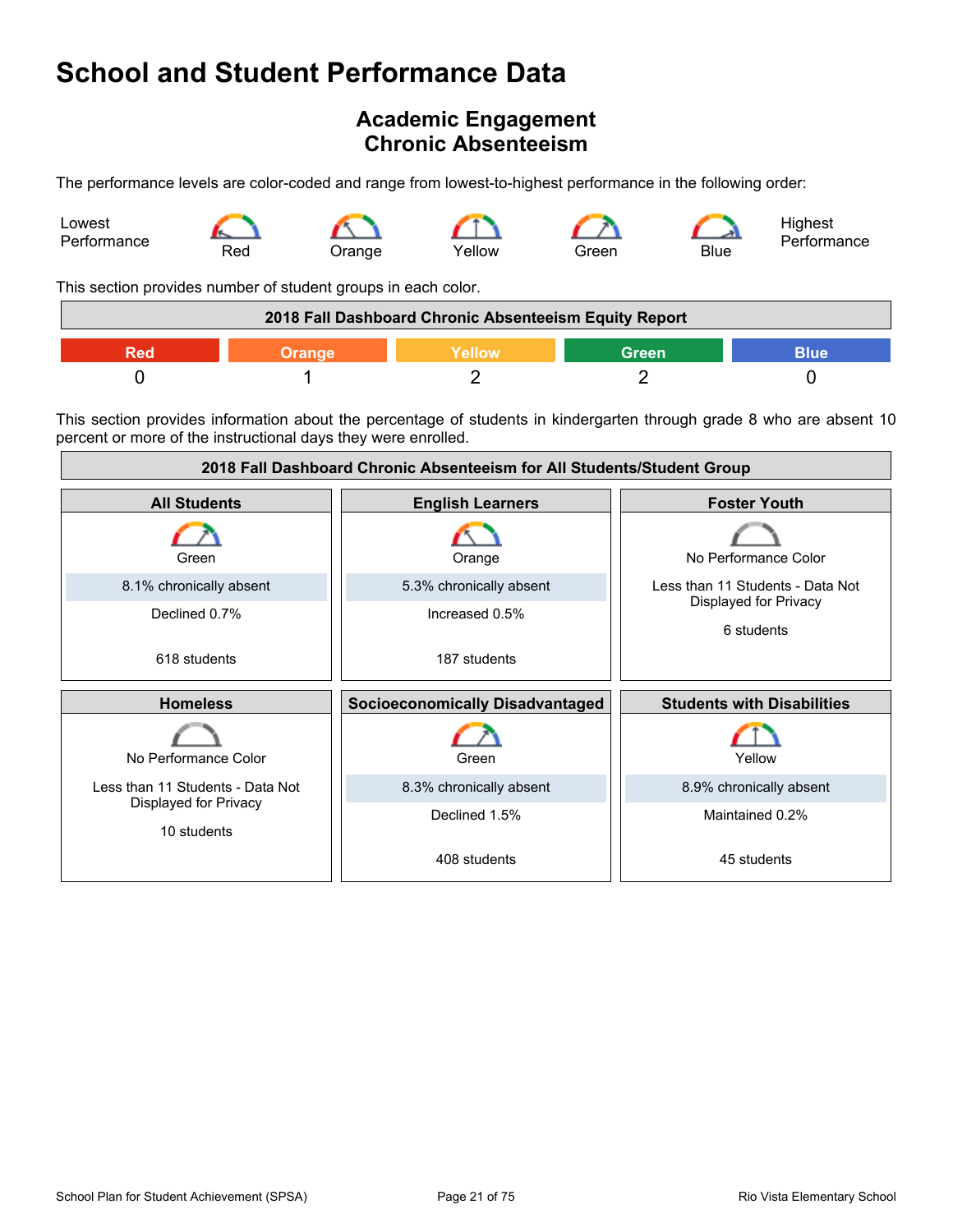## <span id="page-20-0"></span>**Academic Engagement Chronic Absenteeism**

The performance levels are color-coded and range from lowest-to-highest performance in the following order:



This section provides number of student groups in each color.

| 2018 Fall Dashboard Chronic Absenteeism Equity Report |  |  |  |  |  |
|-------------------------------------------------------|--|--|--|--|--|
| Green<br><b>Blue</b><br><b>Yellow</b><br>Orange       |  |  |  |  |  |
|                                                       |  |  |  |  |  |

This section provides information about the percentage of students in kindergarten through grade 8 who are absent 10 percent or more of the instructional days they were enrolled.

| 2018 Fall Dashboard Chronic Absenteeism for All Students/Student Group |                                        |                                     |
|------------------------------------------------------------------------|----------------------------------------|-------------------------------------|
| <b>All Students</b>                                                    | <b>English Learners</b>                | <b>Foster Youth</b>                 |
| Green                                                                  | Orange                                 | No Performance Color                |
| 8.1% chronically absent                                                | 5.3% chronically absent                | Less than 11 Students - Data Not    |
| Declined 0.7%                                                          | Increased 0.5%                         | Displayed for Privacy<br>6 students |
| 618 students                                                           | 187 students                           |                                     |
| <b>Homeless</b>                                                        | <b>Socioeconomically Disadvantaged</b> | <b>Students with Disabilities</b>   |
| No Performance Color                                                   | Green                                  | Yellow                              |
| Less than 11 Students - Data Not                                       | 8.3% chronically absent                | 8.9% chronically absent             |
| Displayed for Privacy<br>10 students                                   | Declined 1.5%                          | Maintained 0.2%                     |
|                                                                        | 408 students                           | 45 students                         |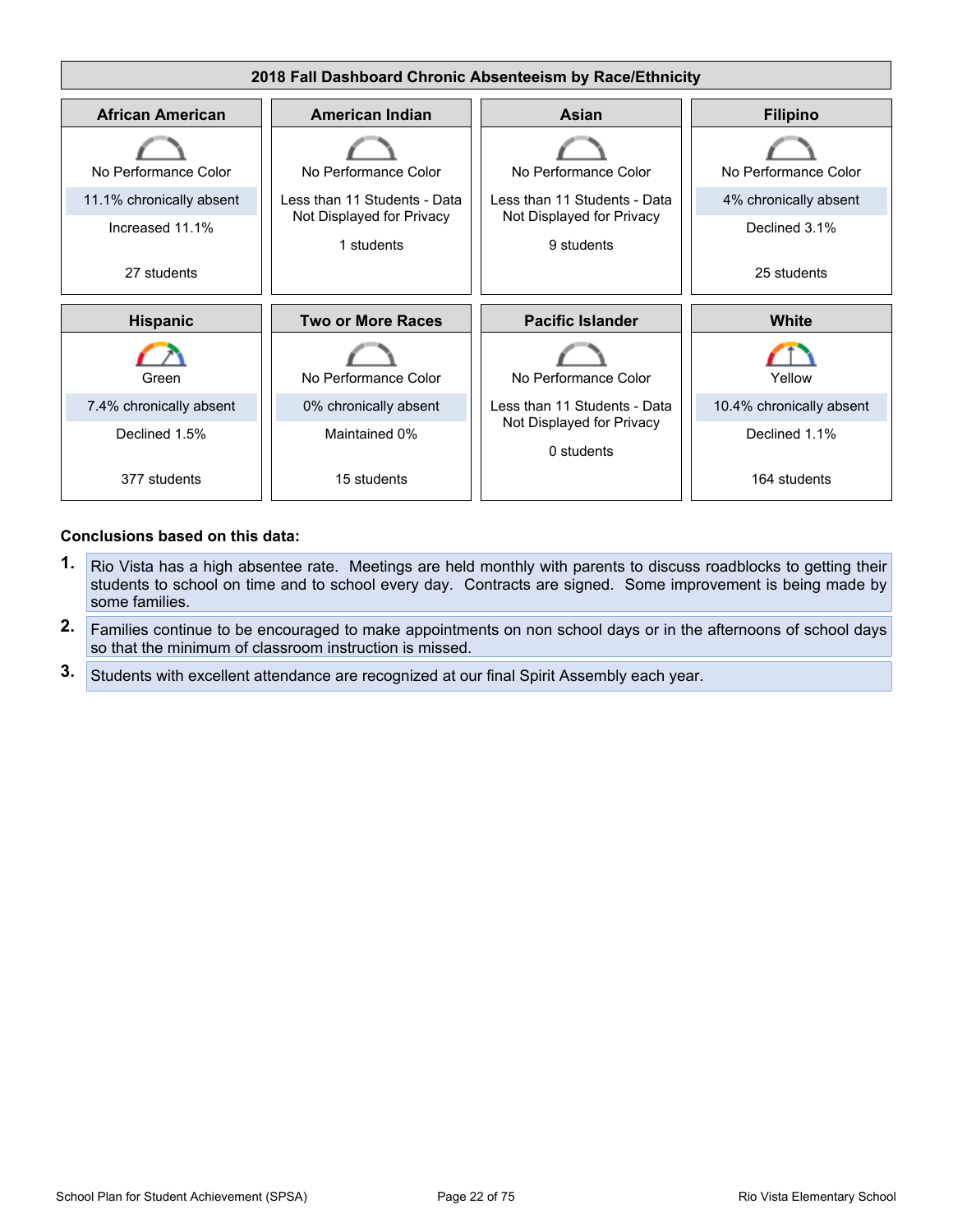

- **1.** Rio Vista has a high absentee rate. Meetings are held monthly with parents to discuss roadblocks to getting their students to school on time and to school every day. Contracts are signed. Some improvement is being made by some families.
- **2.** Families continue to be encouraged to make appointments on non school days or in the afternoons of school days so that the minimum of classroom instruction is missed.
- **3.** Students with excellent attendance are recognized at our final Spirit Assembly each year.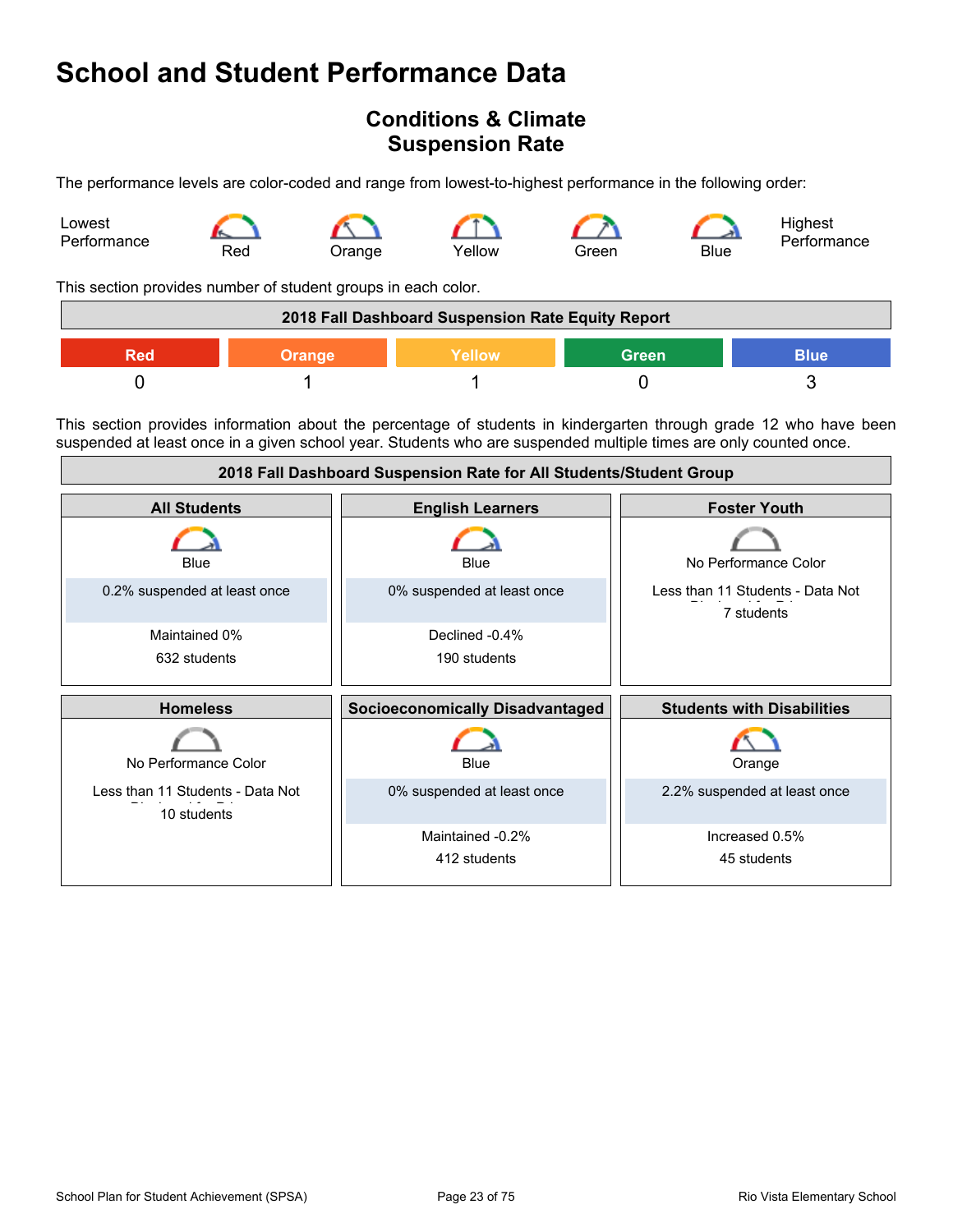## <span id="page-22-0"></span>**Conditions & Climate Suspension Rate**

The performance levels are color-coded and range from lowest-to-highest performance in the following order:



This section provides number of student groups in each color.

| 2018 Fall Dashboard Suspension Rate Equity Report |               |         |              |             |
|---------------------------------------------------|---------------|---------|--------------|-------------|
| Red                                               | <b>Orange</b> | Yellow' | <b>Green</b> | <b>Blue</b> |
|                                                   |               |         |              |             |

This section provides information about the percentage of students in kindergarten through grade 12 who have been suspended at least once in a given school year. Students who are suspended multiple times are only counted once.

| 2018 Fall Dashboard Suspension Rate for All Students/Student Group |                                        |                                                |
|--------------------------------------------------------------------|----------------------------------------|------------------------------------------------|
| <b>All Students</b>                                                | <b>English Learners</b>                | <b>Foster Youth</b>                            |
| Blue                                                               | Blue                                   | No Performance Color                           |
| 0.2% suspended at least once                                       | 0% suspended at least once             | Less than 11 Students - Data Not<br>7 students |
| Maintained 0%                                                      | Declined -0.4%                         |                                                |
| 632 students                                                       | 190 students                           |                                                |
|                                                                    |                                        |                                                |
| <b>Homeless</b>                                                    | <b>Socioeconomically Disadvantaged</b> | <b>Students with Disabilities</b>              |
| No Performance Color                                               | Blue                                   | Orange                                         |
| Less than 11 Students - Data Not<br>10 students                    | 0% suspended at least once             | 2.2% suspended at least once                   |
|                                                                    | Maintained -0.2%                       | Increased 0.5%                                 |
|                                                                    | 412 students                           | 45 students                                    |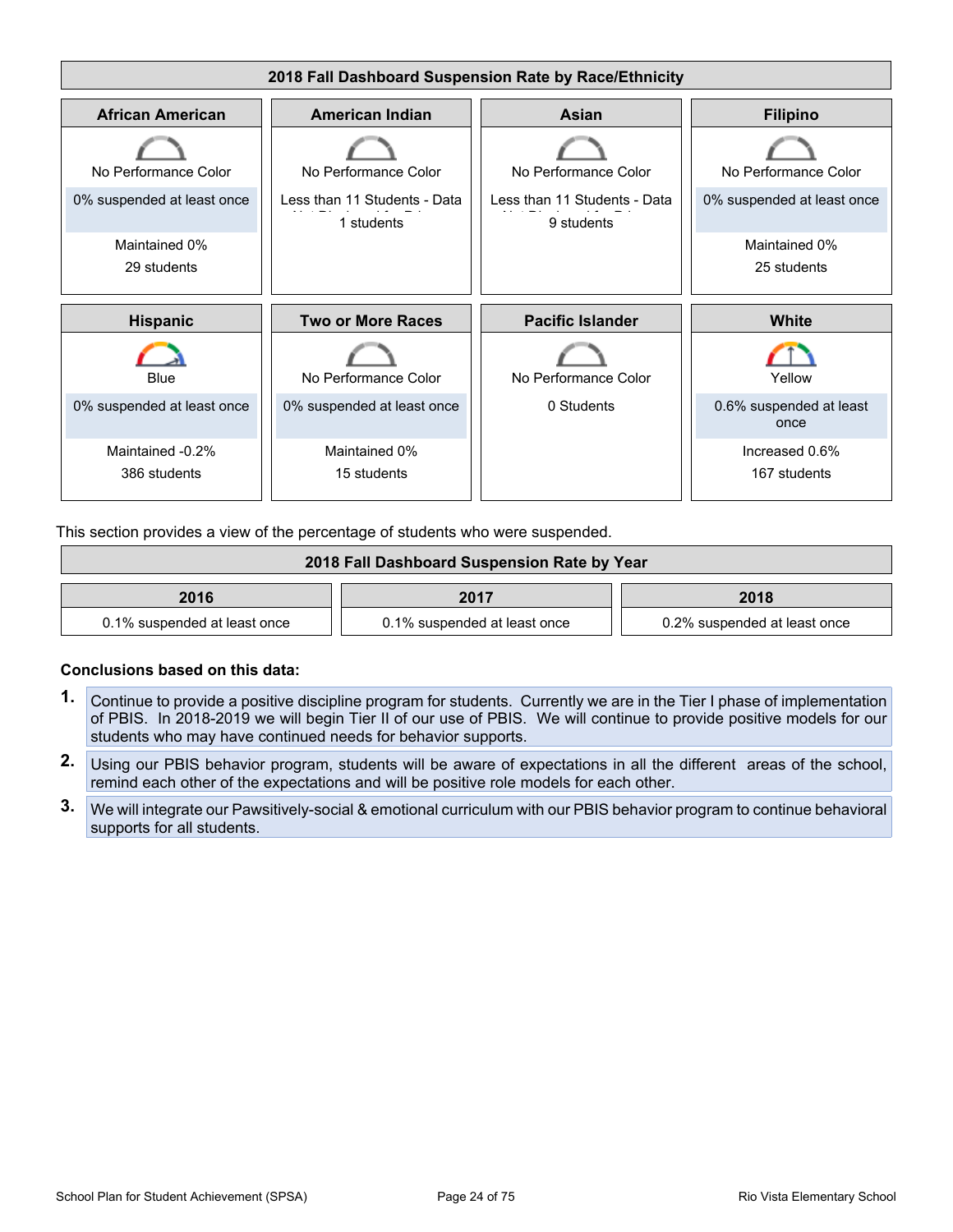

This section provides a view of the percentage of students who were suspended.

| 2018 Fall Dashboard Suspension Rate by Year |                              |                              |
|---------------------------------------------|------------------------------|------------------------------|
| 2016                                        | 2017                         | 2018                         |
| 0.1% suspended at least once                | 0.1% suspended at least once | 0.2% suspended at least once |

- **1.** Continue to provide a positive discipline program for students. Currently we are in the Tier I phase of implementation of PBIS. In 2018-2019 we will begin Tier II of our use of PBIS. We will continue to provide positive models for our students who may have continued needs for behavior supports.
- **2.** Using our PBIS behavior program, students will be aware of expectations in all the different areas of the school, remind each other of the expectations and will be positive role models for each other.
- **3.** We will integrate our Pawsitively-social & emotional curriculum with our PBIS behavior program to continue behavioral supports for all students.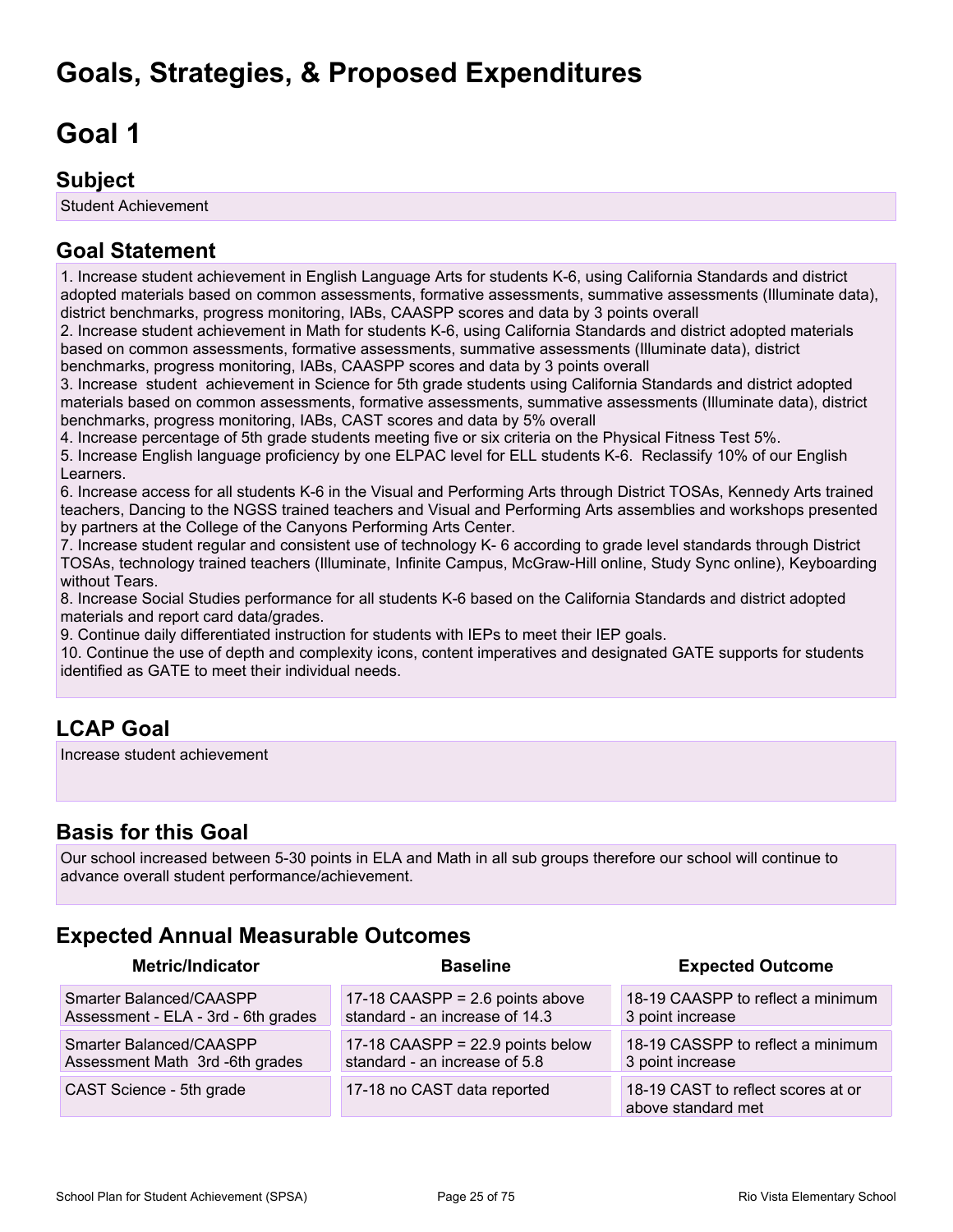# <span id="page-24-0"></span>**Goals, Strategies, & Proposed Expenditures**

# <span id="page-24-1"></span>**Goal 1**

## **Subject**

Student Achievement

# **Goal Statement**

1. Increase student achievement in English Language Arts for students K-6, using California Standards and district adopted materials based on common assessments, formative assessments, summative assessments (Illuminate data), district benchmarks, progress monitoring, IABs, CAASPP scores and data by 3 points overall

2. Increase student achievement in Math for students K-6, using California Standards and district adopted materials based on common assessments, formative assessments, summative assessments (Illuminate data), district benchmarks, progress monitoring, IABs, CAASPP scores and data by 3 points overall

3. Increase student achievement in Science for 5th grade students using California Standards and district adopted materials based on common assessments, formative assessments, summative assessments (Illuminate data), district benchmarks, progress monitoring, IABs, CAST scores and data by 5% overall

4. Increase percentage of 5th grade students meeting five or six criteria on the Physical Fitness Test 5%.

5. Increase English language proficiency by one ELPAC level for ELL students K-6. Reclassify 10% of our English Learners.

6. Increase access for all students K-6 in the Visual and Performing Arts through District TOSAs, Kennedy Arts trained teachers, Dancing to the NGSS trained teachers and Visual and Performing Arts assemblies and workshops presented by partners at the College of the Canyons Performing Arts Center.

7. Increase student regular and consistent use of technology K- 6 according to grade level standards through District TOSAs, technology trained teachers (Illuminate, Infinite Campus, McGraw-Hill online, Study Sync online), Keyboarding without Tears.

8. Increase Social Studies performance for all students K-6 based on the California Standards and district adopted materials and report card data/grades.

9. Continue daily differentiated instruction for students with IEPs to meet their IEP goals.

10. Continue the use of depth and complexity icons, content imperatives and designated GATE supports for students identified as GATE to meet their individual needs.

## **LCAP Goal**

Increase student achievement

## **Basis for this Goal**

Our school increased between 5-30 points in ELA and Math in all sub groups therefore our school will continue to advance overall student performance/achievement.

# **Expected Annual Measurable Outcomes**

| <b>Metric/Indicator</b>             | <b>Baseline</b>                    | <b>Expected Outcome</b>                                  |
|-------------------------------------|------------------------------------|----------------------------------------------------------|
| Smarter Balanced/CAASPP             | 17-18 $CAASPP = 2.6$ points above  | 18-19 CAASPP to reflect a minimum                        |
| Assessment - ELA - 3rd - 6th grades | standard - an increase of 14.3     | 3 point increase                                         |
| Smarter Balanced/CAASPP             | 17-18 CAASPP = $22.9$ points below | 18-19 CASSPP to reflect a minimum                        |
| Assessment Math 3rd -6th grades     | standard - an increase of 5.8      | 3 point increase                                         |
| CAST Science - 5th grade            | 17-18 no CAST data reported        | 18-19 CAST to reflect scores at or<br>above standard met |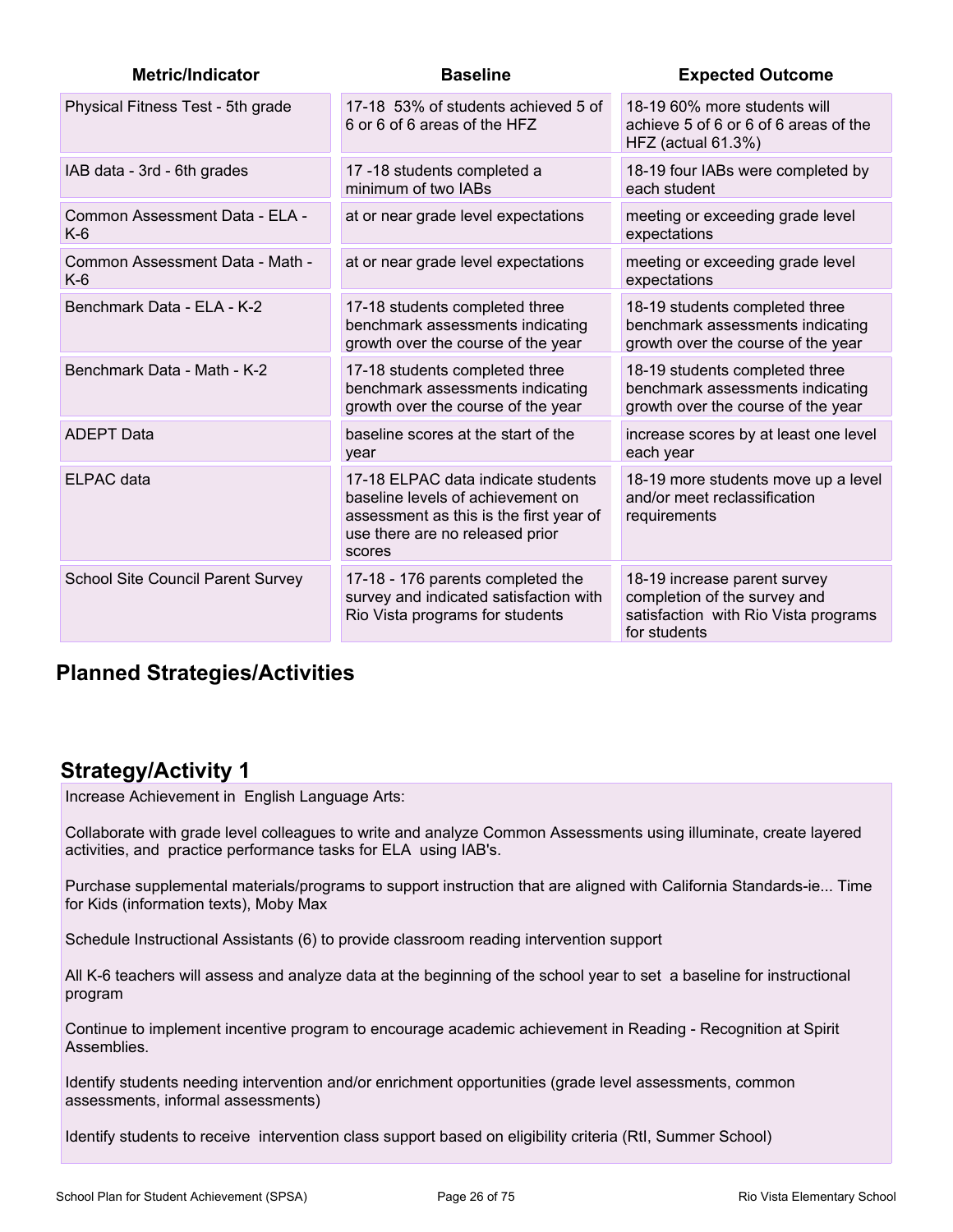| <b>Metric/Indicator</b>                  | <b>Baseline</b>                                                                                                                                                 | <b>Expected Outcome</b>                                                                                              |
|------------------------------------------|-----------------------------------------------------------------------------------------------------------------------------------------------------------------|----------------------------------------------------------------------------------------------------------------------|
| Physical Fitness Test - 5th grade        | 17-18 53% of students achieved 5 of<br>6 or 6 of 6 areas of the HFZ                                                                                             | 18-19 60% more students will<br>achieve 5 of 6 or 6 of 6 areas of the<br>HFZ (actual 61.3%)                          |
| IAB data - 3rd - 6th grades              | 17-18 students completed a<br>minimum of two IABs                                                                                                               | 18-19 four IABs were completed by<br>each student                                                                    |
| Common Assessment Data - ELA -<br>$K-6$  | at or near grade level expectations                                                                                                                             | meeting or exceeding grade level<br>expectations                                                                     |
| Common Assessment Data - Math -<br>$K-6$ | at or near grade level expectations                                                                                                                             | meeting or exceeding grade level<br>expectations                                                                     |
| Benchmark Data - ELA - K-2               | 17-18 students completed three<br>benchmark assessments indicating<br>growth over the course of the year                                                        | 18-19 students completed three<br>benchmark assessments indicating<br>growth over the course of the year             |
| Benchmark Data - Math - K-2              | 17-18 students completed three<br>benchmark assessments indicating<br>growth over the course of the year                                                        | 18-19 students completed three<br>benchmark assessments indicating<br>growth over the course of the year             |
| <b>ADEPT Data</b>                        | baseline scores at the start of the<br>year                                                                                                                     | increase scores by at least one level<br>each year                                                                   |
| <b>ELPAC</b> data                        | 17-18 ELPAC data indicate students<br>baseline levels of achievement on<br>assessment as this is the first year of<br>use there are no released prior<br>scores | 18-19 more students move up a level<br>and/or meet reclassification<br>requirements                                  |
| School Site Council Parent Survey        | 17-18 - 176 parents completed the<br>survey and indicated satisfaction with<br>Rio Vista programs for students                                                  | 18-19 increase parent survey<br>completion of the survey and<br>satisfaction with Rio Vista programs<br>for students |

## **Planned Strategies/Activities**

## **Strategy/Activity 1**

Increase Achievement in English Language Arts:

Collaborate with grade level colleagues to write and analyze Common Assessments using illuminate, create layered activities, and practice performance tasks for ELA using IAB's.

Purchase supplemental materials/programs to support instruction that are aligned with California Standards-ie... Time for Kids (information texts), Moby Max

Schedule Instructional Assistants (6) to provide classroom reading intervention support

All K-6 teachers will assess and analyze data at the beginning of the school year to set a baseline for instructional program

Continue to implement incentive program to encourage academic achievement in Reading - Recognition at Spirit Assemblies.

Identify students needing intervention and/or enrichment opportunities (grade level assessments, common assessments, informal assessments)

Identify students to receive intervention class support based on eligibility criteria (RtI, Summer School)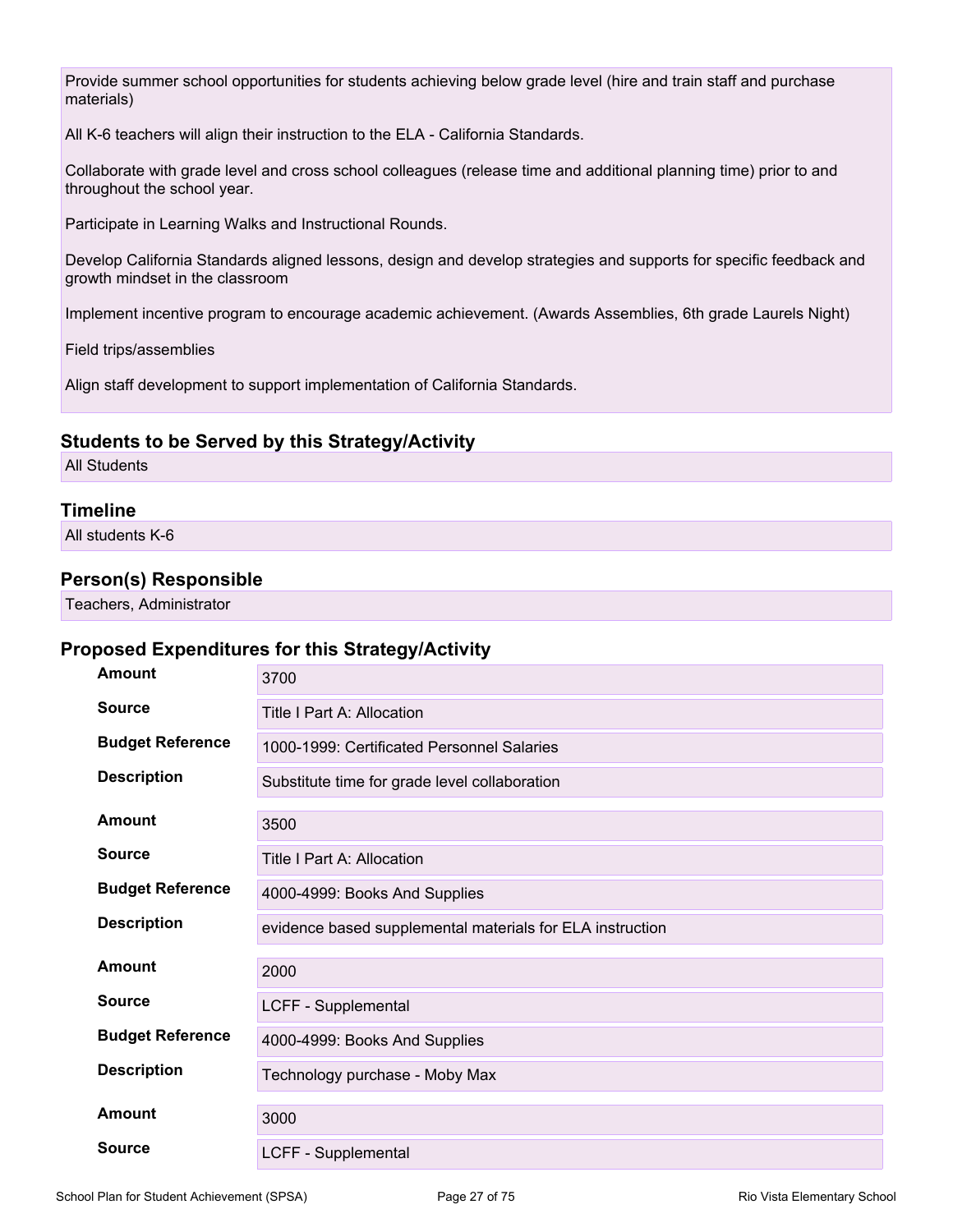Provide summer school opportunities for students achieving below grade level (hire and train staff and purchase materials)

All K-6 teachers will align their instruction to the ELA - California Standards.

Collaborate with grade level and cross school colleagues (release time and additional planning time) prior to and throughout the school year.

Participate in Learning Walks and Instructional Rounds.

Develop California Standards aligned lessons, design and develop strategies and supports for specific feedback and growth mindset in the classroom

Implement incentive program to encourage academic achievement. (Awards Assemblies, 6th grade Laurels Night)

Field trips/assemblies

Align staff development to support implementation of California Standards.

### **Students to be Served by this Strategy/Activity**

All Students

### **Timeline**

All students K-6

### **Person(s) Responsible**

Teachers, Administrator

| Amount                  | 3700                                                      |
|-------------------------|-----------------------------------------------------------|
| <b>Source</b>           | Title I Part A: Allocation                                |
| <b>Budget Reference</b> | 1000-1999: Certificated Personnel Salaries                |
| <b>Description</b>      | Substitute time for grade level collaboration             |
| Amount                  | 3500                                                      |
| <b>Source</b>           | Title I Part A: Allocation                                |
| <b>Budget Reference</b> | 4000-4999: Books And Supplies                             |
| <b>Description</b>      | evidence based supplemental materials for ELA instruction |
| Amount                  | 2000                                                      |
| <b>Source</b>           | LCFF - Supplemental                                       |
| <b>Budget Reference</b> | 4000-4999: Books And Supplies                             |
| <b>Description</b>      | Technology purchase - Moby Max                            |
| Amount                  | 3000                                                      |
| <b>Source</b>           | LCFF - Supplemental                                       |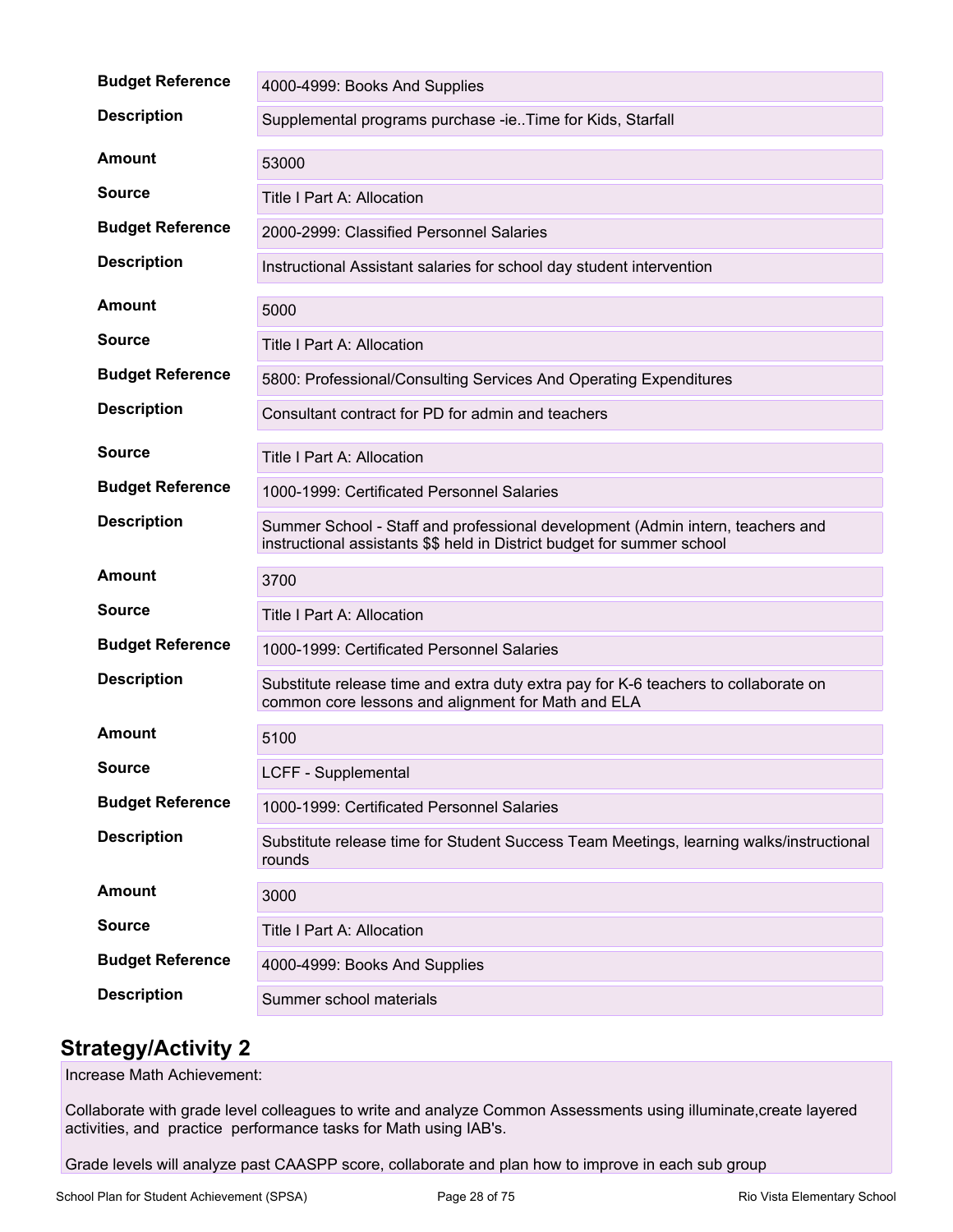| <b>Budget Reference</b> | 4000-4999: Books And Supplies                                                                                                                             |
|-------------------------|-----------------------------------------------------------------------------------------------------------------------------------------------------------|
| <b>Description</b>      | Supplemental programs purchase -ieTime for Kids, Starfall                                                                                                 |
| <b>Amount</b>           | 53000                                                                                                                                                     |
| <b>Source</b>           | Title I Part A: Allocation                                                                                                                                |
| <b>Budget Reference</b> | 2000-2999: Classified Personnel Salaries                                                                                                                  |
| <b>Description</b>      | Instructional Assistant salaries for school day student intervention                                                                                      |
| Amount                  | 5000                                                                                                                                                      |
| <b>Source</b>           | Title I Part A: Allocation                                                                                                                                |
| <b>Budget Reference</b> | 5800: Professional/Consulting Services And Operating Expenditures                                                                                         |
| <b>Description</b>      | Consultant contract for PD for admin and teachers                                                                                                         |
| <b>Source</b>           | Title I Part A: Allocation                                                                                                                                |
| <b>Budget Reference</b> | 1000-1999: Certificated Personnel Salaries                                                                                                                |
| <b>Description</b>      | Summer School - Staff and professional development (Admin intern, teachers and<br>instructional assistants \$\$ held in District budget for summer school |
| Amount                  | 3700                                                                                                                                                      |
| <b>Source</b>           | Title I Part A: Allocation                                                                                                                                |
| <b>Budget Reference</b> | 1000-1999: Certificated Personnel Salaries                                                                                                                |
| <b>Description</b>      | Substitute release time and extra duty extra pay for K-6 teachers to collaborate on<br>common core lessons and alignment for Math and ELA                 |
| Amount                  | 5100                                                                                                                                                      |
| <b>Source</b>           | LCFF - Supplemental                                                                                                                                       |
| <b>Budget Reference</b> | 1000-1999: Certificated Personnel Salaries                                                                                                                |
| <b>Description</b>      | Substitute release time for Student Success Team Meetings, learning walks/instructional<br>rounds                                                         |
| <b>Amount</b>           | 3000                                                                                                                                                      |
| <b>Source</b>           | Title I Part A: Allocation                                                                                                                                |
| <b>Budget Reference</b> | 4000-4999: Books And Supplies                                                                                                                             |
| <b>Description</b>      | Summer school materials                                                                                                                                   |

Increase Math Achievement:

Collaborate with grade level colleagues to write and analyze Common Assessments using illuminate,create layered activities, and practice performance tasks for Math using IAB's.

Grade levels will analyze past CAASPP score, collaborate and plan how to improve in each sub group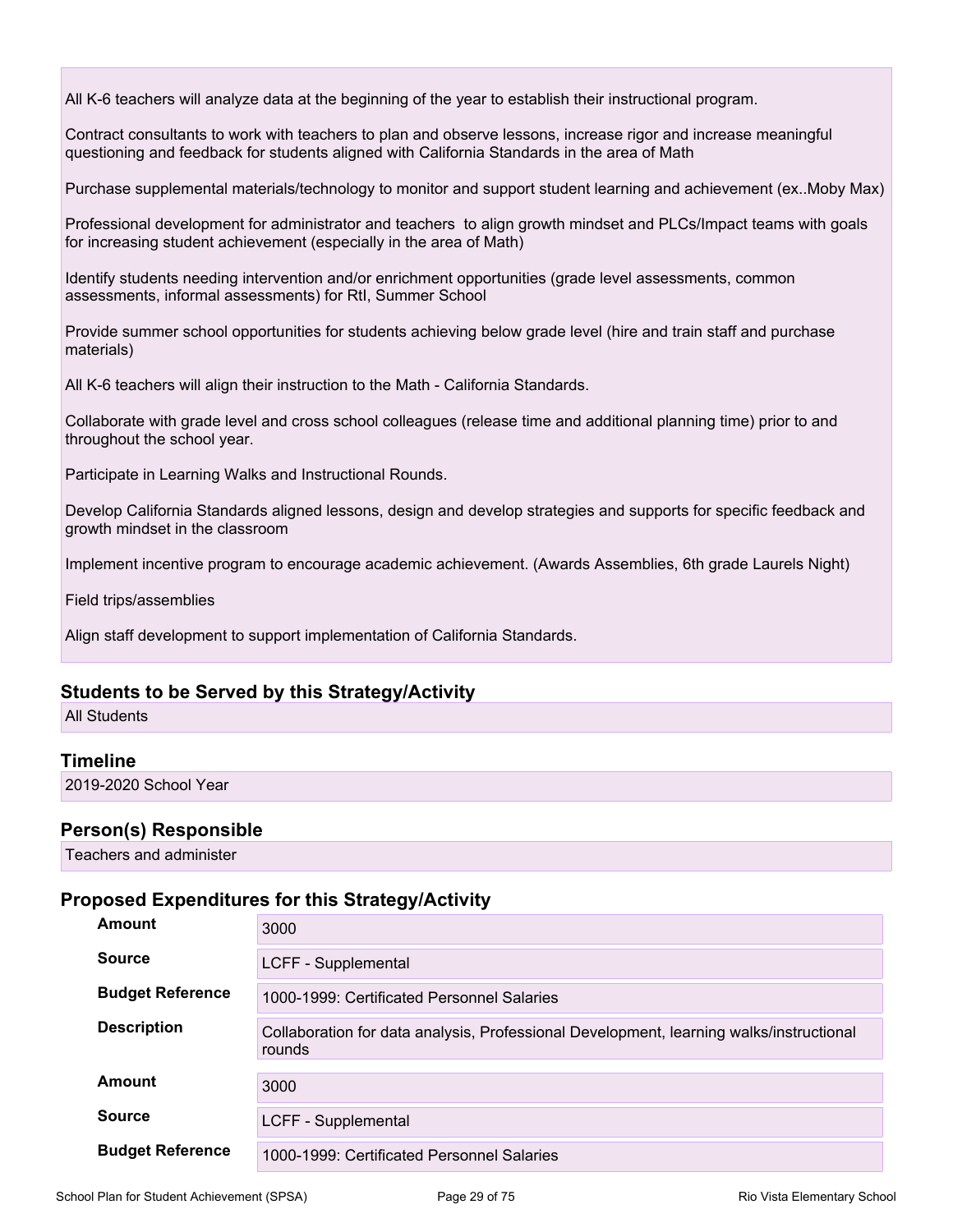All K-6 teachers will analyze data at the beginning of the year to establish their instructional program.

Contract consultants to work with teachers to plan and observe lessons, increase rigor and increase meaningful questioning and feedback for students aligned with California Standards in the area of Math

Purchase supplemental materials/technology to monitor and support student learning and achievement (ex..Moby Max)

Professional development for administrator and teachers to align growth mindset and PLCs/Impact teams with goals for increasing student achievement (especially in the area of Math)

Identify students needing intervention and/or enrichment opportunities (grade level assessments, common assessments, informal assessments) for RtI, Summer School

Provide summer school opportunities for students achieving below grade level (hire and train staff and purchase materials)

All K-6 teachers will align their instruction to the Math - California Standards.

Collaborate with grade level and cross school colleagues (release time and additional planning time) prior to and throughout the school year.

Participate in Learning Walks and Instructional Rounds.

Develop California Standards aligned lessons, design and develop strategies and supports for specific feedback and growth mindset in the classroom

Implement incentive program to encourage academic achievement. (Awards Assemblies, 6th grade Laurels Night)

Field trips/assemblies

Align staff development to support implementation of California Standards.

### **Students to be Served by this Strategy/Activity**

All Students

### **Timeline**

2019-2020 School Year

### **Person(s) Responsible**

Teachers and administer

| Amount                  | 3000                                                                                              |
|-------------------------|---------------------------------------------------------------------------------------------------|
| <b>Source</b>           | LCFF - Supplemental                                                                               |
| <b>Budget Reference</b> | 1000-1999: Certificated Personnel Salaries                                                        |
| <b>Description</b>      | Collaboration for data analysis, Professional Development, learning walks/instructional<br>rounds |
| Amount                  | 3000                                                                                              |
| <b>Source</b>           | LCFF - Supplemental                                                                               |
| <b>Budget Reference</b> | 1000-1999: Certificated Personnel Salaries                                                        |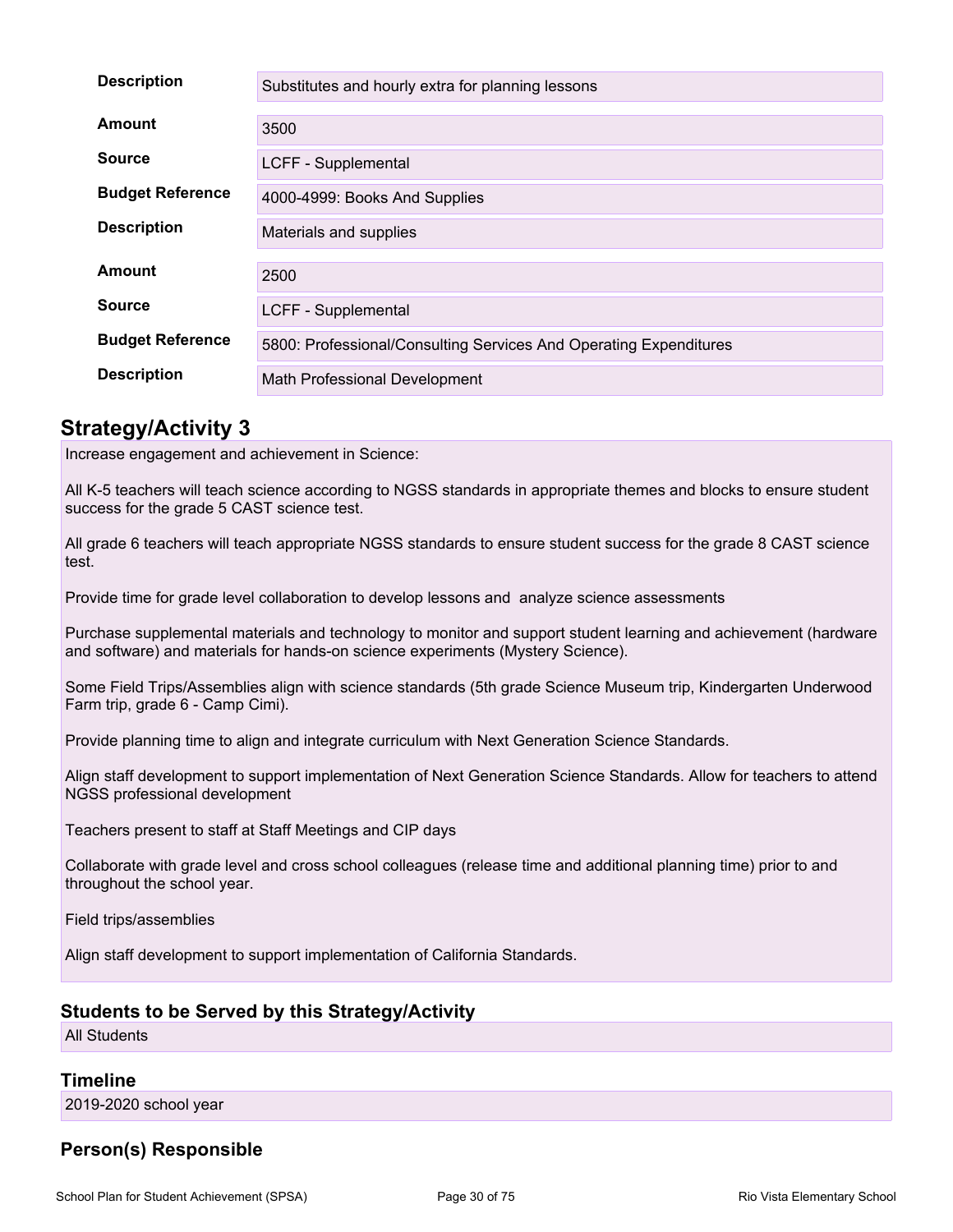| <b>Description</b>      | Substitutes and hourly extra for planning lessons                 |
|-------------------------|-------------------------------------------------------------------|
| Amount                  | 3500                                                              |
| <b>Source</b>           | LCFF - Supplemental                                               |
| <b>Budget Reference</b> | 4000-4999: Books And Supplies                                     |
| <b>Description</b>      | Materials and supplies                                            |
| Amount                  | 2500                                                              |
| <b>Source</b>           | LCFF - Supplemental                                               |
| <b>Budget Reference</b> | 5800: Professional/Consulting Services And Operating Expenditures |
| <b>Description</b>      | Math Professional Development                                     |

Increase engagement and achievement in Science:

All K-5 teachers will teach science according to NGSS standards in appropriate themes and blocks to ensure student success for the grade 5 CAST science test.

All grade 6 teachers will teach appropriate NGSS standards to ensure student success for the grade 8 CAST science test.

Provide time for grade level collaboration to develop lessons and analyze science assessments

Purchase supplemental materials and technology to monitor and support student learning and achievement (hardware and software) and materials for hands-on science experiments (Mystery Science).

Some Field Trips/Assemblies align with science standards (5th grade Science Museum trip, Kindergarten Underwood Farm trip, grade 6 - Camp Cimi).

Provide planning time to align and integrate curriculum with Next Generation Science Standards.

Align staff development to support implementation of Next Generation Science Standards. Allow for teachers to attend NGSS professional development

Teachers present to staff at Staff Meetings and CIP days

Collaborate with grade level and cross school colleagues (release time and additional planning time) prior to and throughout the school year.

Field trips/assemblies

Align staff development to support implementation of California Standards.

### **Students to be Served by this Strategy/Activity**

All Students

### **Timeline**

2019-2020 school year

### **Person(s) Responsible**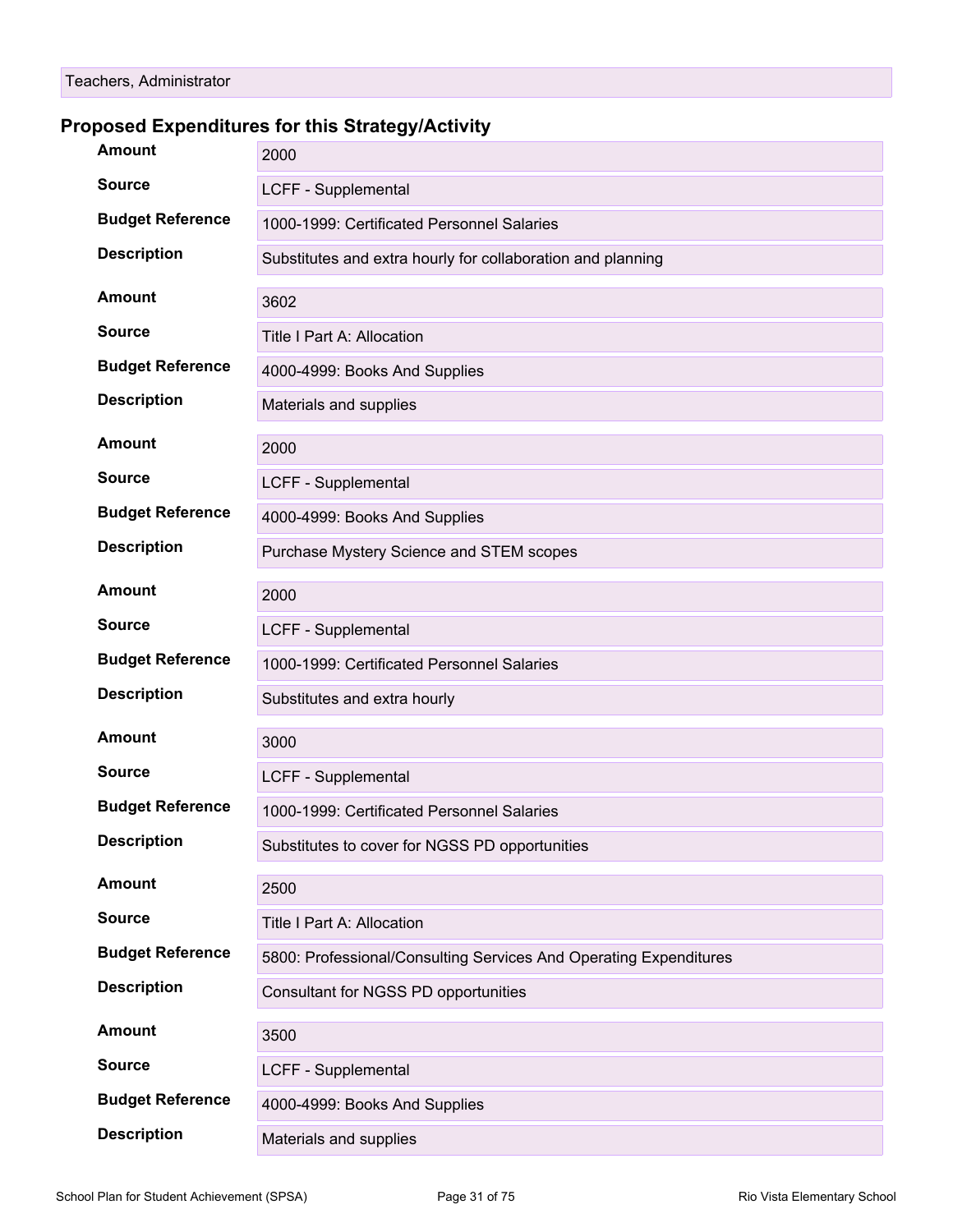| <b>Amount</b>           | 2000                                                              |
|-------------------------|-------------------------------------------------------------------|
| <b>Source</b>           | LCFF - Supplemental                                               |
| <b>Budget Reference</b> | 1000-1999: Certificated Personnel Salaries                        |
| <b>Description</b>      | Substitutes and extra hourly for collaboration and planning       |
| <b>Amount</b>           | 3602                                                              |
| <b>Source</b>           | Title I Part A: Allocation                                        |
| <b>Budget Reference</b> | 4000-4999: Books And Supplies                                     |
| <b>Description</b>      | Materials and supplies                                            |
| <b>Amount</b>           | 2000                                                              |
| <b>Source</b>           | LCFF - Supplemental                                               |
| <b>Budget Reference</b> | 4000-4999: Books And Supplies                                     |
| <b>Description</b>      | Purchase Mystery Science and STEM scopes                          |
| <b>Amount</b>           | 2000                                                              |
| <b>Source</b>           | LCFF - Supplemental                                               |
| <b>Budget Reference</b> | 1000-1999: Certificated Personnel Salaries                        |
| <b>Description</b>      | Substitutes and extra hourly                                      |
| <b>Amount</b>           | 3000                                                              |
| <b>Source</b>           | LCFF - Supplemental                                               |
| <b>Budget Reference</b> | 1000-1999: Certificated Personnel Salaries                        |
| <b>Description</b>      | Substitutes to cover for NGSS PD opportunities                    |
| <b>Amount</b>           | 2500                                                              |
| <b>Source</b>           | Title I Part A: Allocation                                        |
| <b>Budget Reference</b> | 5800: Professional/Consulting Services And Operating Expenditures |
| <b>Description</b>      | Consultant for NGSS PD opportunities                              |
| <b>Amount</b>           | 3500                                                              |
| <b>Source</b>           | LCFF - Supplemental                                               |
| <b>Budget Reference</b> | 4000-4999: Books And Supplies                                     |
| <b>Description</b>      | Materials and supplies                                            |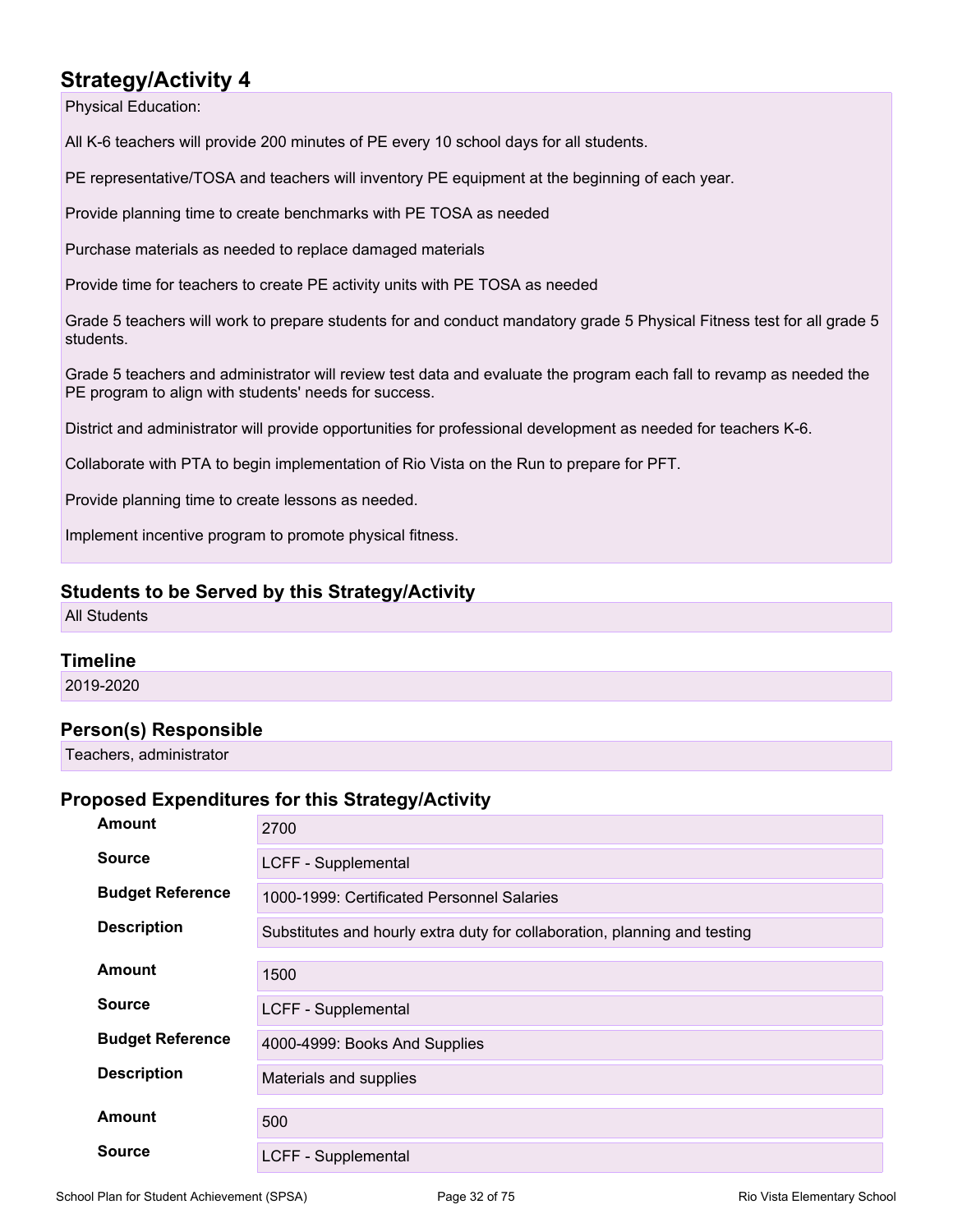Physical Education:

All K-6 teachers will provide 200 minutes of PE every 10 school days for all students.

PE representative/TOSA and teachers will inventory PE equipment at the beginning of each year.

Provide planning time to create benchmarks with PE TOSA as needed

Purchase materials as needed to replace damaged materials

Provide time for teachers to create PE activity units with PE TOSA as needed

Grade 5 teachers will work to prepare students for and conduct mandatory grade 5 Physical Fitness test for all grade 5 students.

Grade 5 teachers and administrator will review test data and evaluate the program each fall to revamp as needed the PE program to align with students' needs for success.

District and administrator will provide opportunities for professional development as needed for teachers K-6.

Collaborate with PTA to begin implementation of Rio Vista on the Run to prepare for PFT.

Provide planning time to create lessons as needed.

Implement incentive program to promote physical fitness.

### **Students to be Served by this Strategy/Activity**

All Students

### **Timeline**

2019-2020

### **Person(s) Responsible**

Teachers, administrator

| <b>Amount</b>           | 2700                                                                      |
|-------------------------|---------------------------------------------------------------------------|
| <b>Source</b>           | LCFF - Supplemental                                                       |
| <b>Budget Reference</b> | 1000-1999: Certificated Personnel Salaries                                |
| <b>Description</b>      | Substitutes and hourly extra duty for collaboration, planning and testing |
| <b>Amount</b>           | 1500                                                                      |
| <b>Source</b>           | LCFF - Supplemental                                                       |
| <b>Budget Reference</b> | 4000-4999: Books And Supplies                                             |
| <b>Description</b>      | Materials and supplies                                                    |
| <b>Amount</b>           | 500                                                                       |
| <b>Source</b>           | LCFF - Supplemental                                                       |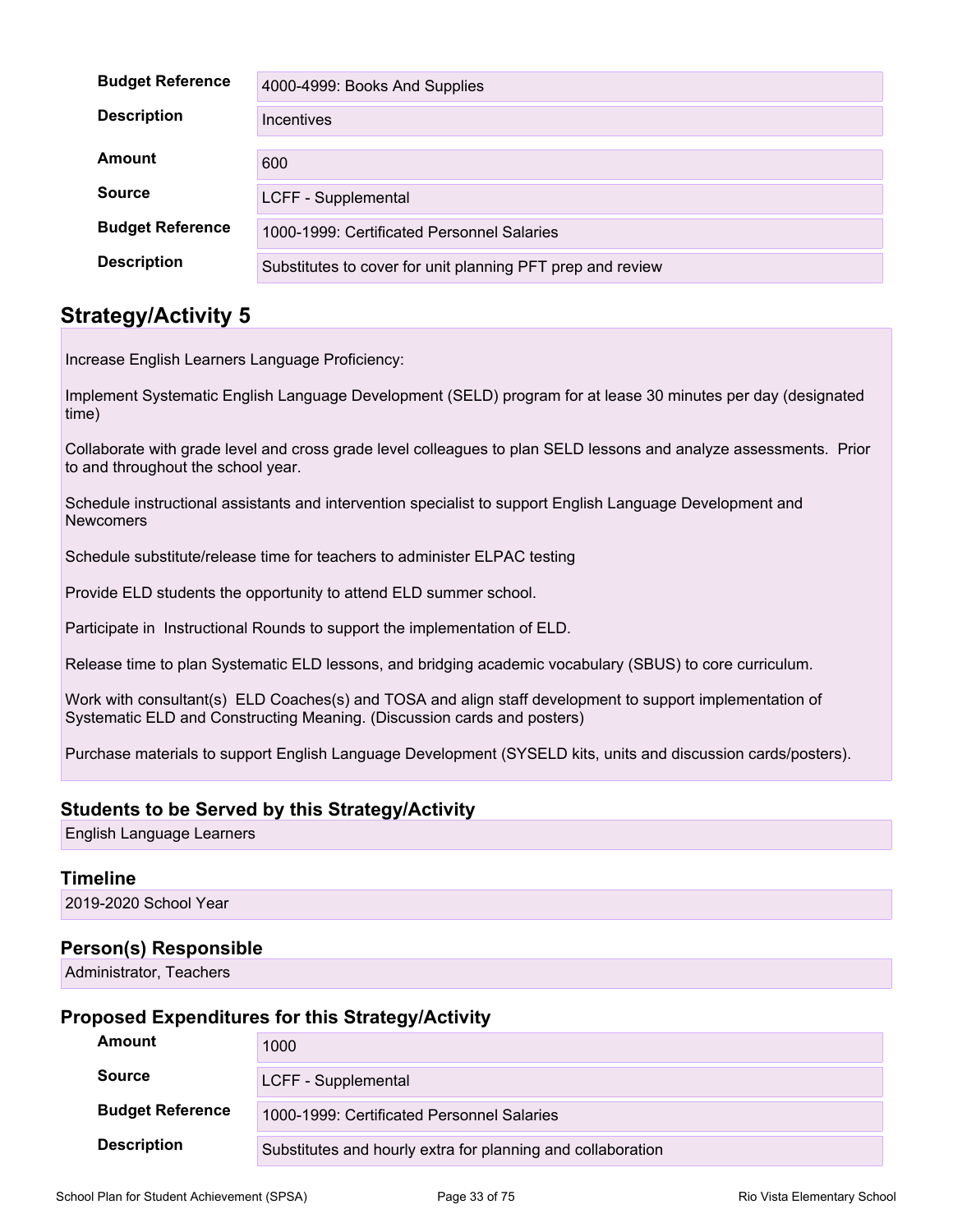| <b>Budget Reference</b> | 4000-4999: Books And Supplies                              |
|-------------------------|------------------------------------------------------------|
| <b>Description</b>      | Incentives                                                 |
| Amount                  |                                                            |
|                         | 600                                                        |
| Source                  | LCFF - Supplemental                                        |
| <b>Budget Reference</b> | 1000-1999: Certificated Personnel Salaries                 |
| <b>Description</b>      | Substitutes to cover for unit planning PFT prep and review |

Increase English Learners Language Proficiency:

Implement Systematic English Language Development (SELD) program for at lease 30 minutes per day (designated time)

Collaborate with grade level and cross grade level colleagues to plan SELD lessons and analyze assessments. Prior to and throughout the school year.

Schedule instructional assistants and intervention specialist to support English Language Development and **Newcomers** 

Schedule substitute/release time for teachers to administer ELPAC testing

Provide ELD students the opportunity to attend ELD summer school.

Participate in Instructional Rounds to support the implementation of ELD.

Release time to plan Systematic ELD lessons, and bridging academic vocabulary (SBUS) to core curriculum.

Work with consultant(s) ELD Coaches(s) and TOSA and align staff development to support implementation of Systematic ELD and Constructing Meaning. (Discussion cards and posters)

Purchase materials to support English Language Development (SYSELD kits, units and discussion cards/posters).

### **Students to be Served by this Strategy/Activity**

English Language Learners

### **Timeline**

2019-2020 School Year

### **Person(s) Responsible**

Administrator, Teachers

| Amount                  | 1000                                                        |
|-------------------------|-------------------------------------------------------------|
| <b>Source</b>           | LCFF - Supplemental                                         |
| <b>Budget Reference</b> | 1000-1999: Certificated Personnel Salaries                  |
| <b>Description</b>      | Substitutes and hourly extra for planning and collaboration |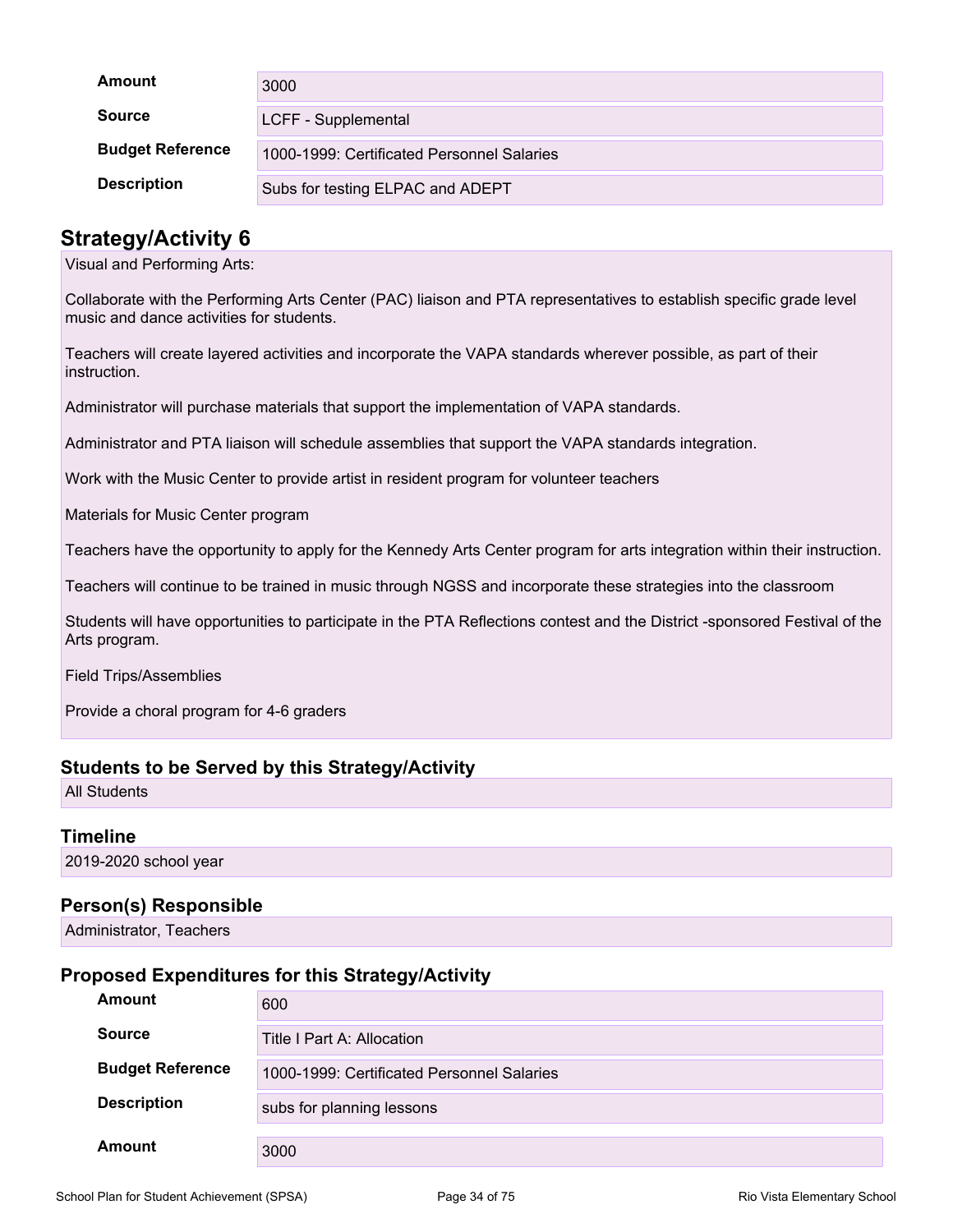| Amount                  | 3000                                       |
|-------------------------|--------------------------------------------|
| <b>Source</b>           | LCFF - Supplemental                        |
| <b>Budget Reference</b> | 1000-1999: Certificated Personnel Salaries |
| <b>Description</b>      | Subs for testing ELPAC and ADEPT           |

Visual and Performing Arts:

Collaborate with the Performing Arts Center (PAC) liaison and PTA representatives to establish specific grade level music and dance activities for students.

Teachers will create layered activities and incorporate the VAPA standards wherever possible, as part of their instruction.

Administrator will purchase materials that support the implementation of VAPA standards.

Administrator and PTA liaison will schedule assemblies that support the VAPA standards integration.

Work with the Music Center to provide artist in resident program for volunteer teachers

Materials for Music Center program

Teachers have the opportunity to apply for the Kennedy Arts Center program for arts integration within their instruction.

Teachers will continue to be trained in music through NGSS and incorporate these strategies into the classroom

Students will have opportunities to participate in the PTA Reflections contest and the District -sponsored Festival of the Arts program.

Field Trips/Assemblies

Provide a choral program for 4-6 graders

### **Students to be Served by this Strategy/Activity**

All Students

### **Timeline**

2019-2020 school year

### **Person(s) Responsible**

Administrator, Teachers

| <b>Amount</b>           | 600                                        |
|-------------------------|--------------------------------------------|
| <b>Source</b>           | Title I Part A: Allocation                 |
| <b>Budget Reference</b> | 1000-1999: Certificated Personnel Salaries |
| <b>Description</b>      | subs for planning lessons                  |
| Amount                  | 3000                                       |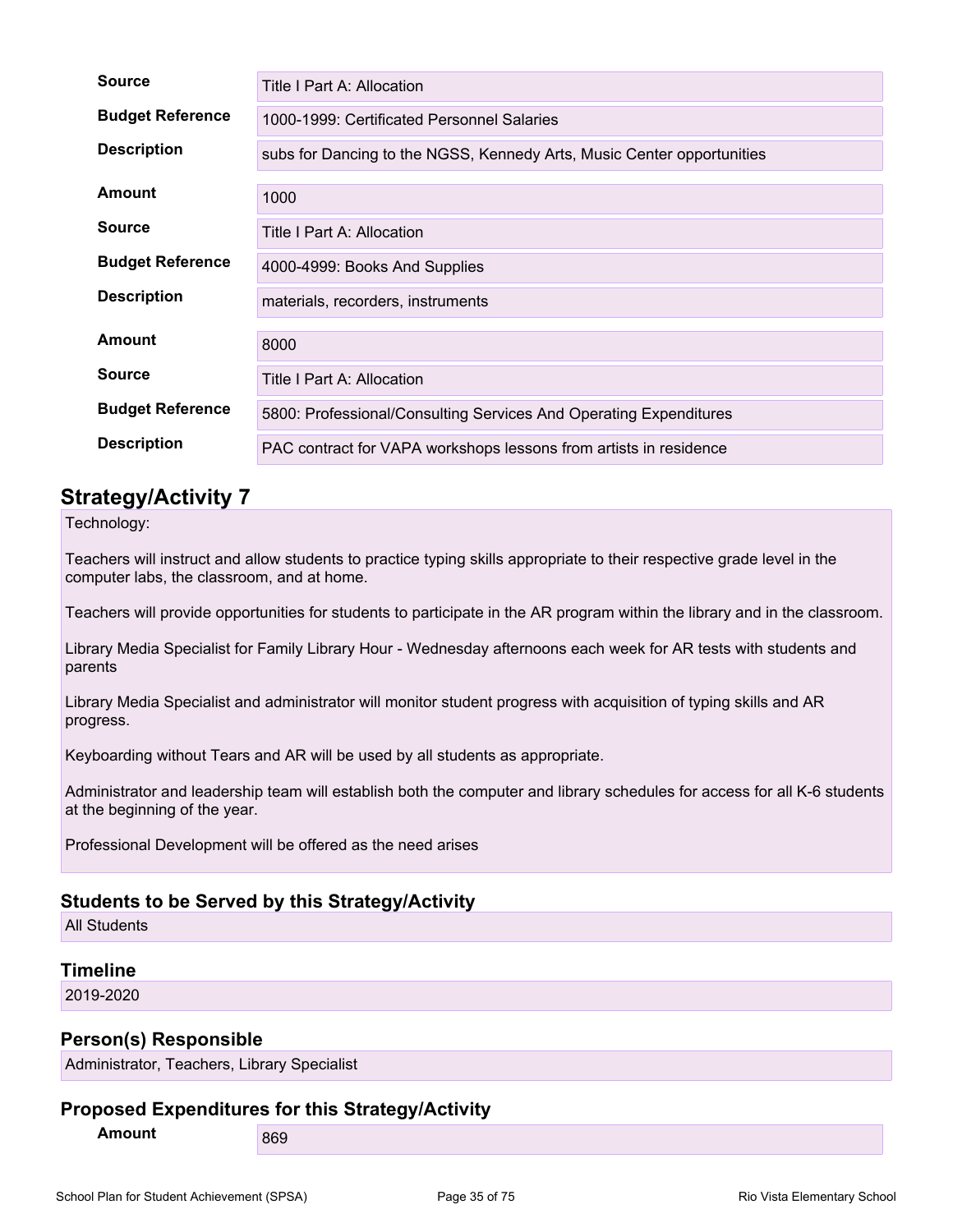| <b>Source</b>           | Title I Part A: Allocation                                             |
|-------------------------|------------------------------------------------------------------------|
| <b>Budget Reference</b> | 1000-1999: Certificated Personnel Salaries                             |
| <b>Description</b>      | subs for Dancing to the NGSS, Kennedy Arts, Music Center opportunities |
| Amount                  | 1000                                                                   |
| <b>Source</b>           | Title I Part A: Allocation                                             |
| <b>Budget Reference</b> | 4000-4999: Books And Supplies                                          |
| <b>Description</b>      | materials, recorders, instruments                                      |
| <b>Amount</b>           | 8000                                                                   |
| <b>Source</b>           | Title I Part A: Allocation                                             |
| <b>Budget Reference</b> | 5800: Professional/Consulting Services And Operating Expenditures      |
| <b>Description</b>      | PAC contract for VAPA workshops lessons from artists in residence      |

Technology:

Teachers will instruct and allow students to practice typing skills appropriate to their respective grade level in the computer labs, the classroom, and at home.

Teachers will provide opportunities for students to participate in the AR program within the library and in the classroom.

Library Media Specialist for Family Library Hour - Wednesday afternoons each week for AR tests with students and parents

Library Media Specialist and administrator will monitor student progress with acquisition of typing skills and AR progress.

Keyboarding without Tears and AR will be used by all students as appropriate.

Administrator and leadership team will establish both the computer and library schedules for access for all K-6 students at the beginning of the year.

Professional Development will be offered as the need arises

### **Students to be Served by this Strategy/Activity**

All Students

### **Timeline**

2019-2020

### **Person(s) Responsible**

Administrator, Teachers, Library Specialist

### **Proposed Expenditures for this Strategy/Activity**

**Amount** 869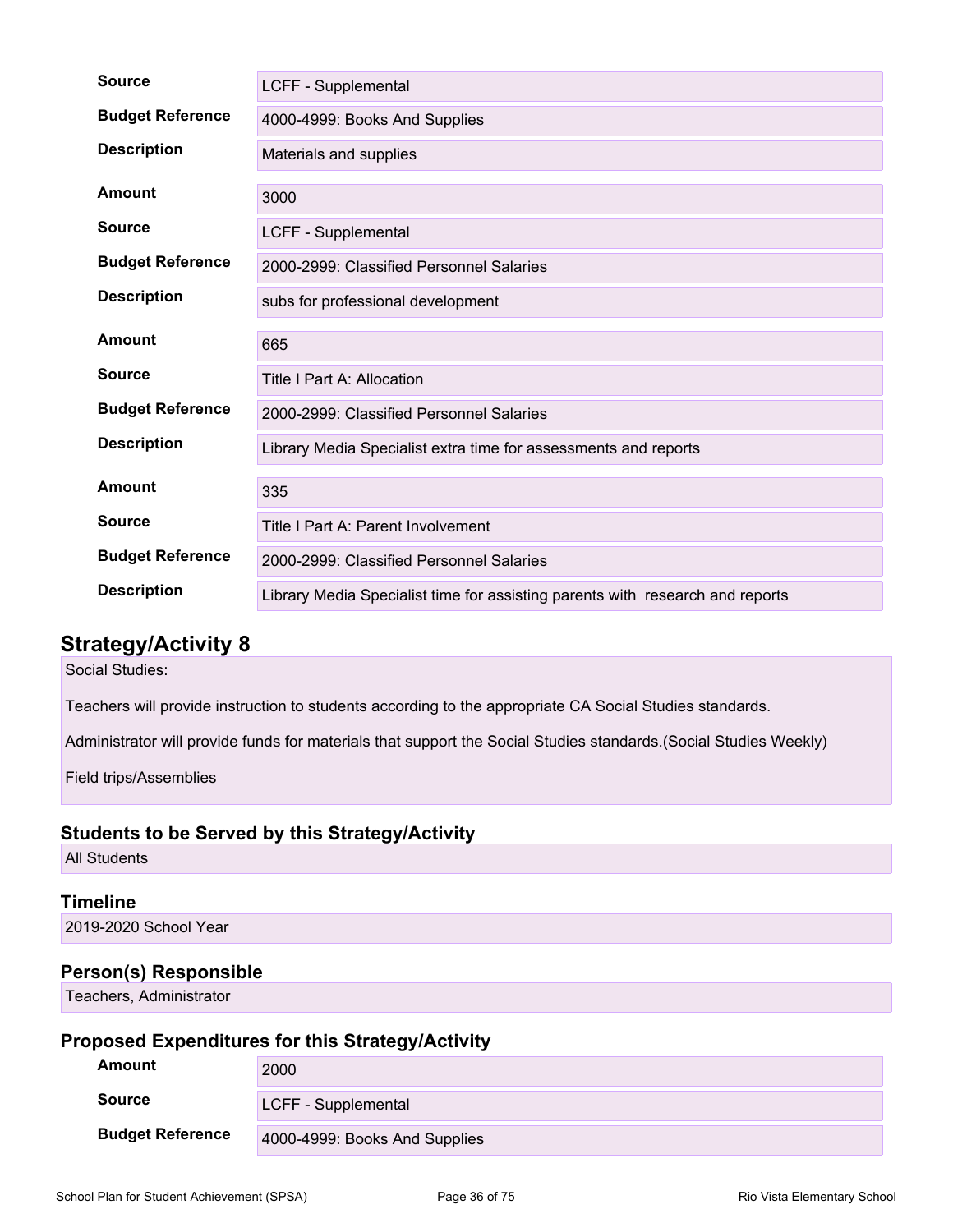| <b>Source</b>           | LCFF - Supplemental                                                           |
|-------------------------|-------------------------------------------------------------------------------|
| <b>Budget Reference</b> | 4000-4999: Books And Supplies                                                 |
| <b>Description</b>      | Materials and supplies                                                        |
| <b>Amount</b>           | 3000                                                                          |
| <b>Source</b>           | LCFF - Supplemental                                                           |
| <b>Budget Reference</b> | 2000-2999: Classified Personnel Salaries                                      |
| <b>Description</b>      | subs for professional development                                             |
| Amount                  | 665                                                                           |
| <b>Source</b>           | Title I Part A: Allocation                                                    |
| <b>Budget Reference</b> | 2000-2999: Classified Personnel Salaries                                      |
| <b>Description</b>      | Library Media Specialist extra time for assessments and reports               |
| Amount                  | 335                                                                           |
| <b>Source</b>           | Title I Part A: Parent Involvement                                            |
| <b>Budget Reference</b> | 2000-2999: Classified Personnel Salaries                                      |
| <b>Description</b>      | Library Media Specialist time for assisting parents with research and reports |

Social Studies:

Teachers will provide instruction to students according to the appropriate CA Social Studies standards.

Administrator will provide funds for materials that support the Social Studies standards.(Social Studies Weekly)

Field trips/Assemblies

### **Students to be Served by this Strategy/Activity**

All Students

### **Timeline**

2019-2020 School Year

### **Person(s) Responsible**

Teachers, Administrator

| Amount                  | 2000                          |
|-------------------------|-------------------------------|
| Source                  | LCFF - Supplemental           |
| <b>Budget Reference</b> | 4000-4999: Books And Supplies |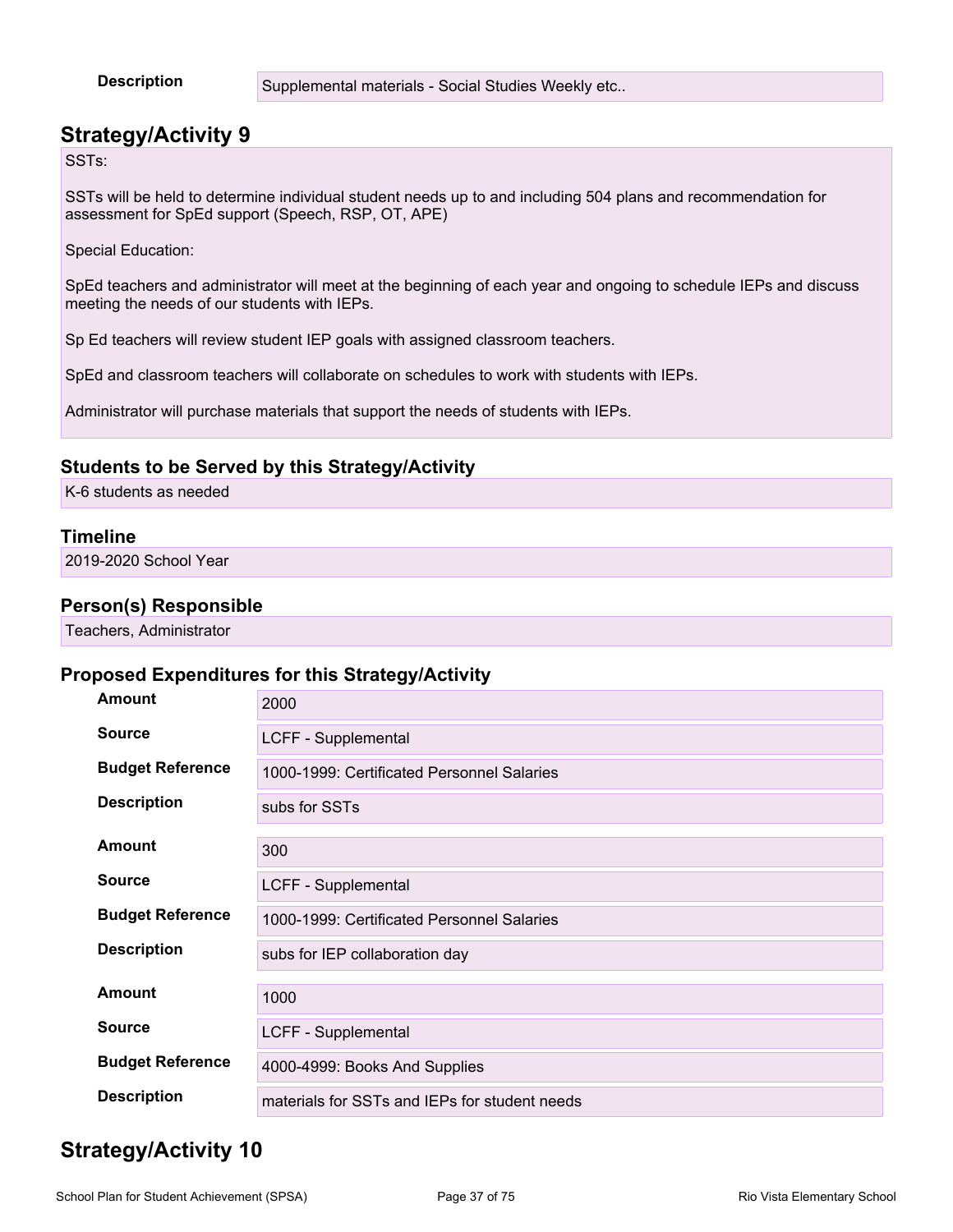**Description** Supplemental materials - Social Studies Weekly etc..

### **Strategy/Activity 9**

SSTs:

SSTs will be held to determine individual student needs up to and including 504 plans and recommendation for assessment for SpEd support (Speech, RSP, OT, APE)

Special Education:

SpEd teachers and administrator will meet at the beginning of each year and ongoing to schedule IEPs and discuss meeting the needs of our students with IEPs.

Sp Ed teachers will review student IEP goals with assigned classroom teachers.

SpEd and classroom teachers will collaborate on schedules to work with students with IEPs.

Administrator will purchase materials that support the needs of students with IEPs.

#### **Students to be Served by this Strategy/Activity**

K-6 students as needed

#### **Timeline**

2019-2020 School Year

#### **Person(s) Responsible**

Teachers, Administrator

#### **Proposed Expenditures for this Strategy/Activity**

| <b>Amount</b>           | 2000                                          |
|-------------------------|-----------------------------------------------|
| <b>Source</b>           | LCFF - Supplemental                           |
| <b>Budget Reference</b> | 1000-1999: Certificated Personnel Salaries    |
| <b>Description</b>      | subs for SSTs                                 |
| Amount                  | 300                                           |
| <b>Source</b>           | LCFF - Supplemental                           |
| <b>Budget Reference</b> | 1000-1999: Certificated Personnel Salaries    |
| <b>Description</b>      | subs for IEP collaboration day                |
| Amount                  | 1000                                          |
| <b>Source</b>           | LCFF - Supplemental                           |
| <b>Budget Reference</b> | 4000-4999: Books And Supplies                 |
| <b>Description</b>      | materials for SSTs and IEPs for student needs |

## **Strategy/Activity 10**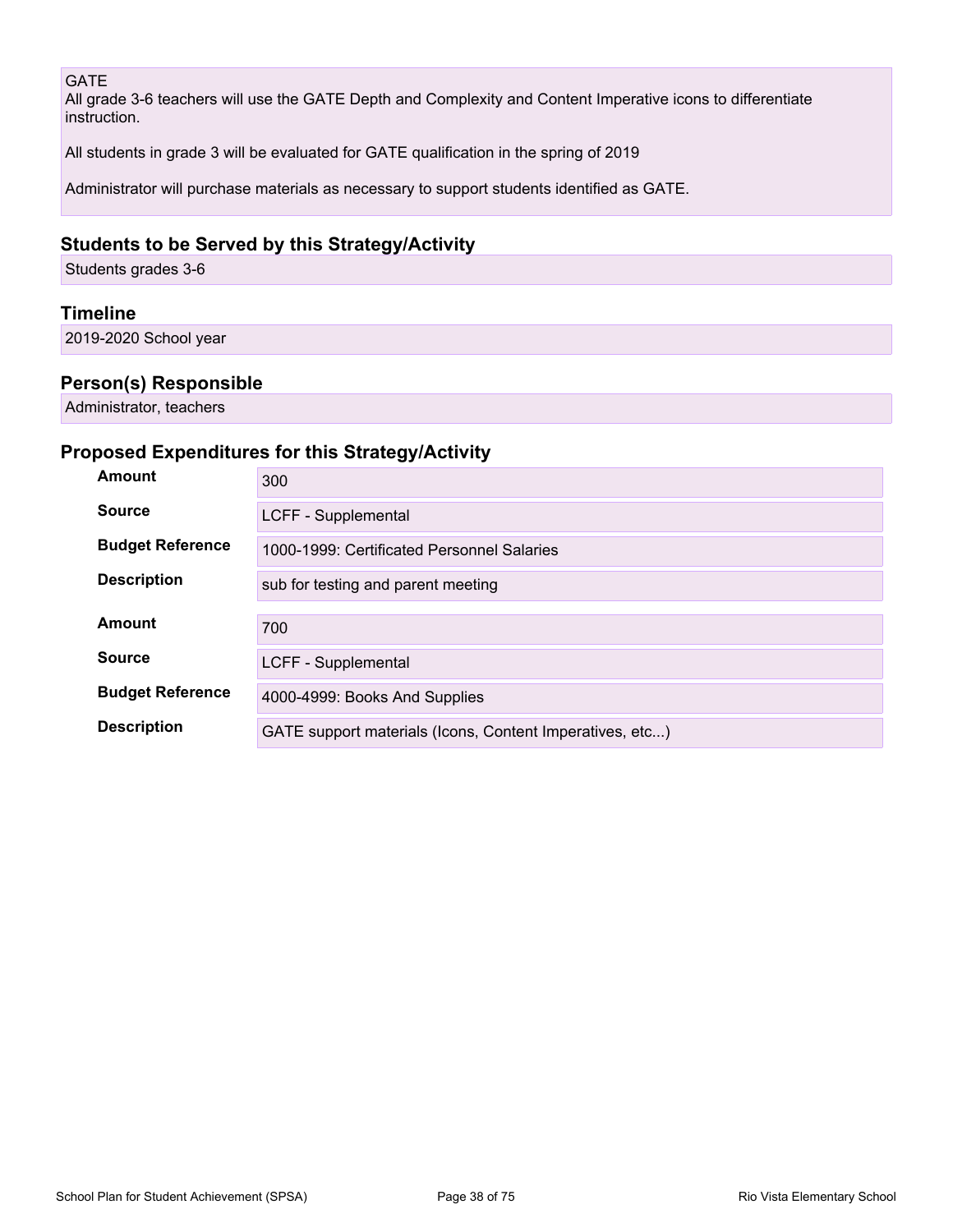#### GATE

All grade 3-6 teachers will use the GATE Depth and Complexity and Content Imperative icons to differentiate instruction.

All students in grade 3 will be evaluated for GATE qualification in the spring of 2019

Administrator will purchase materials as necessary to support students identified as GATE.

#### **Students to be Served by this Strategy/Activity**

Students grades 3-6

#### **Timeline**

2019-2020 School year

#### **Person(s) Responsible**

Administrator, teachers

#### **Proposed Expenditures for this Strategy/Activity**

| Amount                  | 300                                                      |  |  |  |
|-------------------------|----------------------------------------------------------|--|--|--|
| <b>Source</b>           | LCFF - Supplemental                                      |  |  |  |
| <b>Budget Reference</b> | 1000-1999: Certificated Personnel Salaries               |  |  |  |
| <b>Description</b>      | sub for testing and parent meeting                       |  |  |  |
| Amount                  | 700                                                      |  |  |  |
| <b>Source</b>           | LCFF - Supplemental                                      |  |  |  |
| <b>Budget Reference</b> | 4000-4999: Books And Supplies                            |  |  |  |
| <b>Description</b>      | GATE support materials (Icons, Content Imperatives, etc) |  |  |  |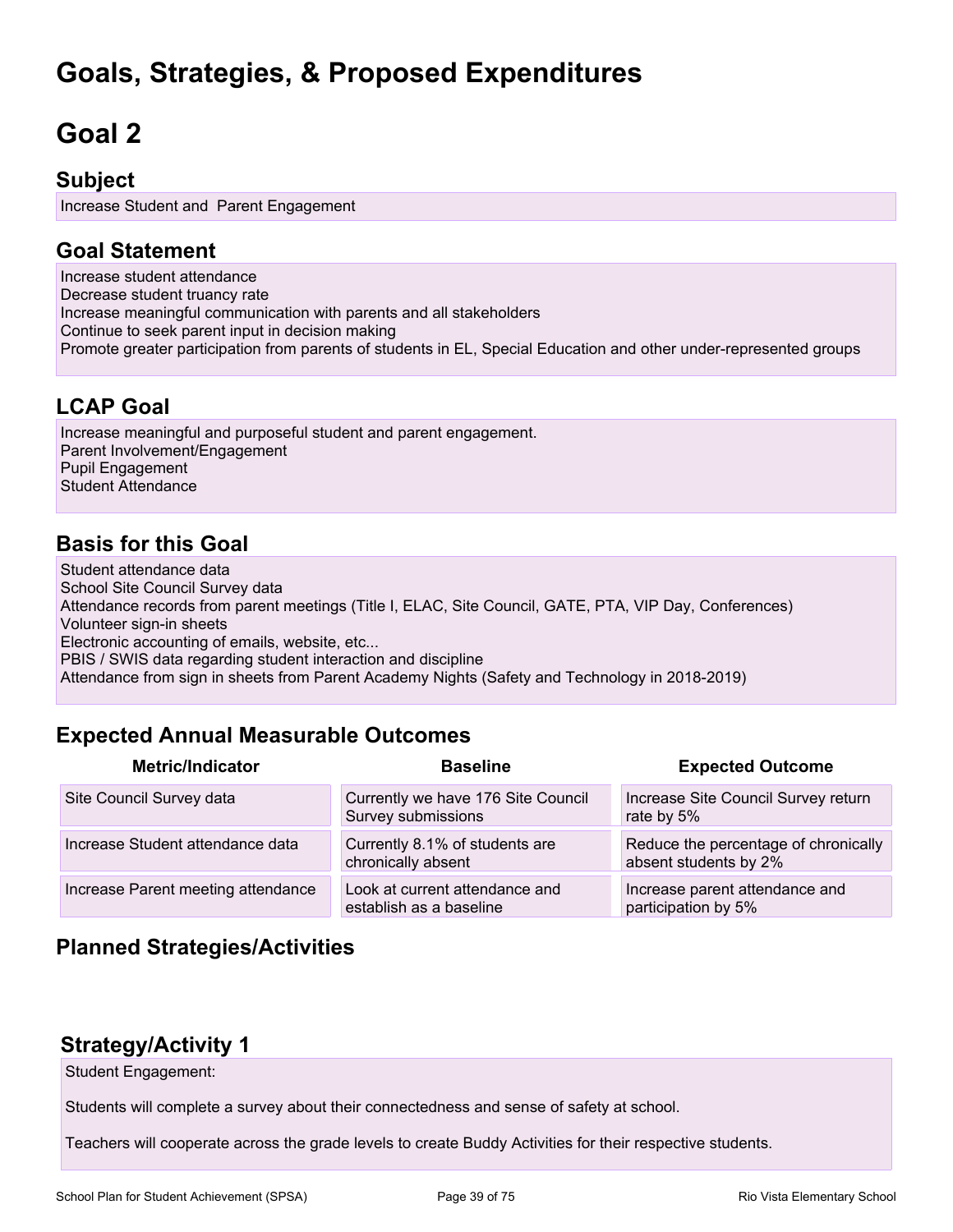## **Goals, Strategies, & Proposed Expenditures**

# **Goal 2**

#### **Subject**

Increase Student and Parent Engagement

#### **Goal Statement**

Increase student attendance Decrease student truancy rate Increase meaningful communication with parents and all stakeholders Continue to seek parent input in decision making Promote greater participation from parents of students in EL, Special Education and other under-represented groups

### **LCAP Goal**

Increase meaningful and purposeful student and parent engagement. Parent Involvement/Engagement Pupil Engagement Student Attendance

### **Basis for this Goal**

Student attendance data School Site Council Survey data Attendance records from parent meetings (Title I, ELAC, Site Council, GATE, PTA, VIP Day, Conferences) Volunteer sign-in sheets Electronic accounting of emails, website, etc... PBIS / SWIS data regarding student interaction and discipline Attendance from sign in sheets from Parent Academy Nights (Safety and Technology in 2018-2019)

## **Expected Annual Measurable Outcomes**

| <b>Metric/Indicator</b>            | <b>Baseline</b>                                           | <b>Expected Outcome</b>                                       |
|------------------------------------|-----------------------------------------------------------|---------------------------------------------------------------|
| Site Council Survey data           | Currently we have 176 Site Council<br>Survey submissions  | Increase Site Council Survey return<br>rate by 5%             |
| Increase Student attendance data   | Currently 8.1% of students are<br>chronically absent      | Reduce the percentage of chronically<br>absent students by 2% |
| Increase Parent meeting attendance | Look at current attendance and<br>establish as a baseline | Increase parent attendance and<br>participation by 5%         |

### **Planned Strategies/Activities**

### **Strategy/Activity 1**

Student Engagement:

Students will complete a survey about their connectedness and sense of safety at school.

Teachers will cooperate across the grade levels to create Buddy Activities for their respective students.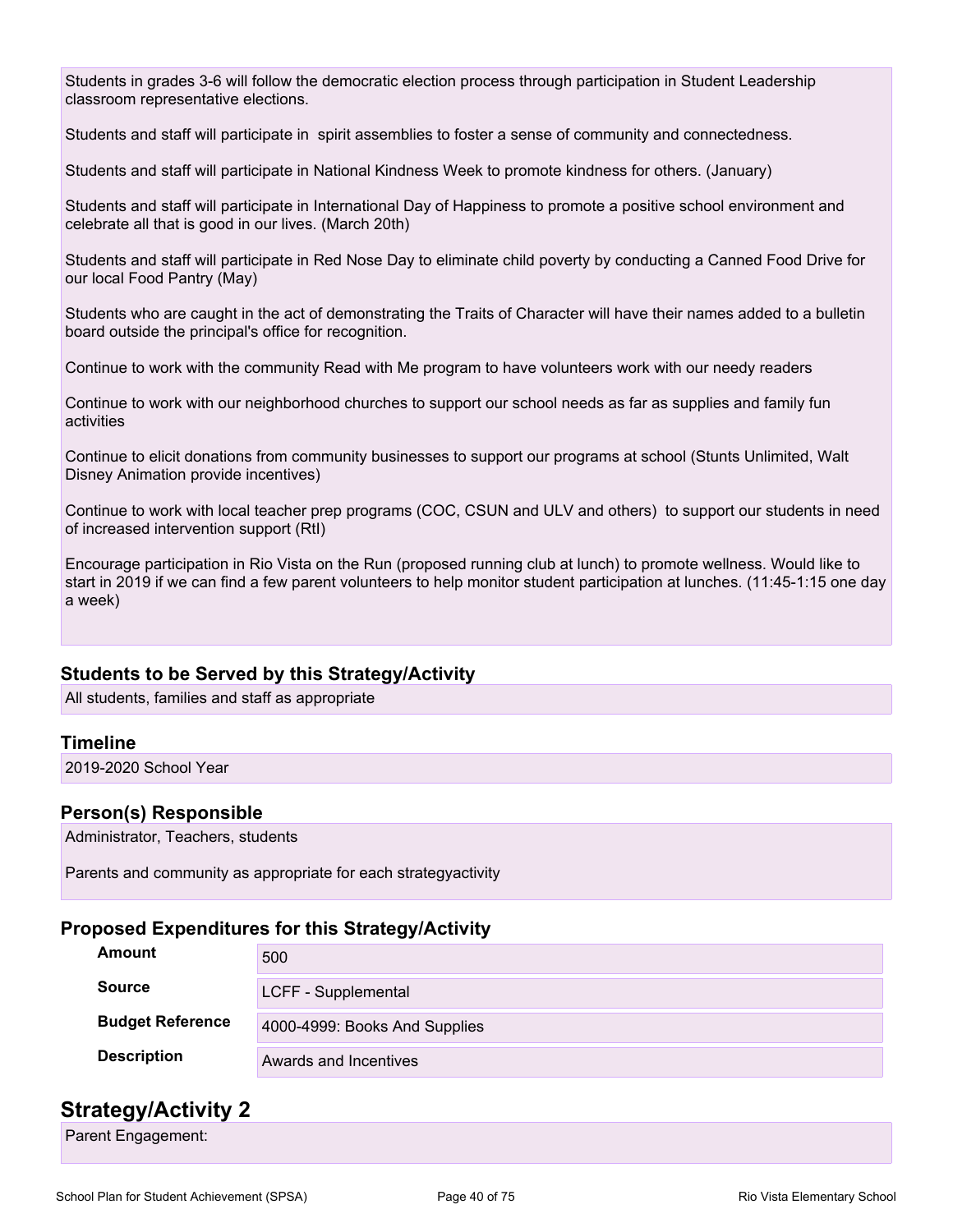Students in grades 3-6 will follow the democratic election process through participation in Student Leadership classroom representative elections.

Students and staff will participate in spirit assemblies to foster a sense of community and connectedness.

Students and staff will participate in National Kindness Week to promote kindness for others. (January)

Students and staff will participate in International Day of Happiness to promote a positive school environment and celebrate all that is good in our lives. (March 20th)

Students and staff will participate in Red Nose Day to eliminate child poverty by conducting a Canned Food Drive for our local Food Pantry (May)

Students who are caught in the act of demonstrating the Traits of Character will have their names added to a bulletin board outside the principal's office for recognition.

Continue to work with the community Read with Me program to have volunteers work with our needy readers

Continue to work with our neighborhood churches to support our school needs as far as supplies and family fun activities

Continue to elicit donations from community businesses to support our programs at school (Stunts Unlimited, Walt Disney Animation provide incentives)

Continue to work with local teacher prep programs (COC, CSUN and ULV and others) to support our students in need of increased intervention support (RtI)

Encourage participation in Rio Vista on the Run (proposed running club at lunch) to promote wellness. Would like to start in 2019 if we can find a few parent volunteers to help monitor student participation at lunches. (11:45-1:15 one day a week)

#### **Students to be Served by this Strategy/Activity**

All students, families and staff as appropriate

#### **Timeline**

2019-2020 School Year

#### **Person(s) Responsible**

Administrator, Teachers, students

Parents and community as appropriate for each strategyactivity

#### **Proposed Expenditures for this Strategy/Activity**

| <b>Amount</b>           | 500                           |
|-------------------------|-------------------------------|
| <b>Source</b>           | LCFF - Supplemental           |
| <b>Budget Reference</b> | 4000-4999: Books And Supplies |
| <b>Description</b>      | Awards and Incentives         |

#### **Strategy/Activity 2**

Parent Engagement: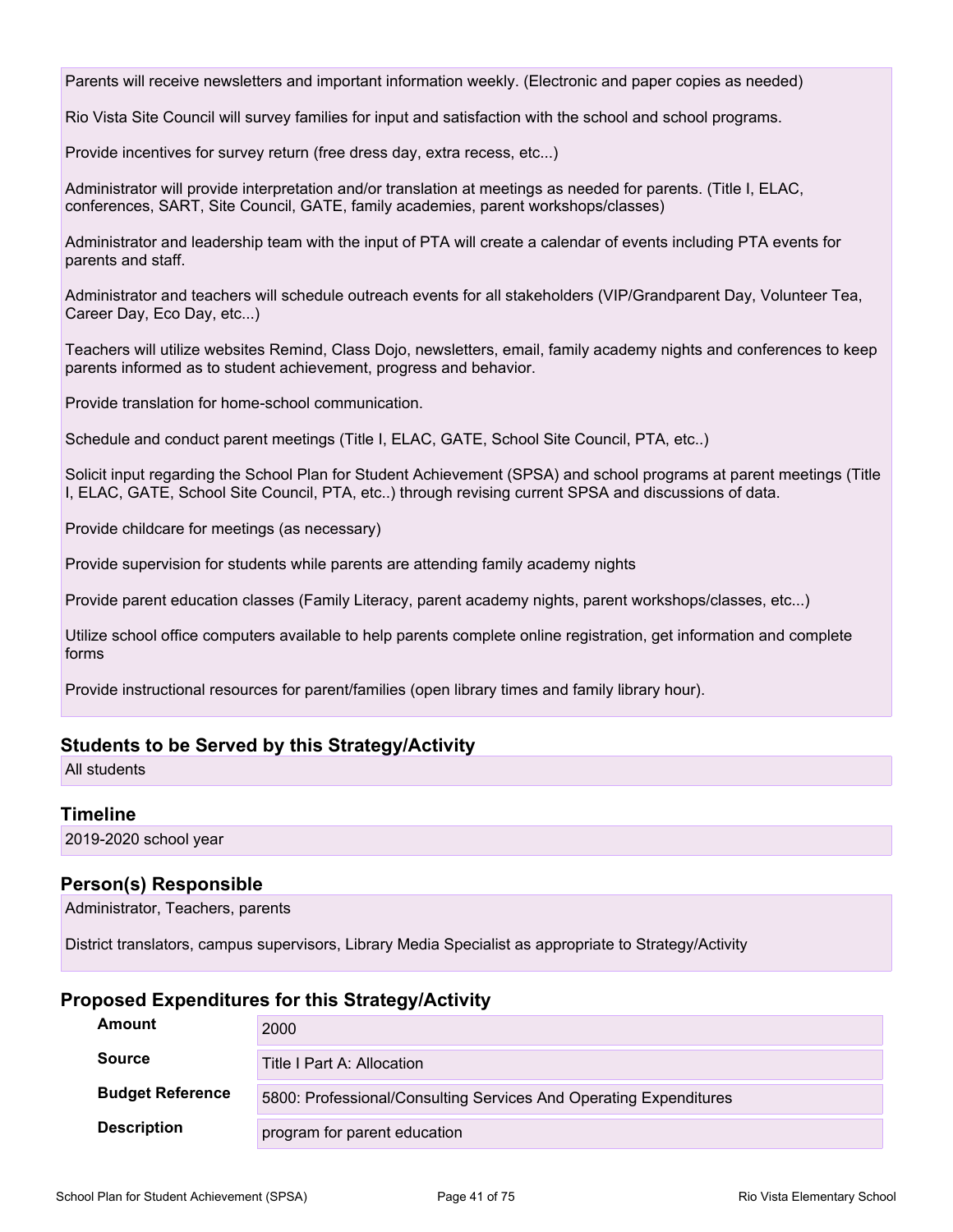Parents will receive newsletters and important information weekly. (Electronic and paper copies as needed)

Rio Vista Site Council will survey families for input and satisfaction with the school and school programs.

Provide incentives for survey return (free dress day, extra recess, etc...)

Administrator will provide interpretation and/or translation at meetings as needed for parents. (Title I, ELAC, conferences, SART, Site Council, GATE, family academies, parent workshops/classes)

Administrator and leadership team with the input of PTA will create a calendar of events including PTA events for parents and staff.

Administrator and teachers will schedule outreach events for all stakeholders (VIP/Grandparent Day, Volunteer Tea, Career Day, Eco Day, etc...)

Teachers will utilize websites Remind, Class Dojo, newsletters, email, family academy nights and conferences to keep parents informed as to student achievement, progress and behavior.

Provide translation for home-school communication.

Schedule and conduct parent meetings (Title I, ELAC, GATE, School Site Council, PTA, etc..)

Solicit input regarding the School Plan for Student Achievement (SPSA) and school programs at parent meetings (Title I, ELAC, GATE, School Site Council, PTA, etc..) through revising current SPSA and discussions of data.

Provide childcare for meetings (as necessary)

Provide supervision for students while parents are attending family academy nights

Provide parent education classes (Family Literacy, parent academy nights, parent workshops/classes, etc...)

Utilize school office computers available to help parents complete online registration, get information and complete forms

Provide instructional resources for parent/families (open library times and family library hour).

#### **Students to be Served by this Strategy/Activity**

All students

#### **Timeline**

2019-2020 school year

#### **Person(s) Responsible**

Administrator, Teachers, parents

District translators, campus supervisors, Library Media Specialist as appropriate to Strategy/Activity

#### **Proposed Expenditures for this Strategy/Activity**

| Amount                  | 2000                                                              |
|-------------------------|-------------------------------------------------------------------|
| <b>Source</b>           | Title I Part A: Allocation                                        |
| <b>Budget Reference</b> | 5800: Professional/Consulting Services And Operating Expenditures |
| <b>Description</b>      | program for parent education                                      |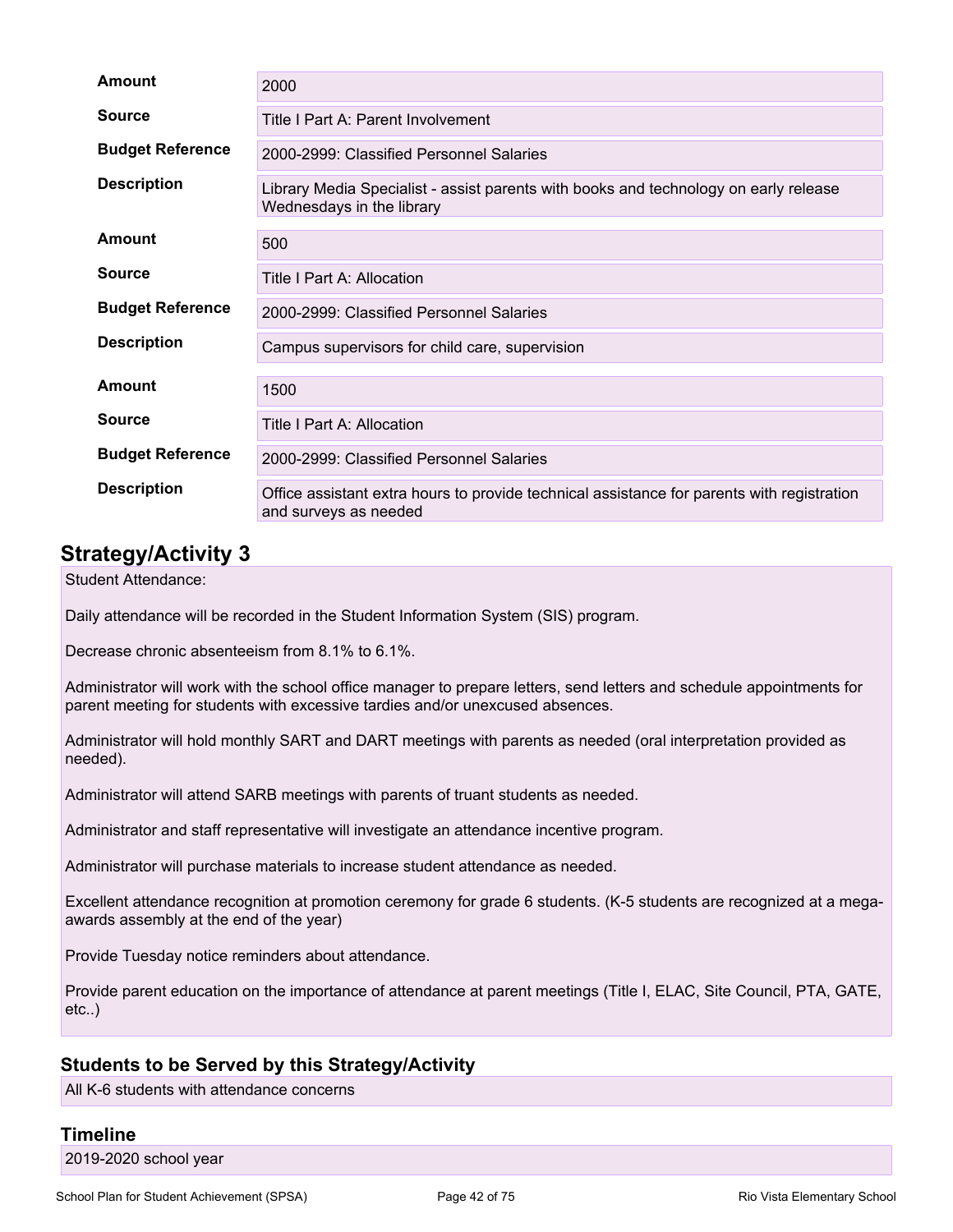| Amount                  | 2000                                                                                                                |  |  |
|-------------------------|---------------------------------------------------------------------------------------------------------------------|--|--|
| <b>Source</b>           | Title I Part A: Parent Involvement                                                                                  |  |  |
| <b>Budget Reference</b> | 2000-2999: Classified Personnel Salaries                                                                            |  |  |
| <b>Description</b>      | Library Media Specialist - assist parents with books and technology on early release<br>Wednesdays in the library   |  |  |
| <b>Amount</b>           | 500                                                                                                                 |  |  |
| <b>Source</b>           | Title I Part A: Allocation                                                                                          |  |  |
| <b>Budget Reference</b> | 2000-2999: Classified Personnel Salaries                                                                            |  |  |
| <b>Description</b>      | Campus supervisors for child care, supervision                                                                      |  |  |
| Amount                  | 1500                                                                                                                |  |  |
| <b>Source</b>           | Title I Part A: Allocation                                                                                          |  |  |
| <b>Budget Reference</b> | 2000-2999: Classified Personnel Salaries                                                                            |  |  |
| <b>Description</b>      | Office assistant extra hours to provide technical assistance for parents with registration<br>and surveys as needed |  |  |

### **Strategy/Activity 3**

Student Attendance:

Daily attendance will be recorded in the Student Information System (SIS) program.

Decrease chronic absenteeism from 8.1% to 6.1%.

Administrator will work with the school office manager to prepare letters, send letters and schedule appointments for parent meeting for students with excessive tardies and/or unexcused absences.

Administrator will hold monthly SART and DART meetings with parents as needed (oral interpretation provided as needed).

Administrator will attend SARB meetings with parents of truant students as needed.

Administrator and staff representative will investigate an attendance incentive program.

Administrator will purchase materials to increase student attendance as needed.

Excellent attendance recognition at promotion ceremony for grade 6 students. (K-5 students are recognized at a megaawards assembly at the end of the year)

Provide Tuesday notice reminders about attendance.

Provide parent education on the importance of attendance at parent meetings (Title I, ELAC, Site Council, PTA, GATE, etc..)

#### **Students to be Served by this Strategy/Activity**

All K-6 students with attendance concerns

#### **Timeline**

2019-2020 school year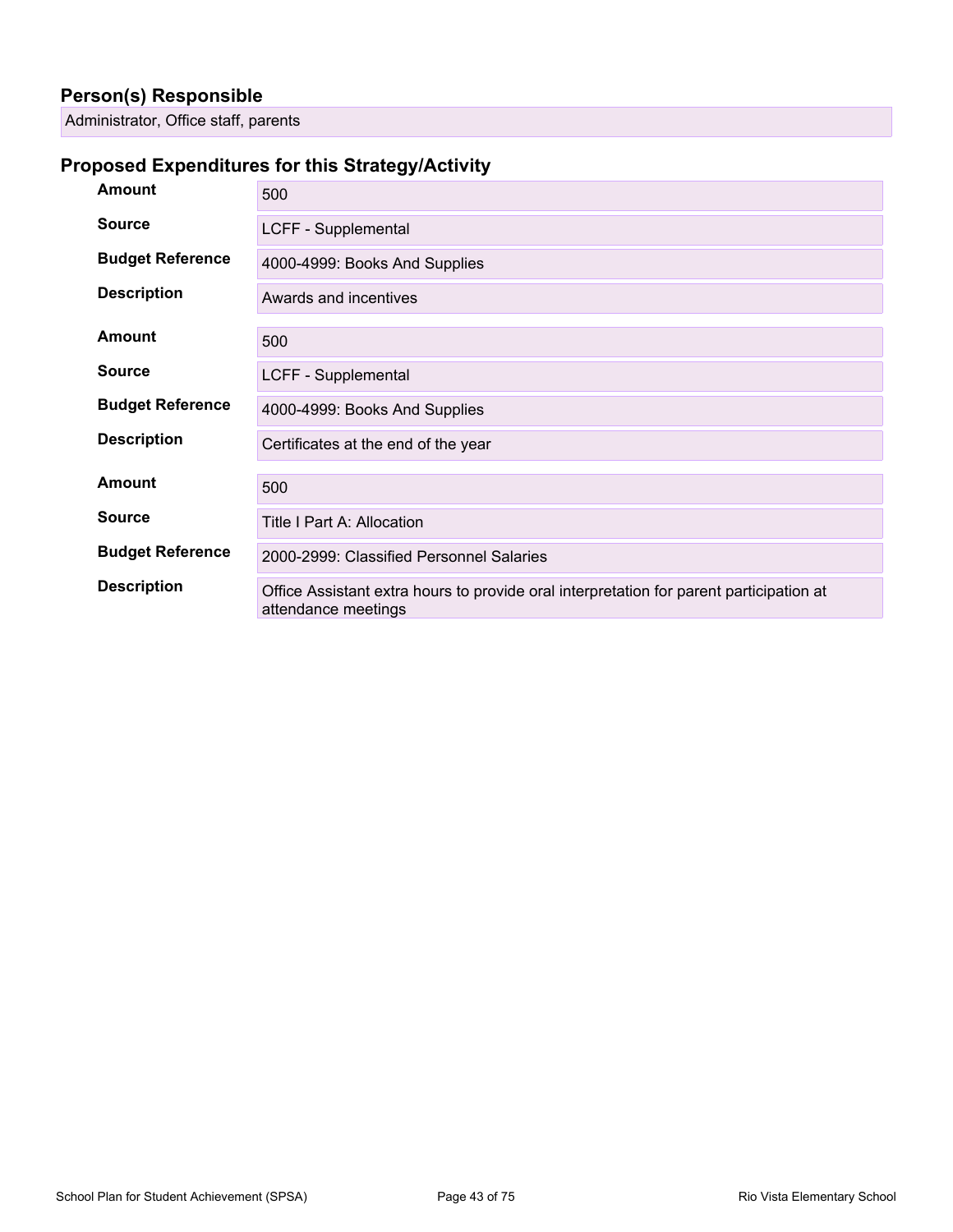#### **Person(s) Responsible**

Administrator, Office staff, parents

#### **Proposed Expenditures for this Strategy/Activity**

| <b>Amount</b>           | 500                                                                                                            |
|-------------------------|----------------------------------------------------------------------------------------------------------------|
| <b>Source</b>           | LCFF - Supplemental                                                                                            |
| <b>Budget Reference</b> | 4000-4999: Books And Supplies                                                                                  |
| <b>Description</b>      | Awards and incentives                                                                                          |
| <b>Amount</b>           | 500                                                                                                            |
| <b>Source</b>           | LCFF - Supplemental                                                                                            |
| <b>Budget Reference</b> | 4000-4999: Books And Supplies                                                                                  |
| <b>Description</b>      | Certificates at the end of the year                                                                            |
| <b>Amount</b>           | 500                                                                                                            |
| <b>Source</b>           | Title I Part A: Allocation                                                                                     |
| <b>Budget Reference</b> | 2000-2999: Classified Personnel Salaries                                                                       |
| <b>Description</b>      | Office Assistant extra hours to provide oral interpretation for parent participation at<br>attendance meetings |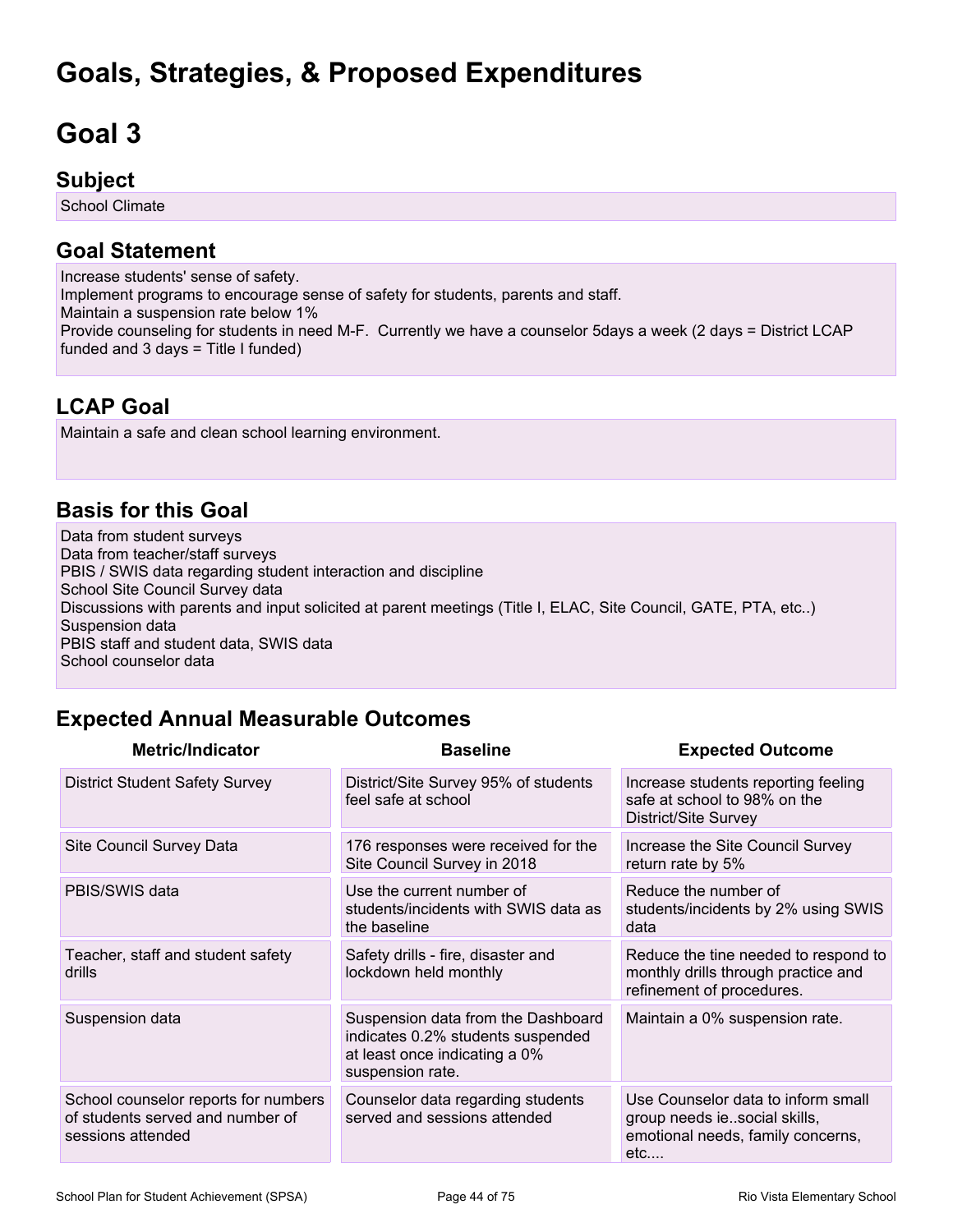## **Goals, Strategies, & Proposed Expenditures**

# **Goal 3**

#### **Subject**

School Climate

### **Goal Statement**

Increase students' sense of safety. Implement programs to encourage sense of safety for students, parents and staff. Maintain a suspension rate below 1% Provide counseling for students in need M-F. Currently we have a counselor 5days a week (2 days = District LCAP funded and  $3$  days = Title I funded)

### **LCAP Goal**

Maintain a safe and clean school learning environment.

#### **Basis for this Goal**

Data from student surveys Data from teacher/staff surveys PBIS / SWIS data regarding student interaction and discipline School Site Council Survey data Discussions with parents and input solicited at parent meetings (Title I, ELAC, Site Council, GATE, PTA, etc..) Suspension data PBIS staff and student data, SWIS data School counselor data

## **Expected Annual Measurable Outcomes**

| <b>Metric/Indicator</b>                                                                       | <b>Baseline</b>                                                                                                              | <b>Expected Outcome</b>                                                                                        |
|-----------------------------------------------------------------------------------------------|------------------------------------------------------------------------------------------------------------------------------|----------------------------------------------------------------------------------------------------------------|
| <b>District Student Safety Survey</b>                                                         | District/Site Survey 95% of students<br>feel safe at school                                                                  | Increase students reporting feeling<br>safe at school to 98% on the<br>District/Site Survey                    |
| Site Council Survey Data                                                                      | 176 responses were received for the<br>Site Council Survey in 2018                                                           | Increase the Site Council Survey<br>return rate by 5%                                                          |
| PBIS/SWIS data                                                                                | Use the current number of<br>students/incidents with SWIS data as<br>the baseline                                            | Reduce the number of<br>students/incidents by 2% using SWIS<br>data                                            |
| Teacher, staff and student safety<br>drills                                                   | Safety drills - fire, disaster and<br>lockdown held monthly                                                                  | Reduce the tine needed to respond to<br>monthly drills through practice and<br>refinement of procedures.       |
| Suspension data                                                                               | Suspension data from the Dashboard<br>indicates 0.2% students suspended<br>at least once indicating a 0%<br>suspension rate. | Maintain a 0% suspension rate.                                                                                 |
| School counselor reports for numbers<br>of students served and number of<br>sessions attended | Counselor data regarding students<br>served and sessions attended                                                            | Use Counselor data to inform small<br>group needs iesocial skills,<br>emotional needs, family concerns,<br>etc |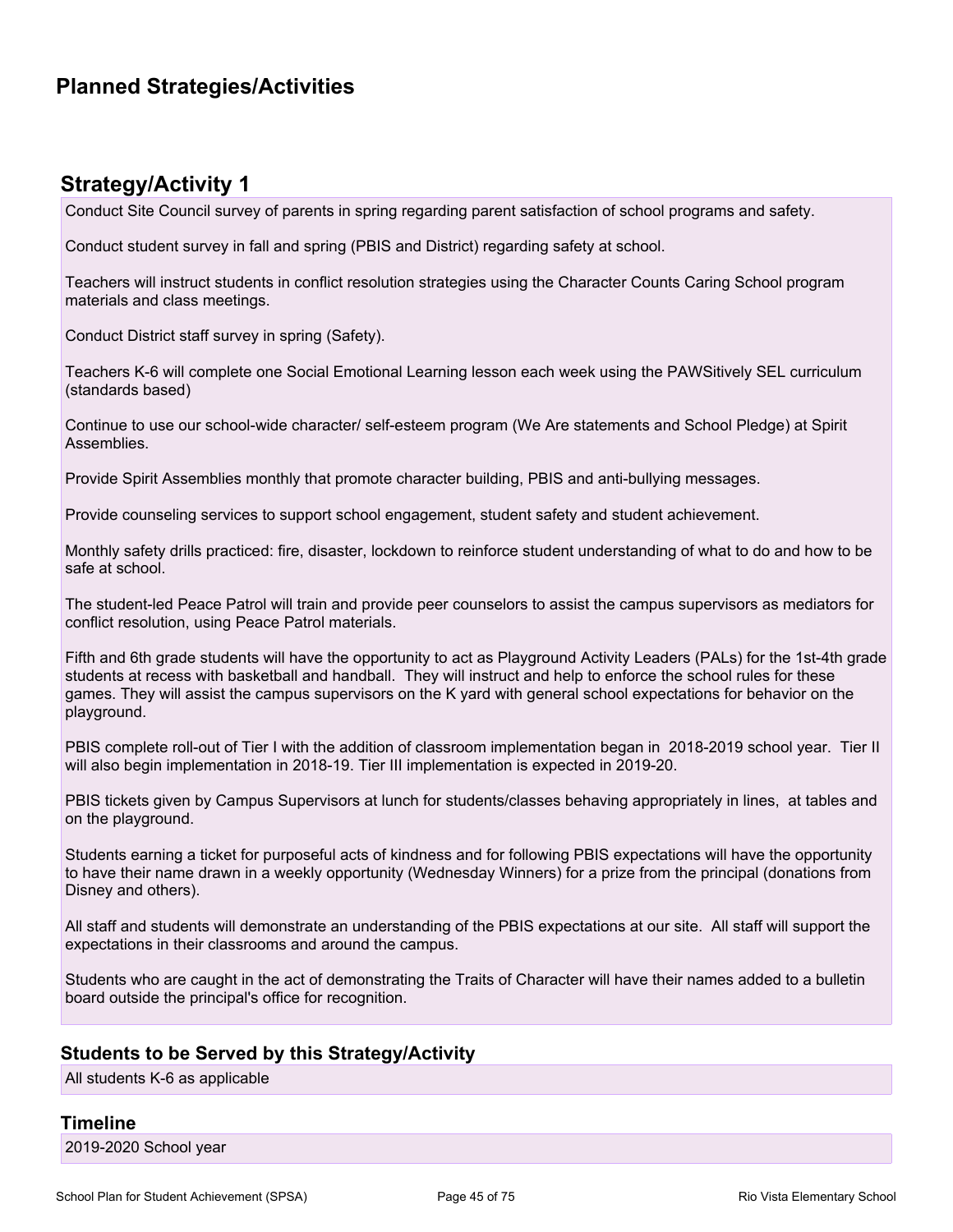### **Planned Strategies/Activities**

#### **Strategy/Activity 1**

Conduct Site Council survey of parents in spring regarding parent satisfaction of school programs and safety.

Conduct student survey in fall and spring (PBIS and District) regarding safety at school.

Teachers will instruct students in conflict resolution strategies using the Character Counts Caring School program materials and class meetings.

Conduct District staff survey in spring (Safety).

Teachers K-6 will complete one Social Emotional Learning lesson each week using the PAWSitively SEL curriculum (standards based)

Continue to use our school-wide character/ self-esteem program (We Are statements and School Pledge) at Spirit Assemblies.

Provide Spirit Assemblies monthly that promote character building, PBIS and anti-bullying messages.

Provide counseling services to support school engagement, student safety and student achievement.

Monthly safety drills practiced: fire, disaster, lockdown to reinforce student understanding of what to do and how to be safe at school.

The student-led Peace Patrol will train and provide peer counselors to assist the campus supervisors as mediators for conflict resolution, using Peace Patrol materials.

Fifth and 6th grade students will have the opportunity to act as Playground Activity Leaders (PALs) for the 1st-4th grade students at recess with basketball and handball. They will instruct and help to enforce the school rules for these games. They will assist the campus supervisors on the K yard with general school expectations for behavior on the playground.

PBIS complete roll-out of Tier I with the addition of classroom implementation began in 2018-2019 school year. Tier II will also begin implementation in 2018-19. Tier III implementation is expected in 2019-20.

PBIS tickets given by Campus Supervisors at lunch for students/classes behaving appropriately in lines, at tables and on the playground.

Students earning a ticket for purposeful acts of kindness and for following PBIS expectations will have the opportunity to have their name drawn in a weekly opportunity (Wednesday Winners) for a prize from the principal (donations from Disney and others).

All staff and students will demonstrate an understanding of the PBIS expectations at our site. All staff will support the expectations in their classrooms and around the campus.

Students who are caught in the act of demonstrating the Traits of Character will have their names added to a bulletin board outside the principal's office for recognition.

#### **Students to be Served by this Strategy/Activity**

All students K-6 as applicable

#### **Timeline**

2019-2020 School year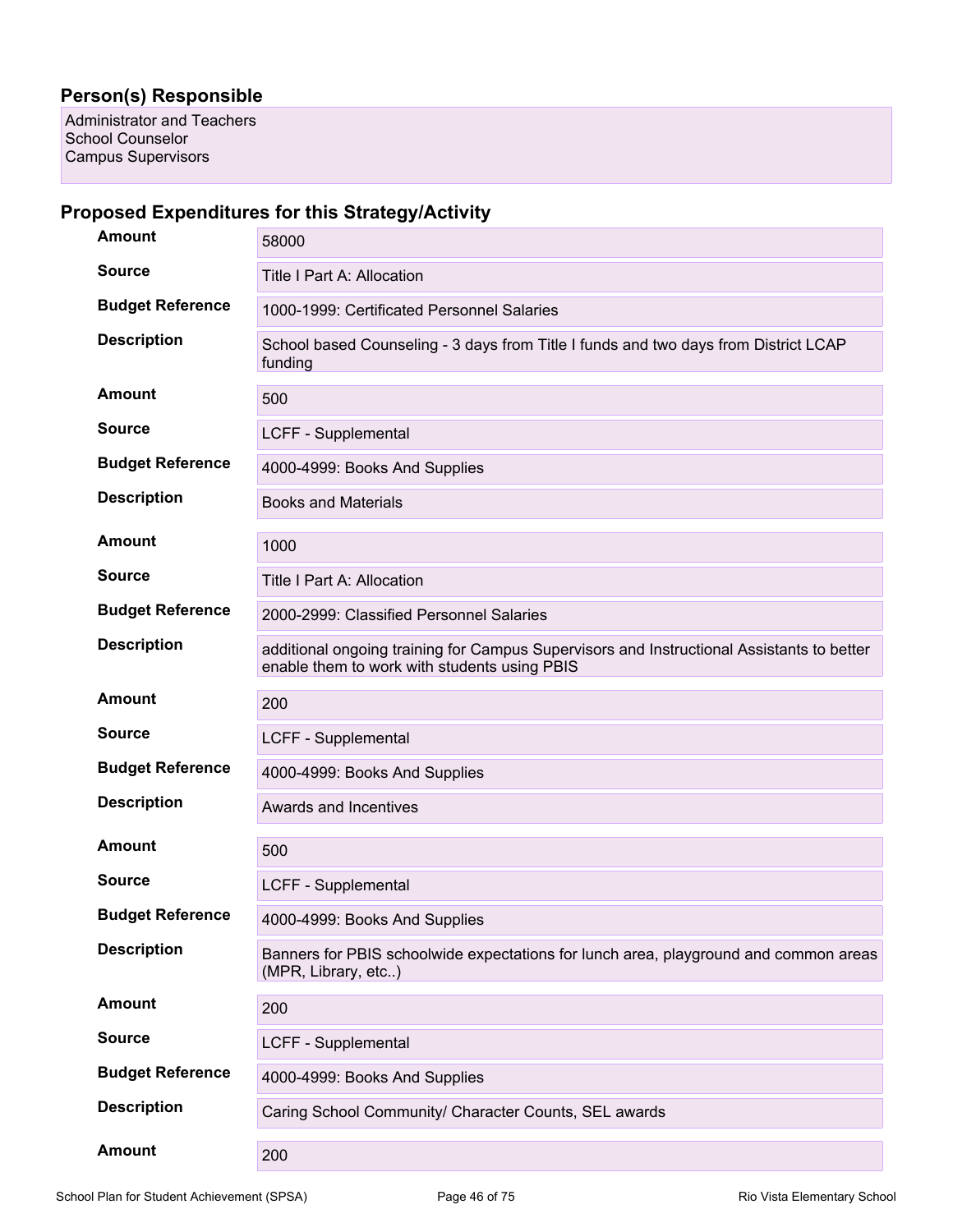#### **Person(s) Responsible**

Administrator and Teachers School Counselor Campus Supervisors

#### **Proposed Expenditures for this Strategy/Activity**

| <b>Amount</b>           | 58000                                                                                                                                     |
|-------------------------|-------------------------------------------------------------------------------------------------------------------------------------------|
| <b>Source</b>           | <b>Title I Part A: Allocation</b>                                                                                                         |
| <b>Budget Reference</b> | 1000-1999: Certificated Personnel Salaries                                                                                                |
| <b>Description</b>      | School based Counseling - 3 days from Title I funds and two days from District LCAP<br>funding                                            |
| <b>Amount</b>           | 500                                                                                                                                       |
| <b>Source</b>           | LCFF - Supplemental                                                                                                                       |
| <b>Budget Reference</b> | 4000-4999: Books And Supplies                                                                                                             |
| <b>Description</b>      | <b>Books and Materials</b>                                                                                                                |
| Amount                  | 1000                                                                                                                                      |
| <b>Source</b>           | Title I Part A: Allocation                                                                                                                |
| <b>Budget Reference</b> | 2000-2999: Classified Personnel Salaries                                                                                                  |
| <b>Description</b>      | additional ongoing training for Campus Supervisors and Instructional Assistants to better<br>enable them to work with students using PBIS |
| Amount                  | 200                                                                                                                                       |
| <b>Source</b>           | LCFF - Supplemental                                                                                                                       |
| <b>Budget Reference</b> | 4000-4999: Books And Supplies                                                                                                             |
| <b>Description</b>      | Awards and Incentives                                                                                                                     |
| <b>Amount</b>           | 500                                                                                                                                       |
| <b>Source</b>           | LCFF - Supplemental                                                                                                                       |
| <b>Budget Reference</b> | 4000-4999: Books And Supplies                                                                                                             |
| <b>Description</b>      | Banners for PBIS schoolwide expectations for lunch area, playground and common areas<br>(MPR, Library, etc)                               |
| <b>Amount</b>           | 200                                                                                                                                       |
| <b>Source</b>           | LCFF - Supplemental                                                                                                                       |
| <b>Budget Reference</b> | 4000-4999: Books And Supplies                                                                                                             |
| <b>Description</b>      | Caring School Community/ Character Counts, SEL awards                                                                                     |
| <b>Amount</b>           | 200                                                                                                                                       |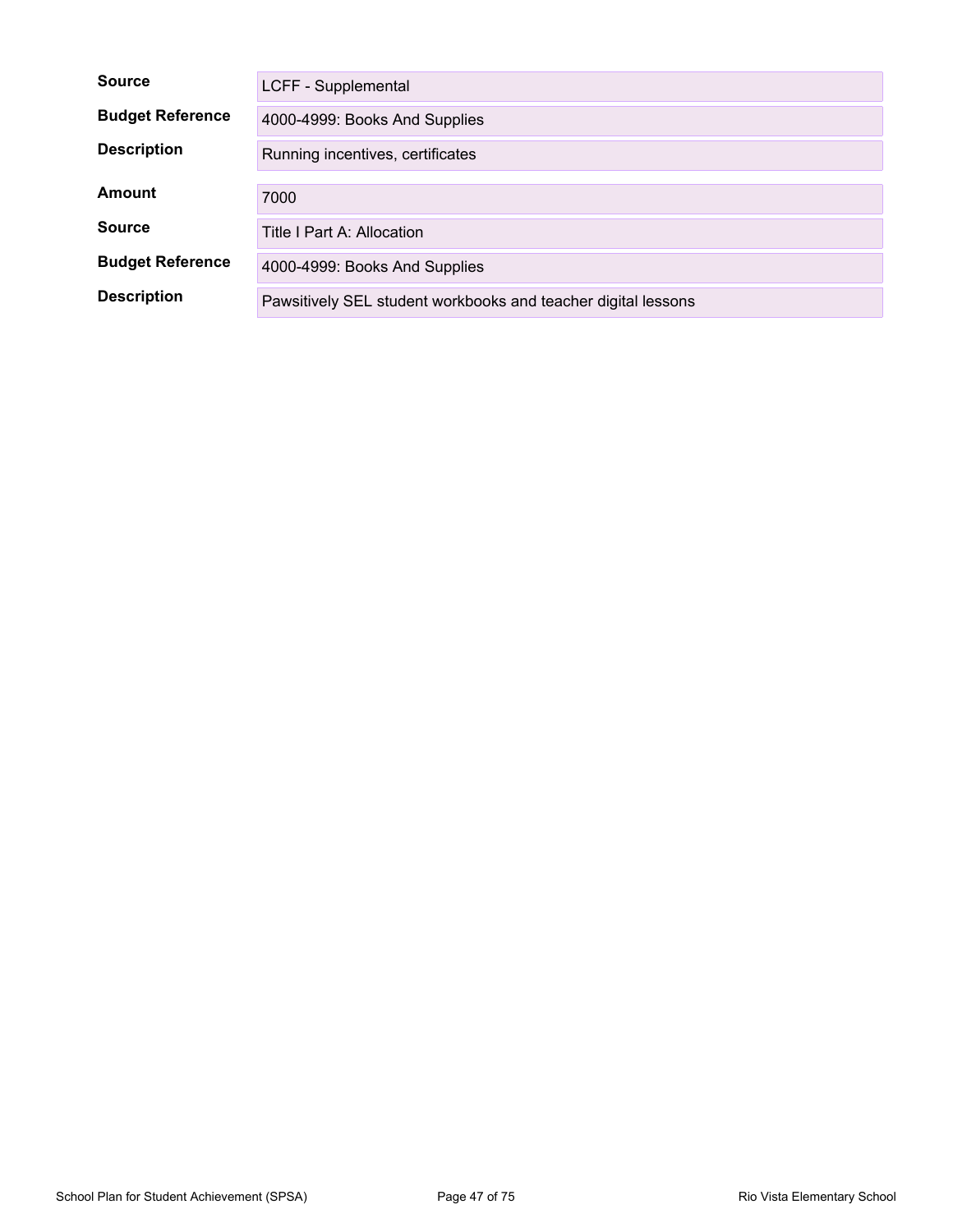| <b>Source</b>           | LCFF - Supplemental                                           |  |  |  |
|-------------------------|---------------------------------------------------------------|--|--|--|
| <b>Budget Reference</b> | 4000-4999: Books And Supplies                                 |  |  |  |
| <b>Description</b>      | Running incentives, certificates                              |  |  |  |
| Amount                  | 7000                                                          |  |  |  |
| <b>Source</b>           | Title I Part A: Allocation                                    |  |  |  |
| <b>Budget Reference</b> | 4000-4999: Books And Supplies                                 |  |  |  |
| <b>Description</b>      | Pawsitively SEL student workbooks and teacher digital lessons |  |  |  |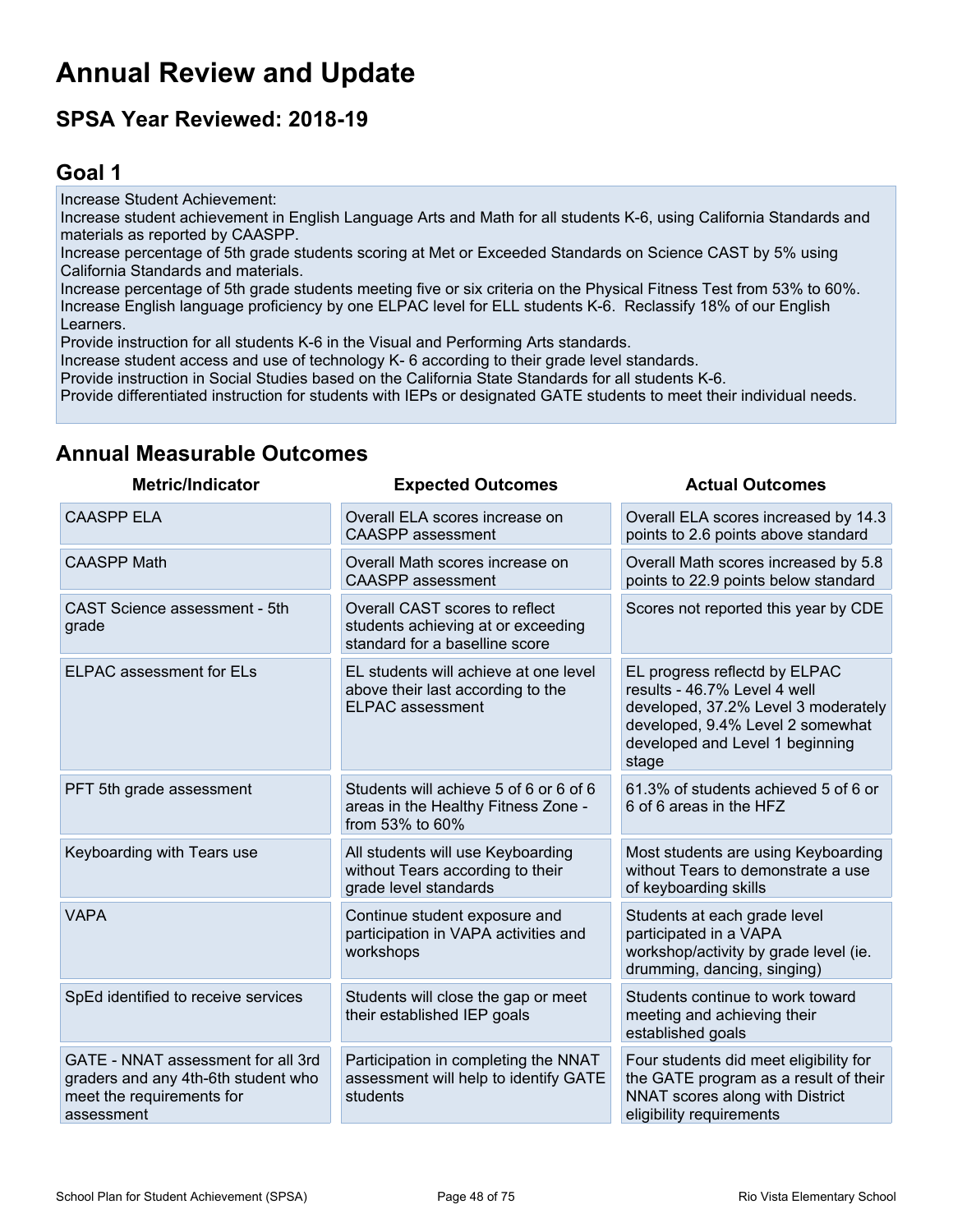## **Annual Review and Update**

## **SPSA Year Reviewed: 2018-19**

## **Goal 1**

Increase Student Achievement: Increase student achievement in English Language Arts and Math for all students K-6, using California Standards and materials as reported by CAASPP. Increase percentage of 5th grade students scoring at Met or Exceeded Standards on Science CAST by 5% using California Standards and materials. Increase percentage of 5th grade students meeting five or six criteria on the Physical Fitness Test from 53% to 60%. Increase English language proficiency by one ELPAC level for ELL students K-6. Reclassify 18% of our English Learners. Provide instruction for all students K-6 in the Visual and Performing Arts standards. Increase student access and use of technology K- 6 according to their grade level standards. Provide instruction in Social Studies based on the California State Standards for all students K-6.

Provide differentiated instruction for students with IEPs or designated GATE students to meet their individual needs.

| <b>Metric/Indicator</b>                                                                                              | <b>Expected Outcomes</b>                                                                               | <b>Actual Outcomes</b>                                                                                                                                                               |
|----------------------------------------------------------------------------------------------------------------------|--------------------------------------------------------------------------------------------------------|--------------------------------------------------------------------------------------------------------------------------------------------------------------------------------------|
| <b>CAASPP ELA</b>                                                                                                    | Overall ELA scores increase on<br><b>CAASPP</b> assessment                                             | Overall ELA scores increased by 14.3<br>points to 2.6 points above standard                                                                                                          |
| <b>CAASPP Math</b>                                                                                                   | Overall Math scores increase on<br><b>CAASPP</b> assessment                                            | Overall Math scores increased by 5.8<br>points to 22.9 points below standard                                                                                                         |
| CAST Science assessment - 5th<br>grade                                                                               | Overall CAST scores to reflect<br>students achieving at or exceeding<br>standard for a baselline score | Scores not reported this year by CDE                                                                                                                                                 |
| <b>ELPAC</b> assessment for ELs                                                                                      | EL students will achieve at one level<br>above their last according to the<br><b>ELPAC</b> assessment  | EL progress reflectd by ELPAC<br>results - 46.7% Level 4 well<br>developed, 37.2% Level 3 moderately<br>developed, 9.4% Level 2 somewhat<br>developed and Level 1 beginning<br>stage |
| PFT 5th grade assessment                                                                                             | Students will achieve 5 of 6 or 6 of 6<br>areas in the Healthy Fitness Zone -<br>from 53% to 60%       | 61.3% of students achieved 5 of 6 or<br>6 of 6 areas in the HFZ                                                                                                                      |
| Keyboarding with Tears use                                                                                           | All students will use Keyboarding<br>without Tears according to their<br>grade level standards         | Most students are using Keyboarding<br>without Tears to demonstrate a use<br>of keyboarding skills                                                                                   |
| <b>VAPA</b>                                                                                                          | Continue student exposure and<br>participation in VAPA activities and<br>workshops                     | Students at each grade level<br>participated in a VAPA<br>workshop/activity by grade level (ie.<br>drumming, dancing, singing)                                                       |
| SpEd identified to receive services                                                                                  | Students will close the gap or meet<br>their established IEP goals                                     | Students continue to work toward<br>meeting and achieving their<br>established goals                                                                                                 |
| GATE - NNAT assessment for all 3rd<br>graders and any 4th-6th student who<br>meet the requirements for<br>assessment | Participation in completing the NNAT<br>assessment will help to identify GATE<br>students              | Four students did meet eligibility for<br>the GATE program as a result of their<br>NNAT scores along with District<br>eligibility requirements                                       |

#### **Annual Measurable Outcomes**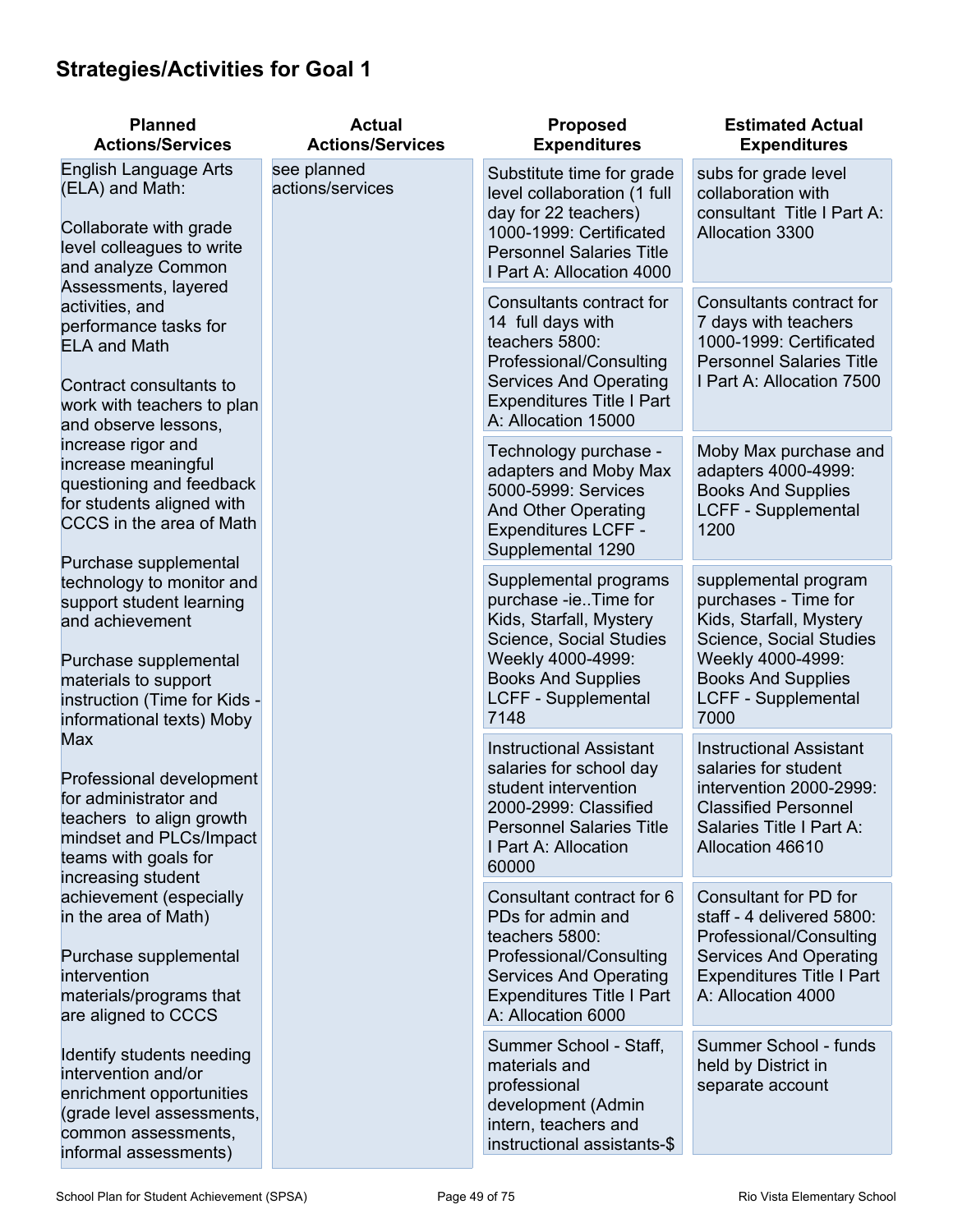## **Strategies/Activities for Goal 1**

| <b>Planned</b><br><b>Actions/Services</b>                                                                                                                                                                       | <b>Actual</b><br><b>Actions/Services</b> | <b>Proposed</b><br><b>Expenditures</b>                                                                                                                                                      | <b>Estimated Actual</b><br><b>Expenditures</b>                                                                                                                                             |
|-----------------------------------------------------------------------------------------------------------------------------------------------------------------------------------------------------------------|------------------------------------------|---------------------------------------------------------------------------------------------------------------------------------------------------------------------------------------------|--------------------------------------------------------------------------------------------------------------------------------------------------------------------------------------------|
| English Language Arts<br>(ELA) and Math:<br>Collaborate with grade<br>level colleagues to write<br>and analyze Common                                                                                           | see planned<br>actions/services          | Substitute time for grade<br>level collaboration (1 full<br>day for 22 teachers)<br>1000-1999: Certificated<br><b>Personnel Salaries Title</b><br>I Part A: Allocation 4000                 | subs for grade level<br>collaboration with<br>consultant Title I Part A:<br>Allocation 3300                                                                                                |
| Assessments, layered<br>activities, and<br>performance tasks for<br><b>ELA and Math</b><br>Contract consultants to<br>work with teachers to plan<br>and observe lessons,                                        |                                          | Consultants contract for<br>14 full days with<br>teachers 5800:<br>Professional/Consulting<br><b>Services And Operating</b><br><b>Expenditures Title I Part</b><br>A: Allocation 15000      | Consultants contract for<br>7 days with teachers<br>1000-1999: Certificated<br><b>Personnel Salaries Title</b><br>I Part A: Allocation 7500                                                |
| increase rigor and<br>increase meaningful<br>questioning and feedback<br>for students aligned with<br>CCCS in the area of Math                                                                                  |                                          | Technology purchase -<br>adapters and Moby Max<br>5000-5999: Services<br><b>And Other Operating</b><br><b>Expenditures LCFF -</b><br>Supplemental 1290                                      | Moby Max purchase and<br>adapters 4000-4999:<br><b>Books And Supplies</b><br><b>LCFF - Supplemental</b><br>1200                                                                            |
| Purchase supplemental<br>technology to monitor and<br>support student learning<br>and achievement<br>Purchase supplemental<br>materials to support<br>instruction (Time for Kids -<br>informational texts) Moby |                                          | Supplemental programs<br>purchase -ieTime for<br>Kids, Starfall, Mystery<br>Science, Social Studies<br>Weekly 4000-4999:<br><b>Books And Supplies</b><br><b>LCFF - Supplemental</b><br>7148 | supplemental program<br>purchases - Time for<br>Kids, Starfall, Mystery<br>Science, Social Studies<br>Weekly 4000-4999:<br><b>Books And Supplies</b><br><b>LCFF - Supplemental</b><br>7000 |
| <b>Max</b><br>Professional development<br>for administrator and<br>teachers to align growth<br>mindset and PLCs/Impact<br>teams with goals for<br>increasing student                                            |                                          | <b>Instructional Assistant</b><br>salaries for school day<br>student intervention<br>2000-2999: Classified<br><b>Personnel Salaries Title</b><br>I Part A: Allocation<br>60000              | <b>Instructional Assistant</b><br>salaries for student<br>intervention 2000-2999:<br><b>Classified Personnel</b><br>Salaries Title I Part A:<br>Allocation 46610                           |
| achievement (especially<br>in the area of Math)<br>Purchase supplemental<br>intervention<br>materials/programs that<br>are aligned to CCCS                                                                      |                                          | Consultant contract for 6<br>PDs for admin and<br>teachers 5800:<br>Professional/Consulting<br><b>Services And Operating</b><br><b>Expenditures Title I Part</b><br>A: Allocation 6000      | Consultant for PD for<br>staff - 4 delivered 5800:<br>Professional/Consulting<br><b>Services And Operating</b><br><b>Expenditures Title I Part</b><br>A: Allocation 4000                   |
| Identify students needing<br>intervention and/or<br>enrichment opportunities<br>(grade level assessments,<br>common assessments,<br>informal assessments)                                                       |                                          | Summer School - Staff,<br>materials and<br>professional<br>development (Admin<br>intern, teachers and<br>instructional assistants-\$                                                        | Summer School - funds<br>held by District in<br>separate account                                                                                                                           |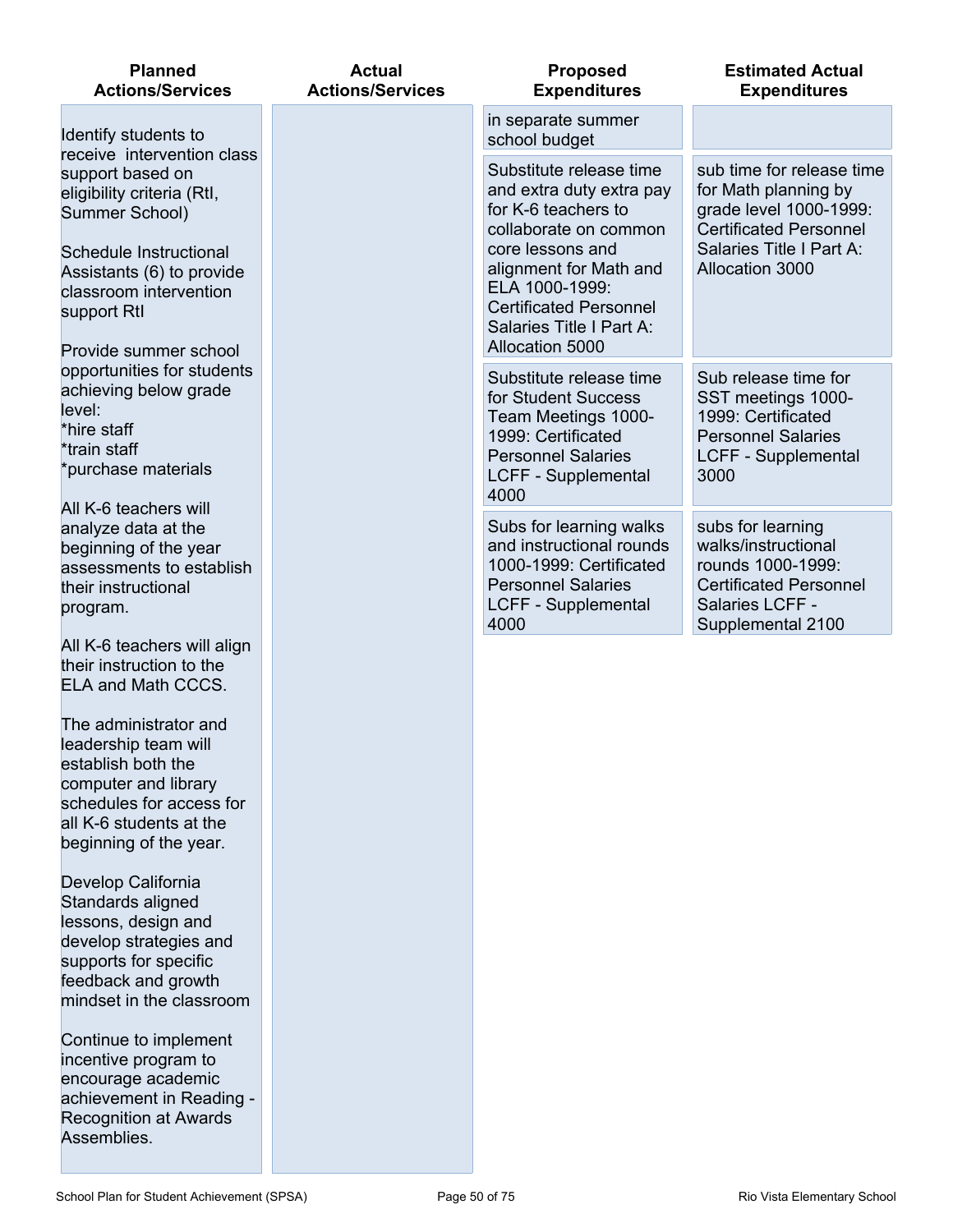| <b>Planned</b><br><b>Actions/Services</b>                                                       | <b>Actual</b><br><b>Actions/Services</b> | <b>Proposed</b><br><b>Expenditures</b>                                                                                    | <b>Estimated Actual</b><br><b>Expenditures</b>                                                               |
|-------------------------------------------------------------------------------------------------|------------------------------------------|---------------------------------------------------------------------------------------------------------------------------|--------------------------------------------------------------------------------------------------------------|
| Identify students to<br>receive intervention class                                              |                                          | in separate summer<br>school budget                                                                                       |                                                                                                              |
| support based on<br>eligibility criteria (Rtl,<br>Summer School)                                |                                          | Substitute release time<br>and extra duty extra pay<br>for K-6 teachers to<br>collaborate on common                       | sub time for release time<br>for Math planning by<br>grade level 1000-1999:<br><b>Certificated Personnel</b> |
| Schedule Instructional<br>Assistants (6) to provide<br>classroom intervention<br>support Rtl    |                                          | core lessons and<br>alignment for Math and<br>ELA 1000-1999:<br><b>Certificated Personnel</b><br>Salaries Title I Part A: | Salaries Title I Part A:<br><b>Allocation 3000</b>                                                           |
| Provide summer school<br>opportunities for students                                             |                                          | Allocation 5000<br>Substitute release time                                                                                | Sub release time for                                                                                         |
| achieving below grade<br>level:<br>*hire staff                                                  |                                          | for Student Success<br>Team Meetings 1000-                                                                                | SST meetings 1000-<br>1999: Certificated                                                                     |
| *train staff<br>*purchase materials                                                             |                                          | 1999: Certificated<br><b>Personnel Salaries</b><br><b>LCFF - Supplemental</b><br>4000                                     | <b>Personnel Salaries</b><br><b>LCFF - Supplemental</b><br>3000                                              |
| All K-6 teachers will<br>analyze data at the                                                    |                                          | Subs for learning walks<br>and instructional rounds                                                                       | subs for learning<br>walks/instructional                                                                     |
| beginning of the year<br>assessments to establish<br>their instructional<br>program.            |                                          | 1000-1999: Certificated<br><b>Personnel Salaries</b><br><b>LCFF - Supplemental</b><br>4000                                | rounds 1000-1999:<br><b>Certificated Personnel</b><br>Salaries LCFF -                                        |
| All K-6 teachers will align<br>their instruction to the<br>ELA and Math CCCS.                   |                                          |                                                                                                                           | Supplemental 2100                                                                                            |
| The administrator and<br>leadership team will<br>establish both the                             |                                          |                                                                                                                           |                                                                                                              |
| computer and library<br>schedules for access for                                                |                                          |                                                                                                                           |                                                                                                              |
| all K-6 students at the<br>beginning of the year.                                               |                                          |                                                                                                                           |                                                                                                              |
| Develop California<br>Standards aligned                                                         |                                          |                                                                                                                           |                                                                                                              |
| lessons, design and<br>develop strategies and<br>supports for specific                          |                                          |                                                                                                                           |                                                                                                              |
| feedback and growth<br>mindset in the classroom                                                 |                                          |                                                                                                                           |                                                                                                              |
| Continue to implement<br>incentive program to<br>encourage academic<br>achievement in Reading - |                                          |                                                                                                                           |                                                                                                              |
| <b>Recognition at Awards</b><br>Assemblies.                                                     |                                          |                                                                                                                           |                                                                                                              |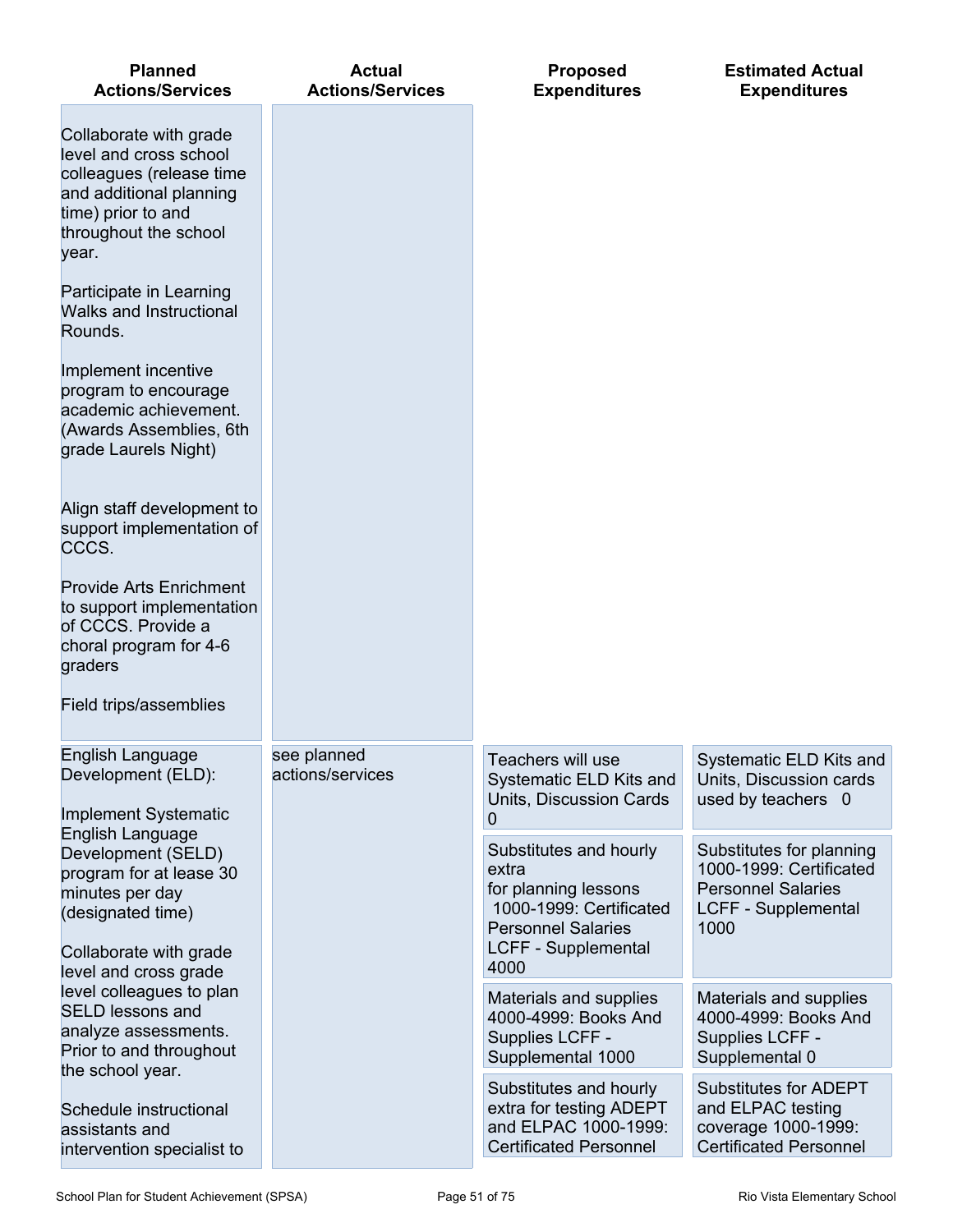| <b>Planned</b><br><b>Actions/Services</b>                                                                                                                       | <b>Actual</b><br><b>Actions/Services</b> | <b>Proposed</b><br><b>Expenditures</b>                                                                                                 | <b>Estimated Actual</b><br><b>Expenditures</b>                                                                  |
|-----------------------------------------------------------------------------------------------------------------------------------------------------------------|------------------------------------------|----------------------------------------------------------------------------------------------------------------------------------------|-----------------------------------------------------------------------------------------------------------------|
| Collaborate with grade<br>level and cross school<br>colleagues (release time<br>and additional planning<br>time) prior to and<br>throughout the school<br>year. |                                          |                                                                                                                                        |                                                                                                                 |
| Participate in Learning<br>Walks and Instructional<br>Rounds.                                                                                                   |                                          |                                                                                                                                        |                                                                                                                 |
| Implement incentive<br>program to encourage<br>academic achievement.<br>(Awards Assemblies, 6th<br>grade Laurels Night)                                         |                                          |                                                                                                                                        |                                                                                                                 |
| Align staff development to<br>support implementation of<br>CCCS.                                                                                                |                                          |                                                                                                                                        |                                                                                                                 |
| <b>Provide Arts Enrichment</b><br>to support implementation<br>of CCCS. Provide a<br>choral program for 4-6<br>graders                                          |                                          |                                                                                                                                        |                                                                                                                 |
| Field trips/assemblies                                                                                                                                          |                                          |                                                                                                                                        |                                                                                                                 |
| English Language<br>Development (ELD):<br><b>Implement Systematic</b>                                                                                           | see planned<br>actions/services          | Teachers will use<br>Systematic ELD Kits and<br>Units, Discussion Cards<br>0                                                           | Systematic ELD Kits and<br>Units, Discussion cards<br>used by teachers 0                                        |
| English Language<br>Development (SELD)<br>program for at lease 30<br>minutes per day<br>(designated time)<br>Collaborate with grade                             |                                          | Substitutes and hourly<br>extra<br>for planning lessons<br>1000-1999: Certificated<br><b>Personnel Salaries</b><br>LCFF - Supplemental | Substitutes for planning<br>1000-1999: Certificated<br><b>Personnel Salaries</b><br>LCFF - Supplemental<br>1000 |
| level and cross grade<br>level colleagues to plan                                                                                                               |                                          | 4000<br>Materials and supplies                                                                                                         | Materials and supplies                                                                                          |
| <b>SELD lessons and</b><br>analyze assessments.<br>Prior to and throughout<br>the school year.                                                                  |                                          | 4000-4999: Books And<br>Supplies LCFF -<br>Supplemental 1000                                                                           | 4000-4999: Books And<br>Supplies LCFF -<br>Supplemental 0                                                       |
| Schedule instructional<br>assistants and<br>intervention specialist to                                                                                          |                                          | Substitutes and hourly<br>extra for testing ADEPT<br>and ELPAC 1000-1999:<br><b>Certificated Personnel</b>                             | <b>Substitutes for ADEPT</b><br>and ELPAC testing<br>coverage 1000-1999:<br><b>Certificated Personnel</b>       |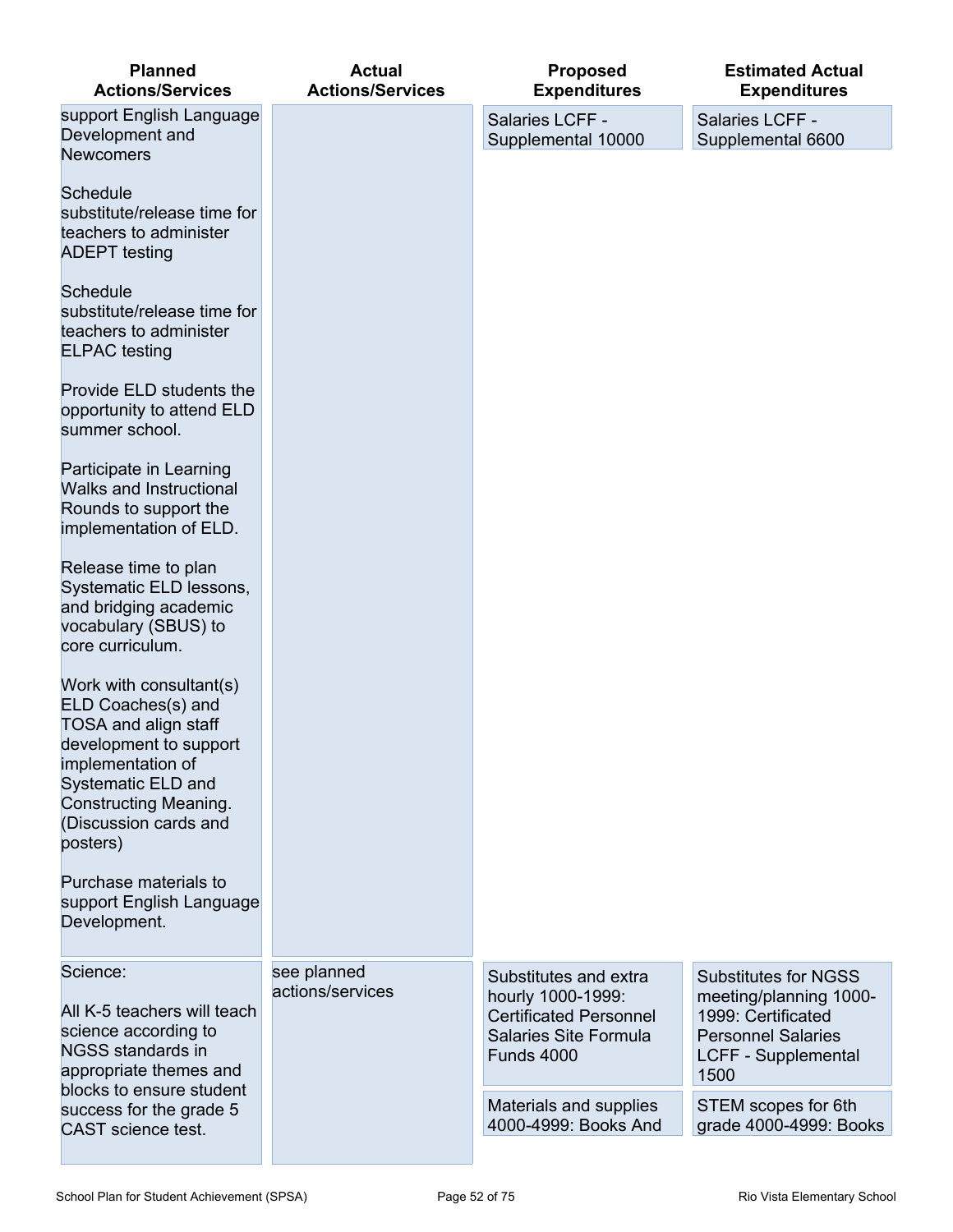| <b>Planned</b><br><b>Actions/Services</b>                                                                                                                                                                              | <b>Actual</b><br><b>Actions/Services</b> | <b>Proposed</b><br><b>Expenditures</b>                                                                                    | <b>Estimated Actual</b><br><b>Expenditures</b>                                                                                          |
|------------------------------------------------------------------------------------------------------------------------------------------------------------------------------------------------------------------------|------------------------------------------|---------------------------------------------------------------------------------------------------------------------------|-----------------------------------------------------------------------------------------------------------------------------------------|
| support English Language<br>Development and<br><b>Newcomers</b>                                                                                                                                                        |                                          | Salaries LCFF -<br>Supplemental 10000                                                                                     | Salaries LCFF -<br>Supplemental 6600                                                                                                    |
| <b>Schedule</b><br>substitute/release time for<br>teachers to administer<br><b>ADEPT</b> testing                                                                                                                       |                                          |                                                                                                                           |                                                                                                                                         |
| <b>Schedule</b><br>substitute/release time for<br>teachers to administer<br><b>ELPAC</b> testing                                                                                                                       |                                          |                                                                                                                           |                                                                                                                                         |
| Provide ELD students the<br>opportunity to attend ELD<br>summer school.                                                                                                                                                |                                          |                                                                                                                           |                                                                                                                                         |
| Participate in Learning<br><b>Walks and Instructional</b><br>Rounds to support the<br>implementation of ELD.                                                                                                           |                                          |                                                                                                                           |                                                                                                                                         |
| Release time to plan<br>Systematic ELD lessons,<br>and bridging academic<br>vocabulary (SBUS) to<br>core curriculum.                                                                                                   |                                          |                                                                                                                           |                                                                                                                                         |
| Work with consultant(s)<br>ELD Coaches(s) and<br><b>TOSA and align staff</b><br>development to support<br>implementation of<br>Systematic ELD and<br><b>Constructing Meaning.</b><br>(Discussion cards and<br>posters) |                                          |                                                                                                                           |                                                                                                                                         |
| Purchase materials to<br>support English Language<br>Development.                                                                                                                                                      |                                          |                                                                                                                           |                                                                                                                                         |
| Science:<br>All K-5 teachers will teach<br>science according to<br>NGSS standards in<br>appropriate themes and                                                                                                         | see planned<br>actions/services          | Substitutes and extra<br>hourly 1000-1999:<br><b>Certificated Personnel</b><br>Salaries Site Formula<br><b>Funds 4000</b> | <b>Substitutes for NGSS</b><br>meeting/planning 1000-<br>1999: Certificated<br><b>Personnel Salaries</b><br>LCFF - Supplemental<br>1500 |
| blocks to ensure student<br>success for the grade 5<br><b>CAST</b> science test.                                                                                                                                       |                                          | Materials and supplies<br>4000-4999: Books And                                                                            | STEM scopes for 6th<br>grade 4000-4999: Books                                                                                           |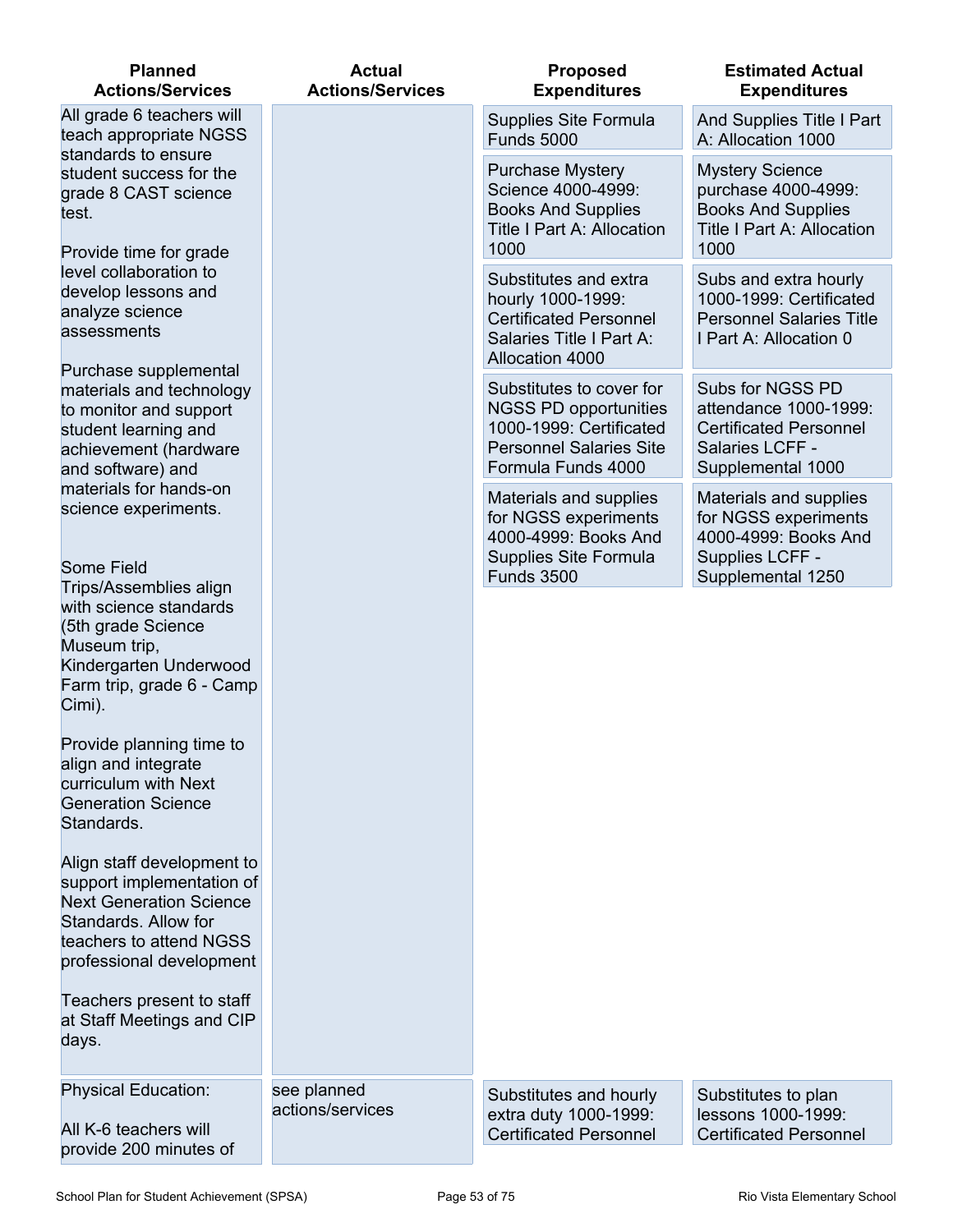| <b>Planned</b><br><b>Actions/Services</b>                                                                                                                                | <b>Actual</b><br><b>Actions/Services</b> | <b>Proposed</b><br><b>Expenditures</b>                                                                                                      | <b>Estimated Actual</b><br><b>Expenditures</b>                                                                          |
|--------------------------------------------------------------------------------------------------------------------------------------------------------------------------|------------------------------------------|---------------------------------------------------------------------------------------------------------------------------------------------|-------------------------------------------------------------------------------------------------------------------------|
| All grade 6 teachers will<br>teach appropriate NGSS                                                                                                                      |                                          | Supplies Site Formula<br><b>Funds 5000</b>                                                                                                  | And Supplies Title I Part<br>A: Allocation 1000                                                                         |
| standards to ensure<br>student success for the<br>grade 8 CAST science<br>test.<br>Provide time for grade                                                                |                                          |                                                                                                                                             | <b>Purchase Mystery</b><br>Science 4000-4999:<br><b>Books And Supplies</b><br><b>Title I Part A: Allocation</b><br>1000 |
| level collaboration to<br>develop lessons and<br>analyze science<br>assessments                                                                                          |                                          | Substitutes and extra<br>hourly 1000-1999:<br><b>Certificated Personnel</b><br>Salaries Title I Part A:<br>Allocation 4000                  | Subs and extra hourly<br>1000-1999: Certificated<br><b>Personnel Salaries Title</b><br>I Part A: Allocation 0           |
| Purchase supplemental<br>materials and technology<br>to monitor and support<br>student learning and<br>achievement (hardware<br>and software) and                        |                                          | Substitutes to cover for<br><b>NGSS PD opportunities</b><br>1000-1999: Certificated<br><b>Personnel Salaries Site</b><br>Formula Funds 4000 | Subs for NGSS PD<br>attendance 1000-1999:<br><b>Certificated Personnel</b><br>Salaries LCFF -<br>Supplemental 1000      |
| materials for hands-on<br>science experiments.<br><b>Some Field</b>                                                                                                      |                                          | Materials and supplies<br>for NGSS experiments<br>4000-4999: Books And<br>Supplies Site Formula<br><b>Funds 3500</b>                        | Materials and supplies<br>for NGSS experiments<br>4000-4999: Books And<br>Supplies LCFF -<br>Supplemental 1250          |
| Trips/Assemblies align<br>with science standards<br>(5th grade Science<br>Museum trip,<br>Kindergarten Underwood<br>Farm trip, grade 6 - Camp<br>Cimi).                  |                                          |                                                                                                                                             |                                                                                                                         |
| Provide planning time to<br>align and integrate<br>curriculum with Next<br><b>Generation Science</b><br>Standards.                                                       |                                          |                                                                                                                                             |                                                                                                                         |
| Align staff development to<br>support implementation of<br><b>Next Generation Science</b><br>Standards. Allow for<br>teachers to attend NGSS<br>professional development |                                          |                                                                                                                                             |                                                                                                                         |
| Teachers present to staff<br>at Staff Meetings and CIP<br>days.                                                                                                          |                                          |                                                                                                                                             |                                                                                                                         |
| <b>Physical Education:</b>                                                                                                                                               | see planned<br>actions/services          | Substitutes and hourly<br>extra duty 1000-1999:                                                                                             | Substitutes to plan<br>lessons 1000-1999:                                                                               |
| All K-6 teachers will<br>provide 200 minutes of                                                                                                                          |                                          | <b>Certificated Personnel</b>                                                                                                               | <b>Certificated Personnel</b>                                                                                           |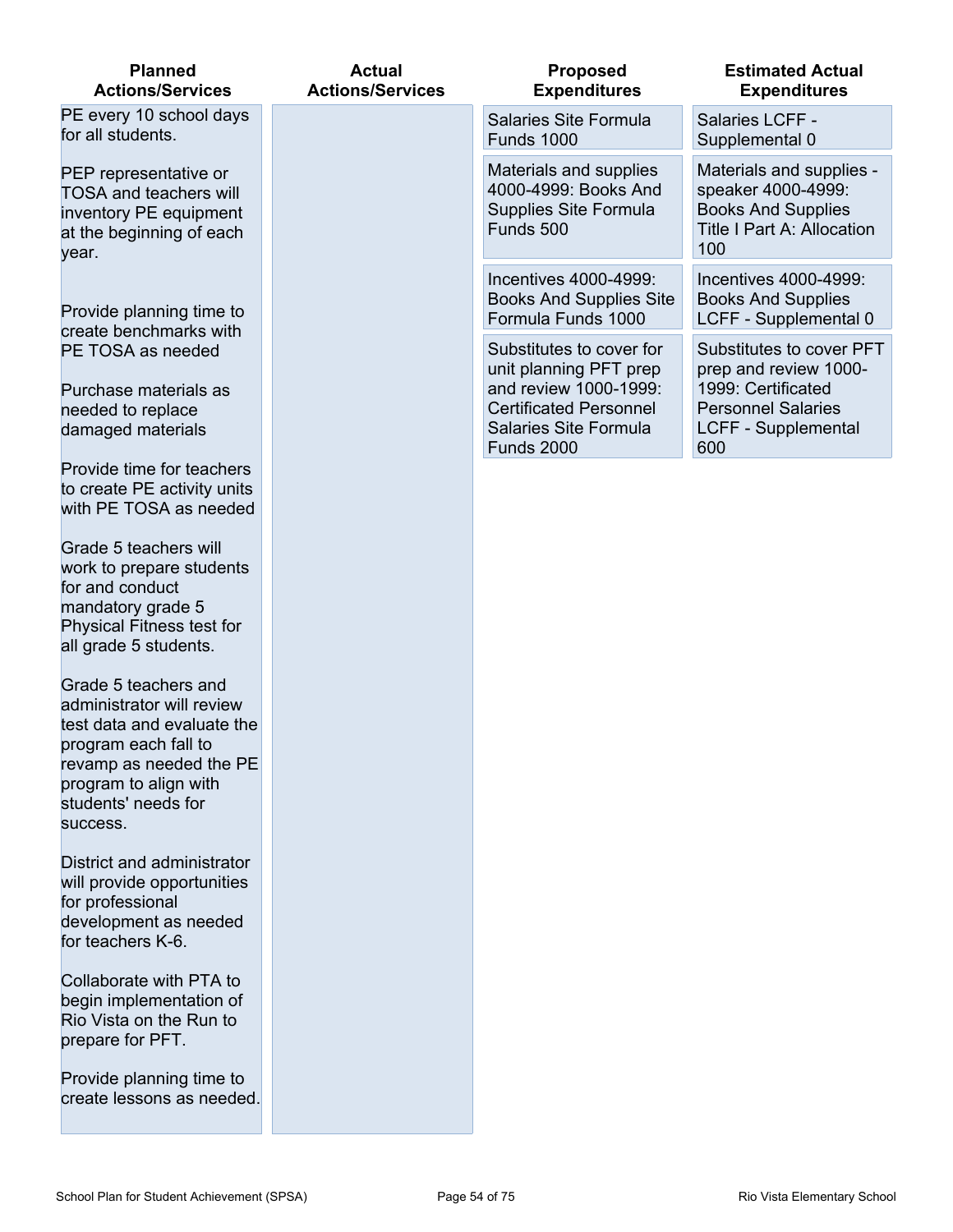| <b>Planned</b><br><b>Actions/Services</b>                                                                                                                                                      | <b>Actual</b><br><b>Actions/Services</b> | <b>Proposed</b><br><b>Expenditures</b>                                                               | <b>Estimated Actual</b><br><b>Expenditures</b>                                                                          |
|------------------------------------------------------------------------------------------------------------------------------------------------------------------------------------------------|------------------------------------------|------------------------------------------------------------------------------------------------------|-------------------------------------------------------------------------------------------------------------------------|
| PE every 10 school days<br>for all students.                                                                                                                                                   |                                          | Salaries Site Formula<br><b>Funds 1000</b>                                                           | Salaries LCFF -<br>Supplemental 0                                                                                       |
| PEP representative or<br><b>TOSA and teachers will</b><br>inventory PE equipment<br>at the beginning of each<br>year.                                                                          |                                          | Materials and supplies<br>4000-4999: Books And<br>Supplies Site Formula<br>Funds 500                 | Materials and supplies -<br>speaker 4000-4999:<br><b>Books And Supplies</b><br><b>Title I Part A: Allocation</b><br>100 |
| Provide planning time to<br>create benchmarks with                                                                                                                                             |                                          | Incentives 4000-4999:<br><b>Books And Supplies Site</b><br>Formula Funds 1000                        | Incentives 4000-4999:<br><b>Books And Supplies</b><br>LCFF - Supplemental 0                                             |
| PE TOSA as needed                                                                                                                                                                              |                                          | Substitutes to cover for<br>unit planning PFT prep                                                   | Substitutes to cover PFT<br>prep and review 1000-                                                                       |
| Purchase materials as<br>needed to replace<br>damaged materials                                                                                                                                |                                          | and review 1000-1999:<br><b>Certificated Personnel</b><br>Salaries Site Formula<br><b>Funds 2000</b> | 1999: Certificated<br><b>Personnel Salaries</b><br><b>LCFF - Supplemental</b><br>600                                    |
| Provide time for teachers<br>to create PE activity units<br>with PE TOSA as needed                                                                                                             |                                          |                                                                                                      |                                                                                                                         |
| Grade 5 teachers will<br>work to prepare students<br>for and conduct<br>mandatory grade 5<br><b>Physical Fitness test for</b><br>all grade 5 students.                                         |                                          |                                                                                                      |                                                                                                                         |
| Grade 5 teachers and<br>administrator will review<br>test data and evaluate the<br>program each fall to<br>revamp as needed the PE<br>program to align with<br>students' needs for<br>success. |                                          |                                                                                                      |                                                                                                                         |
| District and administrator<br>will provide opportunities<br>for professional<br>development as needed<br>for teachers K-6.                                                                     |                                          |                                                                                                      |                                                                                                                         |
| Collaborate with PTA to<br>begin implementation of<br>Rio Vista on the Run to<br>prepare for PFT.                                                                                              |                                          |                                                                                                      |                                                                                                                         |
| Provide planning time to<br>create lessons as needed.                                                                                                                                          |                                          |                                                                                                      |                                                                                                                         |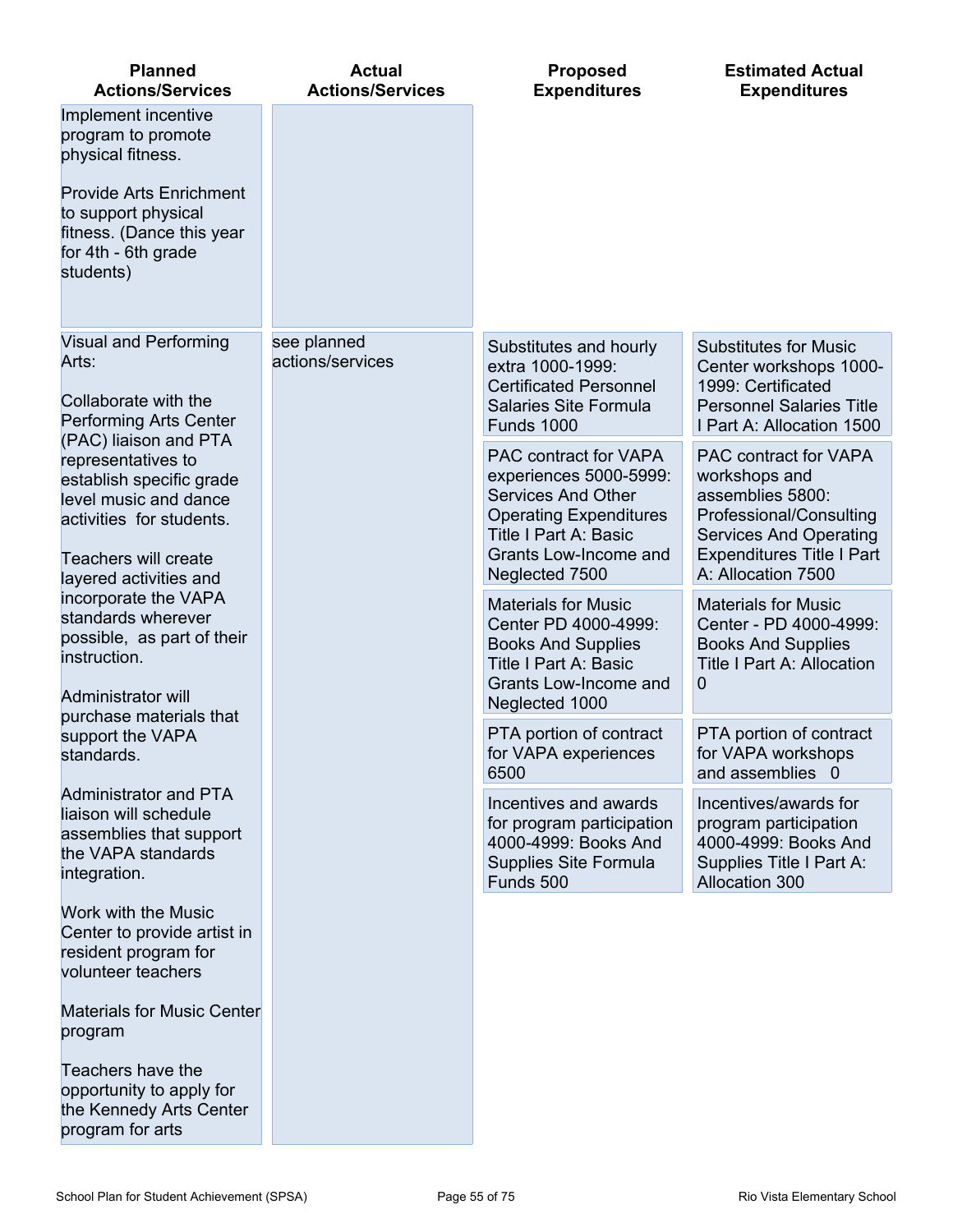| <b>Planned</b><br><b>Actions/Services</b>                                                                                                                                                | <b>Actual</b><br><b>Actions/Services</b> | <b>Proposed</b><br><b>Expenditures</b>                                                                                                                                                   | <b>Estimated Actual</b><br><b>Expenditures</b>                                                                                                                                   |
|------------------------------------------------------------------------------------------------------------------------------------------------------------------------------------------|------------------------------------------|------------------------------------------------------------------------------------------------------------------------------------------------------------------------------------------|----------------------------------------------------------------------------------------------------------------------------------------------------------------------------------|
| Implement incentive<br>program to promote<br>physical fitness.<br><b>Provide Arts Enrichment</b><br>to support physical<br>fitness. (Dance this year<br>for 4th - 6th grade<br>students) |                                          |                                                                                                                                                                                          |                                                                                                                                                                                  |
| <b>Visual and Performing</b><br>Arts:<br>Collaborate with the<br>Performing Arts Center                                                                                                  | see planned<br>actions/services          | Substitutes and hourly<br>extra 1000-1999:<br><b>Certificated Personnel</b><br>Salaries Site Formula<br><b>Funds 1000</b>                                                                | <b>Substitutes for Music</b><br>Center workshops 1000-<br>1999: Certificated<br><b>Personnel Salaries Title</b><br>I Part A: Allocation 1500                                     |
| (PAC) liaison and PTA<br>representatives to<br>establish specific grade<br>level music and dance<br>activities for students.<br><b>Teachers will create</b><br>layered activities and    |                                          | PAC contract for VAPA<br>experiences 5000-5999:<br><b>Services And Other</b><br><b>Operating Expenditures</b><br><b>Title I Part A: Basic</b><br>Grants Low-Income and<br>Neglected 7500 | PAC contract for VAPA<br>workshops and<br>assemblies 5800:<br>Professional/Consulting<br><b>Services And Operating</b><br><b>Expenditures Title I Part</b><br>A: Allocation 7500 |
| incorporate the VAPA<br>standards wherever<br>possible, as part of their<br>instruction.<br>Administrator will                                                                           |                                          | <b>Materials for Music</b><br>Center PD 4000-4999:<br><b>Books And Supplies</b><br><b>Title I Part A: Basic</b><br>Grants Low-Income and<br>Neglected 1000                               | <b>Materials for Music</b><br>Center - PD 4000-4999:<br><b>Books And Supplies</b><br><b>Title I Part A: Allocation</b><br>0                                                      |
| purchase materials that<br>support the VAPA<br>standards.                                                                                                                                |                                          | PTA portion of contract<br>for VAPA experiences<br>6500                                                                                                                                  | PTA portion of contract<br>for VAPA workshops<br>and assemblies 0                                                                                                                |
| <b>Administrator and PTA</b><br>liaison will schedule<br>assemblies that support<br>the VAPA standards<br>integration.                                                                   |                                          | Incentives and awards<br>for program participation<br>4000-4999: Books And<br>Supplies Site Formula<br>Funds 500                                                                         | Incentives/awards for<br>program participation<br>4000-4999: Books And<br>Supplies Title I Part A:<br>Allocation 300                                                             |
| Work with the Music<br>Center to provide artist in<br>resident program for<br>volunteer teachers                                                                                         |                                          |                                                                                                                                                                                          |                                                                                                                                                                                  |
| <b>Materials for Music Center</b><br>program                                                                                                                                             |                                          |                                                                                                                                                                                          |                                                                                                                                                                                  |
| Teachers have the<br>opportunity to apply for<br>the Kennedy Arts Center<br>program for arts                                                                                             |                                          |                                                                                                                                                                                          |                                                                                                                                                                                  |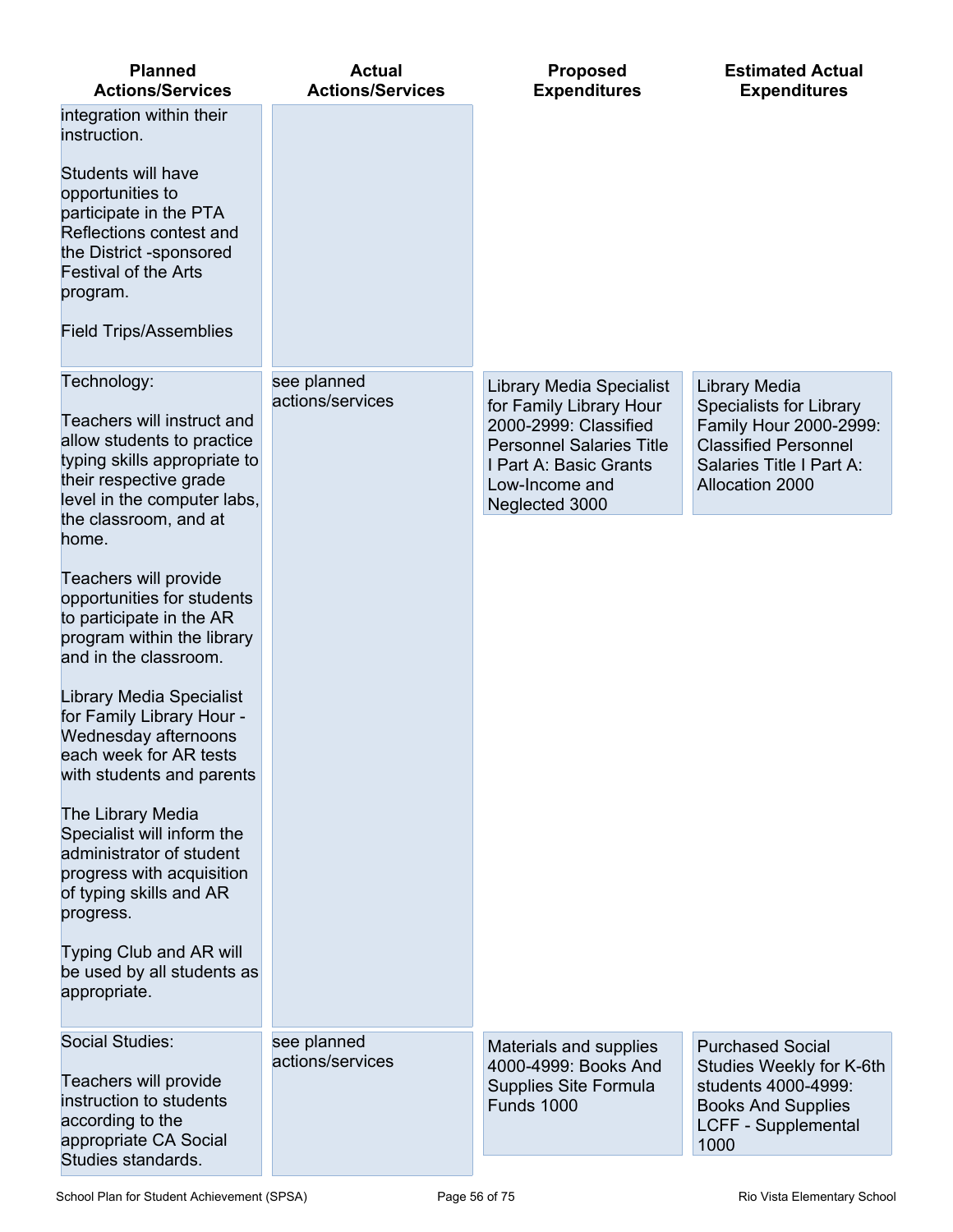| <b>Planned</b><br><b>Actions/Services</b>                                                                                                                                                                                                                                                                                                                                                                                                                                                                                   | <b>Actual</b><br><b>Actions/Services</b> | <b>Proposed</b><br><b>Expenditures</b>                                                                                                                                               | <b>Estimated Actual</b><br><b>Expenditures</b>                                                                                                          |
|-----------------------------------------------------------------------------------------------------------------------------------------------------------------------------------------------------------------------------------------------------------------------------------------------------------------------------------------------------------------------------------------------------------------------------------------------------------------------------------------------------------------------------|------------------------------------------|--------------------------------------------------------------------------------------------------------------------------------------------------------------------------------------|---------------------------------------------------------------------------------------------------------------------------------------------------------|
| integration within their<br>instruction.<br>Students will have<br>opportunities to<br>participate in the PTA<br>Reflections contest and<br>the District -sponsored<br><b>Festival of the Arts</b><br>program.<br><b>Field Trips/Assemblies</b>                                                                                                                                                                                                                                                                              |                                          |                                                                                                                                                                                      |                                                                                                                                                         |
| Technology:<br>Teachers will instruct and<br>allow students to practice<br>typing skills appropriate to<br>their respective grade<br>level in the computer labs,<br>the classroom, and at                                                                                                                                                                                                                                                                                                                                   | see planned<br>actions/services          | <b>Library Media Specialist</b><br>for Family Library Hour<br>2000-2999: Classified<br><b>Personnel Salaries Title</b><br>I Part A: Basic Grants<br>Low-Income and<br>Neglected 3000 | Library Media<br><b>Specialists for Library</b><br>Family Hour 2000-2999:<br><b>Classified Personnel</b><br>Salaries Title I Part A:<br>Allocation 2000 |
| home.<br>Teachers will provide<br>opportunities for students<br>to participate in the AR<br>program within the library<br>and in the classroom.<br><b>Library Media Specialist</b><br>for Family Library Hour -<br>Wednesday afternoons<br>each week for AR tests<br>with students and parents<br>The Library Media<br>Specialist will inform the<br>administrator of student<br>progress with acquisition<br>of typing skills and AR<br>progress.<br>Typing Club and AR will<br>be used by all students as<br>appropriate. |                                          |                                                                                                                                                                                      |                                                                                                                                                         |
| <b>Social Studies:</b><br>Teachers will provide<br>instruction to students<br>according to the<br>appropriate CA Social<br>Studies standards.                                                                                                                                                                                                                                                                                                                                                                               | see planned<br>actions/services          | Materials and supplies<br>4000-4999: Books And<br>Supplies Site Formula<br><b>Funds 1000</b>                                                                                         | <b>Purchased Social</b><br>Studies Weekly for K-6th<br>students 4000-4999:<br><b>Books And Supplies</b><br><b>LCFF - Supplemental</b><br>1000           |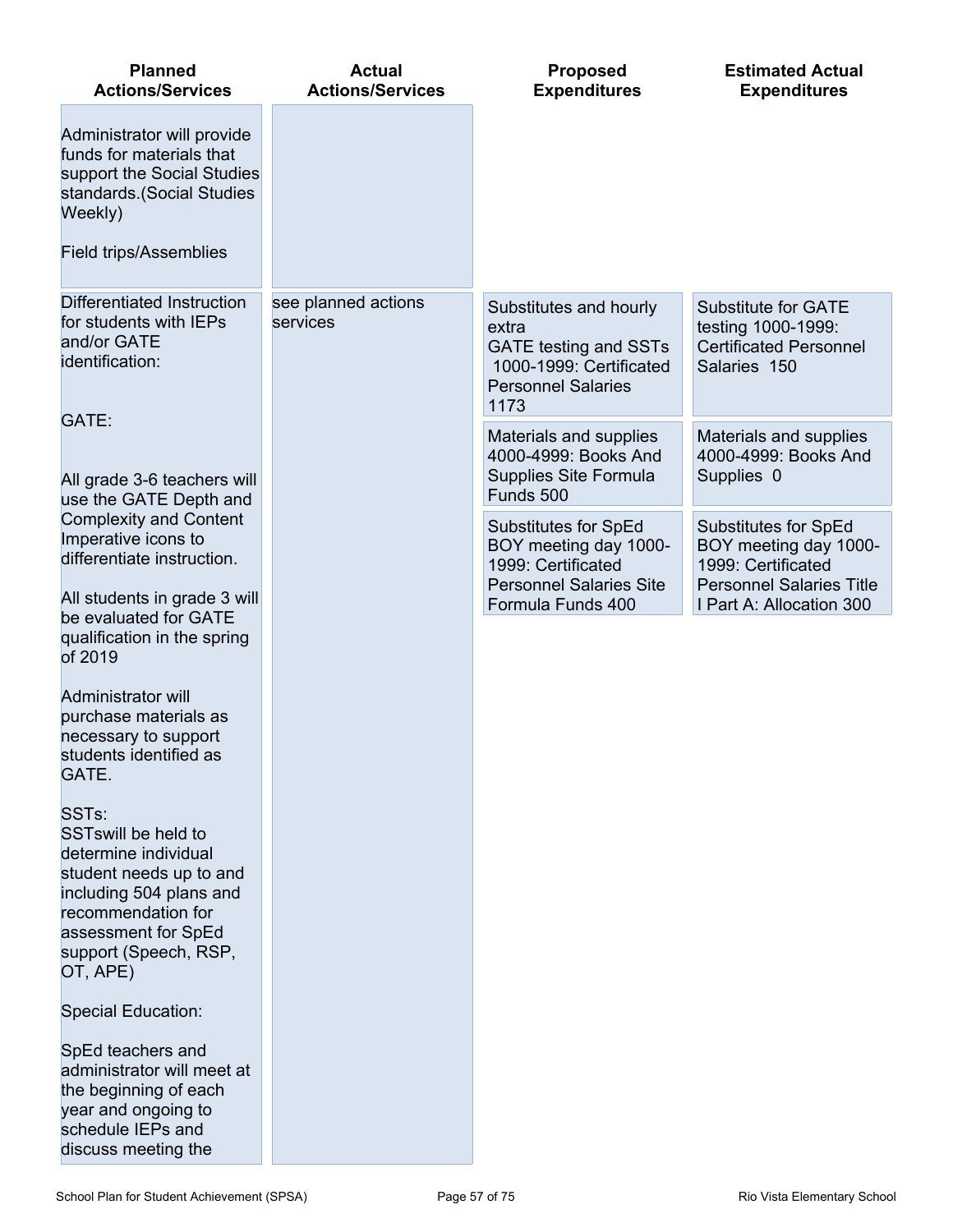| <b>Planned</b><br><b>Actions/Services</b>                                                                                                                                                                       | <b>Actual</b><br><b>Actions/Services</b> | <b>Proposed</b><br><b>Expenditures</b>                                                                                          | <b>Estimated Actual</b><br><b>Expenditures</b>                                                         |
|-----------------------------------------------------------------------------------------------------------------------------------------------------------------------------------------------------------------|------------------------------------------|---------------------------------------------------------------------------------------------------------------------------------|--------------------------------------------------------------------------------------------------------|
| Administrator will provide<br>funds for materials that<br>support the Social Studies<br>standards. (Social Studies<br>Weekly)                                                                                   |                                          |                                                                                                                                 |                                                                                                        |
| <b>Field trips/Assemblies</b>                                                                                                                                                                                   |                                          |                                                                                                                                 |                                                                                                        |
| Differentiated Instruction<br>for students with IEPs<br>and/or GATE<br>identification:<br>GATE:                                                                                                                 | see planned actions<br>services          | Substitutes and hourly<br>extra<br><b>GATE testing and SSTs</b><br>1000-1999: Certificated<br><b>Personnel Salaries</b><br>1173 | <b>Substitute for GATE</b><br>testing 1000-1999:<br><b>Certificated Personnel</b><br>Salaries 150      |
| All grade 3-6 teachers will<br>use the GATE Depth and                                                                                                                                                           |                                          | Materials and supplies<br>4000-4999: Books And<br>Supplies Site Formula<br>Funds 500                                            | Materials and supplies<br>4000-4999: Books And<br>Supplies 0                                           |
| <b>Complexity and Content</b><br>Imperative icons to<br>differentiate instruction.                                                                                                                              |                                          | Substitutes for SpEd<br>BOY meeting day 1000-<br>1999: Certificated<br><b>Personnel Salaries Site</b>                           | Substitutes for SpEd<br>BOY meeting day 1000-<br>1999: Certificated<br><b>Personnel Salaries Title</b> |
| All students in grade 3 will<br>be evaluated for GATE<br>qualification in the spring<br>of 2019                                                                                                                 |                                          | Formula Funds 400                                                                                                               | I Part A: Allocation 300                                                                               |
| <b>Administrator will</b><br>purchase materials as<br>necessary to support<br>students identified as<br>GATE.                                                                                                   |                                          |                                                                                                                                 |                                                                                                        |
| SST <sub>s:</sub><br><b>SSTswill be held to</b><br>determine individual<br>student needs up to and<br>including 504 plans and<br>recommendation for<br>assessment for SpEd<br>support (Speech, RSP,<br>OT, APE) |                                          |                                                                                                                                 |                                                                                                        |
| <b>Special Education:</b>                                                                                                                                                                                       |                                          |                                                                                                                                 |                                                                                                        |
| SpEd teachers and<br>administrator will meet at<br>the beginning of each<br>year and ongoing to<br>schedule IEPs and<br>discuss meeting the                                                                     |                                          |                                                                                                                                 |                                                                                                        |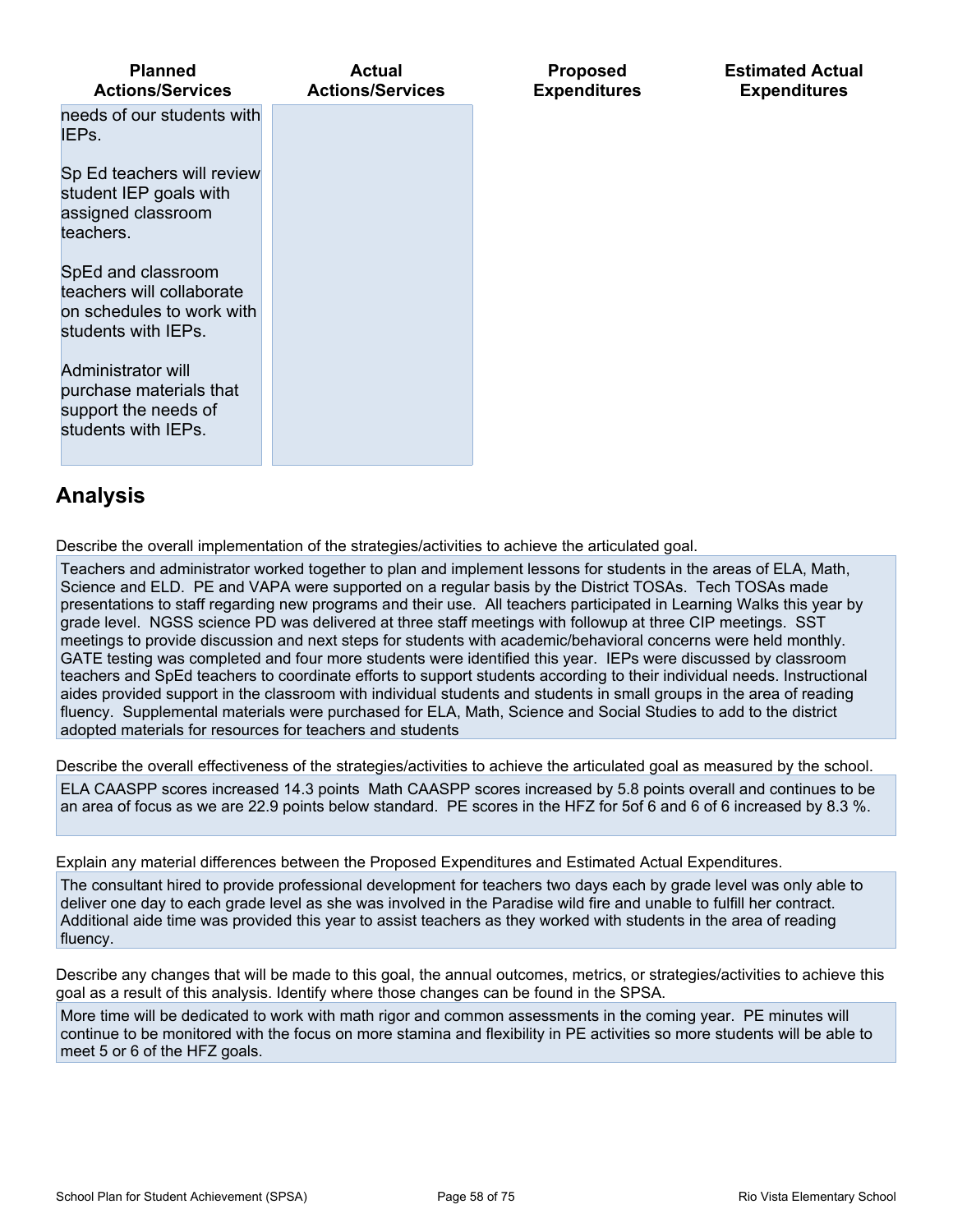| <b>Planned</b><br><b>Actions/Services</b>                                                           | <b>Actual</b><br><b>Actions/Services</b> | <b>Proposed</b><br><b>Expenditures</b> | <b>Estimated Actual</b><br><b>Expenditures</b> |
|-----------------------------------------------------------------------------------------------------|------------------------------------------|----------------------------------------|------------------------------------------------|
| needs of our students with<br>IEPs.                                                                 |                                          |                                        |                                                |
| Sp Ed teachers will review<br>student IEP goals with<br>assigned classroom<br>teachers.             |                                          |                                        |                                                |
| SpEd and classroom<br>teachers will collaborate<br>on schedules to work with<br>students with IEPs. |                                          |                                        |                                                |
| Administrator will<br>purchase materials that<br>support the needs of<br>students with IEPs.        |                                          |                                        |                                                |
| $\mathbf{A}$ is a linear finite                                                                     |                                          |                                        |                                                |

**Analysis**

Describe the overall implementation of the strategies/activities to achieve the articulated goal.

Teachers and administrator worked together to plan and implement lessons for students in the areas of ELA, Math, Science and ELD. PE and VAPA were supported on a regular basis by the District TOSAs. Tech TOSAs made presentations to staff regarding new programs and their use. All teachers participated in Learning Walks this year by grade level. NGSS science PD was delivered at three staff meetings with followup at three CIP meetings. SST meetings to provide discussion and next steps for students with academic/behavioral concerns were held monthly. GATE testing was completed and four more students were identified this year. IEPs were discussed by classroom teachers and SpEd teachers to coordinate efforts to support students according to their individual needs. Instructional aides provided support in the classroom with individual students and students in small groups in the area of reading fluency. Supplemental materials were purchased for ELA, Math, Science and Social Studies to add to the district adopted materials for resources for teachers and students

Describe the overall effectiveness of the strategies/activities to achieve the articulated goal as measured by the school.

ELA CAASPP scores increased 14.3 points Math CAASPP scores increased by 5.8 points overall and continues to be an area of focus as we are 22.9 points below standard. PE scores in the HFZ for 5of 6 and 6 of 6 increased by 8.3 %.

Explain any material differences between the Proposed Expenditures and Estimated Actual Expenditures.

The consultant hired to provide professional development for teachers two days each by grade level was only able to deliver one day to each grade level as she was involved in the Paradise wild fire and unable to fulfill her contract. Additional aide time was provided this year to assist teachers as they worked with students in the area of reading fluency.

Describe any changes that will be made to this goal, the annual outcomes, metrics, or strategies/activities to achieve this goal as a result of this analysis. Identify where those changes can be found in the SPSA.

More time will be dedicated to work with math rigor and common assessments in the coming year. PE minutes will continue to be monitored with the focus on more stamina and flexibility in PE activities so more students will be able to meet 5 or 6 of the HFZ goals.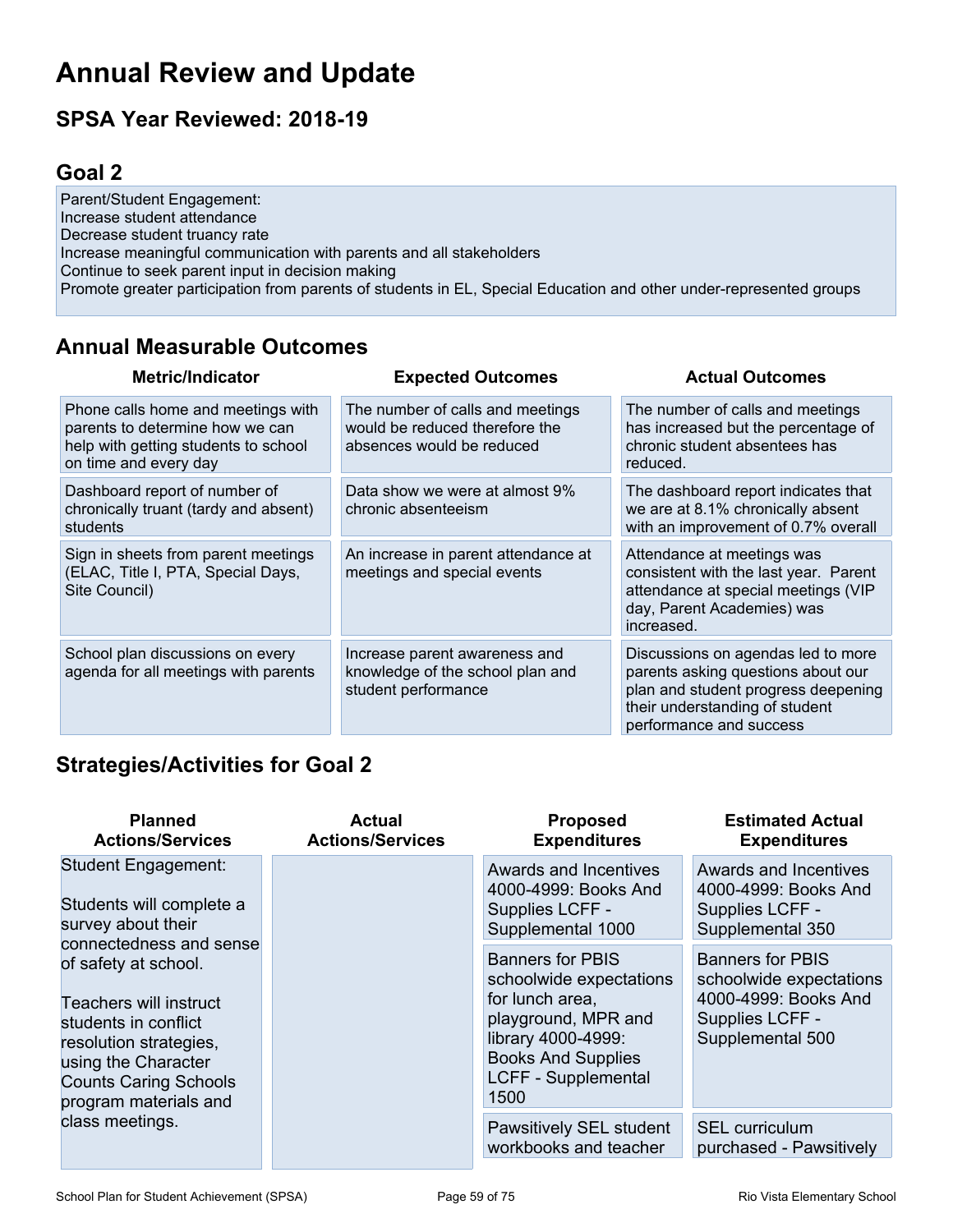## **Annual Review and Update**

## **SPSA Year Reviewed: 2018-19**

## **Goal 2**

Parent/Student Engagement: Increase student attendance Decrease student truancy rate Increase meaningful communication with parents and all stakeholders Continue to seek parent input in decision making Promote greater participation from parents of students in EL, Special Education and other under-represented groups

## **Annual Measurable Outcomes**

| <b>Metric/Indicator</b>                                                                                                                | <b>Expected Outcomes</b>                                                                        | <b>Actual Outcomes</b>                                                                                                                                                       |
|----------------------------------------------------------------------------------------------------------------------------------------|-------------------------------------------------------------------------------------------------|------------------------------------------------------------------------------------------------------------------------------------------------------------------------------|
| Phone calls home and meetings with<br>parents to determine how we can<br>help with getting students to school<br>on time and every day | The number of calls and meetings<br>would be reduced therefore the<br>absences would be reduced | The number of calls and meetings<br>has increased but the percentage of<br>chronic student absentees has<br>reduced.                                                         |
| Dashboard report of number of<br>chronically truant (tardy and absent)<br>students                                                     | Data show we were at almost 9%<br>chronic absenteeism                                           | The dashboard report indicates that<br>we are at 8.1% chronically absent<br>with an improvement of 0.7% overall                                                              |
| Sign in sheets from parent meetings<br>(ELAC, Title I, PTA, Special Days,<br>Site Council)                                             | An increase in parent attendance at<br>meetings and special events                              | Attendance at meetings was<br>consistent with the last year. Parent<br>attendance at special meetings (VIP<br>day, Parent Academies) was<br>increased.                       |
| School plan discussions on every<br>agenda for all meetings with parents                                                               | Increase parent awareness and<br>knowledge of the school plan and<br>student performance        | Discussions on agendas led to more<br>parents asking questions about our<br>plan and student progress deepening<br>their understanding of student<br>performance and success |

## **Strategies/Activities for Goal 2**

| <b>Planned</b><br><b>Actions/Services</b>                                                                                                                                                                   | Actual<br><b>Actions/Services</b>                                                     | <b>Proposed</b><br><b>Expenditures</b>                                                                                                                                         | <b>Estimated Actual</b><br><b>Expenditures</b>                                                                    |
|-------------------------------------------------------------------------------------------------------------------------------------------------------------------------------------------------------------|---------------------------------------------------------------------------------------|--------------------------------------------------------------------------------------------------------------------------------------------------------------------------------|-------------------------------------------------------------------------------------------------------------------|
| <b>Student Engagement:</b><br>Students will complete a<br>survey about their                                                                                                                                | Awards and Incentives<br>4000-4999: Books And<br>Supplies LCFF -<br>Supplemental 1000 | Awards and Incentives<br>4000-4999: Books And<br>Supplies LCFF -<br>Supplemental 350                                                                                           |                                                                                                                   |
| connectedness and sense<br>of safety at school.<br>Teachers will instruct<br>students in conflict<br>resolution strategies,<br>using the Character<br><b>Counts Caring Schools</b><br>program materials and |                                                                                       | <b>Banners for PBIS</b><br>schoolwide expectations<br>for lunch area,<br>playground, MPR and<br>library 4000-4999:<br><b>Books And Supplies</b><br>LCFF - Supplemental<br>1500 | <b>Banners for PBIS</b><br>schoolwide expectations<br>4000-4999: Books And<br>Supplies LCFF -<br>Supplemental 500 |
| class meetings.                                                                                                                                                                                             |                                                                                       | Pawsitively SEL student<br>workbooks and teacher                                                                                                                               | <b>SEL</b> curriculum<br>purchased - Pawsitively                                                                  |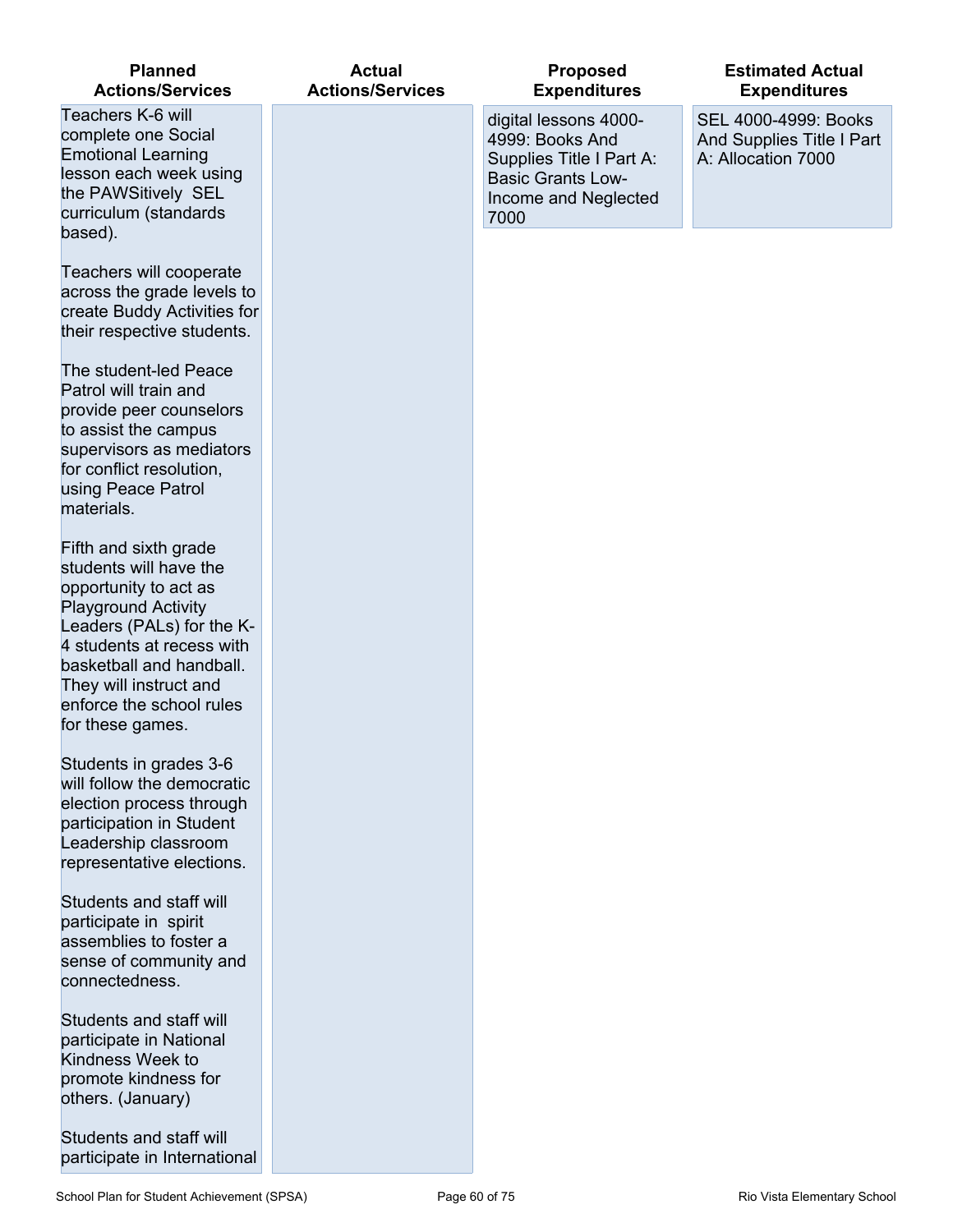| <b>Planned</b><br><b>Actions/Services</b>                                                                                                                                                                                                                              | <b>Actual</b><br><b>Actions/Services</b> | <b>Proposed</b><br><b>Expenditures</b>                                                                                           | <b>Estimated Actual</b><br><b>Expenditures</b>                          |
|------------------------------------------------------------------------------------------------------------------------------------------------------------------------------------------------------------------------------------------------------------------------|------------------------------------------|----------------------------------------------------------------------------------------------------------------------------------|-------------------------------------------------------------------------|
| Teachers K-6 will<br>complete one Social<br><b>Emotional Learning</b><br>lesson each week using<br>the PAWSitively SEL<br>curriculum (standards<br>based).                                                                                                             |                                          | digital lessons 4000-<br>4999: Books And<br>Supplies Title I Part A:<br><b>Basic Grants Low-</b><br>Income and Neglected<br>7000 | SEL 4000-4999: Books<br>And Supplies Title I Part<br>A: Allocation 7000 |
| Teachers will cooperate<br>across the grade levels to<br>create Buddy Activities for<br>their respective students.                                                                                                                                                     |                                          |                                                                                                                                  |                                                                         |
| The student-led Peace<br>Patrol will train and<br>provide peer counselors<br>to assist the campus<br>supervisors as mediators<br>for conflict resolution,<br>using Peace Patrol<br>materials.                                                                          |                                          |                                                                                                                                  |                                                                         |
| Fifth and sixth grade<br>students will have the<br>opportunity to act as<br><b>Playground Activity</b><br>Leaders (PALs) for the K-<br>4 students at recess with<br>basketball and handball.<br>They will instruct and<br>enforce the school rules<br>for these games. |                                          |                                                                                                                                  |                                                                         |
| Students in grades 3-6<br>will follow the democratic<br>election process through<br>participation in Student<br>Leadership classroom<br>representative elections.                                                                                                      |                                          |                                                                                                                                  |                                                                         |
| Students and staff will<br>participate in spirit<br>assemblies to foster a<br>sense of community and<br>connectedness.                                                                                                                                                 |                                          |                                                                                                                                  |                                                                         |
| Students and staff will<br>participate in National<br>Kindness Week to<br>promote kindness for<br>others. (January)                                                                                                                                                    |                                          |                                                                                                                                  |                                                                         |
| Students and staff will<br>participate in International                                                                                                                                                                                                                |                                          |                                                                                                                                  |                                                                         |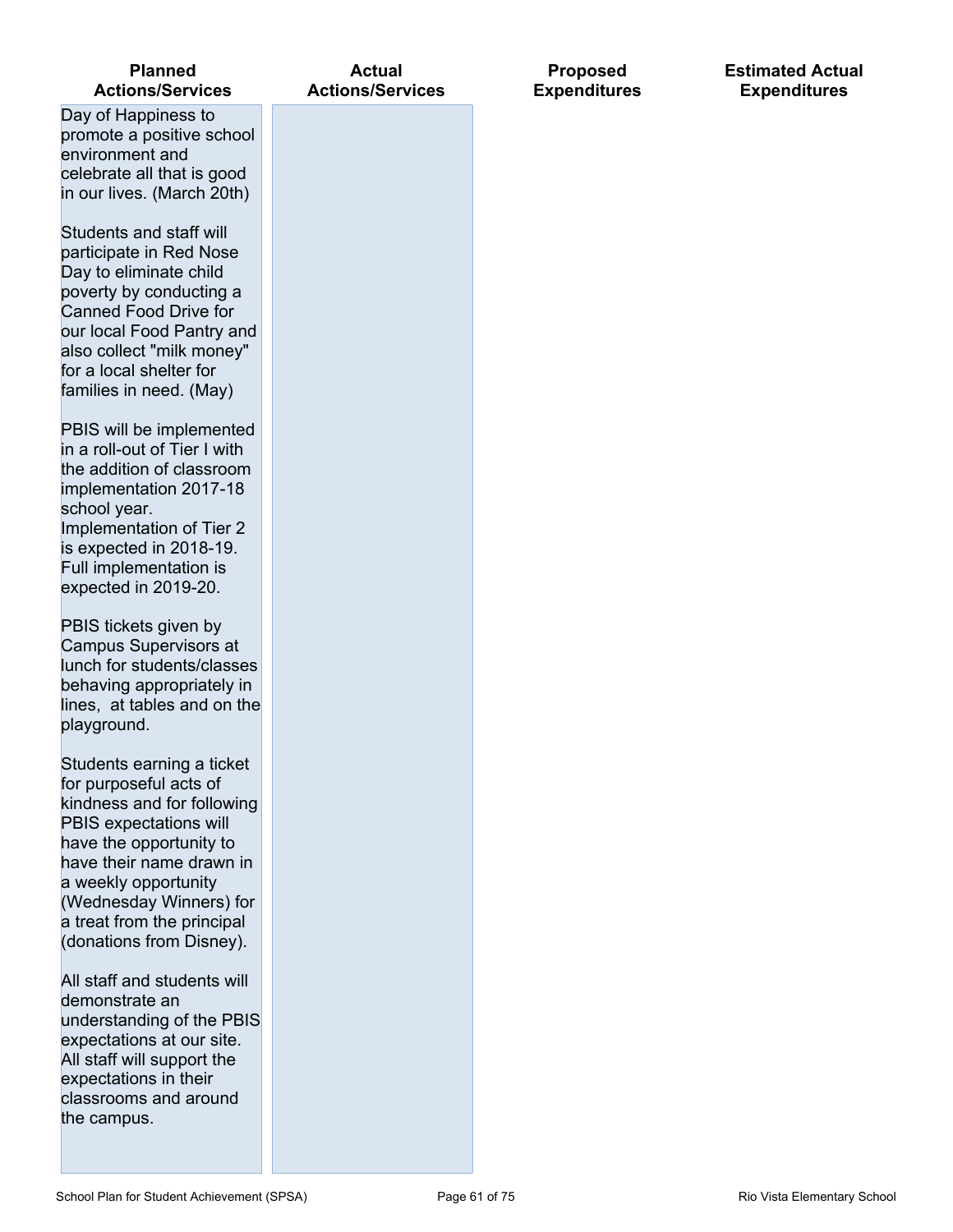| <b>Planned</b><br><b>Actions/Services</b>                                                                                                                                                                                                                                       | <b>Actual</b><br><b>Actions/Services</b> |  |
|---------------------------------------------------------------------------------------------------------------------------------------------------------------------------------------------------------------------------------------------------------------------------------|------------------------------------------|--|
| Day of Happiness to<br>promote a positive school<br>environment and<br>celebrate all that is good<br>in our lives. (March 20th)                                                                                                                                                 |                                          |  |
| Students and staff will<br>participate in Red Nose<br>Day to eliminate child<br>poverty by conducting a<br><b>Canned Food Drive for</b><br>our local Food Pantry and<br>also collect "milk money"<br>for a local shelter for<br>families in need. (May)                         |                                          |  |
| PBIS will be implemented<br>in a roll-out of Tier I with<br>the addition of classroom<br>implementation 2017-18<br>school year.<br>Implementation of Tier 2<br>is expected in 2018-19.<br>Full implementation is<br>expected in 2019-20.                                        |                                          |  |
| PBIS tickets given by<br>Campus Supervisors at<br>lunch for students/classes<br>behaving appropriately in<br>lines, at tables and on the<br>playground.                                                                                                                         |                                          |  |
| Students earning a ticket<br>for purposeful acts of<br>kindness and for following<br>PBIS expectations will<br>have the opportunity to<br>have their name drawn in<br>a weekly opportunity<br>(Wednesday Winners) for<br>a treat from the principal<br>(donations from Disney). |                                          |  |
| All staff and students will<br>demonstrate an<br>understanding of the PBIS<br>expectations at our site.<br>All staff will support the<br>expectations in their<br>classrooms and around<br>the campus.                                                                          |                                          |  |

#### **Estimated Actual Expenditures**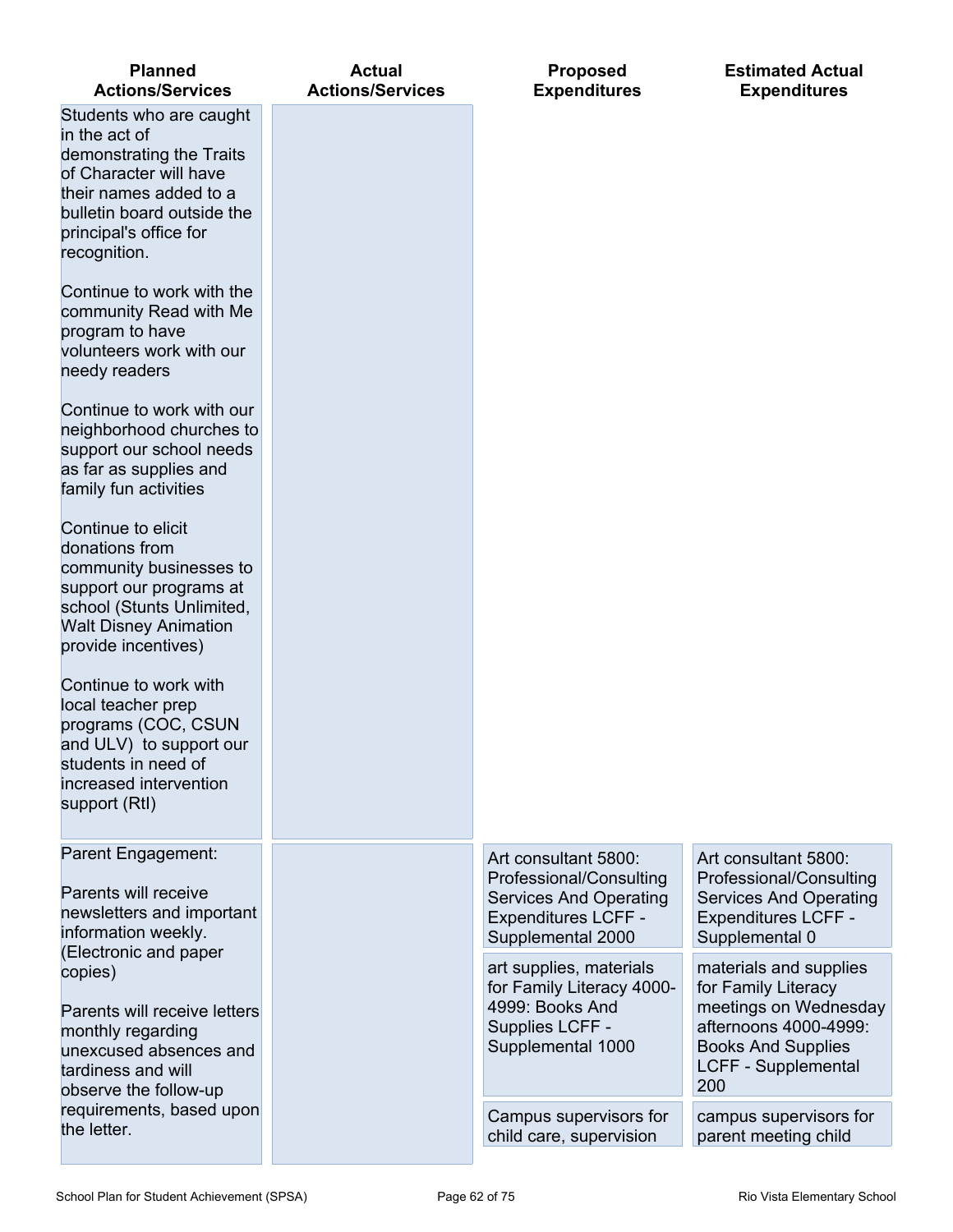| <b>Planned</b><br><b>Actions/Services</b>                                                                                                                                                        | <b>Actual</b><br><b>Actions/Services</b> | <b>Proposed</b><br><b>Expenditures</b>                                                                                              | <b>Estimated Actual</b><br><b>Expenditures</b>                                                                                                                    |
|--------------------------------------------------------------------------------------------------------------------------------------------------------------------------------------------------|------------------------------------------|-------------------------------------------------------------------------------------------------------------------------------------|-------------------------------------------------------------------------------------------------------------------------------------------------------------------|
| Students who are caught<br>in the act of<br>demonstrating the Traits<br>of Character will have<br>their names added to a<br>bulletin board outside the<br>principal's office for<br>recognition. |                                          |                                                                                                                                     |                                                                                                                                                                   |
| Continue to work with the<br>community Read with Me<br>program to have<br>volunteers work with our<br>needy readers                                                                              |                                          |                                                                                                                                     |                                                                                                                                                                   |
| Continue to work with our<br>neighborhood churches to<br>support our school needs<br>as far as supplies and<br>family fun activities                                                             |                                          |                                                                                                                                     |                                                                                                                                                                   |
| Continue to elicit<br>donations from<br>community businesses to<br>support our programs at<br>school (Stunts Unlimited,<br><b>Walt Disney Animation</b><br>provide incentives)                   |                                          |                                                                                                                                     |                                                                                                                                                                   |
| Continue to work with<br>local teacher prep<br>programs (COC, CSUN<br>and ULV) to support our<br>students in need of<br>increased intervention<br>support (RtI)                                  |                                          |                                                                                                                                     |                                                                                                                                                                   |
| Parent Engagement:<br>Parents will receive<br>newsletters and important<br>information weekly.<br>(Electronic and paper                                                                          |                                          | Art consultant 5800:<br>Professional/Consulting<br><b>Services And Operating</b><br><b>Expenditures LCFF -</b><br>Supplemental 2000 | Art consultant 5800:<br>Professional/Consulting<br><b>Services And Operating</b><br><b>Expenditures LCFF -</b><br>Supplemental 0                                  |
| copies)<br>Parents will receive letters<br>monthly regarding<br>unexcused absences and<br>tardiness and will<br>observe the follow-up                                                            |                                          | art supplies, materials<br>for Family Literacy 4000-<br>4999: Books And<br>Supplies LCFF -<br>Supplemental 1000                     | materials and supplies<br>for Family Literacy<br>meetings on Wednesday<br>afternoons 4000-4999:<br><b>Books And Supplies</b><br><b>LCFF - Supplemental</b><br>200 |
| requirements, based upon<br>the letter.                                                                                                                                                          |                                          | Campus supervisors for<br>child care, supervision                                                                                   | campus supervisors for<br>parent meeting child                                                                                                                    |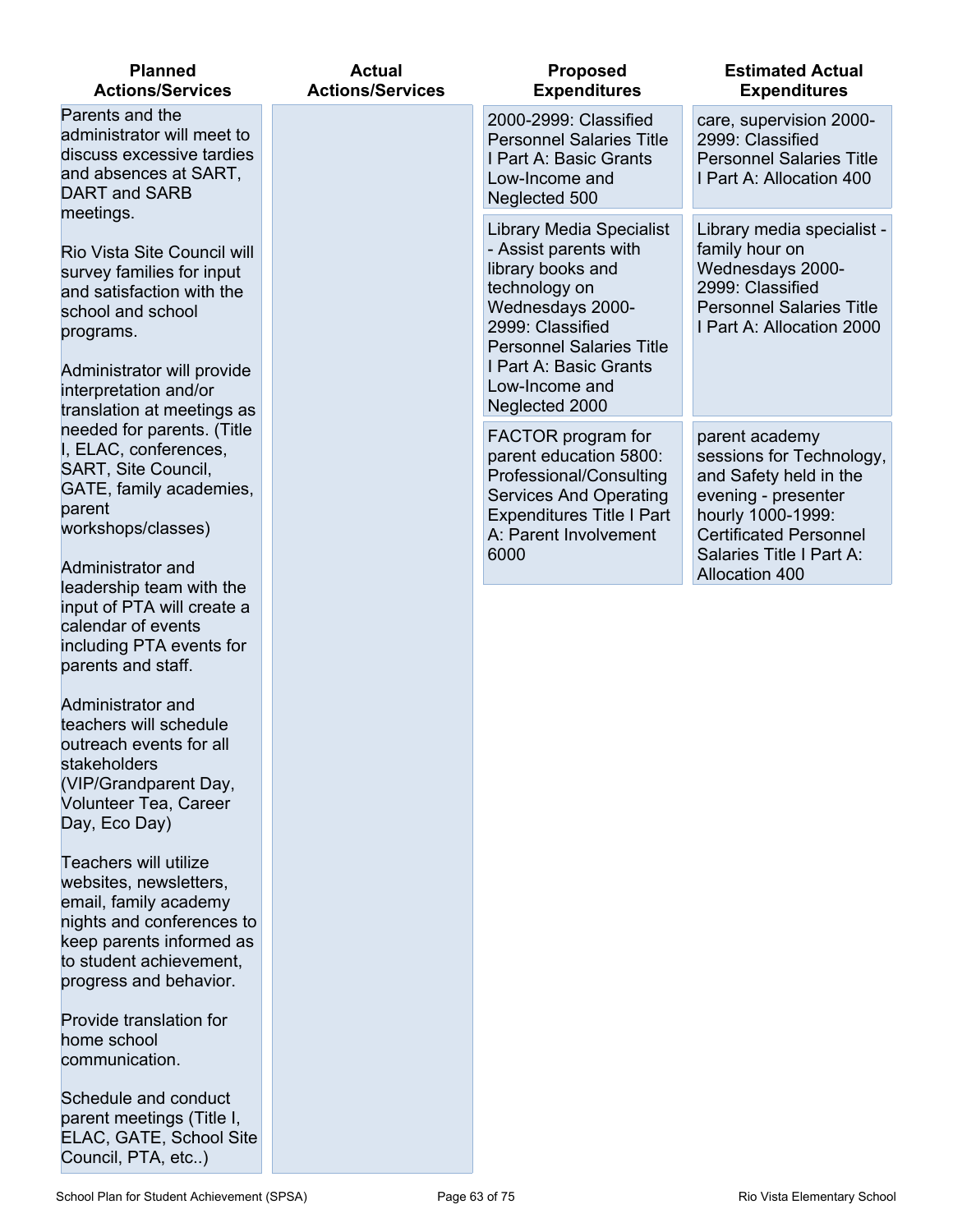| <b>Planned</b><br><b>Actions/Services</b>                                                                                                                                                                    | <b>Actual</b><br><b>Actions/Services</b> | <b>Proposed</b><br><b>Expenditures</b>                                                                                                                                                                                                  | <b>Estimated Actual</b><br><b>Expenditures</b>                                                                                                                                |
|--------------------------------------------------------------------------------------------------------------------------------------------------------------------------------------------------------------|------------------------------------------|-----------------------------------------------------------------------------------------------------------------------------------------------------------------------------------------------------------------------------------------|-------------------------------------------------------------------------------------------------------------------------------------------------------------------------------|
| Parents and the<br>administrator will meet to<br>discuss excessive tardies<br>and absences at SART,<br>DART and SARB<br>meetings.                                                                            |                                          | 2000-2999: Classified<br><b>Personnel Salaries Title</b><br>I Part A: Basic Grants<br>Low-Income and<br>Neglected 500                                                                                                                   | care, supervision 2000-<br>2999: Classified<br><b>Personnel Salaries Title</b><br>I Part A: Allocation 400                                                                    |
| Rio Vista Site Council will<br>survey families for input<br>and satisfaction with the<br>school and school<br>programs.<br>Administrator will provide<br>interpretation and/or<br>translation at meetings as |                                          | <b>Library Media Specialist</b><br>- Assist parents with<br>library books and<br>technology on<br>Wednesdays 2000-<br>2999: Classified<br><b>Personnel Salaries Title</b><br>I Part A: Basic Grants<br>Low-Income and<br>Neglected 2000 | Library media specialist -<br>family hour on<br>Wednesdays 2000-<br>2999: Classified<br><b>Personnel Salaries Title</b><br>I Part A: Allocation 2000                          |
| needed for parents. (Title<br>I, ELAC, conferences,<br>SART, Site Council,<br>GATE, family academies,<br>parent<br>workshops/classes)                                                                        |                                          | FACTOR program for<br>parent education 5800:<br>Professional/Consulting<br><b>Services And Operating</b><br><b>Expenditures Title I Part</b><br>A: Parent Involvement<br>6000                                                           | parent academy<br>sessions for Technology,<br>and Safety held in the<br>evening - presenter<br>hourly 1000-1999:<br><b>Certificated Personnel</b><br>Salaries Title I Part A: |
| Administrator and<br>leadership team with the<br>input of PTA will create a<br>calendar of events<br>including PTA events for<br>parents and staff.                                                          |                                          |                                                                                                                                                                                                                                         | <b>Allocation 400</b>                                                                                                                                                         |
| Administrator and<br>teachers will schedule<br>outreach events for all<br>stakeholders<br>(VIP/Grandparent Day,<br>Volunteer Tea, Career<br>Day, Eco Day)                                                    |                                          |                                                                                                                                                                                                                                         |                                                                                                                                                                               |
| <b>Teachers will utilize</b><br>websites, newsletters,<br>email, family academy<br>nights and conferences to<br>keep parents informed as<br>to student achievement,<br>progress and behavior.                |                                          |                                                                                                                                                                                                                                         |                                                                                                                                                                               |
| Provide translation for<br>home school<br>communication.                                                                                                                                                     |                                          |                                                                                                                                                                                                                                         |                                                                                                                                                                               |
| Schedule and conduct<br>parent meetings (Title I,<br>ELAC, GATE, School Site                                                                                                                                 |                                          |                                                                                                                                                                                                                                         |                                                                                                                                                                               |

Council, PTA, etc..)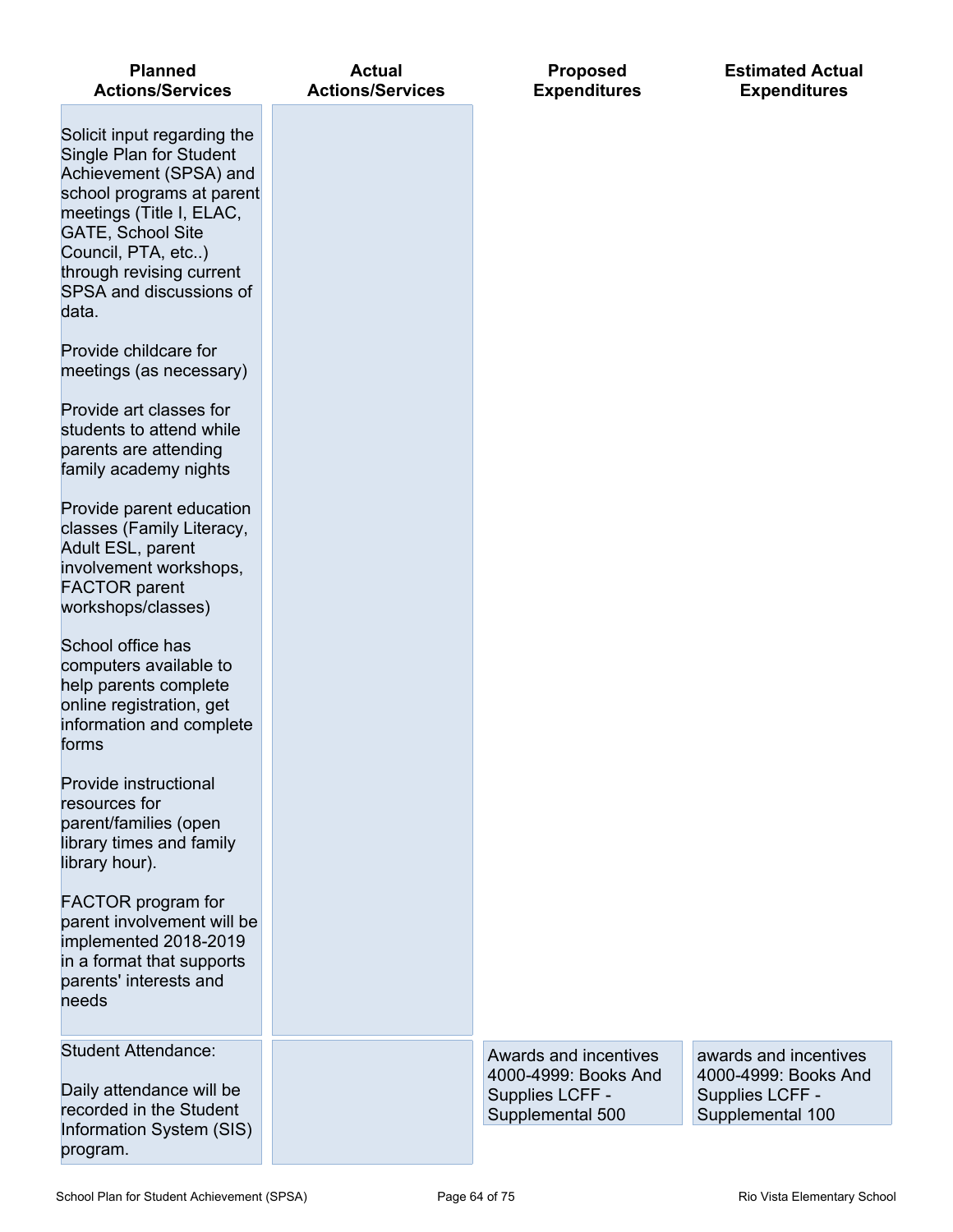| <b>Planned</b><br><b>Actions/Services</b>                                                                                                                                                                                                                   | <b>Actual</b><br><b>Actions/Services</b> | <b>Proposed</b><br><b>Expenditures</b>                                               | <b>Estimated Actual</b><br><b>Expenditures</b>                                       |
|-------------------------------------------------------------------------------------------------------------------------------------------------------------------------------------------------------------------------------------------------------------|------------------------------------------|--------------------------------------------------------------------------------------|--------------------------------------------------------------------------------------|
| Solicit input regarding the<br>Single Plan for Student<br>Achievement (SPSA) and<br>school programs at parent<br>meetings (Title I, ELAC,<br><b>GATE, School Site</b><br>Council, PTA, etc)<br>through revising current<br>SPSA and discussions of<br>data. |                                          |                                                                                      |                                                                                      |
| Provide childcare for<br>meetings (as necessary)                                                                                                                                                                                                            |                                          |                                                                                      |                                                                                      |
| Provide art classes for<br>students to attend while<br>parents are attending<br>family academy nights                                                                                                                                                       |                                          |                                                                                      |                                                                                      |
| Provide parent education<br>classes (Family Literacy,<br>Adult ESL, parent<br>involvement workshops,<br><b>FACTOR</b> parent<br>workshops/classes)                                                                                                          |                                          |                                                                                      |                                                                                      |
| School office has<br>computers available to<br>help parents complete<br>online registration, get<br>information and complete<br>forms                                                                                                                       |                                          |                                                                                      |                                                                                      |
| Provide instructional<br>resources for<br>parent/families (open<br>library times and family<br>library hour).                                                                                                                                               |                                          |                                                                                      |                                                                                      |
| FACTOR program for<br>parent involvement will be<br>implemented 2018-2019<br>in a format that supports<br>parents' interests and<br>needs                                                                                                                   |                                          |                                                                                      |                                                                                      |
| <b>Student Attendance:</b><br>Daily attendance will be<br>recorded in the Student                                                                                                                                                                           |                                          | Awards and incentives<br>4000-4999: Books And<br>Supplies LCFF -<br>Supplemental 500 | awards and incentives<br>4000-4999: Books And<br>Supplies LCFF -<br>Supplemental 100 |
| Information System (SIS)<br>program.                                                                                                                                                                                                                        |                                          |                                                                                      |                                                                                      |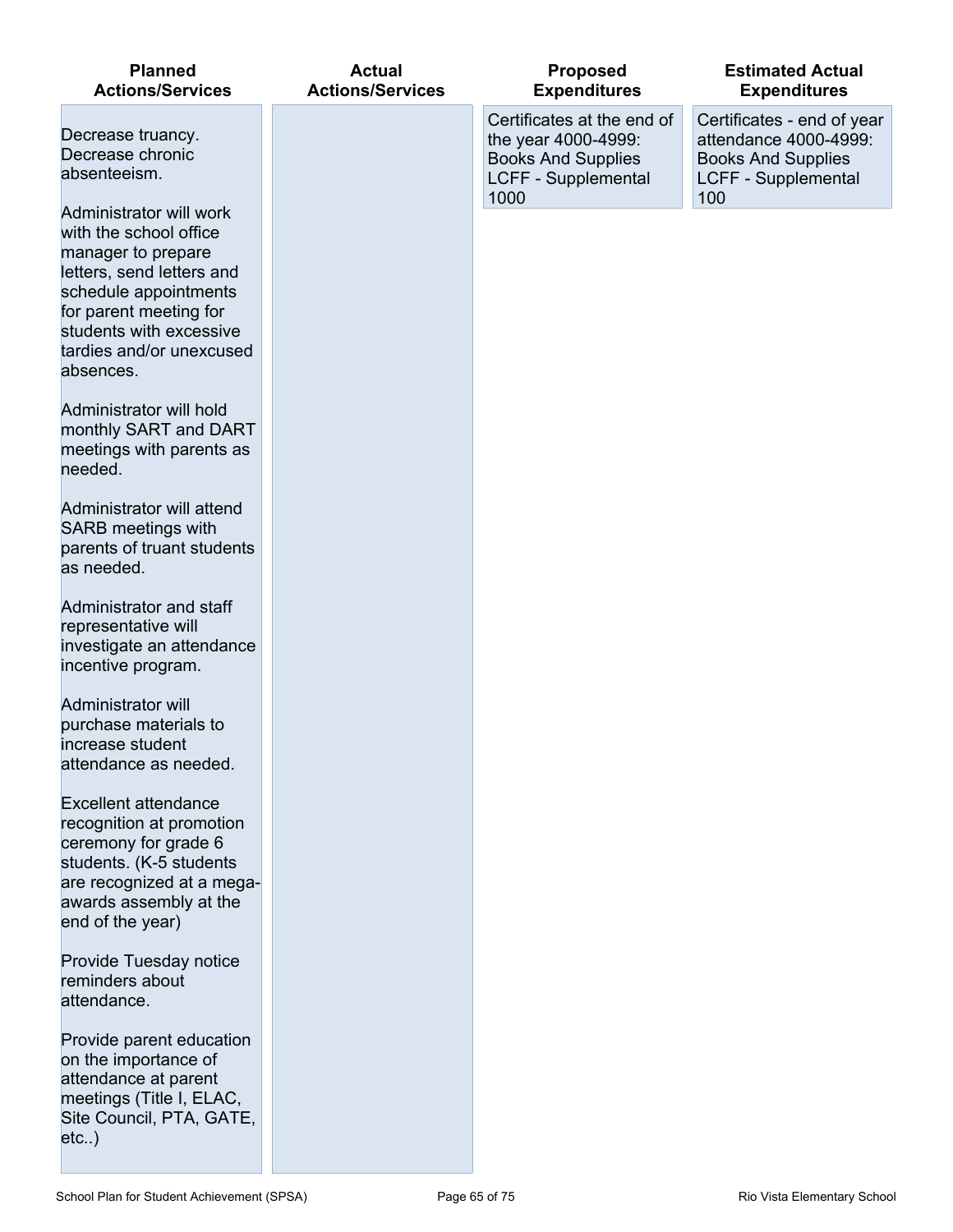| <b>Planned</b><br><b>Actions/Services</b>                                                                                                                                                                                   | <b>Actual</b><br><b>Actions/Services</b> | <b>Proposed</b><br><b>Expenditures</b>                                                                        | <b>Estimated Actual</b><br><b>Expenditures</b>                                                                        |
|-----------------------------------------------------------------------------------------------------------------------------------------------------------------------------------------------------------------------------|------------------------------------------|---------------------------------------------------------------------------------------------------------------|-----------------------------------------------------------------------------------------------------------------------|
| Decrease truancy.<br>Decrease chronic<br>absenteeism.                                                                                                                                                                       |                                          | Certificates at the end of<br>the year 4000-4999:<br><b>Books And Supplies</b><br>LCFF - Supplemental<br>1000 | Certificates - end of year<br>attendance 4000-4999:<br><b>Books And Supplies</b><br><b>LCFF - Supplemental</b><br>100 |
| Administrator will work<br>with the school office<br>manager to prepare<br>letters, send letters and<br>schedule appointments<br>for parent meeting for<br>students with excessive<br>tardies and/or unexcused<br>absences. |                                          |                                                                                                               |                                                                                                                       |
| Administrator will hold<br>monthly SART and DART<br>meetings with parents as<br>needed.                                                                                                                                     |                                          |                                                                                                               |                                                                                                                       |
| Administrator will attend<br><b>SARB</b> meetings with<br>parents of truant students<br>as needed.                                                                                                                          |                                          |                                                                                                               |                                                                                                                       |
| Administrator and staff<br>representative will<br>investigate an attendance<br>incentive program.                                                                                                                           |                                          |                                                                                                               |                                                                                                                       |
| <b>Administrator will</b><br>purchase materials to<br>increase student<br>attendance as needed.                                                                                                                             |                                          |                                                                                                               |                                                                                                                       |
| <b>Excellent attendance</b><br>recognition at promotion<br>ceremony for grade 6<br>students. (K-5 students<br>are recognized at a mega-<br>awards assembly at the<br>end of the year)                                       |                                          |                                                                                                               |                                                                                                                       |
| Provide Tuesday notice<br>reminders about<br>attendance.                                                                                                                                                                    |                                          |                                                                                                               |                                                                                                                       |
| Provide parent education<br>on the importance of<br>attendance at parent<br>meetings (Title I, ELAC,<br>Site Council, PTA, GATE,<br>etc)                                                                                    |                                          |                                                                                                               |                                                                                                                       |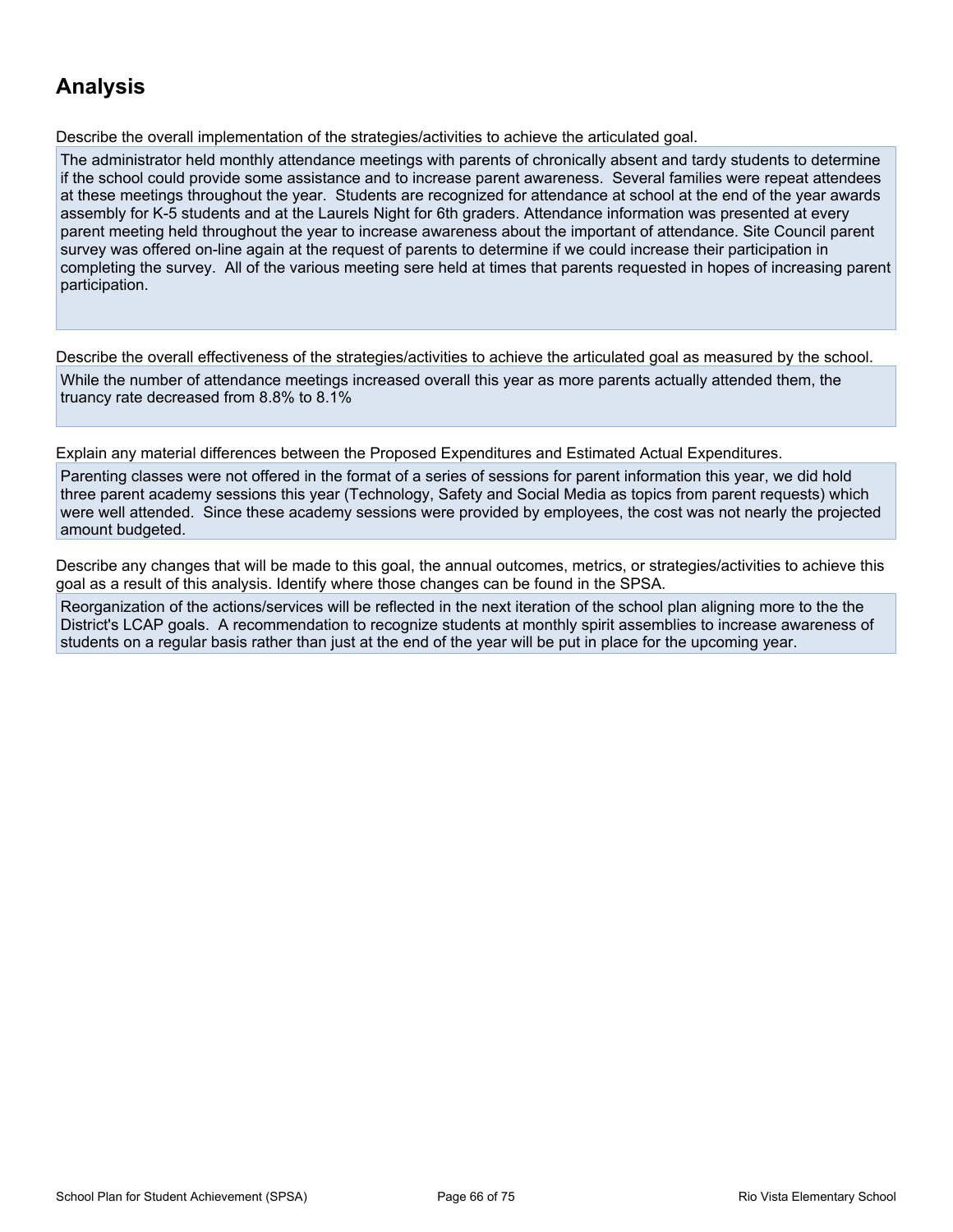## **Analysis**

Describe the overall implementation of the strategies/activities to achieve the articulated goal.

The administrator held monthly attendance meetings with parents of chronically absent and tardy students to determine if the school could provide some assistance and to increase parent awareness. Several families were repeat attendees at these meetings throughout the year. Students are recognized for attendance at school at the end of the year awards assembly for K-5 students and at the Laurels Night for 6th graders. Attendance information was presented at every parent meeting held throughout the year to increase awareness about the important of attendance. Site Council parent survey was offered on-line again at the request of parents to determine if we could increase their participation in completing the survey. All of the various meeting sere held at times that parents requested in hopes of increasing parent participation.

Describe the overall effectiveness of the strategies/activities to achieve the articulated goal as measured by the school. While the number of attendance meetings increased overall this year as more parents actually attended them, the truancy rate decreased from 8.8% to 8.1%

Explain any material differences between the Proposed Expenditures and Estimated Actual Expenditures.

Parenting classes were not offered in the format of a series of sessions for parent information this year, we did hold three parent academy sessions this year (Technology, Safety and Social Media as topics from parent requests) which were well attended. Since these academy sessions were provided by employees, the cost was not nearly the projected amount budgeted.

Describe any changes that will be made to this goal, the annual outcomes, metrics, or strategies/activities to achieve this goal as a result of this analysis. Identify where those changes can be found in the SPSA.

Reorganization of the actions/services will be reflected in the next iteration of the school plan aligning more to the the District's LCAP goals. A recommendation to recognize students at monthly spirit assemblies to increase awareness of students on a regular basis rather than just at the end of the year will be put in place for the upcoming year.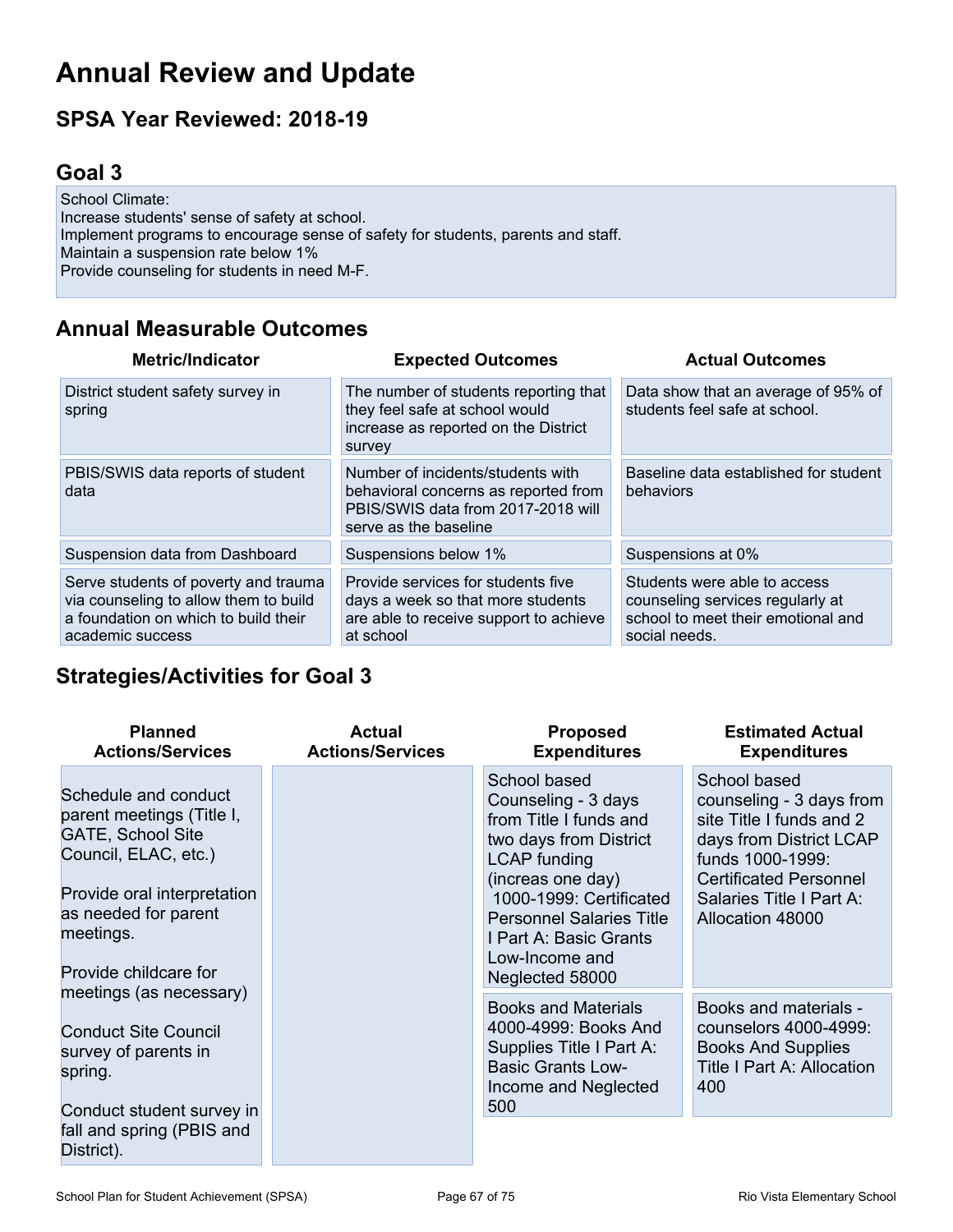## **Annual Review and Update**

## **SPSA Year Reviewed: 2018-19**

## **Goal 3**

School Climate: Increase students' sense of safety at school. Implement programs to encourage sense of safety for students, parents and staff. Maintain a suspension rate below 1% Provide counseling for students in need M-F.

## **Annual Measurable Outcomes**

| <b>Metric/Indicator</b>                                                                                                                   | <b>Expected Outcomes</b>                                                                                                                 | <b>Actual Outcomes</b>                                                                                                  |
|-------------------------------------------------------------------------------------------------------------------------------------------|------------------------------------------------------------------------------------------------------------------------------------------|-------------------------------------------------------------------------------------------------------------------------|
| District student safety survey in<br>spring                                                                                               | The number of students reporting that<br>they feel safe at school would<br>increase as reported on the District<br>survey                | Data show that an average of 95% of<br>students feel safe at school.                                                    |
| PBIS/SWIS data reports of student<br>data                                                                                                 | Number of incidents/students with<br>behavioral concerns as reported from<br>PBIS/SWIS data from 2017-2018 will<br>serve as the baseline | Baseline data established for student<br>behaviors                                                                      |
| Suspension data from Dashboard                                                                                                            | Suspensions below 1%                                                                                                                     | Suspensions at 0%                                                                                                       |
| Serve students of poverty and trauma<br>via counseling to allow them to build<br>a foundation on which to build their<br>academic success | Provide services for students five<br>days a week so that more students<br>are able to receive support to achieve<br>at school           | Students were able to access<br>counseling services regularly at<br>school to meet their emotional and<br>social needs. |

### **Strategies/Activities for Goal 3**

| <b>Planned</b><br><b>Actions/Services</b>                                                                                                                                                          | <b>Actual</b><br><b>Actions/Services</b> | <b>Proposed</b><br><b>Expenditures</b>                                                                                                                                                                                                                           | <b>Estimated Actual</b><br><b>Expenditures</b>                                                                                                                                                       |
|----------------------------------------------------------------------------------------------------------------------------------------------------------------------------------------------------|------------------------------------------|------------------------------------------------------------------------------------------------------------------------------------------------------------------------------------------------------------------------------------------------------------------|------------------------------------------------------------------------------------------------------------------------------------------------------------------------------------------------------|
| Schedule and conduct<br>parent meetings (Title I,<br><b>GATE, School Site</b><br>Council, ELAC, etc.)<br>Provide oral interpretation<br>as needed for parent<br>meetings.<br>Provide childcare for |                                          | School based<br>Counseling - 3 days<br>from Title I funds and<br>two days from District<br><b>LCAP</b> funding<br>(increas one day)<br>1000-1999: Certificated<br><b>Personnel Salaries Title</b><br>I Part A: Basic Grants<br>Low-Income and<br>Neglected 58000 | School based<br>counseling - 3 days from<br>site Title I funds and 2<br>days from District LCAP<br>funds 1000-1999:<br><b>Certificated Personnel</b><br>Salaries Title I Part A:<br>Allocation 48000 |
| meetings (as necessary)<br><b>Conduct Site Council</b><br>survey of parents in<br>spring.<br>Conduct student survey in                                                                             |                                          | <b>Books and Materials</b><br>4000-4999: Books And<br>Supplies Title I Part A:<br><b>Basic Grants Low-</b><br>Income and Neglected<br>500                                                                                                                        | Books and materials -<br>counselors 4000-4999:<br><b>Books And Supplies</b><br>Title I Part A: Allocation<br>400                                                                                     |
| fall and spring (PBIS and<br>District).                                                                                                                                                            |                                          |                                                                                                                                                                                                                                                                  |                                                                                                                                                                                                      |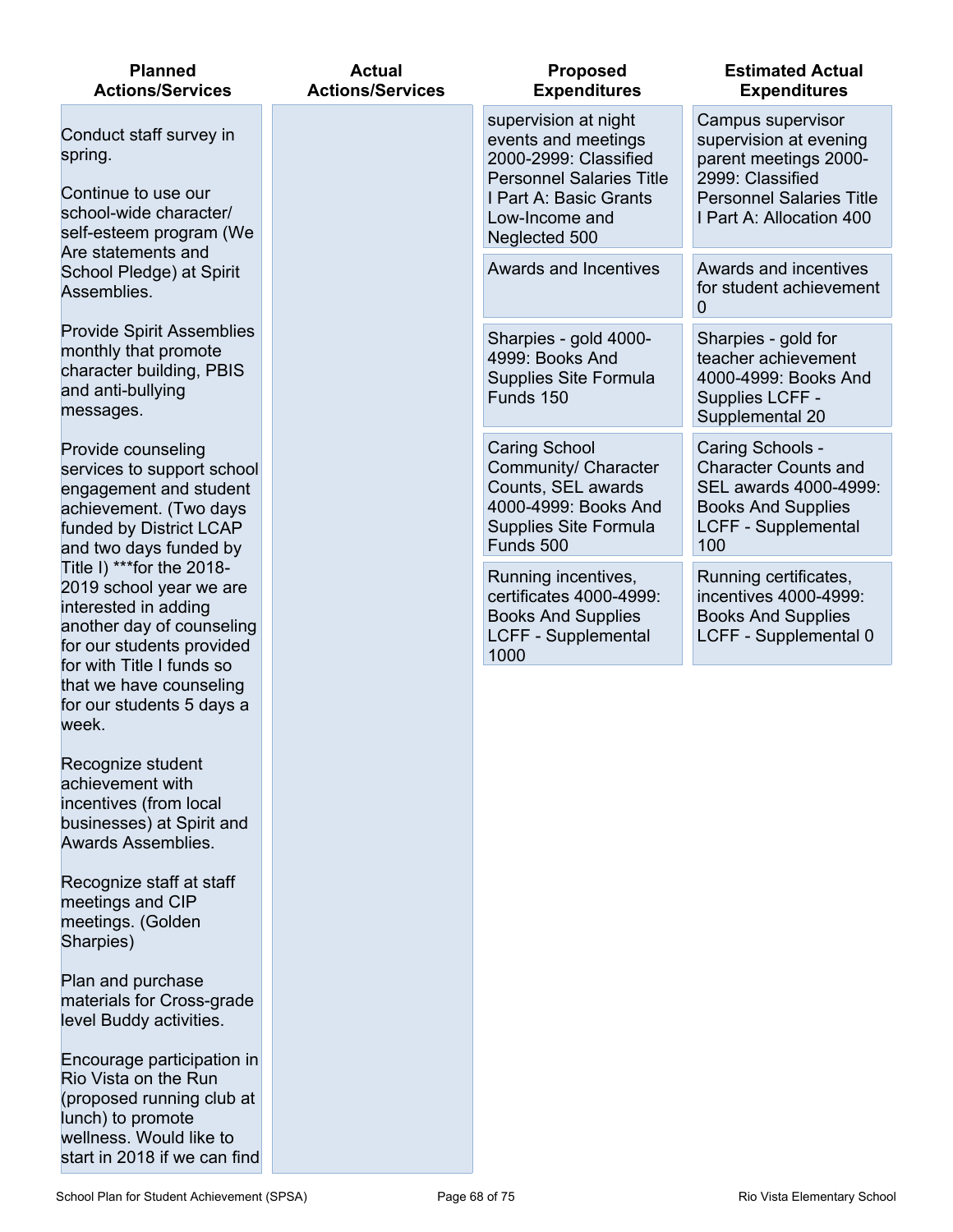| <b>Planned</b><br><b>Actions/Services</b>                                                                                                                                                                                    | <b>Actual</b><br><b>Actions/Services</b> | <b>Proposed</b><br><b>Expenditures</b>                                                                                                                               | <b>Estimated Actual</b><br><b>Expenditures</b>                                                                                                          |
|------------------------------------------------------------------------------------------------------------------------------------------------------------------------------------------------------------------------------|------------------------------------------|----------------------------------------------------------------------------------------------------------------------------------------------------------------------|---------------------------------------------------------------------------------------------------------------------------------------------------------|
| Conduct staff survey in<br>spring.<br>Continue to use our<br>school-wide character/<br>self-esteem program (We                                                                                                               |                                          | supervision at night<br>events and meetings<br>2000-2999: Classified<br><b>Personnel Salaries Title</b><br>I Part A: Basic Grants<br>Low-Income and<br>Neglected 500 | Campus supervisor<br>supervision at evening<br>parent meetings 2000-<br>2999: Classified<br><b>Personnel Salaries Title</b><br>I Part A: Allocation 400 |
| Are statements and<br>School Pledge) at Spirit<br>Assemblies.                                                                                                                                                                |                                          | <b>Awards and Incentives</b>                                                                                                                                         | Awards and incentives<br>for student achievement<br>$\mathbf 0$                                                                                         |
| <b>Provide Spirit Assemblies</b><br>monthly that promote<br>character building, PBIS<br>and anti-bullying<br>messages.                                                                                                       |                                          | Sharpies - gold 4000-<br>4999: Books And<br><b>Supplies Site Formula</b><br>Funds 150                                                                                | Sharpies - gold for<br>teacher achievement<br>4000-4999: Books And<br>Supplies LCFF -<br>Supplemental 20                                                |
| Provide counseling<br>services to support school<br>engagement and student<br>achievement. (Two days<br>funded by District LCAP<br>and two days funded by                                                                    |                                          | <b>Caring School</b><br>Community/ Character<br>Counts, SEL awards<br>4000-4999: Books And<br>Supplies Site Formula<br>Funds 500                                     | Caring Schools -<br><b>Character Counts and</b><br>SEL awards 4000-4999:<br><b>Books And Supplies</b><br><b>LCFF - Supplemental</b><br>100              |
| Title I) *** for the 2018-<br>2019 school year we are<br>interested in adding<br>another day of counseling<br>for our students provided<br>for with Title I funds so<br>that we have counseling<br>for our students 5 days a |                                          | Running incentives,<br>certificates 4000-4999:<br><b>Books And Supplies</b><br><b>LCFF - Supplemental</b><br>1000                                                    | Running certificates,<br>incentives 4000-4999:<br><b>Books And Supplies</b><br>LCFF - Supplemental 0                                                    |
| week.<br>Recognize student<br>achievement with<br>incentives (from local<br>businesses) at Spirit and<br>Awards Assemblies.                                                                                                  |                                          |                                                                                                                                                                      |                                                                                                                                                         |
| Recognize staff at staff<br>meetings and CIP<br>meetings. (Golden<br>Sharpies)                                                                                                                                               |                                          |                                                                                                                                                                      |                                                                                                                                                         |
| Plan and purchase<br>materials for Cross-grade<br>level Buddy activities.                                                                                                                                                    |                                          |                                                                                                                                                                      |                                                                                                                                                         |
| Encourage participation in<br>Rio Vista on the Run<br>(proposed running club at<br>lunch) to promote<br>wellness. Would like to<br>start in 2018 if we can find                                                              |                                          |                                                                                                                                                                      |                                                                                                                                                         |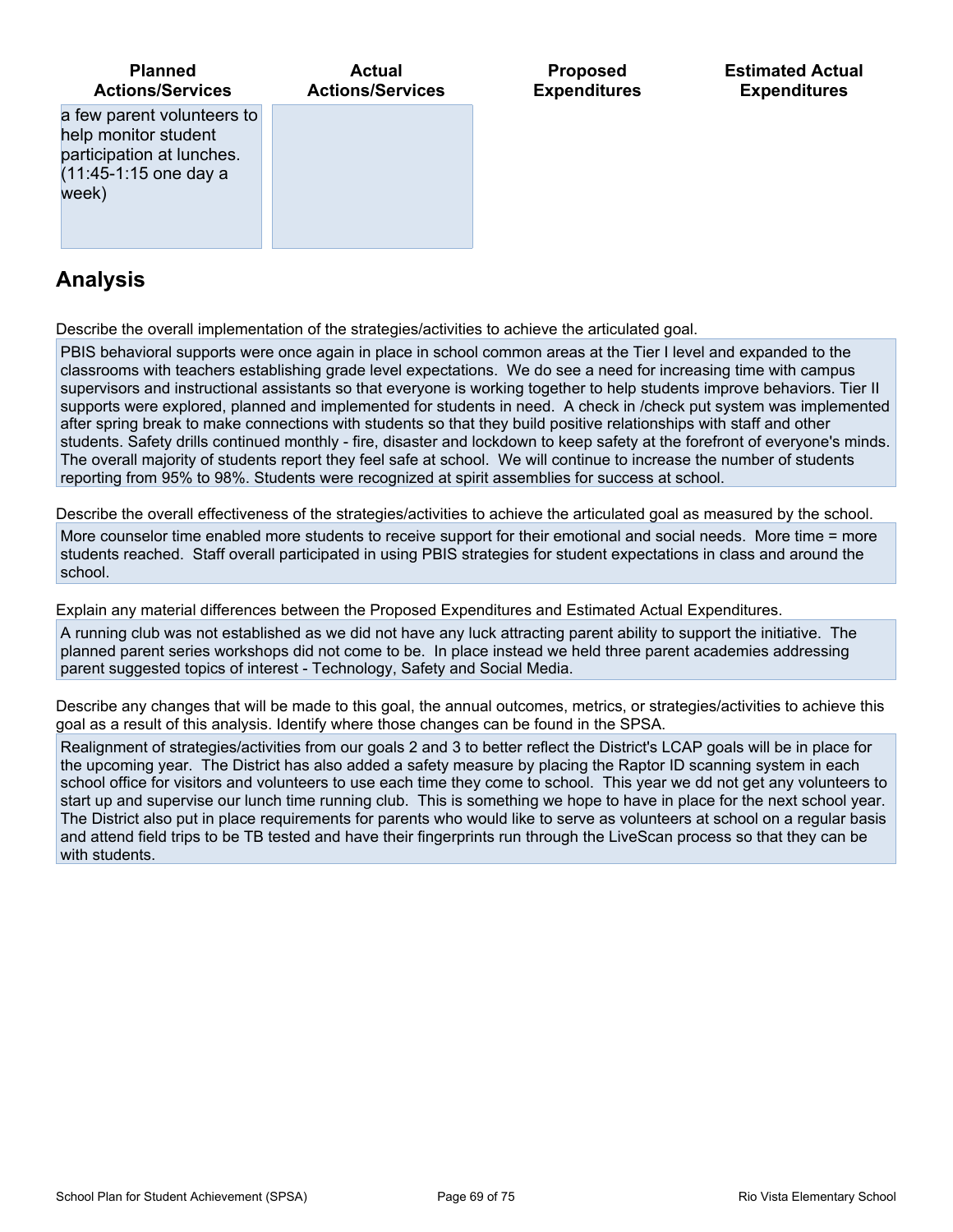

### **Analysis**

Describe the overall implementation of the strategies/activities to achieve the articulated goal.

PBIS behavioral supports were once again in place in school common areas at the Tier I level and expanded to the classrooms with teachers establishing grade level expectations. We do see a need for increasing time with campus supervisors and instructional assistants so that everyone is working together to help students improve behaviors. Tier II supports were explored, planned and implemented for students in need. A check in /check put system was implemented after spring break to make connections with students so that they build positive relationships with staff and other students. Safety drills continued monthly - fire, disaster and lockdown to keep safety at the forefront of everyone's minds. The overall majority of students report they feel safe at school. We will continue to increase the number of students reporting from 95% to 98%. Students were recognized at spirit assemblies for success at school.

Describe the overall effectiveness of the strategies/activities to achieve the articulated goal as measured by the school.

More counselor time enabled more students to receive support for their emotional and social needs. More time = more students reached. Staff overall participated in using PBIS strategies for student expectations in class and around the school.

Explain any material differences between the Proposed Expenditures and Estimated Actual Expenditures.

A running club was not established as we did not have any luck attracting parent ability to support the initiative. The planned parent series workshops did not come to be. In place instead we held three parent academies addressing parent suggested topics of interest - Technology, Safety and Social Media.

Describe any changes that will be made to this goal, the annual outcomes, metrics, or strategies/activities to achieve this goal as a result of this analysis. Identify where those changes can be found in the SPSA.

Realignment of strategies/activities from our goals 2 and 3 to better reflect the District's LCAP goals will be in place for the upcoming year. The District has also added a safety measure by placing the Raptor ID scanning system in each school office for visitors and volunteers to use each time they come to school. This year we dd not get any volunteers to start up and supervise our lunch time running club. This is something we hope to have in place for the next school year. The District also put in place requirements for parents who would like to serve as volunteers at school on a regular basis and attend field trips to be TB tested and have their fingerprints run through the LiveScan process so that they can be with students.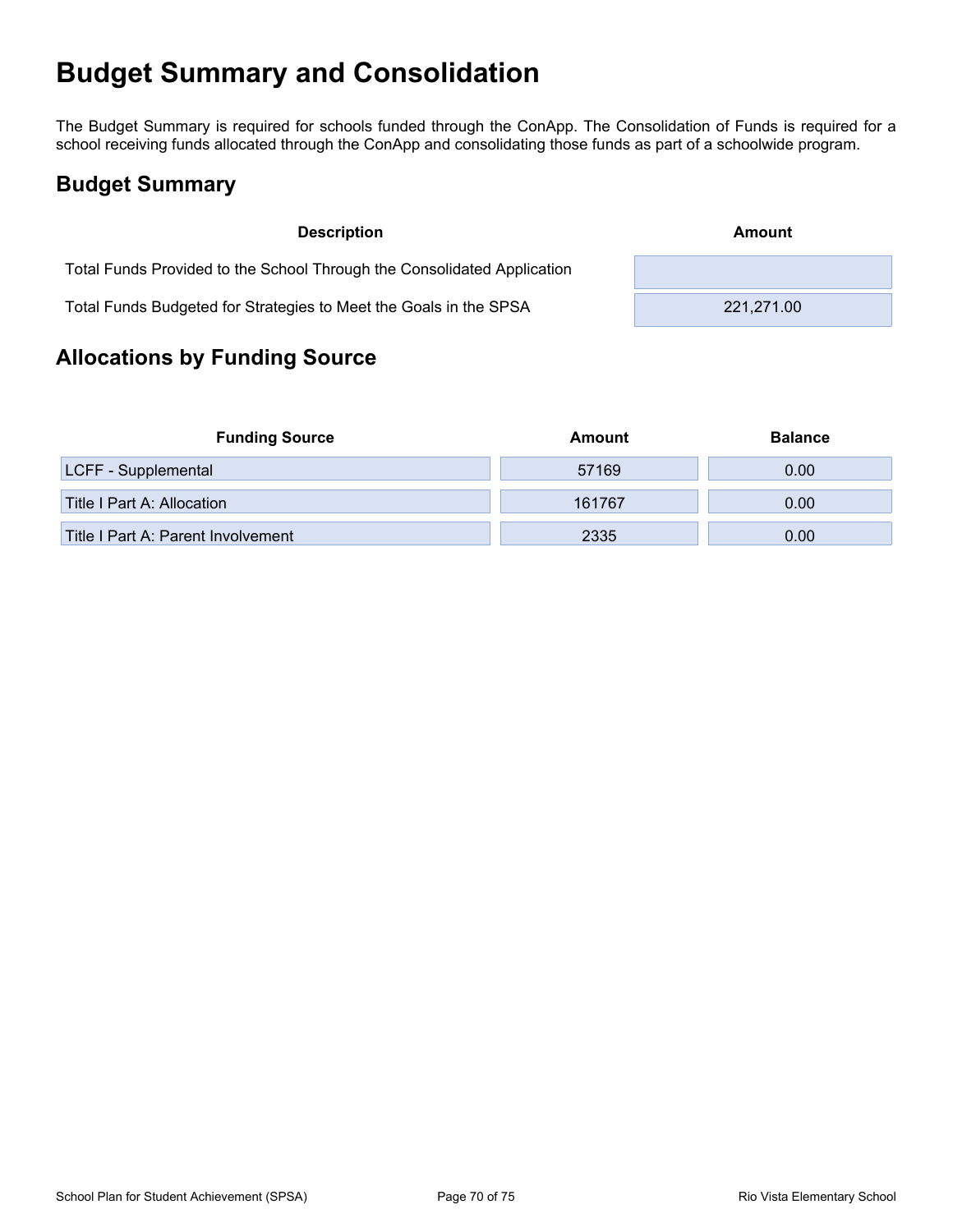## **Budget Summary and Consolidation**

The Budget Summary is required for schools funded through the ConApp. The Consolidation of Funds is required for a school receiving funds allocated through the ConApp and consolidating those funds as part of a schoolwide program.

## **Budget Summary**

| <b>Description</b>                                                      | Amount     |
|-------------------------------------------------------------------------|------------|
| Total Funds Provided to the School Through the Consolidated Application |            |
| Total Funds Budgeted for Strategies to Meet the Goals in the SPSA       | 221,271.00 |

## **Allocations by Funding Source**

| <b>Funding Source</b>              | Amount | <b>Balance</b> |
|------------------------------------|--------|----------------|
| <b>LCFF</b> - Supplemental         | 57169  | 0.00           |
| Title I Part A: Allocation         | 161767 | 0.00           |
| Title I Part A: Parent Involvement | 2335   | 0.00           |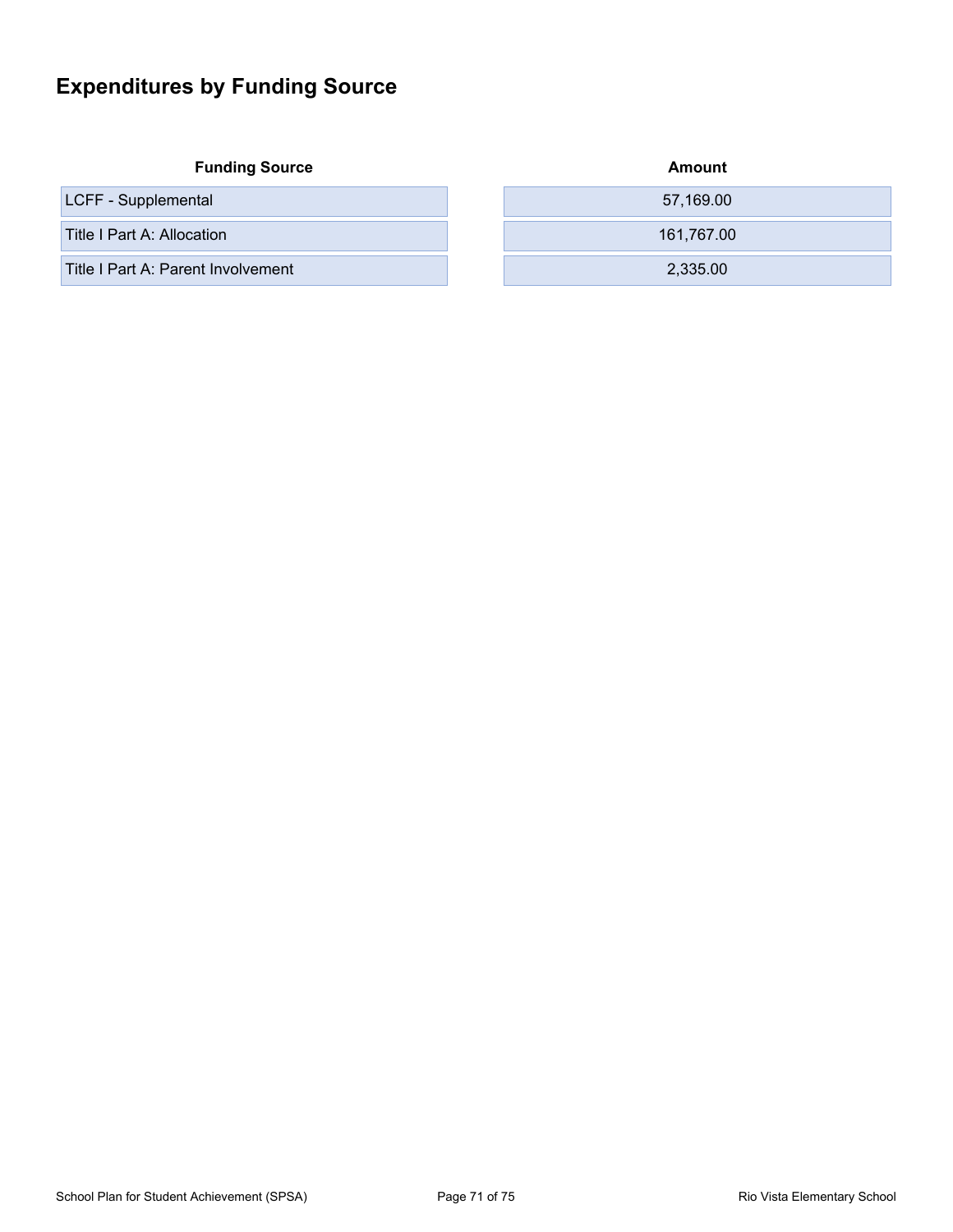## **Expenditures by Funding Source**

| <b>Funding Source</b> |  |
|-----------------------|--|
|-----------------------|--|

| LCFF - Supplemental |  |
|---------------------|--|
|---------------------|--|

| <b>Funding Source</b>              | Amount     |
|------------------------------------|------------|
| LCFF - Supplemental                | 57,169.00  |
| Title I Part A: Allocation         | 161.767.00 |
| Title I Part A: Parent Involvement | 2,335.00   |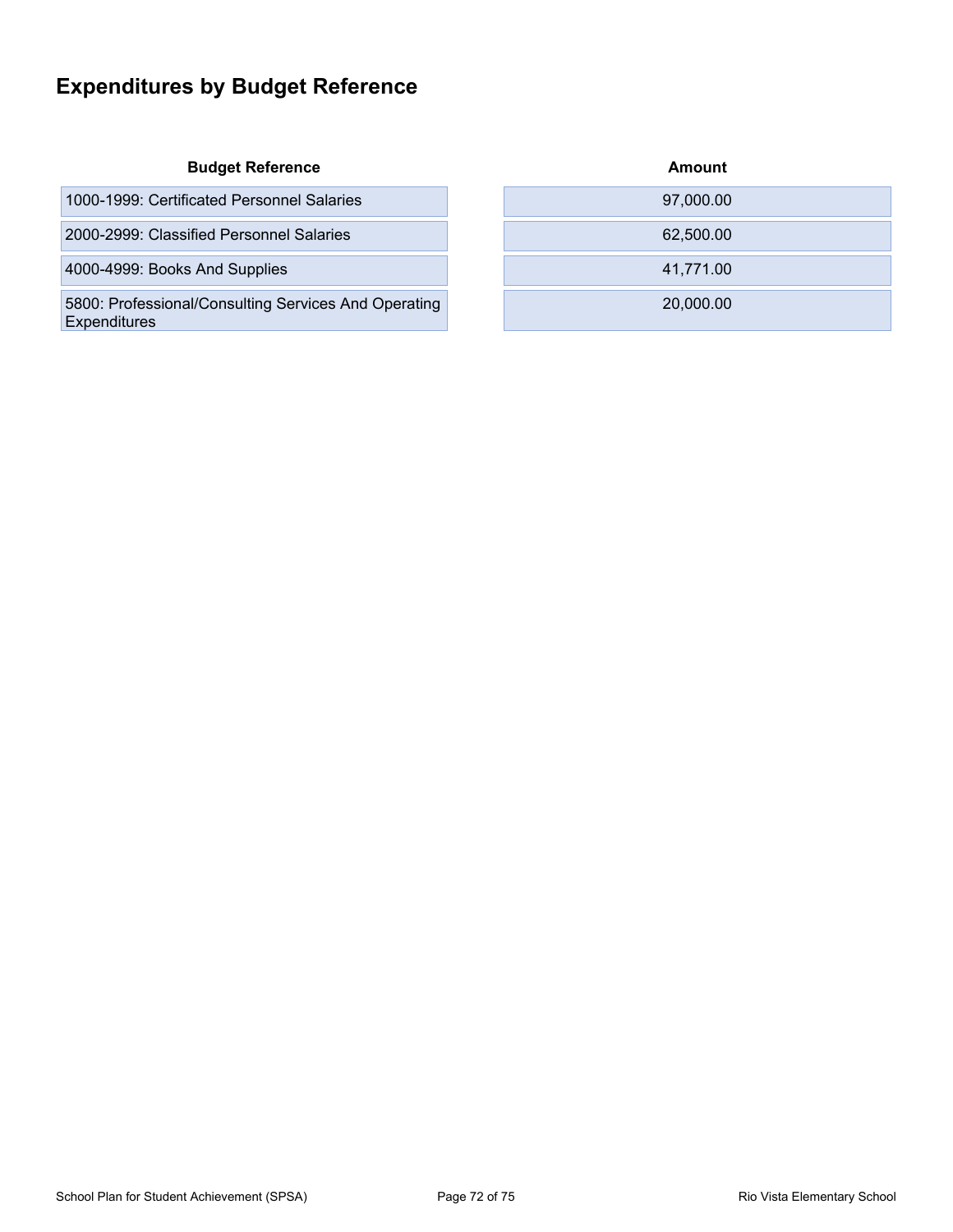## **Expenditures by Budget Reference**

#### **Budget Reference**

| 1000-1999: Certificated Personnel Salaries |  | 97.000.00 |
|--------------------------------------------|--|-----------|
|--------------------------------------------|--|-----------|

2000-2999: Classified Personnel Salaries

4000-4999: Books And Supplies

5800: Professional/Consulting Services And Operating **Expenditures** 

| Amount    |  |
|-----------|--|
| 97,000.00 |  |
| 62,500.00 |  |
| 41,771.00 |  |
| 20,000.00 |  |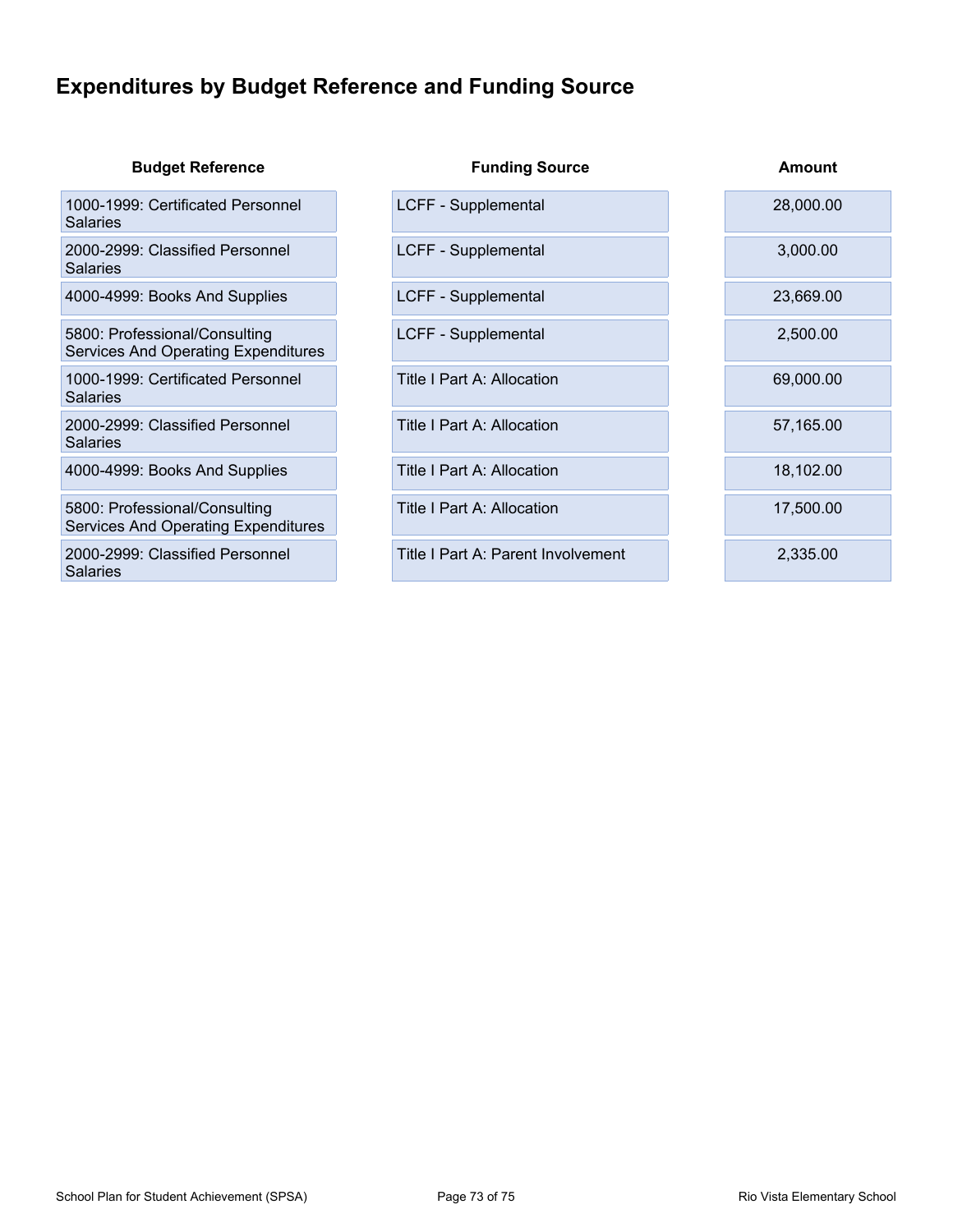### **Expenditures by Budget Reference and Funding Source**

| <b>Budget Reference</b>                                                     | <b>Funding Source</b>              | Amount    |
|-----------------------------------------------------------------------------|------------------------------------|-----------|
| 1000-1999: Certificated Personnel<br><b>Salaries</b>                        | LCFF - Supplemental                | 28,000.00 |
| 2000-2999: Classified Personnel<br><b>Salaries</b>                          | LCFF - Supplemental                | 3,000.00  |
| 4000-4999: Books And Supplies                                               | LCFF - Supplemental                | 23,669.00 |
| 5800: Professional/Consulting<br><b>Services And Operating Expenditures</b> | LCFF - Supplemental                | 2,500.00  |
| 1000-1999: Certificated Personnel<br><b>Salaries</b>                        | Title I Part A: Allocation         | 69,000.00 |
| 2000-2999: Classified Personnel<br><b>Salaries</b>                          | Title I Part A: Allocation         | 57,165.00 |
| 4000-4999: Books And Supplies                                               | Title I Part A: Allocation         | 18,102.00 |
| 5800: Professional/Consulting<br><b>Services And Operating Expenditures</b> | Title I Part A: Allocation         | 17,500.00 |
| 2000-2999: Classified Personnel<br>Salaries                                 | Title I Part A: Parent Involvement | 2,335.00  |
|                                                                             |                                    |           |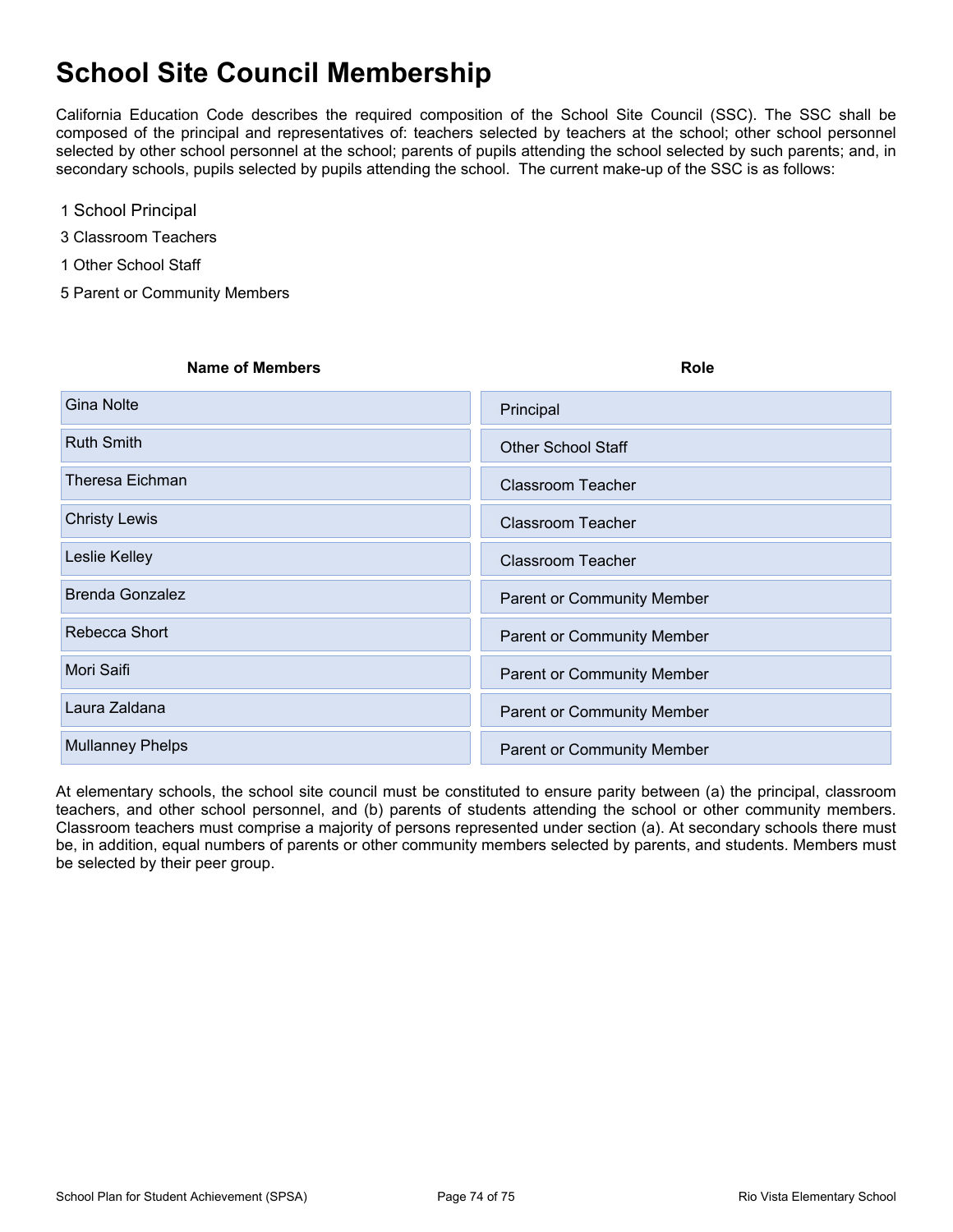# **School Site Council Membership**

California Education Code describes the required composition of the School Site Council (SSC). The SSC shall be composed of the principal and representatives of: teachers selected by teachers at the school; other school personnel selected by other school personnel at the school; parents of pupils attending the school selected by such parents; and, in secondary schools, pupils selected by pupils attending the school. The current make-up of the SSC is as follows:

- 1 School Principal
- 3 Classroom Teachers
- 1 Other School Staff
- 5 Parent or Community Members

# **Name of Members Role** Gina Nolte **XPrincipal** City of the Contract City of the Contract City of the Contract City of the Contract City of the Contract City of the Contract City of the Contract City of the Contract City of the Contract City of t **Ruth Smith XOTHER SCHOOL Staff** XOTHER School Staff XOTHER School Staff Theresa Eichman XClassroom Teacher Christy Lewis XClassroom Teacher Leslie Kelley XClassroom Teacher Brenda Gonzalez XParent or Community Member Rebecca Short XParent or Community Member Mori Saifi XParent or Community Member Laura Zaldana XParent or Community Member Mullanney Phelps XParent or Community Member

At elementary schools, the school site council must be constituted to ensure parity between (a) the principal, classroom teachers, and other school personnel, and (b) parents of students attending the school or other community members. Classroom teachers must comprise a majority of persons represented under section (a). At secondary schools there must be, in addition, equal numbers of parents or other community members selected by parents, and students. Members must be selected by their peer group.